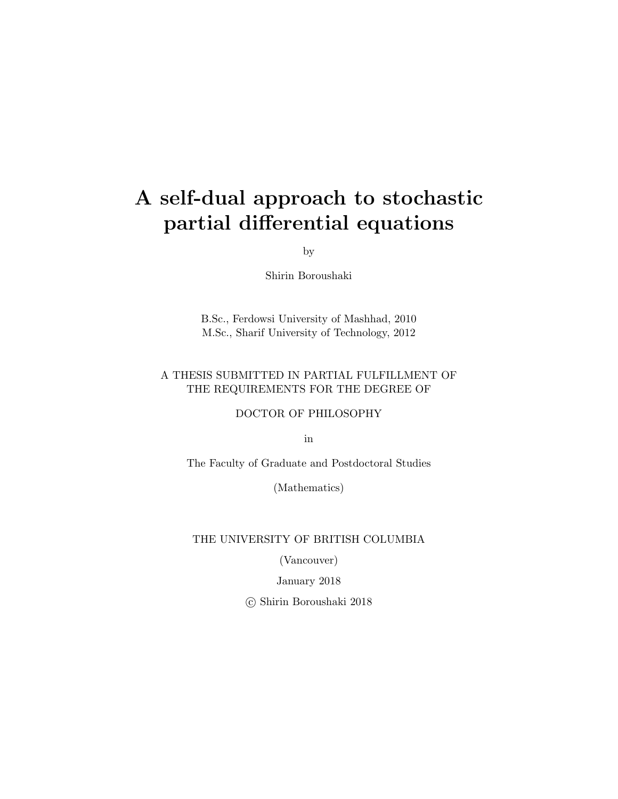## A self-dual approach to stochastic partial differential equations

by

Shirin Boroushaki

B.Sc., Ferdowsi University of Mashhad, 2010 M.Sc., Sharif University of Technology, 2012

### A THESIS SUBMITTED IN PARTIAL FULFILLMENT OF THE REQUIREMENTS FOR THE DEGREE OF

DOCTOR OF PHILOSOPHY

in

The Faculty of Graduate and Postdoctoral Studies

(Mathematics)

THE UNIVERSITY OF BRITISH COLUMBIA

(Vancouver)

January 2018

c Shirin Boroushaki 2018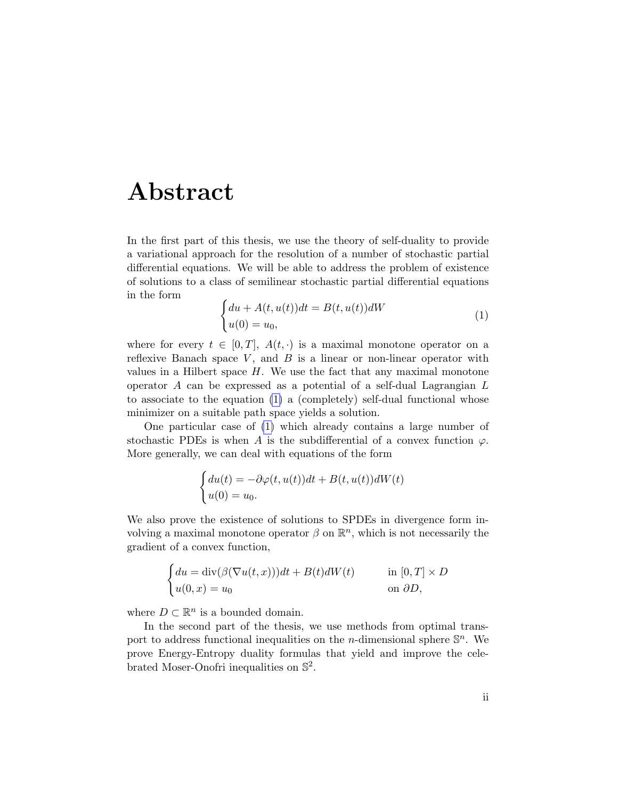## <span id="page-1-1"></span>Abstract

In the first part of this thesis, we use the theory of self-duality to provide a variational approach for the resolution of a number of stochastic partial differential equations. We will be able to address the problem of existence of solutions to a class of semilinear stochastic partial differential equations in the form

<span id="page-1-0"></span>
$$
\begin{cases} du + A(t, u(t))dt = B(t, u(t))dW \\ u(0) = u_0, \end{cases}
$$
 (1)

where for every  $t \in [0, T]$ ,  $A(t, \cdot)$  is a maximal monotone operator on a reflexive Banach space  $V$ , and  $B$  is a linear or non-linear operator with values in a Hilbert space  $H$ . We use the fact that any maximal monotone operator A can be expressed as a potential of a self-dual Lagrangian L to associate to the equation [\(1\)](#page-1-0) a (completely) self-dual functional whose minimizer on a suitable path space yields a solution.

One particular case of [\(1\)](#page-1-0) which already contains a large number of stochastic PDEs is when A is the subdifferential of a convex function  $\varphi$ . More generally, we can deal with equations of the form

$$
\begin{cases} du(t) = -\partial \varphi(t, u(t))dt + B(t, u(t))dW(t) \\ u(0) = u_0. \end{cases}
$$

We also prove the existence of solutions to SPDEs in divergence form involving a maximal monotone operator  $\beta$  on  $\mathbb{R}^n$ , which is not necessarily the gradient of a convex function,

$$
\begin{cases} du = \text{div}(\beta(\nabla u(t, x)))dt + B(t)dW(t) & \text{in } [0, T] \times D \\ u(0, x) = u_0 & \text{on } \partial D, \end{cases}
$$

where  $D \subset \mathbb{R}^n$  is a bounded domain.

In the second part of the thesis, we use methods from optimal transport to address functional inequalities on the *n*-dimensional sphere  $\mathbb{S}^n$ . We prove Energy-Entropy duality formulas that yield and improve the celebrated Moser-Onofri inequalities on  $\mathbb{S}^2$ .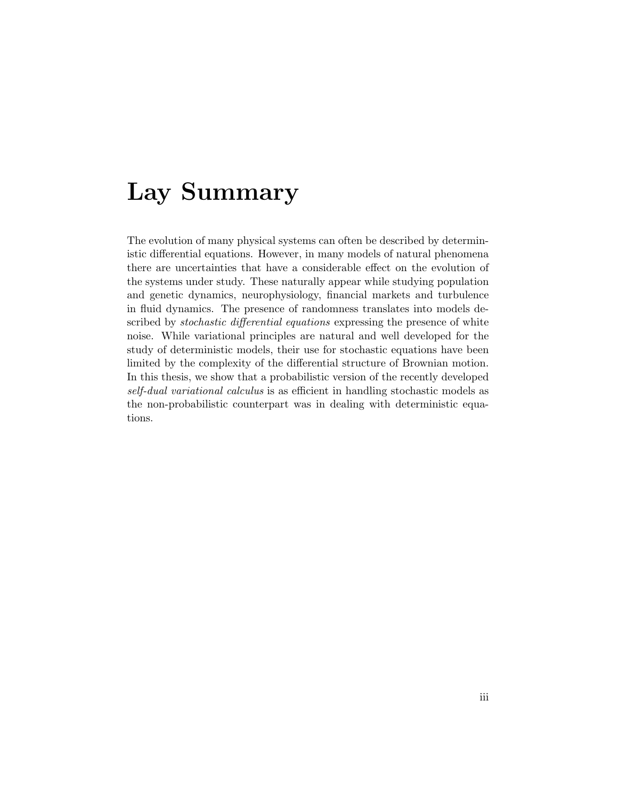## <span id="page-2-0"></span>Lay Summary

The evolution of many physical systems can often be described by deterministic differential equations. However, in many models of natural phenomena there are uncertainties that have a considerable effect on the evolution of the systems under study. These naturally appear while studying population and genetic dynamics, neurophysiology, financial markets and turbulence in fluid dynamics. The presence of randomness translates into models described by *stochastic differential equations* expressing the presence of white noise. While variational principles are natural and well developed for the study of deterministic models, their use for stochastic equations have been limited by the complexity of the differential structure of Brownian motion. In this thesis, we show that a probabilistic version of the recently developed self-dual variational calculus is as efficient in handling stochastic models as the non-probabilistic counterpart was in dealing with deterministic equations.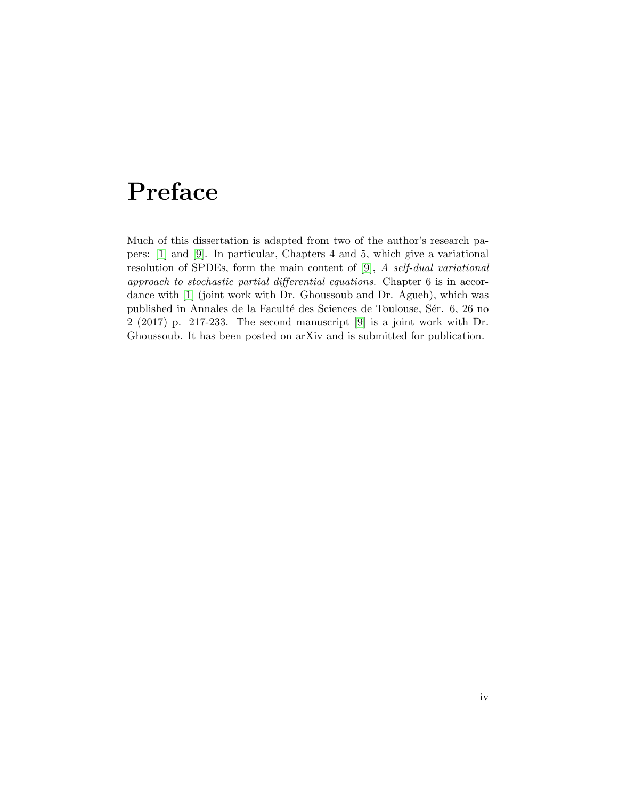## <span id="page-3-0"></span>Preface

Much of this dissertation is adapted from two of the author's research papers: [\[1\]](#page-100-0) and [\[9\]](#page-100-1). In particular, Chapters 4 and 5, which give a variational resolution of SPDEs, form the main content of [\[9\]](#page-100-1), A self-dual variational approach to stochastic partial differential equations. Chapter 6 is in accordance with [\[1\]](#page-100-0) (joint work with Dr. Ghoussoub and Dr. Agueh), which was published in Annales de la Faculté des Sciences de Toulouse, Sér. 6, 26 no 2 (2017) p. 217-233. The second manuscript [\[9\]](#page-100-1) is a joint work with Dr. Ghoussoub. It has been posted on arXiv and is submitted for publication.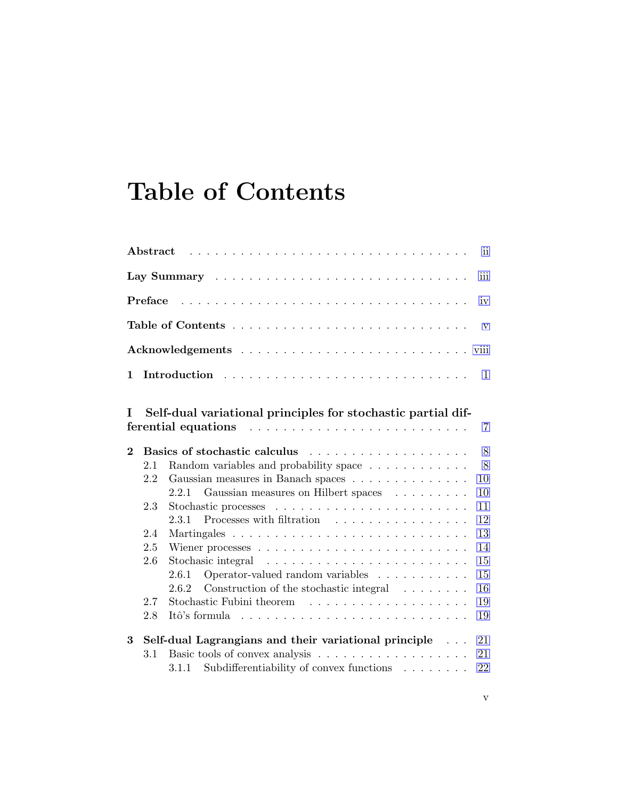# <span id="page-4-0"></span>Table of Contents

|               | ${\rm Abstract}$ | ii.                                                                    |  |  |  |  |  |  |  |  |
|---------------|------------------|------------------------------------------------------------------------|--|--|--|--|--|--|--|--|
|               | iii              |                                                                        |  |  |  |  |  |  |  |  |
| Preface<br>iv |                  |                                                                        |  |  |  |  |  |  |  |  |
|               | $\mathbf{V}$     |                                                                        |  |  |  |  |  |  |  |  |
| viii          |                  |                                                                        |  |  |  |  |  |  |  |  |
| 1             |                  | 1                                                                      |  |  |  |  |  |  |  |  |
| T             |                  | Self-dual variational principles for stochastic partial dif-<br>7      |  |  |  |  |  |  |  |  |
| $\bf{2}$      |                  | 8                                                                      |  |  |  |  |  |  |  |  |
|               | 2.1              | 8<br>Random variables and probability space                            |  |  |  |  |  |  |  |  |
|               | 2.2              | Gaussian measures in Banach spaces<br>10                               |  |  |  |  |  |  |  |  |
|               |                  | Gaussian measures on Hilbert spaces<br>10<br>2.2.1                     |  |  |  |  |  |  |  |  |
|               | 2.3              | 11                                                                     |  |  |  |  |  |  |  |  |
|               |                  | Processes with filtration<br>12<br>2.3.1                               |  |  |  |  |  |  |  |  |
|               | 2.4              | 13                                                                     |  |  |  |  |  |  |  |  |
|               | 2.5              | 14                                                                     |  |  |  |  |  |  |  |  |
|               | 2.6              | 15                                                                     |  |  |  |  |  |  |  |  |
|               |                  | 15<br>Operator-valued random variables $\ldots \ldots \ldots$<br>2.6.1 |  |  |  |  |  |  |  |  |
|               |                  | Construction of the stochastic integral $\ldots \ldots$<br>16<br>2.6.2 |  |  |  |  |  |  |  |  |
|               | 2.7              | 19                                                                     |  |  |  |  |  |  |  |  |
|               | 2.8              | 19                                                                     |  |  |  |  |  |  |  |  |
| 3             |                  | Self-dual Lagrangians and their variational principle<br>21            |  |  |  |  |  |  |  |  |
|               | 3.1              | 21                                                                     |  |  |  |  |  |  |  |  |
|               |                  | Subdifferentiability of convex functions<br>22<br>3.1.1                |  |  |  |  |  |  |  |  |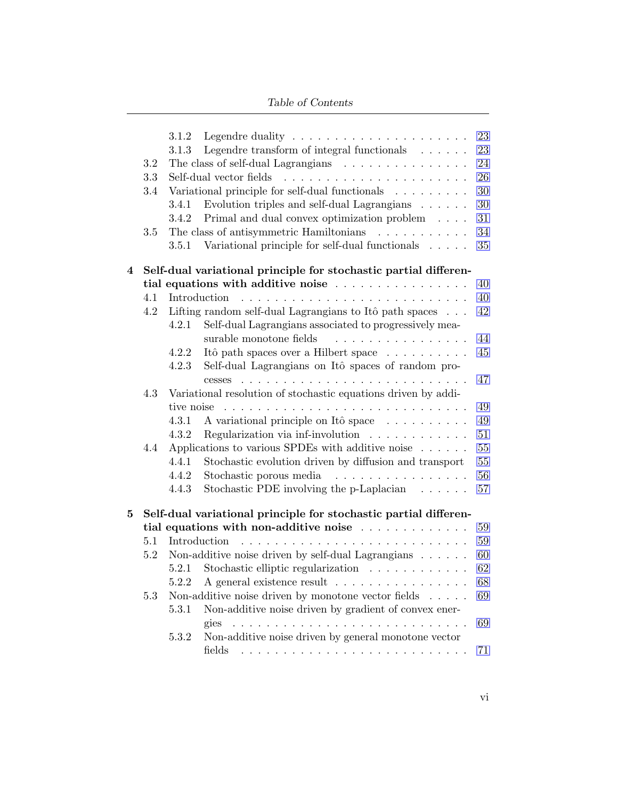#### Table of Contents

|   | $3.2\,$<br>3.3<br>3.4 | 3.1.2<br>3.1.3          | Legendre transform of integral functionals $\ldots \ldots$<br>The class of self-dual Lagrangians<br>Self-dual vector fields<br>Variational principle for self-dual functionals           | 23<br>23<br>24<br>26<br>30 |
|---|-----------------------|-------------------------|------------------------------------------------------------------------------------------------------------------------------------------------------------------------------------------|----------------------------|
|   | 3.5                   | 3.4.1<br>3.4.2<br>3.5.1 | Evolution triples and self-dual Lagrangians<br>Primal and dual convex optimization problem<br>The class of antisymmetric Hamiltonians<br>Variational principle for self-dual functionals | 30<br>31<br>34<br>35       |
| 4 |                       |                         | Self-dual variational principle for stochastic partial differen-                                                                                                                         |                            |
|   |                       |                         | tial equations with additive noise                                                                                                                                                       | 40                         |
|   | 4.1                   |                         | Introduction                                                                                                                                                                             | 40                         |
|   | 4.2                   | 4.2.1                   | Lifting random self-dual Lagrangians to Itô path spaces<br>Self-dual Lagrangians associated to progressively mea-                                                                        | 42                         |
|   |                       |                         | surable monotone fields                                                                                                                                                                  | 44                         |
|   |                       | 4.2.2                   | Itô path spaces over a Hilbert space                                                                                                                                                     | 45                         |
|   |                       | 4.2.3                   | Self-dual Lagrangians on Itô spaces of random pro-                                                                                                                                       |                            |
|   |                       |                         | cesses                                                                                                                                                                                   | 47                         |
|   | 4.3                   |                         | Variational resolution of stochastic equations driven by addi-                                                                                                                           |                            |
|   |                       | tive noise              |                                                                                                                                                                                          | 49                         |
|   |                       | 4.3.1                   | A variational principle on Itô space                                                                                                                                                     | 49                         |
|   |                       | 4.3.2                   | Regularization via inf-involution $\ldots \ldots \ldots \ldots$                                                                                                                          | 51                         |
|   | 4.4                   |                         | Applications to various SPDEs with additive noise $\dots \dots$                                                                                                                          | 55                         |
|   |                       | 4.4.1                   | Stochastic evolution driven by diffusion and transport                                                                                                                                   | 55                         |
|   |                       | 4.4.2                   | Stochastic porous media<br>.                                                                                                                                                             | 56                         |
|   |                       | 4.4.3                   | Stochastic PDE involving the p-Laplacian $\ldots \ldots$                                                                                                                                 | 57                         |
| 5 |                       |                         | Self-dual variational principle for stochastic partial differen-                                                                                                                         |                            |
|   |                       |                         | tial equations with non-additive noise                                                                                                                                                   | 59                         |
|   | 5.1                   |                         | Introduction                                                                                                                                                                             | 59                         |
|   | 5.2                   |                         | Non-additive noise driven by self-dual Lagrangians $\ldots \ldots$                                                                                                                       | 60                         |
|   |                       |                         | 5.2.1 Stochastic elliptic regularization                                                                                                                                                 | 62                         |
|   |                       |                         | 5.2.2 A general existence result                                                                                                                                                         | 68                         |
|   | 5.3                   |                         | Non-additive noise driven by monotone vector fields<br>$\sim$                                                                                                                            | 69                         |
|   |                       | 5.3.1                   | Non-additive noise driven by gradient of convex ener-                                                                                                                                    |                            |
|   |                       |                         | gies<br>.                                                                                                                                                                                | 69                         |
|   |                       | 5.3.2                   | Non-additive noise driven by general monotone vector                                                                                                                                     |                            |
|   |                       |                         | fields                                                                                                                                                                                   | 71                         |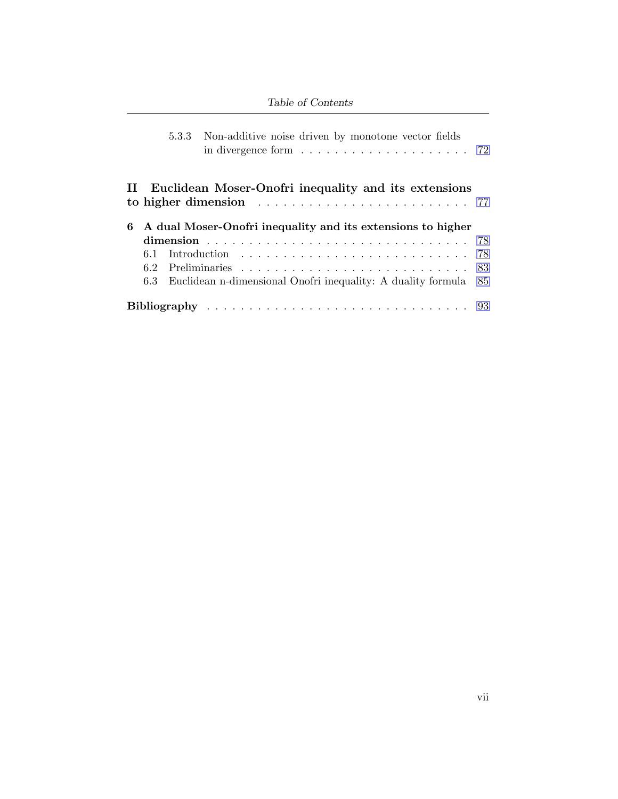### Table of Contents

|   |     |  | 5.3.3 Non-additive noise driven by monotone vector fields<br>in divergence form $\ldots \ldots \ldots \ldots \ldots \ldots \ldots$ 72              |    |  |  |  |  |  |
|---|-----|--|----------------------------------------------------------------------------------------------------------------------------------------------------|----|--|--|--|--|--|
|   |     |  | II Euclidean Moser-Onofri inequality and its extensions<br>to higher dimension $\ldots \ldots \ldots \ldots \ldots \ldots \ldots \ldots \ldots$ 77 |    |  |  |  |  |  |
| 6 |     |  | A dual Moser-Onofri inequality and its extensions to higher                                                                                        |    |  |  |  |  |  |
|   |     |  |                                                                                                                                                    |    |  |  |  |  |  |
|   | 6.1 |  |                                                                                                                                                    | 78 |  |  |  |  |  |
|   |     |  |                                                                                                                                                    |    |  |  |  |  |  |
|   | 6.3 |  | Euclidean n-dimensional Onofri inequality: A duality formula 85                                                                                    |    |  |  |  |  |  |
|   |     |  |                                                                                                                                                    |    |  |  |  |  |  |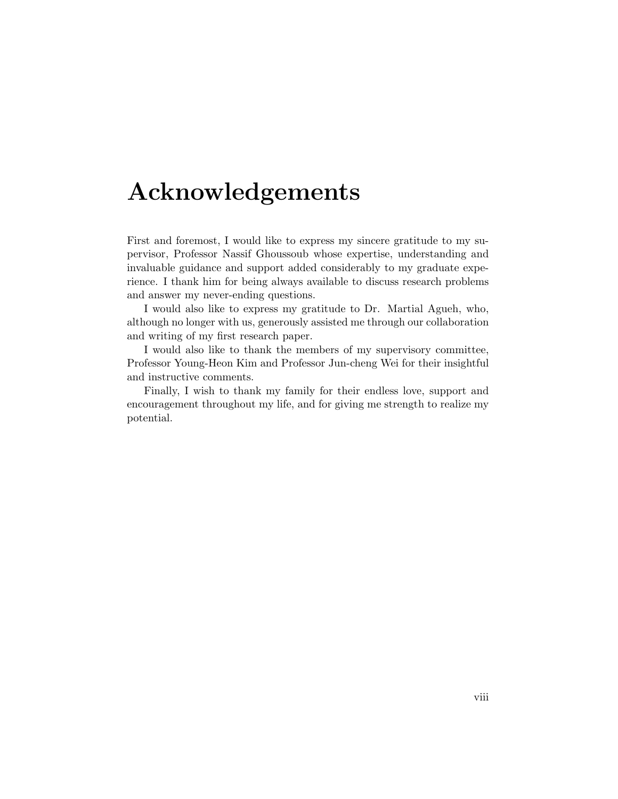## <span id="page-7-0"></span>Acknowledgements

First and foremost, I would like to express my sincere gratitude to my supervisor, Professor Nassif Ghoussoub whose expertise, understanding and invaluable guidance and support added considerably to my graduate experience. I thank him for being always available to discuss research problems and answer my never-ending questions.

I would also like to express my gratitude to Dr. Martial Agueh, who, although no longer with us, generously assisted me through our collaboration and writing of my first research paper.

I would also like to thank the members of my supervisory committee, Professor Young-Heon Kim and Professor Jun-cheng Wei for their insightful and instructive comments.

Finally, I wish to thank my family for their endless love, support and encouragement throughout my life, and for giving me strength to realize my potential.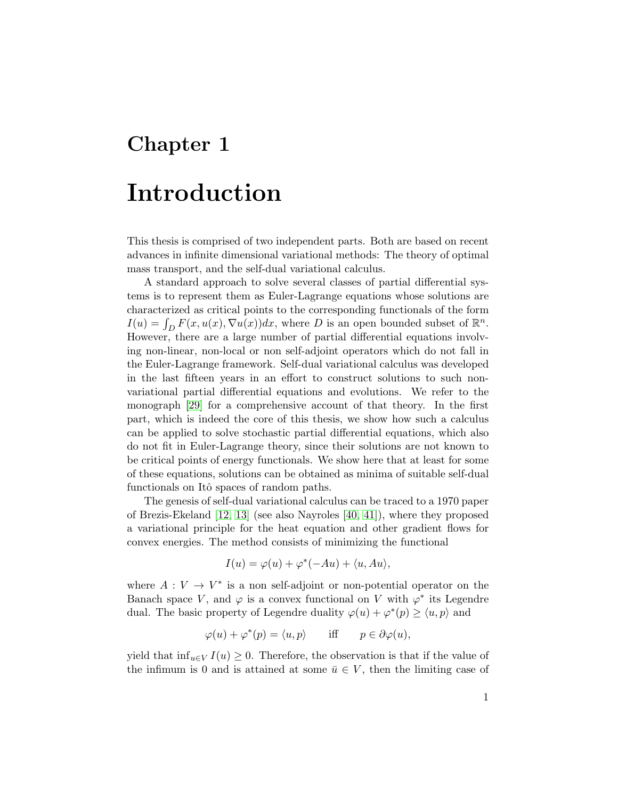## <span id="page-8-0"></span>Chapter 1

## Introduction

This thesis is comprised of two independent parts. Both are based on recent advances in infinite dimensional variational methods: The theory of optimal mass transport, and the self-dual variational calculus.

A standard approach to solve several classes of partial differential systems is to represent them as Euler-Lagrange equations whose solutions are characterized as critical points to the corresponding functionals of the form  $I(u) = \int_D F(x, u(x), \nabla u(x))dx$ , where D is an open bounded subset of  $\mathbb{R}^n$ . However, there are a large number of partial differential equations involving non-linear, non-local or non self-adjoint operators which do not fall in the Euler-Lagrange framework. Self-dual variational calculus was developed in the last fifteen years in an effort to construct solutions to such nonvariational partial differential equations and evolutions. We refer to the monograph [\[29\]](#page-102-0) for a comprehensive account of that theory. In the first part, which is indeed the core of this thesis, we show how such a calculus can be applied to solve stochastic partial differential equations, which also do not fit in Euler-Lagrange theory, since their solutions are not known to be critical points of energy functionals. We show here that at least for some of these equations, solutions can be obtained as minima of suitable self-dual functionals on Itô spaces of random paths.

The genesis of self-dual variational calculus can be traced to a 1970 paper of Brezis-Ekeland [\[12,](#page-101-0) [13\]](#page-101-1) (see also Nayroles [\[40,](#page-103-0) [41\]](#page-103-1)), where they proposed a variational principle for the heat equation and other gradient flows for convex energies. The method consists of minimizing the functional

$$
I(u) = \varphi(u) + \varphi^*(-Au) + \langle u, Au \rangle,
$$

where  $A: V \to V^*$  is a non self-adjoint or non-potential operator on the Banach space V, and  $\varphi$  is a convex functional on V with  $\varphi^*$  its Legendre dual. The basic property of Legendre duality  $\varphi(u) + \varphi^*(p) \ge \langle u, p \rangle$  and

$$
\varphi(u) + \varphi^*(p) = \langle u, p \rangle \quad \text{iff} \quad p \in \partial \varphi(u),
$$

yield that  $\inf_{u \in V} I(u) \geq 0$ . Therefore, the observation is that if the value of the infimum is 0 and is attained at some  $\bar{u} \in V$ , then the limiting case of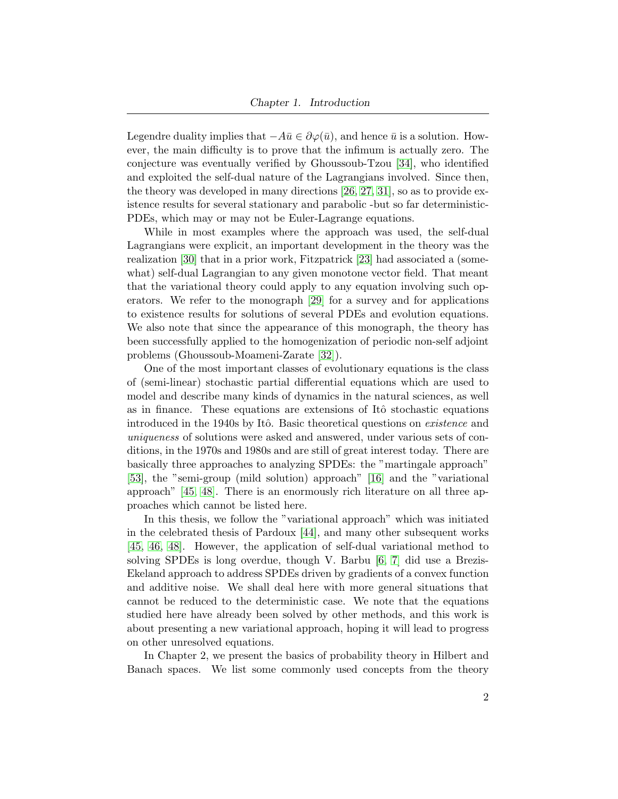Legendre duality implies that  $-A\bar{u} \in \partial \varphi(\bar{u})$ , and hence  $\bar{u}$  is a solution. However, the main difficulty is to prove that the infimum is actually zero. The conjecture was eventually verified by Ghoussoub-Tzou [\[34\]](#page-102-1), who identified and exploited the self-dual nature of the Lagrangians involved. Since then, the theory was developed in many directions [\[26,](#page-102-2) [27,](#page-102-3) [31\]](#page-102-4), so as to provide existence results for several stationary and parabolic -but so far deterministic-PDEs, which may or may not be Euler-Lagrange equations.

While in most examples where the approach was used, the self-dual Lagrangians were explicit, an important development in the theory was the realization [\[30\]](#page-102-5) that in a prior work, Fitzpatrick [\[23\]](#page-101-2) had associated a (somewhat) self-dual Lagrangian to any given monotone vector field. That meant that the variational theory could apply to any equation involving such operators. We refer to the monograph [\[29\]](#page-102-0) for a survey and for applications to existence results for solutions of several PDEs and evolution equations. We also note that since the appearance of this monograph, the theory has been successfully applied to the homogenization of periodic non-self adjoint problems (Ghoussoub-Moameni-Zarate [\[32\]](#page-102-6)).

One of the most important classes of evolutionary equations is the class of (semi-linear) stochastic partial differential equations which are used to model and describe many kinds of dynamics in the natural sciences, as well as in finance. These equations are extensions of Itô stochastic equations introduced in the 1940s by Itô. Basic theoretical questions on *existence* and uniqueness of solutions were asked and answered, under various sets of conditions, in the 1970s and 1980s and are still of great interest today. There are basically three approaches to analyzing SPDEs: the "martingale approach" [\[53\]](#page-104-0), the "semi-group (mild solution) approach" [\[16\]](#page-101-3) and the "variational approach" [\[45,](#page-103-2) [48\]](#page-103-3). There is an enormously rich literature on all three approaches which cannot be listed here.

In this thesis, we follow the "variational approach" which was initiated in the celebrated thesis of Pardoux [\[44\]](#page-103-4), and many other subsequent works [\[45,](#page-103-2) [46,](#page-103-5) [48\]](#page-103-3). However, the application of self-dual variational method to solving SPDEs is long overdue, though V. Barbu [\[6,](#page-100-3) [7\]](#page-100-4) did use a Brezis-Ekeland approach to address SPDEs driven by gradients of a convex function and additive noise. We shall deal here with more general situations that cannot be reduced to the deterministic case. We note that the equations studied here have already been solved by other methods, and this work is about presenting a new variational approach, hoping it will lead to progress on other unresolved equations.

In Chapter 2, we present the basics of probability theory in Hilbert and Banach spaces. We list some commonly used concepts from the theory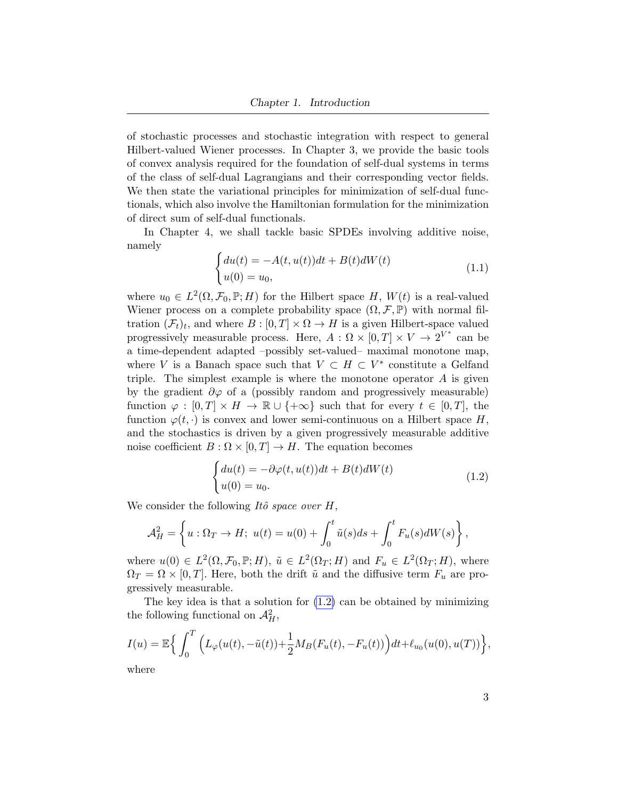of stochastic processes and stochastic integration with respect to general Hilbert-valued Wiener processes. In Chapter 3, we provide the basic tools of convex analysis required for the foundation of self-dual systems in terms of the class of self-dual Lagrangians and their corresponding vector fields. We then state the variational principles for minimization of self-dual functionals, which also involve the Hamiltonian formulation for the minimization of direct sum of self-dual functionals.

In Chapter 4, we shall tackle basic SPDEs involving additive noise, namely

<span id="page-10-1"></span>
$$
\begin{cases} du(t) = -A(t, u(t))dt + B(t)dW(t) \\ u(0) = u_0, \end{cases}
$$
\n(1.1)

where  $u_0 \in L^2(\Omega, \mathcal{F}_0, \mathbb{P}; H)$  for the Hilbert space H,  $W(t)$  is a real-valued Wiener process on a complete probability space  $(\Omega, \mathcal{F}, \mathbb{P})$  with normal filtration  $(\mathcal{F}_t)_t$ , and where  $B : [0, T] \times \Omega \to H$  is a given Hilbert-space valued progressively measurable process. Here,  $A: \Omega \times [0,T] \times V \to 2^{V^*}$  can be a time-dependent adapted –possibly set-valued– maximal monotone map, where V is a Banach space such that  $V \subset H \subset V^*$  constitute a Gelfand triple. The simplest example is where the monotone operator  $A$  is given by the gradient  $\partial \varphi$  of a (possibly random and progressively measurable) function  $\varphi : [0, T] \times H \to \mathbb{R} \cup \{+\infty\}$  such that for every  $t \in [0, T]$ , the function  $\varphi(t, \cdot)$  is convex and lower semi-continuous on a Hilbert space H, and the stochastics is driven by a given progressively measurable additive noise coefficient  $B: \Omega \times [0,T] \to H$ . The equation becomes

<span id="page-10-0"></span>
$$
\begin{cases} du(t) = -\partial \varphi(t, u(t))dt + B(t)dW(t) \\ u(0) = u_0. \end{cases}
$$
\n(1.2)

We consider the following Itô space over  $H$ ,

$$
\mathcal{A}_H^2 = \left\{ u : \Omega_T \to H; \ u(t) = u(0) + \int_0^t \tilde{u}(s)ds + \int_0^t F_u(s)dW(s) \right\},\
$$

where  $u(0) \in L^2(\Omega, \mathcal{F}_0, \mathbb{P}; H)$ ,  $\tilde{u} \in L^2(\Omega_T; H)$  and  $F_u \in L^2(\Omega_T; H)$ , where  $\Omega_T = \Omega \times [0, T]$ . Here, both the drift  $\tilde{u}$  and the diffusive term  $F_u$  are progressively measurable.

The key idea is that a solution for [\(1.2\)](#page-10-0) can be obtained by minimizing the following functional on  $\mathcal{A}_{H}^{2}$ ,

$$
I(u) = \mathbb{E}\Big\{\int_0^T \Big(L_\varphi(u(t), -\tilde{u}(t)) + \frac{1}{2}M_B(F_u(t), -F_u(t))\Big)dt + \ell_{u_0}(u(0), u(T))\Big\},\,
$$

where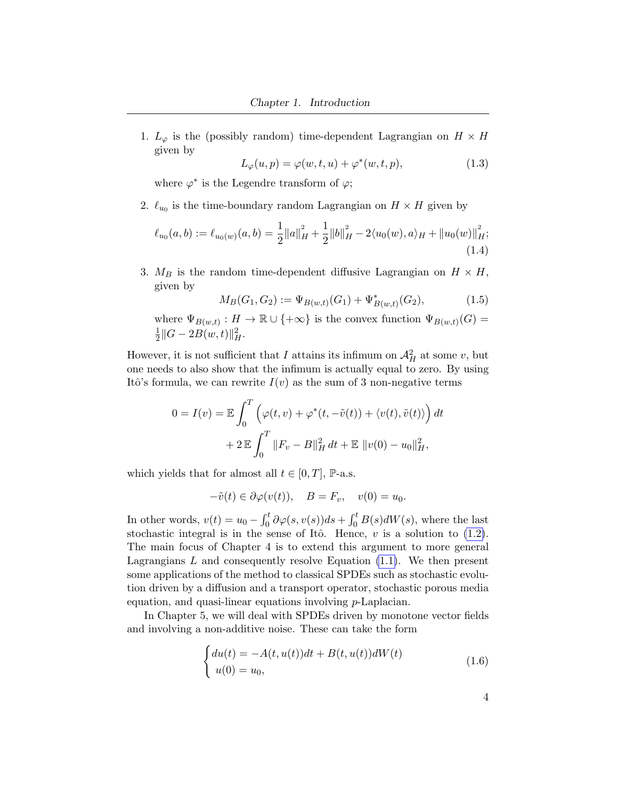1.  $L_{\varphi}$  is the (possibly random) time-dependent Lagrangian on  $H \times H$ given by

$$
L_{\varphi}(u, p) = \varphi(w, t, u) + \varphi^*(w, t, p), \qquad (1.3)
$$

where  $\varphi^*$  is the Legendre transform of  $\varphi$ ;

2.  $\ell_{u_0}$  is the time-boundary random Lagrangian on  $H \times H$  given by

$$
\ell_{u_0}(a,b) := \ell_{u_0(w)}(a,b) = \frac{1}{2} ||a||_H^2 + \frac{1}{2} ||b||_H^2 - 2\langle u_0(w), a \rangle_H + ||u_0(w)||_H^2;
$$
\n(1.4)

3.  $M_B$  is the random time-dependent diffusive Lagrangian on  $H \times H$ , given by

$$
M_B(G_1, G_2) := \Psi_{B(w,t)}(G_1) + \Psi^*_{B(w,t)}(G_2),\tag{1.5}
$$

where  $\Psi_{B(w,t)} : H \to \mathbb{R} \cup \{+\infty\}$  is the convex function  $\Psi_{B(w,t)}(G) =$ 1  $\frac{1}{2} ||G - 2B(w, t)||_H^2.$ 

However, it is not sufficient that I attains its infimum on  $\mathcal{A}^2_H$  at some v, but one needs to also show that the infimum is actually equal to zero. By using Itô's formula, we can rewrite  $I(v)$  as the sum of 3 non-negative terms

$$
0 = I(v) = \mathbb{E} \int_0^T \left( \varphi(t, v) + \varphi^*(t, -\tilde{v}(t)) + \langle v(t), \tilde{v}(t) \rangle \right) dt
$$

$$
+ 2 \mathbb{E} \int_0^T ||F_v - B||_H^2 dt + \mathbb{E} ||v(0) - u_0||_H^2,
$$

which yields that for almost all  $t \in [0, T]$ , P-a.s.

$$
-\tilde{v}(t) \in \partial \varphi(v(t)), \quad B = F_v, \quad v(0) = u_0.
$$

In other words,  $v(t) = u_0 - \int_0^t \partial \varphi(s, v(s)) ds + \int_0^t B(s) dW(s)$ , where the last stochastic integral is in the sense of Itô. Hence,  $v$  is a solution to  $(1.2)$ . The main focus of Chapter 4 is to extend this argument to more general Lagrangians  $L$  and consequently resolve Equation  $(1.1)$ . We then present some applications of the method to classical SPDEs such as stochastic evolution driven by a diffusion and a transport operator, stochastic porous media equation, and quasi-linear equations involving p-Laplacian.

In Chapter 5, we will deal with SPDEs driven by monotone vector fields and involving a non-additive noise. These can take the form

<span id="page-11-0"></span>
$$
\begin{cases} du(t) = -A(t, u(t))dt + B(t, u(t))dW(t) \\ u(0) = u_0, \end{cases}
$$
 (1.6)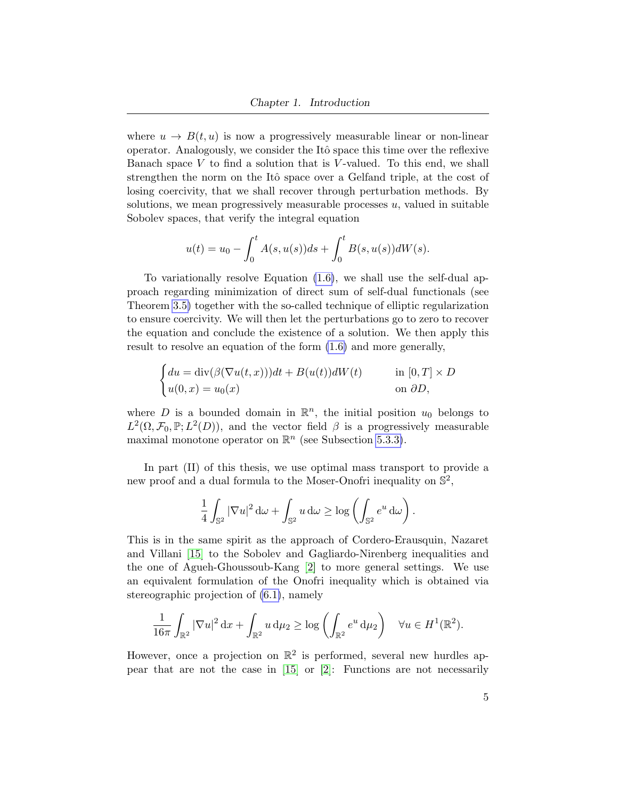where  $u \to B(t, u)$  is now a progressively measurable linear or non-linear operator. Analogously, we consider the Itô space this time over the reflexive Banach space  $V$  to find a solution that is  $V$ -valued. To this end, we shall strengthen the norm on the Itô space over a Gelfand triple, at the cost of losing coercivity, that we shall recover through perturbation methods. By solutions, we mean progressively measurable processes  $u$ , valued in suitable Sobolev spaces, that verify the integral equation

$$
u(t) = u_0 - \int_0^t A(s, u(s))ds + \int_0^t B(s, u(s))dW(s).
$$

To variationally resolve Equation [\(1.6\)](#page-11-0), we shall use the self-dual approach regarding minimization of direct sum of self-dual functionals (see Theorem [3.5\)](#page-44-0) together with the so-called technique of elliptic regularization to ensure coercivity. We will then let the perturbations go to zero to recover the equation and conclude the existence of a solution. We then apply this result to resolve an equation of the form [\(1.6\)](#page-11-0) and more generally,

$$
\begin{cases} du = \text{div}(\beta(\nabla u(t, x)))dt + B(u(t))dW(t) & \text{in } [0, T] \times D \\ u(0, x) = u_0(x) & \text{on } \partial D, \end{cases}
$$

where D is a bounded domain in  $\mathbb{R}^n$ , the initial position  $u_0$  belongs to  $L^2(\Omega, \mathcal{F}_0, \mathbb{P}; L^2(D))$ , and the vector field  $\beta$  is a progressively measurable maximal monotone operator on  $\mathbb{R}^n$  (see Subsection [5.3.3\)](#page-79-0).

In part (II) of this thesis, we use optimal mass transport to provide a new proof and a dual formula to the Moser-Onofri inequality on  $\mathbb{S}^2$ ,

$$
\frac{1}{4} \int_{\mathbb{S}^2} |\nabla u|^2 \, d\omega + \int_{\mathbb{S}^2} u \, d\omega \ge \log \left( \int_{\mathbb{S}^2} e^u \, d\omega \right).
$$

This is in the same spirit as the approach of Cordero-Erausquin, Nazaret and Villani [\[15\]](#page-101-4) to the Sobolev and Gagliardo-Nirenberg inequalities and the one of Agueh-Ghoussoub-Kang [\[2\]](#page-100-5) to more general settings. We use an equivalent formulation of the Onofri inequality which is obtained via stereographic projection of [\(6.1\)](#page-85-2), namely

$$
\frac{1}{16\pi} \int_{\mathbb{R}^2} |\nabla u|^2 \, \mathrm{d}x + \int_{\mathbb{R}^2} u \, \mathrm{d}\mu_2 \ge \log \left( \int_{\mathbb{R}^2} e^u \, \mathrm{d}\mu_2 \right) \quad \forall u \in H^1(\mathbb{R}^2).
$$

However, once a projection on  $\mathbb{R}^2$  is performed, several new hurdles appear that are not the case in [\[15\]](#page-101-4) or [\[2\]](#page-100-5): Functions are not necessarily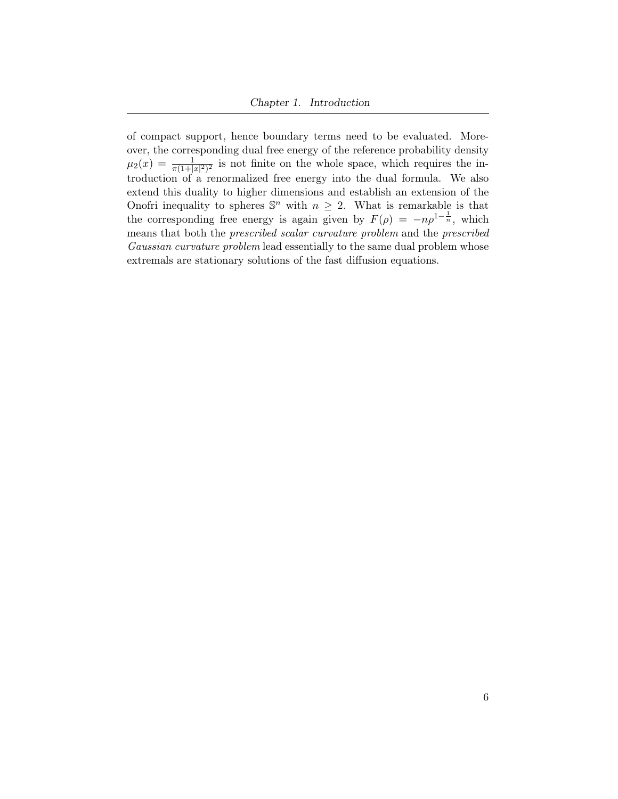of compact support, hence boundary terms need to be evaluated. Moreover, the corresponding dual free energy of the reference probability density  $\mu_2(x) = \frac{1}{\pi(1+|x|^2)^2}$  is not finite on the whole space, which requires the introduction of a renormalized free energy into the dual formula. We also extend this duality to higher dimensions and establish an extension of the Onofri inequality to spheres  $\mathbb{S}^n$  with  $n \geq 2$ . What is remarkable is that the corresponding free energy is again given by  $F(\rho) = -n\rho^{1-\frac{1}{n}}$ , which means that both the prescribed scalar curvature problem and the prescribed Gaussian curvature problem lead essentially to the same dual problem whose extremals are stationary solutions of the fast diffusion equations.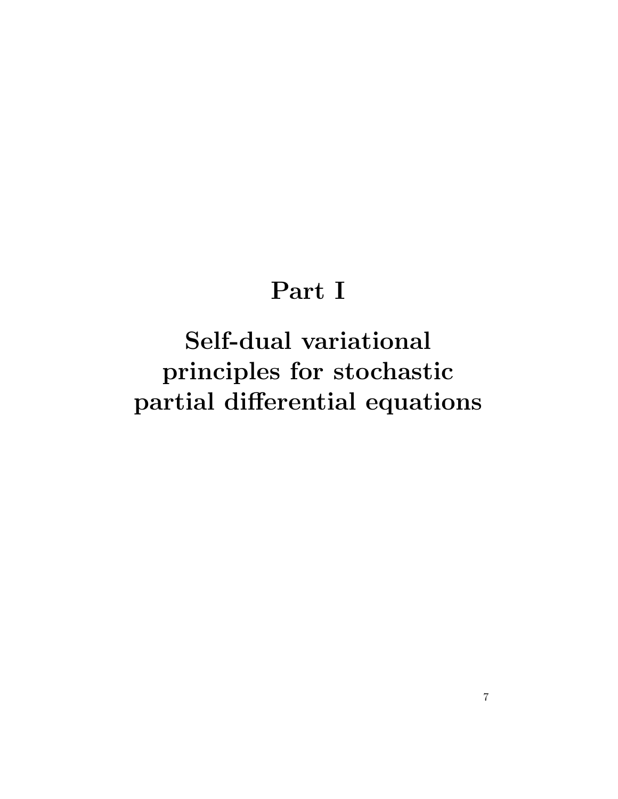# Part I

<span id="page-14-0"></span>Self-dual variational principles for stochastic partial differential equations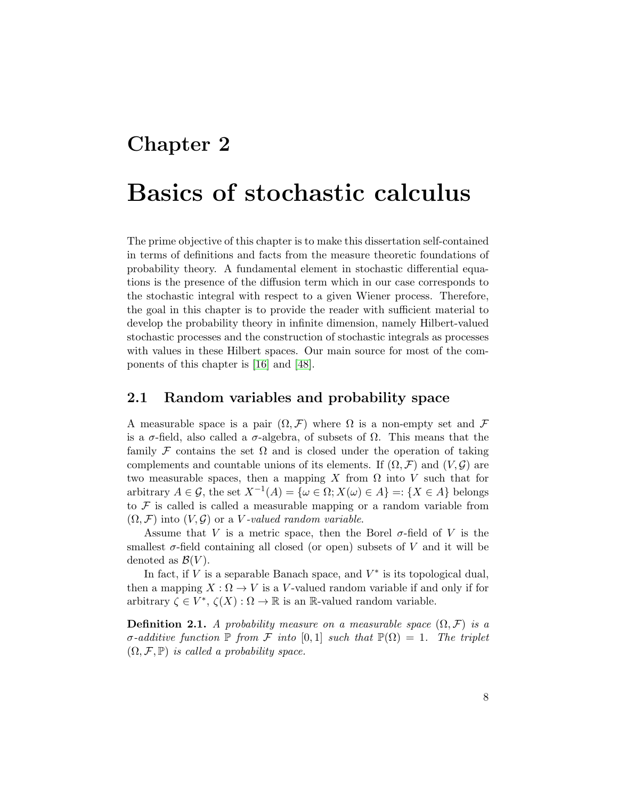## <span id="page-15-0"></span>Chapter 2

## Basics of stochastic calculus

The prime objective of this chapter is to make this dissertation self-contained in terms of definitions and facts from the measure theoretic foundations of probability theory. A fundamental element in stochastic differential equations is the presence of the diffusion term which in our case corresponds to the stochastic integral with respect to a given Wiener process. Therefore, the goal in this chapter is to provide the reader with sufficient material to develop the probability theory in infinite dimension, namely Hilbert-valued stochastic processes and the construction of stochastic integrals as processes with values in these Hilbert spaces. Our main source for most of the components of this chapter is [\[16\]](#page-101-3) and [\[48\]](#page-103-3).

#### <span id="page-15-1"></span>2.1 Random variables and probability space

A measurable space is a pair  $(\Omega, \mathcal{F})$  where  $\Omega$  is a non-empty set and  $\mathcal F$ is a  $\sigma$ -field, also called a  $\sigma$ -algebra, of subsets of  $\Omega$ . This means that the family F contains the set  $\Omega$  and is closed under the operation of taking complements and countable unions of its elements. If  $(\Omega, \mathcal{F})$  and  $(V, \mathcal{G})$  are two measurable spaces, then a mapping X from  $\Omega$  into V such that for arbitrary  $A \in \mathcal{G}$ , the set  $X^{-1}(A) = \{ \omega \in \Omega; X(\omega) \in A \} =: \{ X \in A \}$  belongs to  $\mathcal F$  is called is called a measurable mapping or a random variable from  $(\Omega, \mathcal{F})$  into  $(V, \mathcal{G})$  or a V-valued random variable.

Assume that V is a metric space, then the Borel  $\sigma$ -field of V is the smallest  $\sigma$ -field containing all closed (or open) subsets of V and it will be denoted as  $\mathcal{B}(V)$ .

In fact, if  $V$  is a separable Banach space, and  $V^*$  is its topological dual, then a mapping  $X : \Omega \to V$  is a V-valued random variable if and only if for arbitrary  $\zeta \in V^*, \ \zeta(X) : \Omega \to \mathbb{R}$  is an R-valued random variable.

**Definition 2.1.** A probability measure on a measurable space  $(\Omega, \mathcal{F})$  is a σ-additive function  $\mathbb P$  from F into [0,1] such that  $\mathbb P(\Omega) = 1$ . The triplet  $(\Omega, \mathcal{F}, \mathbb{P})$  is called a probability space.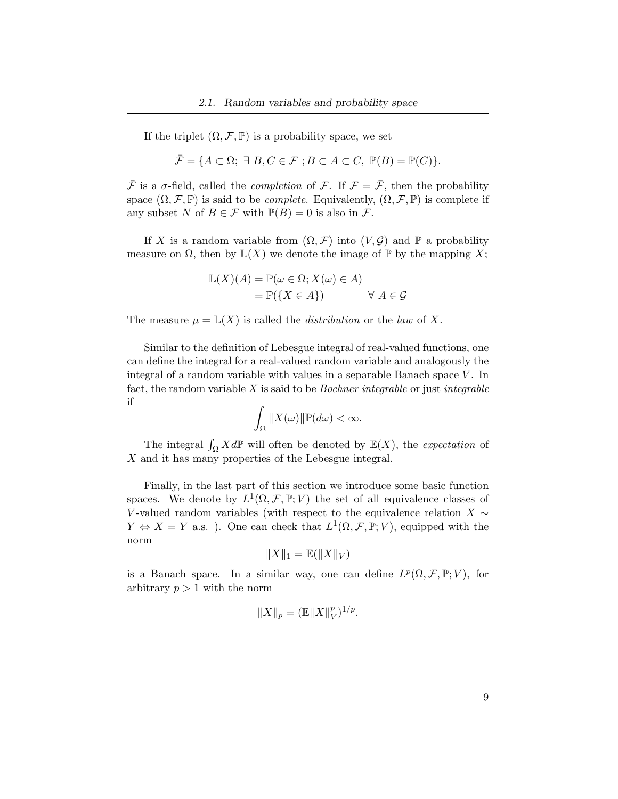If the triplet  $(\Omega, \mathcal{F}, \mathbb{P})$  is a probability space, we set

$$
\bar{\mathcal{F}} = \{ A \subset \Omega; \exists B, C \in \mathcal{F} ; B \subset A \subset C, \ \mathbb{P}(B) = \mathbb{P}(C) \}.
$$

 $\bar{\mathcal{F}}$  is a  $\sigma$ -field, called the *completion* of  $\mathcal{F}$ . If  $\mathcal{F} = \bar{\mathcal{F}}$ , then the probability space  $(\Omega, \mathcal{F}, \mathbb{P})$  is said to be *complete*. Equivalently,  $(\Omega, \mathcal{F}, \mathbb{P})$  is complete if any subset N of  $B \in \mathcal{F}$  with  $\mathbb{P}(B) = 0$  is also in  $\mathcal{F}$ .

If X is a random variable from  $(\Omega, \mathcal{F})$  into  $(V, \mathcal{G})$  and  $\mathbb{P}$  a probability measure on  $\Omega$ , then by  $\mathbb{L}(X)$  we denote the image of  $\mathbb{P}$  by the mapping X;

$$
\mathbb{L}(X)(A) = \mathbb{P}(\omega \in \Omega; X(\omega) \in A)
$$
  
=  $\mathbb{P}(\lbrace X \in A \rbrace)$   $\forall A \in \mathcal{G}$ 

The measure  $\mu = \mathbb{L}(X)$  is called the *distribution* or the *law* of X.

Similar to the definition of Lebesgue integral of real-valued functions, one can define the integral for a real-valued random variable and analogously the integral of a random variable with values in a separable Banach space  $V$ . In fact, the random variable  $X$  is said to be *Bochner integrable* or just *integrable* if

$$
\int_{\Omega} ||X(\omega)|| \mathbb{P}(d\omega) < \infty.
$$

The integral  $\int_{\Omega} X d\mathbb{P}$  will often be denoted by  $\mathbb{E}(X)$ , the *expectation* of X and it has many properties of the Lebesgue integral.

Finally, in the last part of this section we introduce some basic function spaces. We denote by  $L^1(\Omega, \mathcal{F}, \mathbb{P}; V)$  the set of all equivalence classes of V-valued random variables (with respect to the equivalence relation  $X \sim$  $Y \Leftrightarrow X = Y$  a.s.). One can check that  $L^1(\Omega, \mathcal{F}, \mathbb{P}; V)$ , equipped with the norm

$$
||X||_1 = \mathbb{E}(||X||_V)
$$

is a Banach space. In a similar way, one can define  $L^p(\Omega, \mathcal{F}, \mathbb{P}; V)$ , for arbitrary  $p > 1$  with the norm

$$
||X||_p = (\mathbb{E}||X||_V^p)^{1/p}.
$$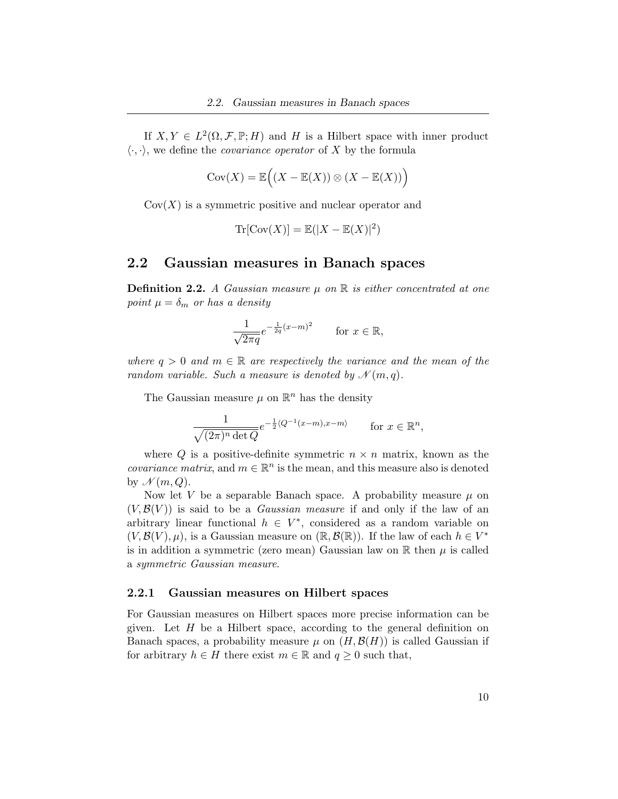If  $X, Y \in L^2(\Omega, \mathcal{F}, \mathbb{P}; H)$  and H is a Hilbert space with inner product  $\langle \cdot, \cdot \rangle$ , we define the *covariance operator* of X by the formula

$$
Cov(X) = \mathbb{E}\Big((X - \mathbb{E}(X)) \otimes (X - \mathbb{E}(X))\Big)
$$

 $Cov(X)$  is a symmetric positive and nuclear operator and

$$
\operatorname{Tr}[\operatorname{Cov}(X)] = \mathbb{E}(|X - \mathbb{E}(X)|^2)
$$

### <span id="page-17-0"></span>2.2 Gaussian measures in Banach spaces

**Definition 2.2.** A Gaussian measure  $\mu$  on  $\mathbb{R}$  is either concentrated at one point  $\mu = \delta_m$  or has a density

$$
\frac{1}{\sqrt{2\pi q}}e^{-\frac{1}{2q}(x-m)^2}
$$
 for  $x \in \mathbb{R}$ ,

where  $q > 0$  and  $m \in \mathbb{R}$  are respectively the variance and the mean of the random variable. Such a measure is denoted by  $\mathcal{N}(m, q)$ .

The Gaussian measure  $\mu$  on  $\mathbb{R}^n$  has the density

$$
\frac{1}{\sqrt{(2\pi)^n \det Q}} e^{-\frac{1}{2}\langle Q^{-1}(x-m), x-m\rangle} \qquad \text{for } x \in \mathbb{R}^n,
$$

where Q is a positive-definite symmetric  $n \times n$  matrix, known as the *covariance matrix*, and  $m \in \mathbb{R}^n$  is the mean, and this measure also is denoted by  $\mathcal{N}(m, Q)$ .

Now let V be a separable Banach space. A probability measure  $\mu$  on  $(V, \mathcal{B}(V))$  is said to be a *Gaussian measure* if and only if the law of an arbitrary linear functional  $h \in V^*$ , considered as a random variable on  $(V, \mathcal{B}(V), \mu)$ , is a Gaussian measure on  $(\mathbb{R}, \mathcal{B}(\mathbb{R}))$ . If the law of each  $h \in V^*$ is in addition a symmetric (zero mean) Gaussian law on  $\mathbb R$  then  $\mu$  is called a symmetric Gaussian measure.

#### <span id="page-17-1"></span>2.2.1 Gaussian measures on Hilbert spaces

For Gaussian measures on Hilbert spaces more precise information can be given. Let  $H$  be a Hilbert space, according to the general definition on Banach spaces, a probability measure  $\mu$  on  $(H, \mathcal{B}(H))$  is called Gaussian if for arbitrary  $h \in H$  there exist  $m \in \mathbb{R}$  and  $q \geq 0$  such that,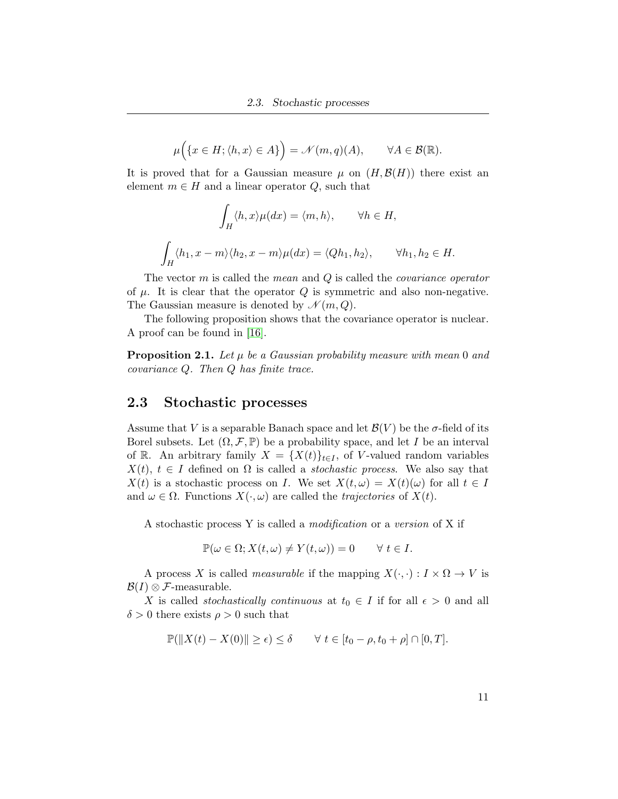$$
\mu\Big(\{x\in H; \langle h,x\rangle\in A\}\Big)=\mathscr{N}(m,q)(A),\qquad\forall A\in\mathcal{B}(\mathbb{R}).
$$

It is proved that for a Gaussian measure  $\mu$  on  $(H, \mathcal{B}(H))$  there exist an element  $m \in H$  and a linear operator Q, such that

$$
\int_H \langle h, x \rangle \mu(dx) = \langle m, h \rangle, \qquad \forall h \in H,
$$
  

$$
\int_H \langle h_1, x - m \rangle \langle h_2, x - m \rangle \mu(dx) = \langle Qh_1, h_2 \rangle, \qquad \forall h_1, h_2 \in H.
$$

The vector  $m$  is called the *mean* and  $Q$  is called the *covariance operator* of  $\mu$ . It is clear that the operator  $Q$  is symmetric and also non-negative. The Gaussian measure is denoted by  $\mathcal{N}(m, Q)$ .

The following proposition shows that the covariance operator is nuclear. A proof can be found in [\[16\]](#page-101-3).

**Proposition 2.1.** Let  $\mu$  be a Gaussian probability measure with mean 0 and covariance Q. Then Q has finite trace.

#### <span id="page-18-0"></span>2.3 Stochastic processes

Assume that V is a separable Banach space and let  $\mathcal{B}(V)$  be the  $\sigma$ -field of its Borel subsets. Let  $(\Omega, \mathcal{F}, \mathbb{P})$  be a probability space, and let I be an interval of R. An arbitrary family  $X = \{X(t)\}_{t \in I}$ , of V-valued random variables  $X(t), t \in I$  defined on  $\Omega$  is called a *stochastic process*. We also say that  $X(t)$  is a stochastic process on I. We set  $X(t,\omega) = X(t)(\omega)$  for all  $t \in I$ and  $\omega \in \Omega$ . Functions  $X(\cdot, \omega)$  are called the *trajectories* of  $X(t)$ .

A stochastic process Y is called a modification or a version of X if

$$
\mathbb{P}(\omega \in \Omega; X(t, \omega) \neq Y(t, \omega)) = 0 \quad \forall \ t \in I.
$$

A process X is called *measurable* if the mapping  $X(\cdot, \cdot): I \times \Omega \to V$  is  $\mathcal{B}(I) \otimes \mathcal{F}$ -measurable.

X is called *stochastically continuous* at  $t_0 \in I$  if for all  $\epsilon > 0$  and all  $\delta > 0$  there exists  $\rho > 0$  such that

$$
\mathbb{P}(\|X(t) - X(0)\| \ge \epsilon) \le \delta \qquad \forall \ t \in [t_0 - \rho, t_0 + \rho] \cap [0, T].
$$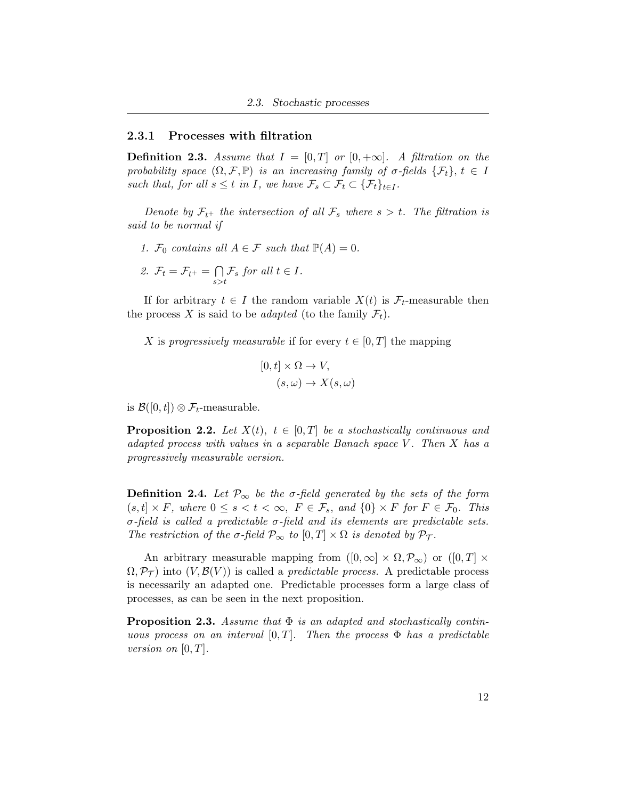#### <span id="page-19-0"></span>2.3.1 Processes with filtration

**Definition 2.3.** Assume that  $I = [0, T]$  or  $[0, +\infty]$ . A filtration on the probability space  $(\Omega, \mathcal{F}, \mathbb{P})$  is an increasing family of  $\sigma$ -fields  $\{\mathcal{F}_t\}, t \in I$ such that, for all  $s \leq t$  in I, we have  $\mathcal{F}_s \subset \mathcal{F}_t \subset {\{\mathcal{F}_t\}}_{t \in I}$ .

Denote by  $\mathcal{F}_{t+}$  the intersection of all  $\mathcal{F}_s$  where  $s > t$ . The filtration is said to be normal if

1.  $\mathcal{F}_0$  contains all  $A \in \mathcal{F}$  such that  $\mathbb{P}(A) = 0$ .

2. 
$$
\mathcal{F}_t = \mathcal{F}_{t^+} = \bigcap_{s>t} \mathcal{F}_s
$$
 for all  $t \in I$ .

If for arbitrary  $t \in I$  the random variable  $X(t)$  is  $\mathcal{F}_t$ -measurable then the process X is said to be *adapted* (to the family  $\mathcal{F}_t$ ).

X is progressively measurable if for every  $t \in [0, T]$  the mapping

$$
[0, t] \times \Omega \to V,
$$
  

$$
(s, \omega) \to X(s, \omega)
$$

is  $\mathcal{B}([0,t]) \otimes \mathcal{F}_t$ -measurable.

**Proposition 2.2.** Let  $X(t)$ ,  $t \in [0,T]$  be a stochastically continuous and adapted process with values in a separable Banach space  $V$ . Then  $X$  has a progressively measurable version.

**Definition 2.4.** Let  $\mathcal{P}_{\infty}$  be the  $\sigma$ -field generated by the sets of the form  $(s, t] \times F$ , where  $0 \le s < t < \infty$ ,  $F \in \mathcal{F}_s$ , and  $\{0\} \times F$  for  $F \in \mathcal{F}_0$ . This σ-field is called a predictable σ-field and its elements are predictable sets. The restriction of the  $\sigma$ -field  $\mathcal{P}_{\infty}$  to  $[0, T] \times \Omega$  is denoted by  $\mathcal{P}_{\mathcal{T}}$ .

An arbitrary measurable mapping from  $([0,\infty] \times \Omega, \mathcal{P}_{\infty})$  or  $([0,T] \times$  $\Omega, \mathcal{P}_{\mathcal{T}}$  into  $(V, \mathcal{B}(V))$  is called a *predictable process*. A predictable process is necessarily an adapted one. Predictable processes form a large class of processes, as can be seen in the next proposition.

**Proposition 2.3.** Assume that  $\Phi$  is an adapted and stochastically continuous process on an interval  $[0, T]$ . Then the process  $\Phi$  has a predictable version on  $[0, T]$ .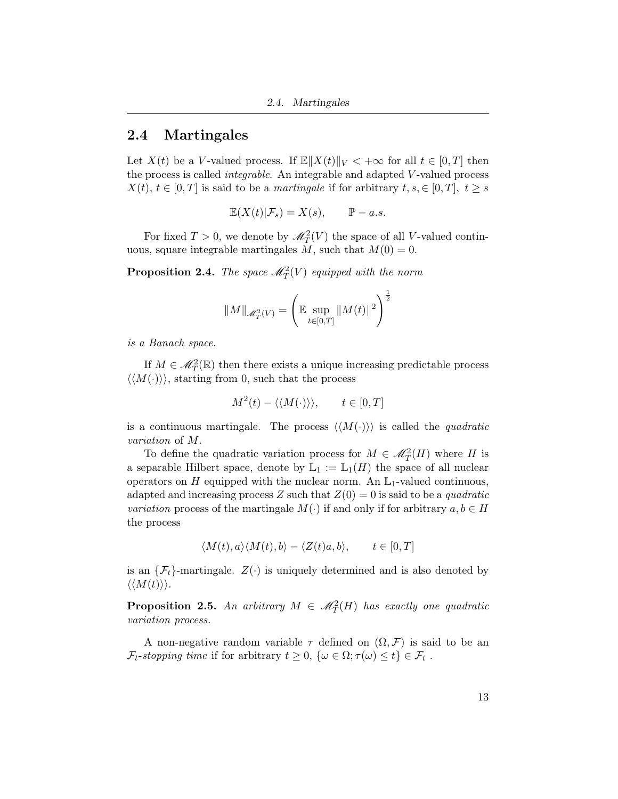### <span id="page-20-0"></span>2.4 Martingales

Let  $X(t)$  be a V-valued process. If  $\mathbb{E} \|X(t)\|_V < +\infty$  for all  $t \in [0, T]$  then the process is called integrable. An integrable and adapted V -valued process  $X(t), t \in [0,T]$  is said to be a martingale if for arbitrary  $t, s \in [0,T], t \geq s$ 

$$
\mathbb{E}(X(t)|\mathcal{F}_s) = X(s), \qquad \mathbb{P} - a.s.
$$

For fixed  $T > 0$ , we denote by  $\mathcal{M}_T^2(V)$  the space of all V-valued continuous, square integrable martingales M, such that  $M(0) = 0$ .

**Proposition 2.4.** The space  $\mathcal{M}_T^2(V)$  equipped with the norm

$$
\|M\|_{\mathscr{M}^2_T(V)} = \left( \mathbb{E} \sup_{t \in [0,T]} \|M(t)\|^2 \right)^{\frac{1}{2}}
$$

is a Banach space.

If  $M \in \mathcal{M}_T^2(\mathbb{R})$  then there exists a unique increasing predictable process  $\langle\langle M(\cdot)\rangle\rangle$ , starting from 0, such that the process

$$
M^2(t) - \langle \langle M(\cdot) \rangle \rangle, \qquad t \in [0, T]
$$

is a continuous martingale. The process  $\langle\langle M(\cdot)\rangle\rangle$  is called the *quadratic* variation of M.

To define the quadratic variation process for  $M \in \mathcal{M}_T^2(H)$  where H is a separable Hilbert space, denote by  $\mathbb{L}_1 := \mathbb{L}_1(H)$  the space of all nuclear operators on H equipped with the nuclear norm. An  $\mathbb{L}_1$ -valued continuous, adapted and increasing process Z such that  $Z(0) = 0$  is said to be a *quadratic variation* process of the martingale  $M(\cdot)$  if and only if for arbitrary  $a, b \in H$ the process

$$
\langle M(t), a \rangle \langle M(t), b \rangle - \langle Z(t)a, b \rangle, \qquad t \in [0, T]
$$

is an  $\{\mathcal{F}_t\}$ -martingale.  $Z(\cdot)$  is uniquely determined and is also denoted by  $\langle\langle M(t)\rangle\rangle.$ 

**Proposition 2.5.** An arbitrary  $M \in \mathcal{M}_T^2(H)$  has exactly one quadratic variation process.

A non-negative random variable  $\tau$  defined on  $(\Omega, \mathcal{F})$  is said to be an  $\mathcal{F}_t$ -stopping time if for arbitrary  $t \geq 0$ ,  $\{\omega \in \Omega; \tau(\omega) \leq t\} \in \mathcal{F}_t$ .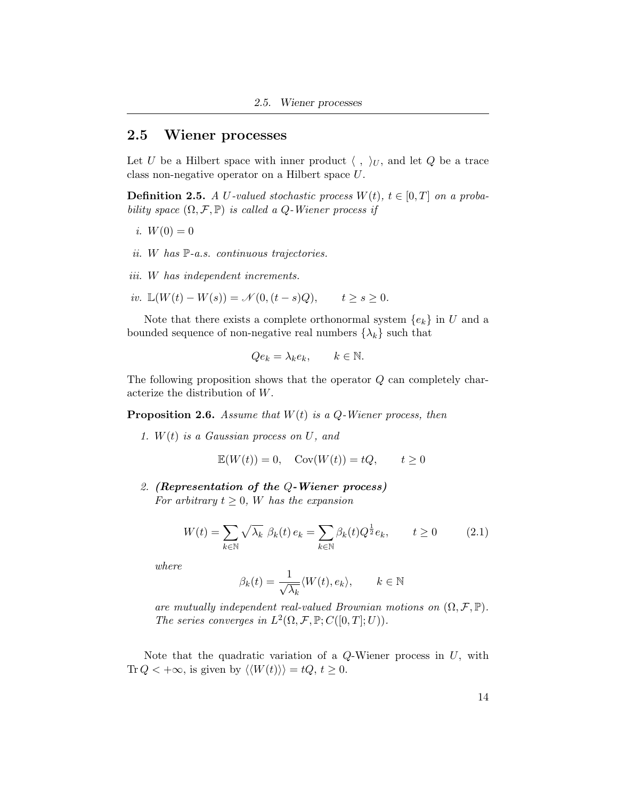### <span id="page-21-0"></span>2.5 Wiener processes

Let U be a Hilbert space with inner product  $\langle , \rangle_U$ , and let Q be a trace class non-negative operator on a Hilbert space U.

**Definition 2.5.** A U-valued stochastic process  $W(t)$ ,  $t \in [0, T]$  on a probability space  $(\Omega, \mathcal{F}, \mathbb{P})$  is called a Q-Wiener process if

- i.  $W(0) = 0$
- ii. W has P-a.s. continuous trajectories.
- iii. W has independent increments.
- iv.  $\mathbb{L}(W(t) W(s)) = \mathcal{N}(0, (t s)Q), \quad t > s > 0.$

Note that there exists a complete orthonormal system  ${e_k}$  in U and a bounded sequence of non-negative real numbers  $\{\lambda_k\}$  such that

$$
Qe_k = \lambda_k e_k, \qquad k \in \mathbb{N}.
$$

The following proposition shows that the operator Q can completely characterize the distribution of W.

**Proposition 2.6.** Assume that  $W(t)$  is a Q-Wiener process, then

1.  $W(t)$  is a Gaussian process on U, and

$$
\mathbb{E}(W(t)) = 0, \quad \text{Cov}(W(t)) = tQ, \qquad t \ge 0
$$

2. (Representation of the Q-Wiener process) For arbitrary  $t \geq 0$ , W has the expansion

$$
W(t) = \sum_{k \in \mathbb{N}} \sqrt{\lambda_k} \ \beta_k(t) \, e_k = \sum_{k \in \mathbb{N}} \beta_k(t) Q^{\frac{1}{2}} e_k, \qquad t \ge 0 \tag{2.1}
$$

where

$$
\beta_k(t) = \frac{1}{\sqrt{\lambda_k}} \langle W(t), e_k \rangle, \qquad k \in \mathbb{N}
$$

are mutually independent real-valued Brownian motions on  $(\Omega, \mathcal{F}, \mathbb{P})$ . The series converges in  $L^2(\Omega, \mathcal{F}, \mathbb{P}; C([0,T]; U)).$ 

Note that the quadratic variation of a  $Q$ -Wiener process in  $U$ , with Tr  $Q < +\infty$ , is given by  $\langle \langle W(t) \rangle \rangle = tQ, t \ge 0$ .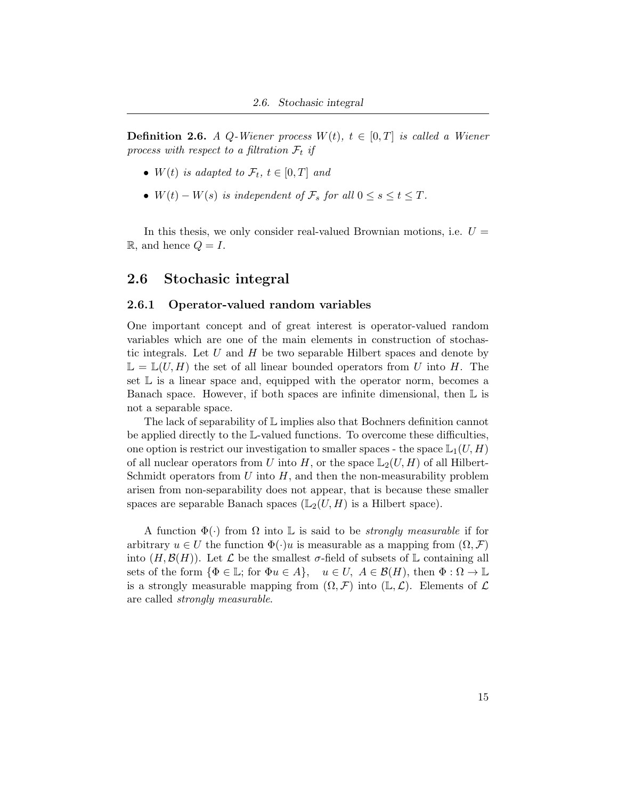**Definition 2.6.** A Q-Wiener process  $W(t)$ ,  $t \in [0, T]$  is called a Wiener process with respect to a filtration  $\mathcal{F}_t$  if

- $W(t)$  is adapted to  $\mathcal{F}_t$ ,  $t \in [0, T]$  and
- $W(t) W(s)$  is independent of  $\mathcal{F}_s$  for all  $0 \leq s \leq t \leq T$ .

In this thesis, we only consider real-valued Brownian motions, i.e.  $U =$  $\mathbb{R}$ , and hence  $Q = I$ .

### <span id="page-22-0"></span>2.6 Stochasic integral

#### <span id="page-22-1"></span>2.6.1 Operator-valued random variables

One important concept and of great interest is operator-valued random variables which are one of the main elements in construction of stochastic integrals. Let U and H be two separable Hilbert spaces and denote by  $\mathbb{L} = \mathbb{L}(U, H)$  the set of all linear bounded operators from U into H. The set  $\mathbb L$  is a linear space and, equipped with the operator norm, becomes a Banach space. However, if both spaces are infinite dimensional, then  $\mathbb L$  is not a separable space.

The lack of separability of L implies also that Bochners definition cannot be applied directly to the L-valued functions. To overcome these difficulties, one option is restrict our investigation to smaller spaces - the space  $L_1(U, H)$ of all nuclear operators from U into H, or the space  $\mathbb{L}_2(U, H)$  of all Hilbert-Schmidt operators from  $U$  into  $H$ , and then the non-measurability problem arisen from non-separability does not appear, that is because these smaller spaces are separable Banach spaces  $(L_2(U, H)$  is a Hilbert space).

A function  $\Phi(\cdot)$  from  $\Omega$  into L is said to be *strongly measurable* if for arbitrary  $u \in U$  the function  $\Phi(\cdot)u$  is measurable as a mapping from  $(\Omega, \mathcal{F})$ into  $(H, \mathcal{B}(H))$ . Let  $\mathcal L$  be the smallest  $\sigma$ -field of subsets of  $\mathbb L$  containing all sets of the form  $\{\Phi \in \mathbb{L}$ ; for  $\Phi u \in A\}$ ,  $u \in U$ ,  $A \in \mathcal{B}(H)$ , then  $\Phi : \Omega \to \mathbb{L}$ is a strongly measurable mapping from  $(\Omega, \mathcal{F})$  into  $(\mathbb{L}, \mathcal{L})$ . Elements of  $\mathcal L$ are called strongly measurable.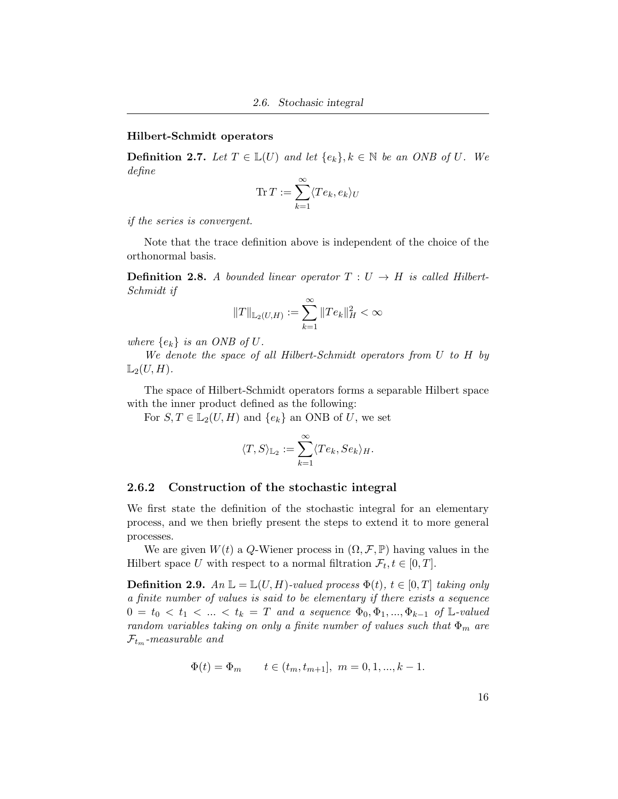#### Hilbert-Schmidt operators

**Definition 2.7.** Let  $T \in \mathbb{L}(U)$  and let  $\{e_k\}, k \in \mathbb{N}$  be an ONB of U. We define

$$
\operatorname{Tr} T := \sum_{k=1}^{\infty} \langle Te_k, e_k \rangle_U
$$

if the series is convergent.

Note that the trace definition above is independent of the choice of the orthonormal basis.

**Definition 2.8.** A bounded linear operator  $T: U \rightarrow H$  is called Hilbert-Schmidt if

$$
||T||_{\mathbb{L}_2(U,H)}:=\sum_{k=1}^{\infty}||Te_k||_H^2<\infty
$$

where  $\{e_k\}$  is an ONB of U.

We denote the space of all Hilbert-Schmidt operators from U to H by  $\mathbb{L}_2(U, H)$ .

The space of Hilbert-Schmidt operators forms a separable Hilbert space with the inner product defined as the following:

For  $S, T \in L_2(U, H)$  and  $\{e_k\}$  an ONB of U, we set

$$
\langle T,S\rangle_{\mathbb{L}_2}:=\sum_{k=1}^\infty \langle Te_k,Se_k\rangle_H.
$$

#### <span id="page-23-0"></span>2.6.2 Construction of the stochastic integral

We first state the definition of the stochastic integral for an elementary process, and we then briefly present the steps to extend it to more general processes.

We are given  $W(t)$  a Q-Wiener process in  $(\Omega, \mathcal{F}, \mathbb{P})$  having values in the Hilbert space U with respect to a normal filtration  $\mathcal{F}_t, t \in [0, T]$ .

**Definition 2.9.**  $An \mathbb{L} = \mathbb{L}(U, H)$ -valued process  $\Phi(t)$ ,  $t \in [0, T]$  taking only a finite number of values is said to be elementary if there exists a sequence  $0 = t_0 < t_1 < ... < t_k = T$  and a sequence  $Φ_0, Φ_1, ..., Φ_{k-1}$  of L-valued random variables taking on only a finite number of values such that  $\Phi_m$  are  $\mathcal{F}_{t_m}$ -measurable and

$$
\Phi(t) = \Phi_m \qquad t \in (t_m, t_{m+1}], \ m = 0, 1, ..., k - 1.
$$

16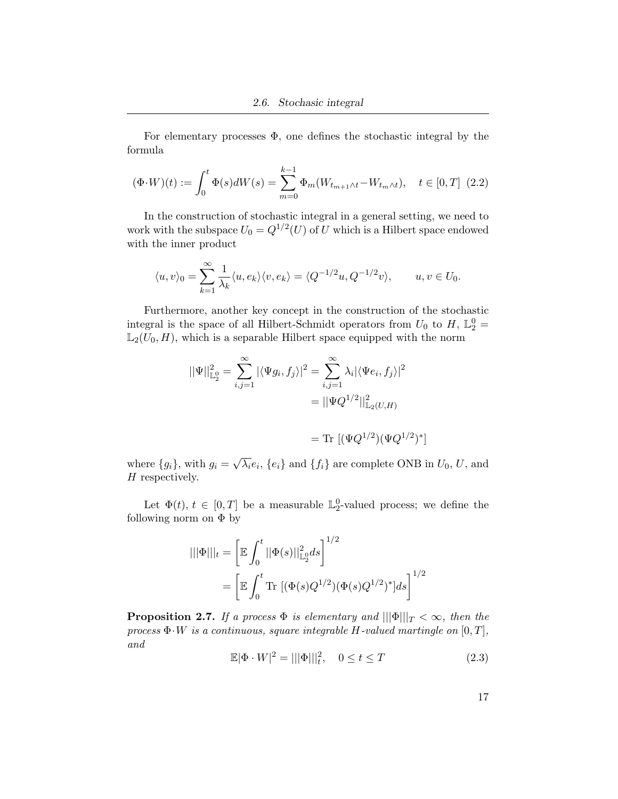For elementary processes  $\Phi$ , one defines the stochastic integral by the formula

$$
(\Phi \cdot W)(t) := \int_0^t \Phi(s)dW(s) = \sum_{m=0}^{k-1} \Phi_m(W_{t_{m+1} \wedge t} - W_{t_m \wedge t}), \quad t \in [0, T] \tag{2.2}
$$

In the construction of stochastic integral in a general setting, we need to work with the subspace  $U_0 = Q^{1/2}(U)$  of U which is a Hilbert space endowed with the inner product

$$
\langle u, v \rangle_0 = \sum_{k=1}^{\infty} \frac{1}{\lambda_k} \langle u, e_k \rangle \langle v, e_k \rangle = \langle Q^{-1/2} u, Q^{-1/2} v \rangle, \qquad u, v \in U_0.
$$

Furthermore, another key concept in the construction of the stochastic integral is the space of all Hilbert-Schmidt operators from  $U_0$  to  $H$ ,  $\mathbb{L}_2^0$  =  $\mathbb{L}_2(U_0, H)$ , which is a separable Hilbert space equipped with the norm

$$
||\Psi||_{\mathbb{L}_{2}^{0}}^{2} = \sum_{i,j=1}^{\infty} |\langle \Psi g_{i}, f_{j} \rangle|^{2} = \sum_{i,j=1}^{\infty} \lambda_{i} |\langle \Psi e_{i}, f_{j} \rangle|^{2}
$$

$$
= ||\Psi Q^{1/2}||_{\mathbb{L}_{2}(U,H)}^{2}
$$

$$
= \text{Tr } [(\Psi Q^{1/2})(\Psi Q^{1/2})^{*}]
$$

where  ${g_i}$ , with  $g_i =$ √  $\overline{\lambda_i}e_i, \{e_i\}$  and  $\{f_i\}$  are complete ONB in  $U_0, U$ , and H respectively.

Let  $\Phi(t)$ ,  $t \in [0, T]$  be a measurable  $\mathbb{L}_2^0$ -valued process; we define the following norm on  $\Phi$  by

$$
\|\Phi\|\|_{t} = \left[\mathbb{E} \int_{0}^{t} \|\Phi(s)\|_{\mathbb{L}_{2}^{0}}^{2} ds\right]^{1/2}
$$

$$
= \left[\mathbb{E} \int_{0}^{t} \text{Tr}\left[(\Phi(s)Q^{1/2})(\Phi(s)Q^{1/2})^{*}\right]ds\right]^{1/2}
$$

<span id="page-24-0"></span>**Proposition 2.7.** If a process  $\Phi$  is elementary and  $|||\Phi|||_T < \infty$ , then the process  $\Phi \cdot W$  is a continuous, square integrable H-valued martingle on  $[0, T]$ , and

$$
\mathbb{E}|\Phi \cdot W|^2 = |||\Phi|||^2, \quad 0 \le t \le T \tag{2.3}
$$

17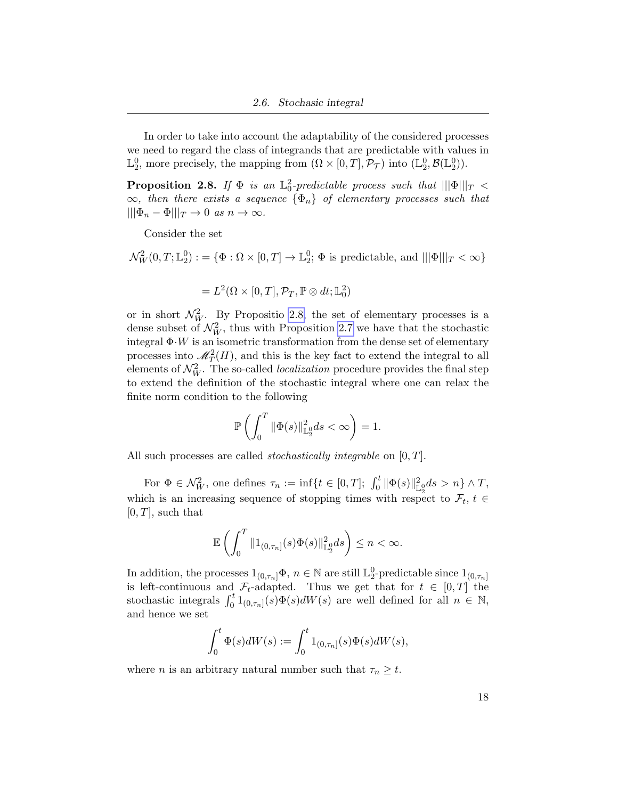In order to take into account the adaptability of the considered processes we need to regard the class of integrands that are predictable with values in  $\mathbb{L}_2^0$ , more precisely, the mapping from  $(\Omega \times [0, T], \mathcal{P}_{\mathcal{T}})$  into  $(\mathbb{L}_2^0, \mathcal{B}(\mathbb{L}_2^0))$ .

<span id="page-25-0"></span>**Proposition 2.8.** If  $\Phi$  is an  $\mathbb{L}^2_0$ -predictable process such that  $\|\|\Phi\|\|_T$  <  $\infty$ , then there exists a sequence  $\{\Phi_n\}$  of elementary processes such that  $|||\Phi_n - \Phi|||_T \to 0 \text{ as } n \to \infty.$ 

Consider the set

$$
\mathcal{N}_W^2(0,T;\mathbb{L}_2^0):=\{\Phi:\Omega\times[0,T]\to\mathbb{L}_2^0;\ \Phi \text{ is predictable, and }\ |||\Phi|||_T<\infty\}
$$

$$
= L^2(\Omega\times[0,T],\mathcal{P}_T,\mathbb{P}\otimes dt;\mathbb{L}^2_0)
$$

or in short  $\mathcal{N}_W^2$ . By Propositio [2.8,](#page-25-0) the set of elementary processes is a dense subset of  $\mathcal{N}_W^2$ , thus with Proposition [2.7](#page-24-0) we have that the stochastic integral  $\Phi \cdot W$  is an isometric transformation from the dense set of elementary processes into  $\mathcal{M}_T^2(H)$ , and this is the key fact to extend the integral to all elements of  $\mathcal{N}_W^2$ . The so-called *localization* procedure provides the final step to extend the definition of the stochastic integral where one can relax the finite norm condition to the following

$$
\mathbb{P}\left(\int_0^T \|\Phi(s)\|_{\mathbb{L}_2^0}^2 ds < \infty\right) = 1.
$$

All such processes are called *stochastically integrable* on  $[0, T]$ .

For  $\Phi \in \mathcal{N}_{W}^2$ , one defines  $\tau_n := \inf \{ t \in [0,T]; \int_0^t ||\Phi(s)||_{\mathbb{L}_2^0}^2 ds > n \} \wedge T$ , which is an increasing sequence of stopping times with respect to  $\mathcal{F}_t$ ,  $t \in$  $[0, T]$ , such that

$$
\mathbb{E}\left(\int_0^T \|1_{(0,\tau_n]}(s)\Phi(s)\|_{\mathbb{L}_2^0}^2 ds\right) \leq n < \infty.
$$

In addition, the processes  $1_{(0,\tau_n]}\Phi$ ,  $n \in \mathbb{N}$  are still  $\mathbb{L}_2^0$ -predictable since  $1_{(0,\tau_n]}$ is left-continuous and  $\mathcal{F}_t$ -adapted. Thus we get that for  $t \in [0, T]$  the stochastic integrals  $\int_0^t 1_{(0,\tau_n]}(s)\Phi(s)dW(s)$  are well defined for all  $n \in \mathbb{N}$ , and hence we set

$$
\int_0^t \Phi(s)dW(s) := \int_0^t 1_{(0,\tau_n]}(s)\Phi(s)dW(s),
$$

where *n* is an arbitrary natural number such that  $\tau_n \geq t$ .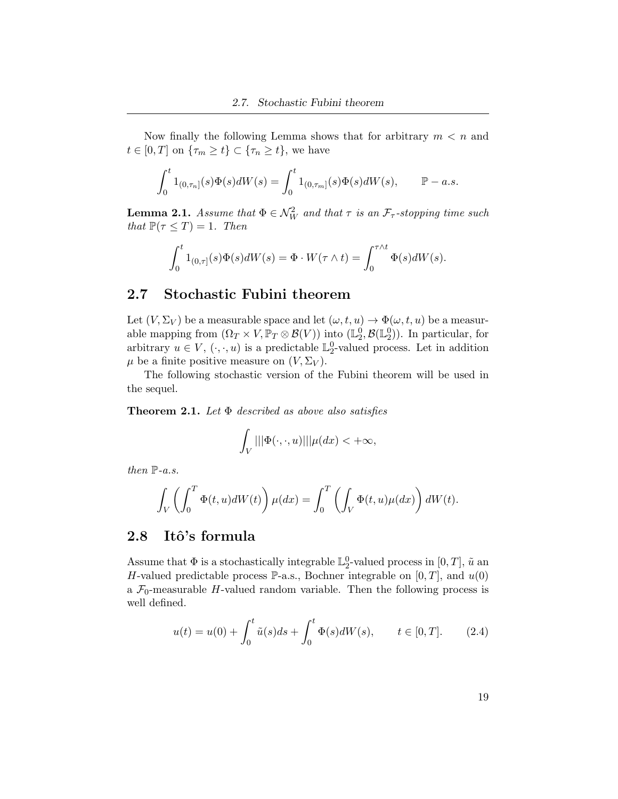Now finally the following Lemma shows that for arbitrary  $m < n$  and  $t \in [0, T]$  on  $\{\tau_m \geq t\} \subset \{\tau_n \geq t\}$ , we have

$$
\int_0^t 1_{(0,\tau_n]}(s)\Phi(s)dW(s) = \int_0^t 1_{(0,\tau_m]}(s)\Phi(s)dW(s), \qquad \mathbb{P}-a.s.
$$

**Lemma 2.1.** Assume that  $\Phi \in \mathcal{N}_{W}^{2}$  and that  $\tau$  is an  $\mathcal{F}_{\tau}$ -stopping time such that  $\mathbb{P}(\tau \leq T) = 1$ . Then

$$
\int_0^t 1_{(0,\tau]}(s)\Phi(s)dW(s) = \Phi \cdot W(\tau \wedge t) = \int_0^{\tau \wedge t} \Phi(s)dW(s).
$$

### <span id="page-26-0"></span>2.7 Stochastic Fubini theorem

Let  $(V, \Sigma_V)$  be a measurable space and let  $(\omega, t, u) \to \Phi(\omega, t, u)$  be a measurable mapping from  $(\Omega_T \times V, \mathbb{P}_T \otimes \mathcal{B}(V))$  into  $(\mathbb{L}_2^0, \mathcal{B}(\mathbb{L}_2^0))$ . In particular, for arbitrary  $u \in V, (\cdot, \cdot, u)$  is a predictable  $\mathbb{L}_2^0$ -valued process. Let in addition  $\mu$  be a finite positive measure on  $(V, \Sigma_V)$ .

The following stochastic version of the Fubini theorem will be used in the sequel.

**Theorem 2.1.** Let  $\Phi$  described as above also satisfies

$$
\int_V |||\Phi(\cdot,\cdot,u)|||\mu(dx) < +\infty,
$$

then  $\mathbb{P}\text{-}a.s.$ 

$$
\int_{V} \left( \int_{0}^{T} \Phi(t, u) dW(t) \right) \mu(dx) = \int_{0}^{T} \left( \int_{V} \Phi(t, u) \mu(dx) \right) dW(t).
$$

### <span id="page-26-1"></span>2.8 Itô's formula

Assume that  $\Phi$  is a stochastically integrable  $\mathbb{L}_2^0$ -valued process in  $[0, T]$ ,  $\tilde{u}$  and H-valued predictable process P-a.s., Bochner integrable on  $[0, T]$ , and  $u(0)$ a  $\mathcal{F}_0$ -measurable H-valued random variable. Then the following process is well defined.

<span id="page-26-2"></span>
$$
u(t) = u(0) + \int_0^t \tilde{u}(s)ds + \int_0^t \Phi(s)dW(s), \qquad t \in [0, T].
$$
 (2.4)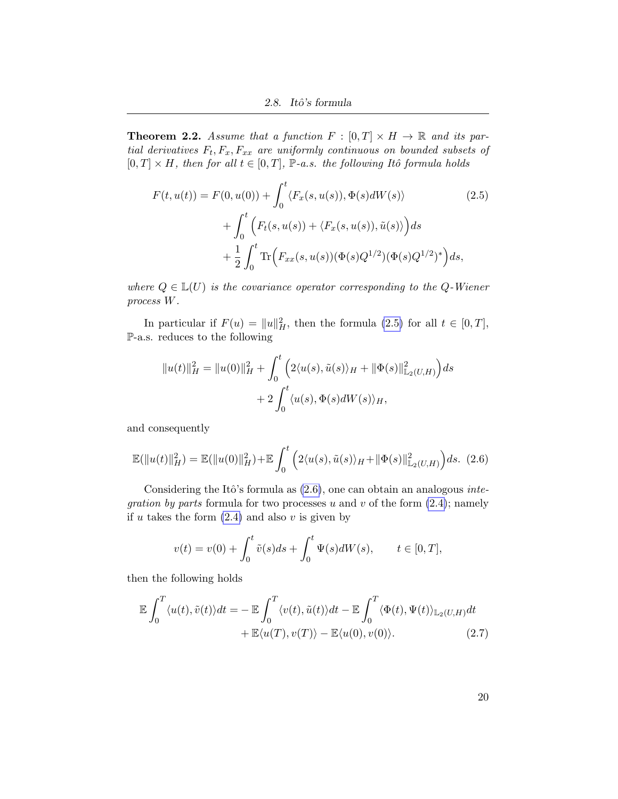**Theorem 2.2.** Assume that a function  $F : [0, T] \times H \rightarrow \mathbb{R}$  and its partial derivatives  $F_t, F_x, F_{xx}$  are uniformly continuous on bounded subsets of  $[0, T] \times H$ , then for all  $t \in [0, T]$ ,  $\mathbb{P}\text{-}a.s.$  the following Itô formula holds

<span id="page-27-0"></span>
$$
F(t, u(t)) = F(0, u(0)) + \int_0^t \langle F_x(s, u(s)), \Phi(s) dW(s) \rangle
$$
\n
$$
+ \int_0^t \Big( F_t(s, u(s)) + \langle F_x(s, u(s)), \tilde{u}(s) \rangle \Big) ds
$$
\n
$$
+ \frac{1}{2} \int_0^t \text{Tr} \Big( F_{xx}(s, u(s)) (\Phi(s) Q^{1/2}) (\Phi(s) Q^{1/2})^* \Big) ds,
$$
\n(2.5)

where  $Q \in \mathbb{L}(U)$  is the covariance operator corresponding to the Q-Wiener process W.

In particular if  $F(u) = ||u||_H^2$ , then the formula [\(2.5\)](#page-27-0) for all  $t \in [0, T]$ , P-a.s. reduces to the following

$$
||u(t)||_H^2 = ||u(0)||_H^2 + \int_0^t \left(2\langle u(s), \tilde{u}(s)\rangle_H + ||\Phi(s)||_{\mathbb{L}_2(U,H)}^2\right)ds
$$
  
+ 
$$
2\int_0^t \langle u(s), \Phi(s)dW(s)\rangle_H,
$$

and consequently

<span id="page-27-1"></span>
$$
\mathbb{E}(\|u(t)\|_{H}^{2}) = \mathbb{E}(\|u(0)\|_{H}^{2}) + \mathbb{E}\int_{0}^{t} \left(2\langle u(s), \tilde{u}(s)\rangle_{H} + \|\Phi(s)\|_{\mathbb{L}_{2}(U,H)}^{2}\right)ds.
$$
 (2.6)

Considering the Itô's formula as  $(2.6)$ , one can obtain an analogous *integration by parts* formula for two processes u and v of the form  $(2.4)$ ; namely if u takes the form  $(2.4)$  and also v is given by

$$
v(t) = v(0) + \int_0^t \tilde{v}(s)ds + \int_0^t \Psi(s)dW(s), \qquad t \in [0, T],
$$

then the following holds

$$
\mathbb{E}\int_0^T \langle u(t), \tilde{v}(t) \rangle dt = -\mathbb{E}\int_0^T \langle v(t), \tilde{u}(t) \rangle dt - \mathbb{E}\int_0^T \langle \Phi(t), \Psi(t) \rangle_{\mathbb{L}_2(U, H)} dt + \mathbb{E}\langle u(T), v(T) \rangle - \mathbb{E}\langle u(0), v(0) \rangle.
$$
 (2.7)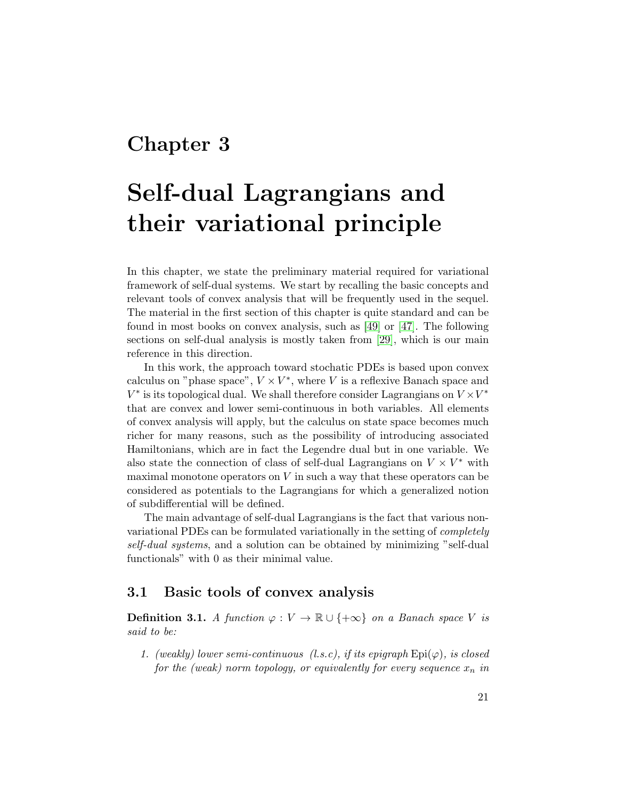## <span id="page-28-0"></span>Chapter 3

# Self-dual Lagrangians and their variational principle

In this chapter, we state the preliminary material required for variational framework of self-dual systems. We start by recalling the basic concepts and relevant tools of convex analysis that will be frequently used in the sequel. The material in the first section of this chapter is quite standard and can be found in most books on convex analysis, such as [\[49\]](#page-103-6) or [\[47\]](#page-103-7). The following sections on self-dual analysis is mostly taken from [\[29\]](#page-102-0), which is our main reference in this direction.

In this work, the approach toward stochatic PDEs is based upon convex calculus on "phase space",  $V \times V^*$ , where V is a reflexive Banach space and  $V^*$  is its topological dual. We shall therefore consider Lagrangians on  $V \times V^*$ that are convex and lower semi-continuous in both variables. All elements of convex analysis will apply, but the calculus on state space becomes much richer for many reasons, such as the possibility of introducing associated Hamiltonians, which are in fact the Legendre dual but in one variable. We also state the connection of class of self-dual Lagrangians on  $V \times V^*$  with maximal monotone operators on  $V$  in such a way that these operators can be considered as potentials to the Lagrangians for which a generalized notion of subdifferential will be defined.

The main advantage of self-dual Lagrangians is the fact that various nonvariational PDEs can be formulated variationally in the setting of completely self-dual systems, and a solution can be obtained by minimizing "self-dual functionals" with 0 as their minimal value.

### <span id="page-28-1"></span>3.1 Basic tools of convex analysis

**Definition 3.1.** A function  $\varphi: V \to \mathbb{R} \cup \{+\infty\}$  on a Banach space V is said to be:

1. (weakly) lower semi-continuous (l.s.c), if its epigraph  $\text{Epi}(\varphi)$ , is closed for the (weak) norm topology, or equivalently for every sequence  $x_n$  in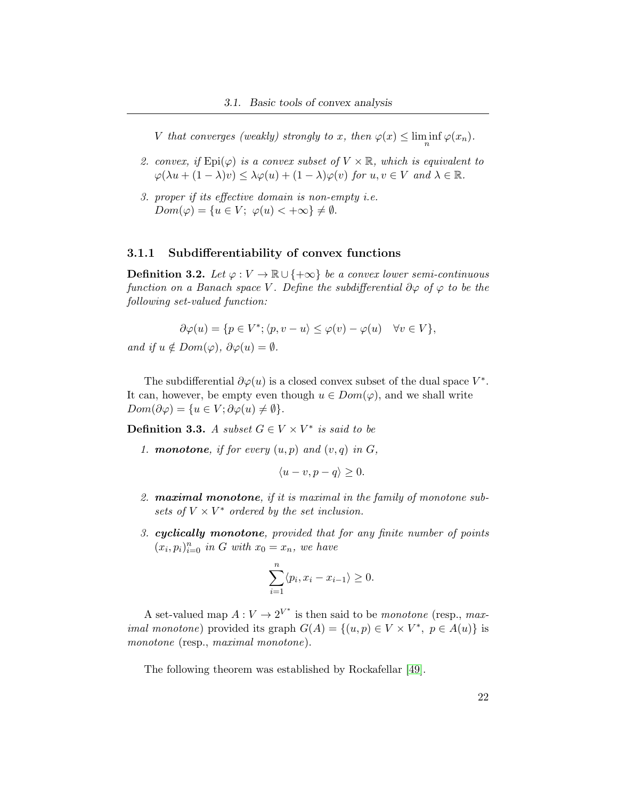V that converges (weakly) strongly to x, then  $\varphi(x) \leq \liminf_n \varphi(x_n)$ .

- 2. convex, if  $\text{Epi}(\varphi)$  is a convex subset of  $V \times \mathbb{R}$ , which is equivalent to  $\varphi(\lambda u + (1 - \lambda)v) \leq \lambda \varphi(u) + (1 - \lambda)\varphi(v)$  for  $u, v \in V$  and  $\lambda \in \mathbb{R}$ .
- 3. proper if its effective domain is non-empty i.e.  $Dom(\varphi) = \{u \in V; \varphi(u) < +\infty\} \neq \emptyset.$

#### <span id="page-29-0"></span>3.1.1 Subdifferentiability of convex functions

**Definition 3.2.** Let  $\varphi: V \to \mathbb{R} \cup \{+\infty\}$  be a convex lower semi-continuous function on a Banach space V. Define the subdifferential  $\partial \varphi$  of  $\varphi$  to be the following set-valued function:

$$
\partial \varphi(u) = \{ p \in V^*; \langle p, v - u \rangle \le \varphi(v) - \varphi(u) \quad \forall v \in V \},
$$

and if  $u \notin Dom(\varphi), \ \partial \varphi(u) = \emptyset.$ 

The subdifferential  $\partial \varphi(u)$  is a closed convex subset of the dual space  $V^*$ . It can, however, be empty even though  $u \in Dom(\varphi)$ , and we shall write  $Dom(\partial \varphi) = \{u \in V; \partial \varphi(u) \neq \emptyset\}.$ 

**Definition 3.3.** A subset  $G \in V \times V^*$  is said to be

1. **monotone**, if for every  $(u, p)$  and  $(v, q)$  in  $G$ ,

$$
\langle u-v, p-q \rangle \ge 0.
$$

- 2. maximal monotone, if it is maximal in the family of monotone subsets of  $V \times V^*$  ordered by the set inclusion.
- 3. cyclically monotone, provided that for any finite number of points  $(x_i, p_i)_{i=0}^n$  in G with  $x_0 = x_n$ , we have

$$
\sum_{i=1}^{n} \langle p_i, x_i - x_{i-1} \rangle \ge 0.
$$

A set-valued map  $A: V \to 2^{V^*}$  is then said to be *monotone* (resp., max*imal monotone*) provided its graph  $G(A) = \{(u, p) \in V \times V^*, p \in A(u)\}\$ monotone (resp., maximal monotone).

The following theorem was established by Rockafellar [\[49\]](#page-103-6).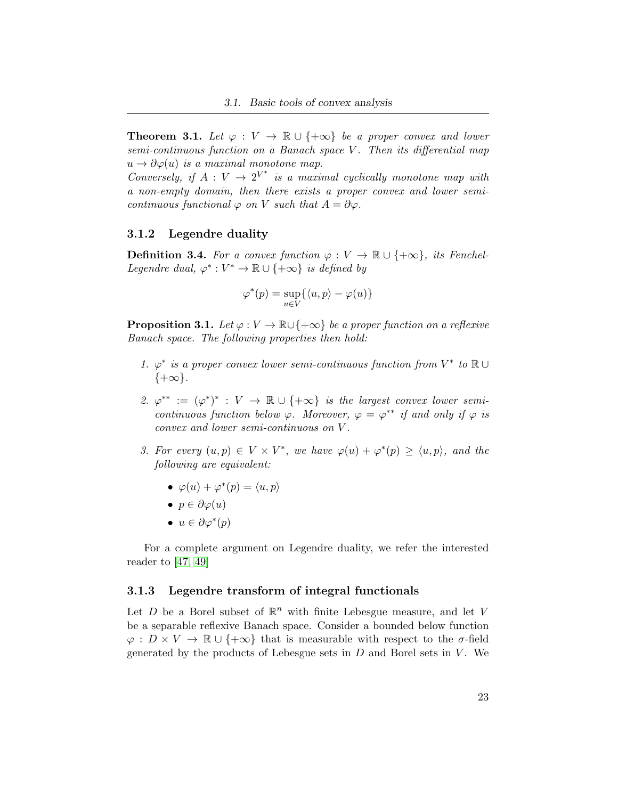**Theorem 3.1.** Let  $\varphi : V \to \mathbb{R} \cup \{+\infty\}$  be a proper convex and lower  $semi-continuous function on a Banach space V. Then its differential map$  $u \to \partial \varphi(u)$  is a maximal monotone map.

Conversely, if  $A: V \to 2^{V^*}$  is a maximal cyclically monotone map with a non-empty domain, then there exists a proper convex and lower semicontinuous functional  $\varphi$  on V such that  $A = \partial \varphi$ .

#### <span id="page-30-0"></span>3.1.2 Legendre duality

**Definition 3.4.** For a convex function  $\varphi : V \to \mathbb{R} \cup \{+\infty\}$ , its Fenchel-Legendre dual,  $\varphi^*: V^* \to \mathbb{R} \cup \{+\infty\}$  is defined by

$$
\varphi^*(p) = \sup_{u \in V} \{ \langle u, p \rangle - \varphi(u) \}
$$

**Proposition 3.1.** Let  $\varphi: V \to \mathbb{R} \cup \{+\infty\}$  be a proper function on a reflexive Banach space. The following properties then hold:

- 1.  $\varphi^*$  is a proper convex lower semi-continuous function from  $V^*$  to  $\mathbb{R} \cup$  $\{+\infty\}.$
- 2.  $\varphi^{**} := (\varphi^*)^* : V \to \mathbb{R} \cup \{+\infty\}$  is the largest convex lower semicontinuous function below  $\varphi$ . Moreover,  $\varphi = \varphi^{**}$  if and only if  $\varphi$  is convex and lower semi-continuous on V .
- 3. For every  $(u, p) \in V \times V^*$ , we have  $\varphi(u) + \varphi^*(p) \ge \langle u, p \rangle$ , and the following are equivalent:
	- $\varphi(u) + \varphi^*(p) = \langle u, p \rangle$
	- $p \in \partial \varphi(u)$
	- $u \in \partial \varphi^*(p)$

For a complete argument on Legendre duality, we refer the interested reader to [\[47,](#page-103-7) [49\]](#page-103-6)

#### <span id="page-30-1"></span>3.1.3 Legendre transform of integral functionals

Let  $D$  be a Borel subset of  $\mathbb{R}^n$  with finite Lebesgue measure, and let V be a separable reflexive Banach space. Consider a bounded below function  $\varphi : D \times V \to \mathbb{R} \cup \{+\infty\}$  that is measurable with respect to the  $\sigma$ -field generated by the products of Lebesgue sets in  $D$  and Borel sets in  $V$ . We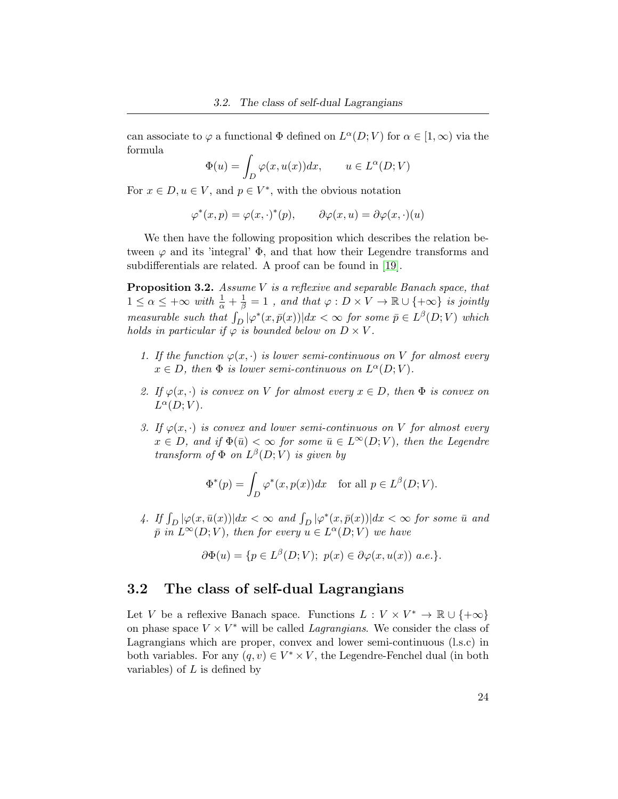can associate to  $\varphi$  a functional  $\Phi$  defined on  $L^{\alpha}(D;V)$  for  $\alpha \in [1,\infty)$  via the formula

$$
\Phi(u) = \int_D \varphi(x, u(x)) dx, \qquad u \in L^{\alpha}(D; V)
$$

For  $x \in D, u \in V$ , and  $p \in V^*$ , with the obvious notation

$$
\varphi^*(x, p) = \varphi(x, \cdot)^*(p), \qquad \partial \varphi(x, u) = \partial \varphi(x, \cdot)(u)
$$

We then have the following proposition which describes the relation between  $\varphi$  and its 'integral'  $\Phi$ , and that how their Legendre transforms and subdifferentials are related. A proof can be found in [\[19\]](#page-101-5).

Proposition 3.2. Assume V is a reflexive and separable Banach space, that  $1 \leq \alpha \leq +\infty$  with  $\frac{1}{\alpha} + \frac{1}{\beta} = 1$ , and that  $\varphi : D \times V \to \mathbb{R} \cup \{ +\infty \}$  is jointly measurable such that  $\int_D |\varphi^*(x,\bar{p}(x))| dx < \infty$  for some  $\bar{p} \in L^{\beta}(D;V)$  which holds in particular if  $\varphi$  is bounded below on  $D \times V$ .

- 1. If the function  $\varphi(x, \cdot)$  is lower semi-continuous on V for almost every  $x \in D$ , then  $\Phi$  is lower semi-continuous on  $L^{\alpha}(D; V)$ .
- 2. If  $\varphi(x, \cdot)$  is convex on V for almost every  $x \in D$ , then  $\Phi$  is convex on  $L^{\alpha}(D;V)$ .
- 3. If  $\varphi(x, \cdot)$  is convex and lower semi-continuous on V for almost every  $x \in D$ , and if  $\Phi(\bar{u}) < \infty$  for some  $\bar{u} \in L^{\infty}(D; V)$ , then the Legendre transform of  $\Phi$  on  $L^{\beta}(D;V)$  is given by

$$
\Phi^*(p) = \int_D \varphi^*(x, p(x)) dx \quad \text{for all } p \in L^{\beta}(D; V).
$$

4. If  $\int_D |\varphi(x,\bar{u}(x))|dx < \infty$  and  $\int_D |\varphi^*(x,\bar{p}(x))|dx < \infty$  for some  $\bar{u}$  and  $\overline{p}$  in  $L^{\infty}(D; V)$ , then for every  $u \in L^{\alpha}(D; V)$  we have

$$
\partial \Phi(u) = \{ p \in L^{\beta}(D;V); \ p(x) \in \partial \varphi(x, u(x)) \ a.e. \}.
$$

### <span id="page-31-0"></span>3.2 The class of self-dual Lagrangians

Let V be a reflexive Banach space. Functions  $L: V \times V^* \to \mathbb{R} \cup \{+\infty\}$ on phase space  $V \times V^*$  will be called *Lagrangians*. We consider the class of Lagrangians which are proper, convex and lower semi-continuous (l.s.c) in both variables. For any  $(q, v) \in V^* \times V$ , the Legendre-Fenchel dual (in both variables) of  $L$  is defined by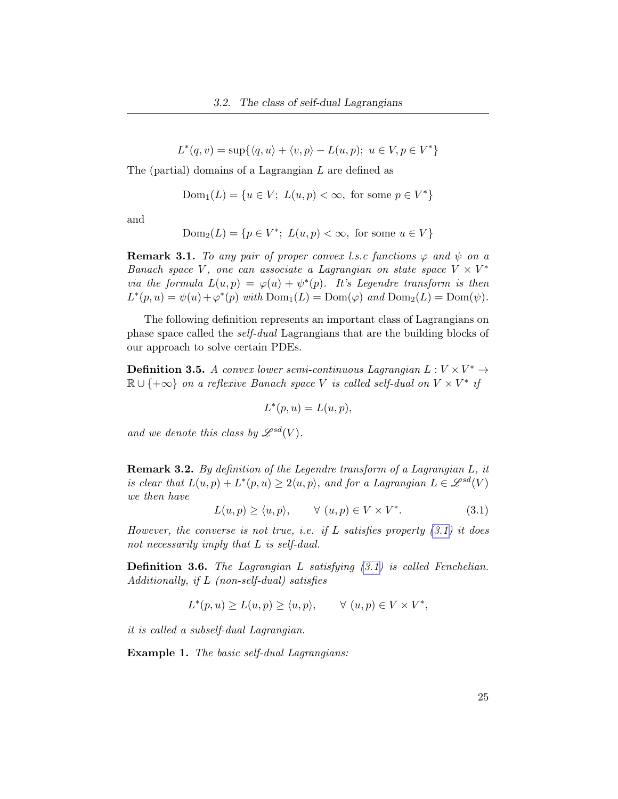$L^*(q, v) = \sup\{\langle q, u \rangle + \langle v, p \rangle - L(u, p); u \in V, p \in V^*\}\$ 

The (partial) domains of a Lagrangian L are defined as

$$
Dom_1(L) = \{u \in V; L(u, p) < \infty, \text{ for some } p \in V^*\}
$$

and

$$
Dom_2(L) = \{ p \in V^*; L(u, p) < \infty, \text{ for some } u \in V \}
$$

**Remark 3.1.** To any pair of proper convex l.s.c functions  $\varphi$  and  $\psi$  on a Banach space V, one can associate a Lagrangian on state space  $V \times V^*$ via the formula  $L(u, p) = \varphi(u) + \psi^*(p)$ . It's Legendre transform is then  $L^*(p, u) = \psi(u) + \varphi^*(p)$  with  $Dom_1(L) = Dom(\varphi)$  and  $Dom_2(L) = Dom(\psi)$ .

The following definition represents an important class of Lagrangians on phase space called the self-dual Lagrangians that are the building blocks of our approach to solve certain PDEs.

**Definition 3.5.** A convex lower semi-continuous Lagrangian  $L: V \times V^* \rightarrow$  $\mathbb{R} \cup \{+\infty\}$  on a reflexive Banach space V is called self-dual on  $V \times V^*$  if

$$
L^*(p, u) = L(u, p),
$$

and we denote this class by  $\mathscr{L}^{sd}(V)$ .

Remark 3.2. By definition of the Legendre transform of a Lagrangian L, it is clear that  $L(u, p) + L^*(p, u) \geq 2\langle u, p \rangle$ , and for a Lagrangian  $L \in \mathscr{L}^{sd}(V)$ we then have

<span id="page-32-0"></span>
$$
L(u, p) \ge \langle u, p \rangle, \qquad \forall (u, p) \in V \times V^*.
$$
 (3.1)

However, the converse is not true, i.e. if L satisfies property  $(3.1)$  it does not necessarily imply that L is self-dual.

Definition 3.6. The Lagrangian L satisfying  $(3.1)$  is called Fenchelian. Additionally, if L (non-self-dual) satisfies

$$
L^*(p, u) \ge L(u, p) \ge \langle u, p \rangle, \qquad \forall (u, p) \in V \times V^*,
$$

it is called a subself-dual Lagrangian.

Example 1. The basic self-dual Lagrangians: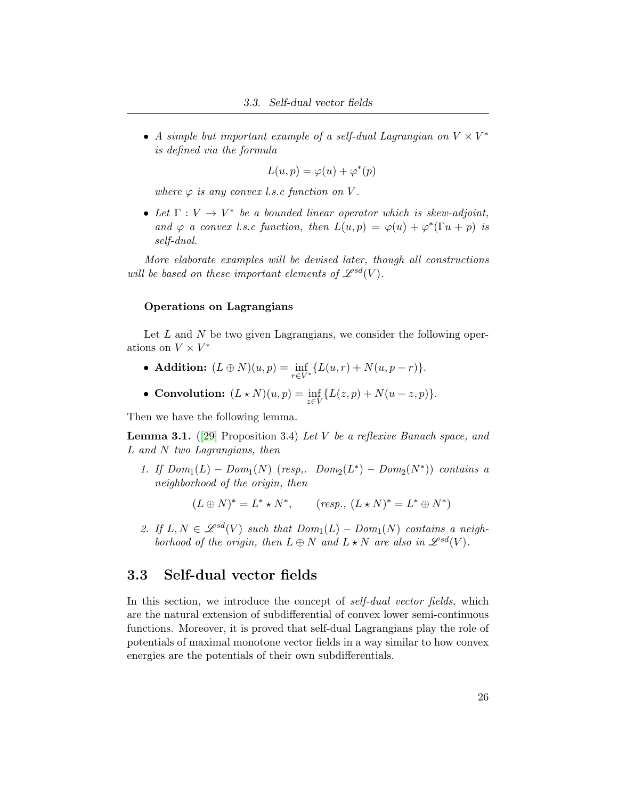• A simple but important example of a self-dual Lagrangian on  $V \times V^*$ is defined via the formula

$$
L(u, p) = \varphi(u) + \varphi^*(p)
$$

where  $\varphi$  is any convex l.s.c function on V.

• Let  $\Gamma: V \to V^*$  be a bounded linear operator which is skew-adjoint, and  $\varphi$  a convex l.s.c function, then  $L(u, p) = \varphi(u) + \varphi^*(\Gamma u + p)$  is self-dual.

More elaborate examples will be devised later, though all constructions will be based on these important elements of  $\mathscr{L}^{sd}(V)$ .

#### Operations on Lagrangians

Let  $L$  and  $N$  be two given Lagrangians, we consider the following operations on  $V \times V^*$ 

- **Addition:**  $(L \oplus N)(u, p) = \inf_{r \in V^*} \{L(u, r) + N(u, p r)\}.$
- Convolution:  $(L * N)(u, p) = \inf_{z \in V} \{L(z, p) + N(u z, p)\}.$

Then we have the following lemma.

**Lemma 3.1.** ([\[29\]](#page-102-0) Proposition 3.4) Let V be a reflexive Banach space, and  $L$  and  $N$  two Lagrangians, then

1. If  $Dom_1(L) - Dom_1(N)$  (resp,.  $Dom_2(L^*) - Dom_2(N^*))$  contains a neighborhood of the origin, then

 $(L \oplus N)^* = L^* \star N^*$ ,  $(resp., (L \star N)^* = L^* \oplus N^*$ )

2. If  $L, N \in \mathcal{L}^{sd}(V)$  such that  $Dom_1(L) - Dom_1(N)$  contains a neighborhood of the origin, then  $L \oplus N$  and  $L \star N$  are also in  $\mathscr{L}^{sd}(V)$ .

### <span id="page-33-0"></span>3.3 Self-dual vector fields

In this section, we introduce the concept of *self-dual vector fields*, which are the natural extension of subdifferential of convex lower semi-continuous functions. Moreover, it is proved that self-dual Lagrangians play the role of potentials of maximal monotone vector fields in a way similar to how convex energies are the potentials of their own subdifferentials.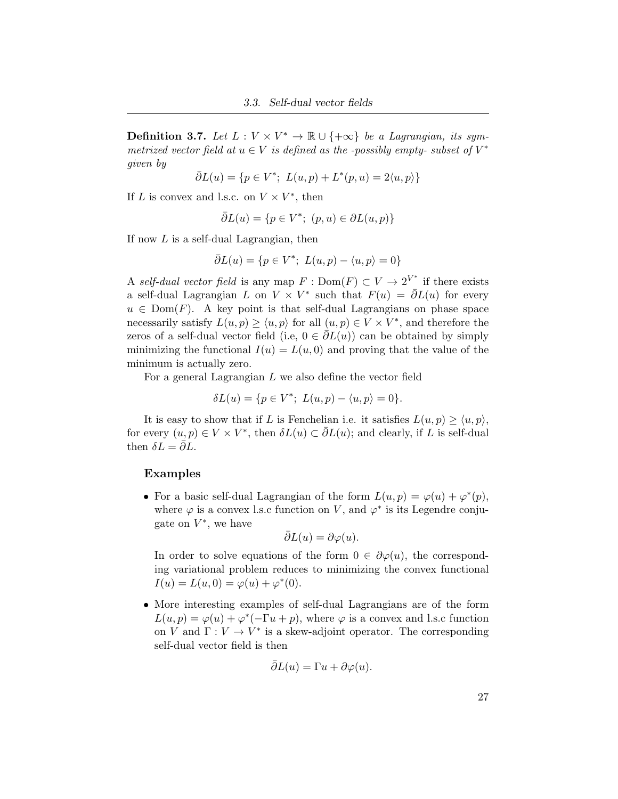**Definition 3.7.** Let  $L: V \times V^* \to \mathbb{R} \cup \{+\infty\}$  be a Lagrangian, its symmetrized vector field at  $u \in V$  is defined as the -possibly empty- subset of  $V^*$ given by

$$
\bar{\partial}L(u) = \{ p \in V^*; L(u, p) + L^*(p, u) = 2\langle u, p \rangle \}
$$

If L is convex and l.s.c. on  $V \times V^*$ , then

$$
\bar{\partial}L(u) = \{ p \in V^*; (p, u) \in \partial L(u, p) \}
$$

If now L is a self-dual Lagrangian, then

$$
\bar{\partial}L(u) = \{ p \in V^*; L(u, p) - \langle u, p \rangle = 0 \}
$$

A self-dual vector field is any map  $F: \text{Dom}(F) \subset V \to 2^{V^*}$  if there exists a self-dual Lagrangian L on  $V \times V^*$  such that  $F(u) = \overline{\partial}L(u)$  for every  $u \in \text{Dom}(F)$ . A key point is that self-dual Lagrangians on phase space necessarily satisfy  $L(u, p) \ge \langle u, p \rangle$  for all  $(u, p) \in V \times V^*$ , and therefore the zeros of a self-dual vector field (i.e,  $0 \in \partial L(u)$ ) can be obtained by simply minimizing the functional  $I(u) = L(u, 0)$  and proving that the value of the minimum is actually zero.

For a general Lagrangian L we also define the vector field

$$
\delta L(u) = \{ p \in V^*; \ L(u, p) - \langle u, p \rangle = 0 \}.
$$

It is easy to show that if L is Fenchelian i.e. it satisfies  $L(u, p) \ge \langle u, p \rangle$ , for every  $(u, p) \in V \times V^*$ , then  $\delta L(u) \subset \overline{\partial} L(u)$ ; and clearly, if L is self-dual then  $\delta L = \bar{\partial} L$ .

#### Examples

• For a basic self-dual Lagrangian of the form  $L(u, p) = \varphi(u) + \varphi^*(p)$ , where  $\varphi$  is a convex l.s.c function on V, and  $\varphi^*$  is its Legendre conjugate on  $V^*$ , we have

$$
\bar{\partial}L(u) = \partial \varphi(u).
$$

In order to solve equations of the form  $0 \in \partial \varphi(u)$ , the corresponding variational problem reduces to minimizing the convex functional  $I(u) = L(u, 0) = \varphi(u) + \varphi^*(0).$ 

• More interesting examples of self-dual Lagrangians are of the form  $L(u, p) = \varphi(u) + \varphi^*(-\Gamma u + p)$ , where  $\varphi$  is a convex and l.s.c function on V and  $\Gamma: V \to V^*$  is a skew-adjoint operator. The corresponding self-dual vector field is then

$$
\bar{\partial}L(u) = \Gamma u + \partial \varphi(u).
$$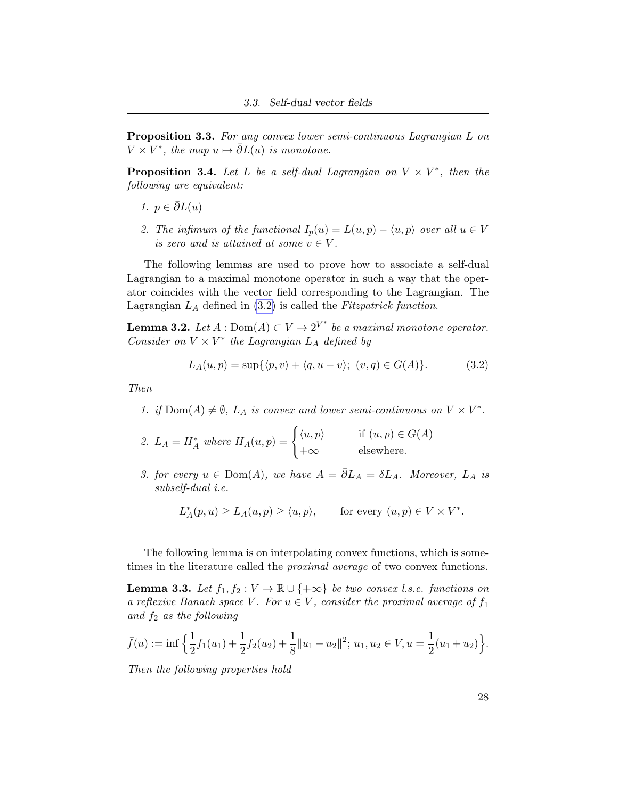Proposition 3.3. For any convex lower semi-continuous Lagrangian L on  $V \times V^*$ , the map  $u \mapsto \overline{\partial}L(u)$  is monotone.

**Proposition 3.4.** Let L be a self-dual Lagrangian on  $V \times V^*$ , then the following are equivalent:

- 1.  $p \in \overline{\partial} L(u)$
- 2. The infimum of the functional  $I_p(u) = L(u, p) \langle u, p \rangle$  over all  $u \in V$ is zero and is attained at some  $v \in V$ .

The following lemmas are used to prove how to associate a self-dual Lagrangian to a maximal monotone operator in such a way that the operator coincides with the vector field corresponding to the Lagrangian. The Lagrangian  $L_A$  defined in [\(3.2\)](#page-35-0) is called the Fitzpatrick function.

**Lemma 3.2.** Let  $A : Dom(A) \subset V \to 2^{V^*}$  be a maximal monotone operator. Consider on  $V \times V^*$  the Lagrangian  $L_A$  defined by

<span id="page-35-0"></span>
$$
L_A(u, p) = \sup\{\langle p, v \rangle + \langle q, u - v \rangle; \ (v, q) \in G(A)\}.
$$
 (3.2)

Then

- 1. if  $Dom(A) \neq \emptyset$ ,  $L_A$  is convex and lower semi-continuous on  $V \times V^*$ .
- 2.  $L_A = H_A^*$  where  $H_A(u, p) = \begin{cases} \langle u, p \rangle & \text{if } (u, p) \in G(A) \\ \text{if } (u, p) \in G(A) \end{cases}$  $+\infty$  elsewhere.
- 3. for every  $u \in Dom(A)$ , we have  $A = \overline{\partial} L_A = \delta L_A$ . Moreover,  $L_A$  is subself-dual i.e.

$$
L_A^*(p, u) \ge L_A(u, p) \ge \langle u, p \rangle, \quad \text{for every } (u, p) \in V \times V^*.
$$

The following lemma is on interpolating convex functions, which is sometimes in the literature called the *proximal average* of two convex functions.

**Lemma 3.3.** Let  $f_1, f_2 : V \to \mathbb{R} \cup \{+\infty\}$  be two convex l.s.c. functions on a reflexive Banach space V. For  $u \in V$ , consider the proximal average of  $f_1$ and  $f_2$  as the following

$$
\bar{f}(u) := \inf \left\{ \frac{1}{2} f_1(u_1) + \frac{1}{2} f_2(u_2) + \frac{1}{8} ||u_1 - u_2||^2; \ u_1, u_2 \in V, u = \frac{1}{2} (u_1 + u_2) \right\}.
$$

Then the following properties hold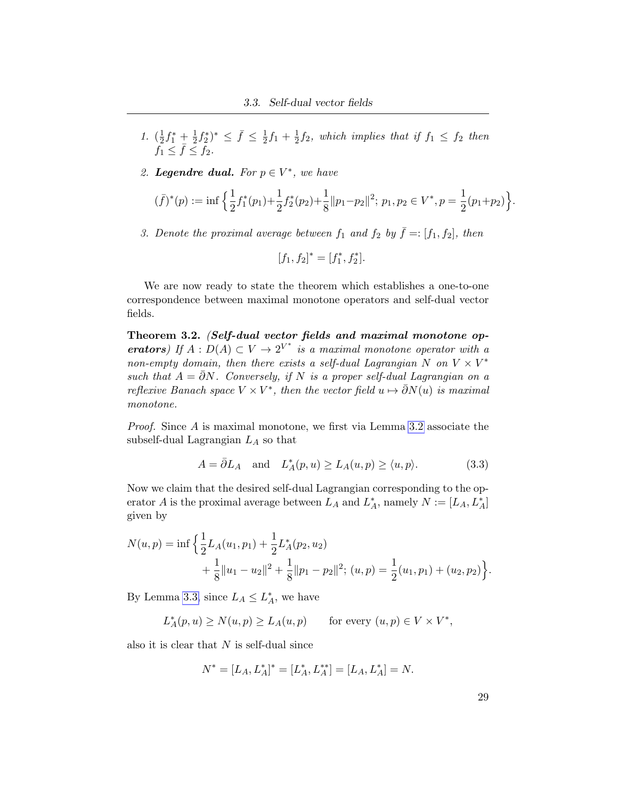- 1.  $(\frac{1}{2})$  $\frac{1}{2}f_1^* + \frac{1}{2}$  $\frac{1}{2}f_2^*\,^* \leq \bar{f} \leq \frac{1}{2}$  $\frac{1}{2}f_1 + \frac{1}{2}$  $\frac{1}{2}f_2$ , which implies that if  $f_1 \leq f_2$  then  $f_1 \leq \overline{f} \leq f_2$ .
- 2. Legendre dual. For  $p \in V^*$ , we have

$$
(\bar{f})^*(p) := \inf \left\{ \frac{1}{2} f_1^*(p_1) + \frac{1}{2} f_2^*(p_2) + \frac{1}{8} ||p_1 - p_2||^2; \ p_1, p_2 \in V^*, p = \frac{1}{2}(p_1 + p_2) \right\}.
$$

3. Denote the proximal average between  $f_1$  and  $f_2$  by  $\bar{f} = : [f_1, f_2]$ , then

$$
[f_1, f_2]^* = [f_1^*, f_2^*].
$$

We are now ready to state the theorem which establishes a one-to-one correspondence between maximal monotone operators and self-dual vector fields.

<span id="page-36-1"></span>Theorem 3.2. (Self-dual vector fields and maximal monotone operators) If  $A: D(A) \subset V \to 2^{V^*}$  is a maximal monotone operator with a non-empty domain, then there exists a self-dual Lagrangian N on  $V \times V^*$ such that  $A = \overline{\partial}N$ . Conversely, if N is a proper self-dual Lagrangian on a reflexive Banach space  $V \times V^*$ , then the vector field  $u \mapsto \bar{\partial}N(u)$  is maximal monotone.

Proof. Since A is maximal monotone, we first via Lemma [3.2](#page-35-0) associate the subself-dual Lagrangian  $L_A$  so that

<span id="page-36-0"></span>
$$
A = \overline{\partial} L_A \quad \text{and} \quad L_A^*(p, u) \ge L_A(u, p) \ge \langle u, p \rangle. \tag{3.3}
$$

Now we claim that the desired self-dual Lagrangian corresponding to the operator A is the proximal average between  $L_A$  and  $L_A^*$ , namely  $N := [L_A, L_A^*]$ given by

$$
N(u, p) = \inf \left\{ \frac{1}{2} L_A(u_1, p_1) + \frac{1}{2} L_A^*(p_2, u_2) + \frac{1}{8} ||u_1 - u_2||^2 + \frac{1}{8} ||p_1 - p_2||^2; (u, p) = \frac{1}{2} (u_1, p_1) + (u_2, p_2) \right\}.
$$

By Lemma [3.3,](#page-35-1) since  $L_A \leq L_A^*$ , we have

$$
L_A^*(p, u) \ge N(u, p) \ge L_A(u, p) \quad \text{for every } (u, p) \in V \times V^*,
$$

also it is clear that  $N$  is self-dual since

$$
N^* = [L_A, L_A^*]^* = [L_A^*, L_A^{**}] = [L_A, L_A^*] = N.
$$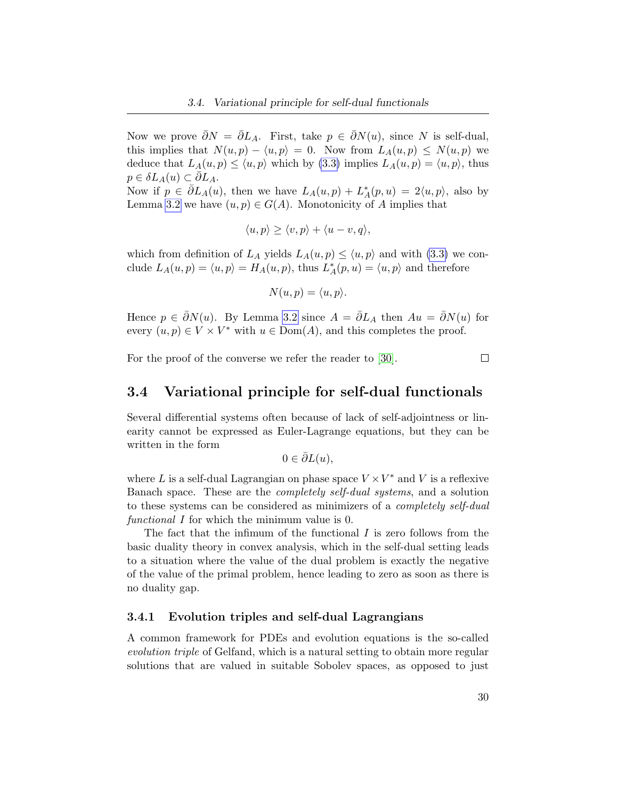Now we prove  $\bar{\partial}N = \bar{\partial}L_A$ . First, take  $p \in \bar{\partial}N(u)$ , since N is self-dual, this implies that  $N(u, p) - \langle u, p \rangle = 0$ . Now from  $L_A(u, p) \le N(u, p)$  we deduce that  $L_A(u, p) \le \langle u, p \rangle$  which by [\(3.3\)](#page-36-0) implies  $L_A(u, p) = \langle u, p \rangle$ , thus  $p \in \delta L_A(u) \subset \partial L_A.$ 

Now if  $p \in \bar{\partial}L_A(u)$ , then we have  $L_A(u,p) + L_A^*(p,u) = 2\langle u,p \rangle$ , also by Lemma [3.2](#page-35-0) we have  $(u, p) \in G(A)$ . Monotonicity of A implies that

$$
\langle u, p \rangle \ge \langle v, p \rangle + \langle u - v, q \rangle,
$$

which from definition of  $L_A$  yields  $L_A(u, p) \le \langle u, p \rangle$  and with [\(3.3\)](#page-36-0) we conclude  $L_A(u, p) = \langle u, p \rangle = H_A(u, p)$ , thus  $L_A^*(p, u) = \langle u, p \rangle$  and therefore

$$
N(u, p) = \langle u, p \rangle.
$$

Hence  $p \in \bar{\partial}N(u)$ . By Lemma [3.2](#page-35-2) since  $A = \bar{\partial}L_A$  then  $Au = \bar{\partial}N(u)$  for every  $(u, p) \in V \times V^*$  with  $u \in \text{Dom}(A)$ , and this completes the proof.

For the proof of the converse we refer the reader to [\[30\]](#page-102-0).

#### $\Box$

### 3.4 Variational principle for self-dual functionals

Several differential systems often because of lack of self-adjointness or linearity cannot be expressed as Euler-Lagrange equations, but they can be written in the form

$$
0\in\bar{\partial}L(u),
$$

where L is a self-dual Lagrangian on phase space  $V \times V^*$  and V is a reflexive Banach space. These are the completely self-dual systems, and a solution to these systems can be considered as minimizers of a *completely self-dual* functional I for which the minimum value is 0.

The fact that the infimum of the functional  $I$  is zero follows from the basic duality theory in convex analysis, which in the self-dual setting leads to a situation where the value of the dual problem is exactly the negative of the value of the primal problem, hence leading to zero as soon as there is no duality gap.

#### 3.4.1 Evolution triples and self-dual Lagrangians

A common framework for PDEs and evolution equations is the so-called evolution triple of Gelfand, which is a natural setting to obtain more regular solutions that are valued in suitable Sobolev spaces, as opposed to just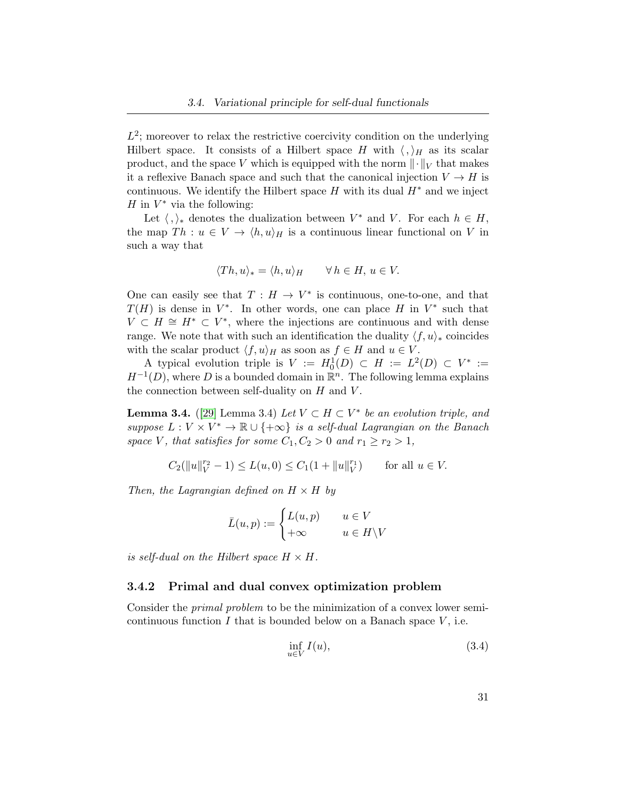$L^2$ ; moreover to relax the restrictive coercivity condition on the underlying Hilbert space. It consists of a Hilbert space H with  $\langle , \rangle_H$  as its scalar product, and the space V which is equipped with the norm  $\lVert \cdot \rVert_V$  that makes it a reflexive Banach space and such that the canonical injection  $V \to H$  is continuous. We identify the Hilbert space H with its dual  $H^*$  and we inject  $H$  in  $V^*$  via the following:

Let  $\langle , \rangle_*$  denotes the dualization between  $V^*$  and V. For each  $h \in H$ , the map  $Th : u \in V \to \langle h, u \rangle_H$  is a continuous linear functional on V in such a way that

$$
\langle Th, u \rangle_* = \langle h, u \rangle_H \qquad \forall \, h \in H, \, u \in V.
$$

One can easily see that  $T: H \to V^*$  is continuous, one-to-one, and that  $T(H)$  is dense in  $V^*$ . In other words, one can place H in  $V^*$  such that  $V \subset H \cong H^* \subset V^*$ , where the injections are continuous and with dense range. We note that with such an identification the duality  $\langle f, u \rangle_*$  coincides with the scalar product  $\langle f, u \rangle_H$  as soon as  $f \in H$  and  $u \in V$ .

A typical evolution triple is  $V := H_0^1(D) \subset H := L^2(D) \subset V^* :=$  $H^{-1}(D)$ , where D is a bounded domain in  $\mathbb{R}^n$ . The following lemma explains the connection between self-duality on  $H$  and  $V$ .

<span id="page-38-1"></span>**Lemma 3.4.** ([\[29\]](#page-102-1) Lemma 3.4) Let  $V \subset H \subset V^*$  be an evolution triple, and suppose  $L: V \times V^* \to \mathbb{R} \cup \{+\infty\}$  is a self-dual Lagrangian on the Banach space V, that satisfies for some  $C_1, C_2 > 0$  and  $r_1 \ge r_2 > 1$ ,

$$
C_2(||u||_V^{r_2} - 1) \le L(u,0) \le C_1(1 + ||u||_V^{r_1}) \quad \text{for all } u \in V.
$$

Then, the Lagrangian defined on  $H \times H$  by

$$
\bar{L}(u, p) := \begin{cases} L(u, p) & u \in V \\ +\infty & u \in H \backslash V \end{cases}
$$

is self-dual on the Hilbert space  $H \times H$ .

#### 3.4.2 Primal and dual convex optimization problem

Consider the primal problem to be the minimization of a convex lower semicontinuous function  $I$  that is bounded below on a Banach space  $V$ , i.e.

<span id="page-38-0"></span>
$$
\inf_{u \in V} I(u),\tag{3.4}
$$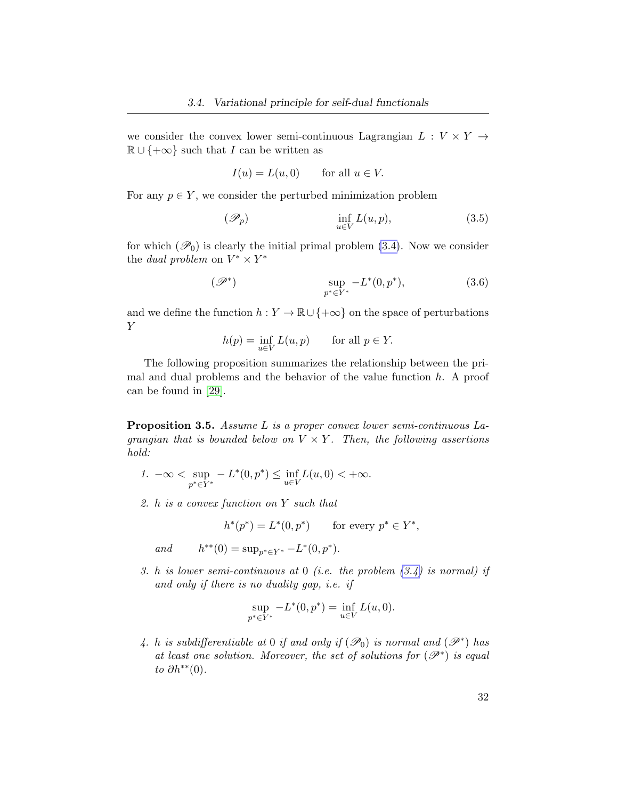we consider the convex lower semi-continuous Lagrangian  $L : V \times Y \rightarrow$  $\mathbb{R} \cup \{+\infty\}$  such that I can be written as

$$
I(u) = L(u, 0) \qquad \text{for all } u \in V.
$$

For any  $p \in Y$ , we consider the perturbed minimization problem

$$
(\mathscr{P}_p) \qquad \inf_{u \in V} L(u, p), \qquad (3.5)
$$

for which  $(\mathscr{P}_0)$  is clearly the initial primal problem  $(3.4)$ . Now we consider the *dual problem* on  $V^* \times Y^*$ 

$$
\sup_{p^* \in Y^*} -L^*(0, p^*), \tag{3.6}
$$

and we define the function  $h: Y \to \mathbb{R} \cup \{+\infty\}$  on the space of perturbations Y

$$
h(p) = \inf_{u \in V} L(u, p) \quad \text{for all } p \in Y.
$$

The following proposition summarizes the relationship between the primal and dual problems and the behavior of the value function  $h$ . A proof can be found in [\[29\]](#page-102-1).

<span id="page-39-0"></span>Proposition 3.5. Assume L is a proper convex lower semi-continuous Lagrangian that is bounded below on  $V \times Y$ . Then, the following assertions hold:

- 1.  $-\infty < \sup$  $p^* \in Y^*$  $-L^*(0, p^*) \leq \inf_{u \in V} L(u, 0) < +\infty.$
- 2. h is a convex function on Y such that

$$
h^*(p^*) = L^*(0, p^*)
$$
 for every  $p^* \in Y^*$ ,

and \*\*(0) = sup<sub>p\*∈Y\*</sub> -L<sup>\*</sup>(0, p<sup>\*</sup>).

3. h is lower semi-continuous at  $0$  (i.e. the problem  $(3.4)$  is normal) if and only if there is no duality gap, i.e. if

$$
\sup_{p^* \in Y^*} -L^*(0, p^*) = \inf_{u \in V} L(u, 0).
$$

4. h is subdifferentiable at 0 if and only if  $(\mathcal{P}_0)$  is normal and  $(\mathcal{P}^*)$  has at least one solution. Moreover, the set of solutions for  $(\mathscr{P}^*)$  is equal to  $\partial h^{**}(0)$ .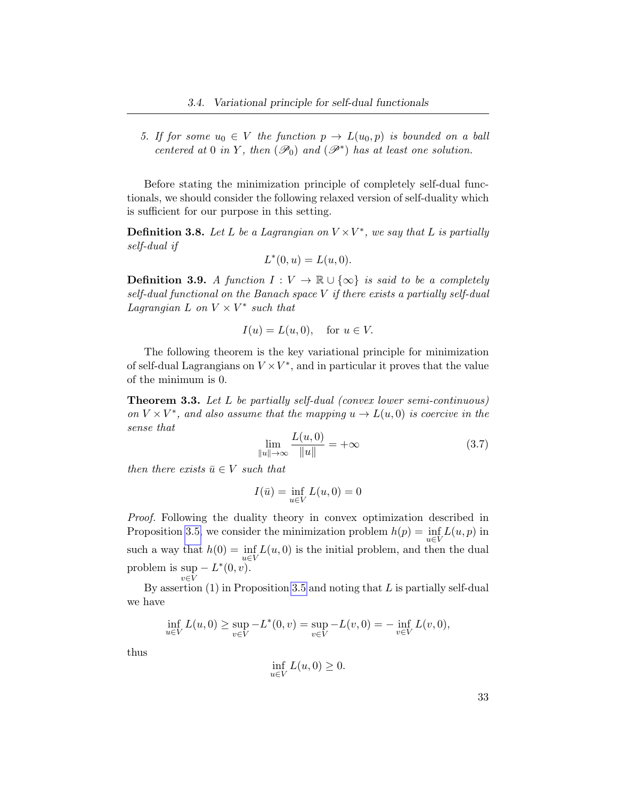5. If for some  $u_0 \in V$  the function  $p \to L(u_0, p)$  is bounded on a ball centered at 0 in Y, then  $(\mathscr{P}_0)$  and  $(\mathscr{P}^*)$  has at least one solution.

Before stating the minimization principle of completely self-dual functionals, we should consider the following relaxed version of self-duality which is sufficient for our purpose in this setting.

**Definition 3.8.** Let L be a Lagrangian on  $V \times V^*$ , we say that L is partially self-dual if

$$
L^*(0, u) = L(u, 0).
$$

**Definition 3.9.** A function  $I: V \to \mathbb{R} \cup \{\infty\}$  is said to be a completely self-dual functional on the Banach space V if there exists a partially self-dual Lagrangian L on  $V \times V^*$  such that

$$
I(u) = L(u, 0), \quad \text{for } u \in V.
$$

The following theorem is the key variational principle for minimization of self-dual Lagrangians on  $V \times V^*$ , and in particular it proves that the value of the minimum is 0.

<span id="page-40-1"></span>Theorem 3.3. Let L be partially self-dual (convex lower semi-continuous) on  $V \times V^*$ , and also assume that the mapping  $u \to L(u, 0)$  is coercive in the sense that

<span id="page-40-0"></span>
$$
\lim_{\|u\| \to \infty} \frac{L(u,0)}{\|u\|} = +\infty
$$
\n(3.7)

then there exists  $\bar{u} \in V$  such that

$$
I(\bar{u}) = \inf_{u \in V} L(u, 0) = 0
$$

Proof. Following the duality theory in convex optimization described in Proposition [3.5,](#page-39-0) we consider the minimization problem  $h(p) = \inf_{u \in V} L(u, p)$  in such a way that  $h(0) = \inf_{u \in V} L(u, 0)$  is the initial problem, and then the dual problem is sup  $-L^*(0, v)$ .  $v\in\bar{V}$ 

By assertion  $(1)$  in Proposition [3.5](#page-39-0) and noting that L is partially self-dual we have

$$
\inf_{u \in V} L(u,0) \ge \sup_{v \in V} -L^*(0,v) = \sup_{v \in V} -L(v,0) = -\inf_{v \in V} L(v,0),
$$

thus

$$
\inf_{u \in V} L(u,0) \ge 0.
$$

33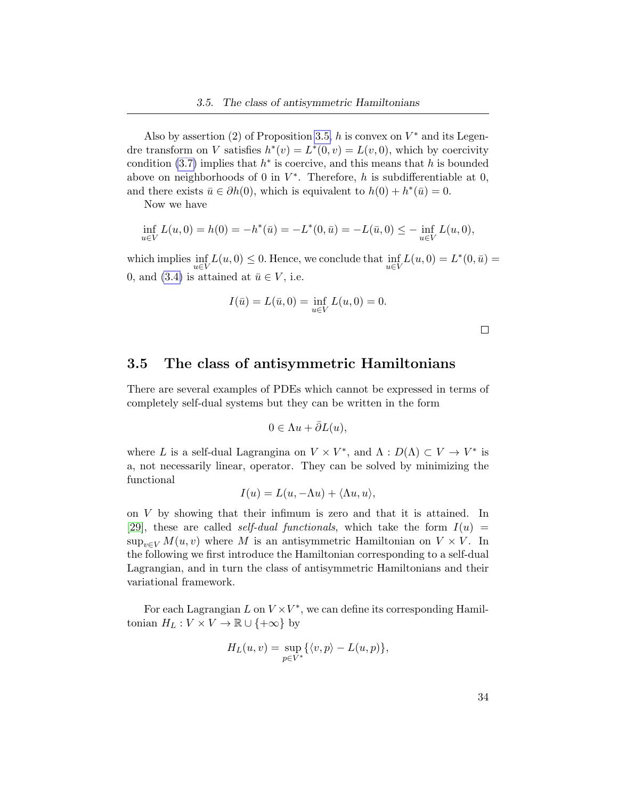Also by assertion (2) of Proposition [3.5,](#page-39-0) h is convex on  $V^*$  and its Legendre transform on V satisfies  $h^*(v) = L^*(0, v) = L(v, 0)$ , which by coercivity condition [\(3.7\)](#page-40-0) implies that  $h^*$  is coercive, and this means that h is bounded above on neighborhoods of 0 in  $V^*$ . Therefore, h is subdifferentiable at 0, and there exists  $\bar{u} \in \partial h(0)$ , which is equivalent to  $h(0) + h^*(\bar{u}) = 0$ .

Now we have

$$
\inf_{u \in V} L(u,0) = h(0) = -h^*(\bar{u}) = -L^*(0,\bar{u}) = -L(\bar{u},0) \le -\inf_{u \in V} L(u,0),
$$

which implies  $\inf_{u \in V} L(u, 0) \leq 0$ . Hence, we conclude that  $\inf_{u \in V} L(u, 0) = L^*(0, \bar{u})$ 0, and [\(3.4\)](#page-38-0) is attained at  $\bar{u} \in V$ , i.e.

$$
I(\bar{u}) = L(\bar{u}, 0) = \inf_{u \in V} L(u, 0) = 0.
$$

 $\Box$ 

### 3.5 The class of antisymmetric Hamiltonians

There are several examples of PDEs which cannot be expressed in terms of completely self-dual systems but they can be written in the form

$$
0 \in \Lambda u + \bar{\partial}L(u),
$$

where L is a self-dual Lagrangina on  $V \times V^*$ , and  $\Lambda : D(\Lambda) \subset V \to V^*$  is a, not necessarily linear, operator. They can be solved by minimizing the functional

$$
I(u) = L(u, -\Lambda u) + \langle \Lambda u, u \rangle,
$$

on V by showing that their infimum is zero and that it is attained. In [\[29\]](#page-102-1), these are called *self-dual functionals*, which take the form  $I(u)$  =  $\sup_{v \in V} M(u, v)$  where M is an antisymmetric Hamiltonian on  $V \times V$ . In the following we first introduce the Hamiltonian corresponding to a self-dual Lagrangian, and in turn the class of antisymmetric Hamiltonians and their variational framework.

For each Lagrangian  $L$  on  $V \times V^*$ , we can define its corresponding Hamiltonian  $H_L: V \times V \to \mathbb{R} \cup \{+\infty\}$  by

$$
H_L(u, v) = \sup_{p \in V^*} \{ \langle v, p \rangle - L(u, p) \},\
$$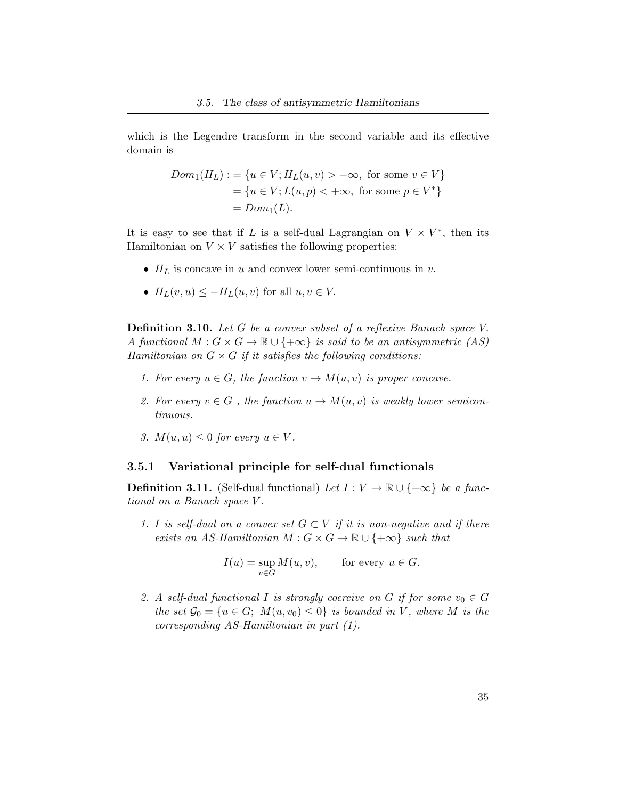which is the Legendre transform in the second variable and its effective domain is

$$
Dom_1(H_L) := \{ u \in V; H_L(u, v) > -\infty, \text{ for some } v \in V \}
$$
  
=  $\{ u \in V; L(u, p) < +\infty, \text{ for some } p \in V^* \}$   
=  $Dom_1(L)$ .

It is easy to see that if L is a self-dual Lagrangian on  $V \times V^*$ , then its Hamiltonian on  $V \times V$  satisfies the following properties:

- $H_L$  is concave in u and convex lower semi-continuous in v.
- $H_L(v, u) \leq -H_L(u, v)$  for all  $u, v \in V$ .

<span id="page-42-0"></span>Definition 3.10. Let G be a convex subset of a reflexive Banach space V. A functional  $M: G \times G \to \mathbb{R} \cup \{+\infty\}$  is said to be an antisymmetric (AS) Hamiltonian on  $G \times G$  if it satisfies the following conditions:

- 1. For every  $u \in G$ , the function  $v \to M(u, v)$  is proper concave.
- 2. For every  $v \in G$ , the function  $u \to M(u, v)$  is weakly lower semicontinuous.
- 3.  $M(u, u) \leq 0$  for every  $u \in V$ .

### 3.5.1 Variational principle for self-dual functionals

**Definition 3.11.** (Self-dual functional) Let  $I: V \to \mathbb{R} \cup \{+\infty\}$  be a functional on a Banach space V .

1. I is self-dual on a convex set  $G \subset V$  if it is non-negative and if there exists an AS-Hamiltonian  $M: G \times G \to \mathbb{R} \cup \{+\infty\}$  such that

$$
I(u) = \sup_{v \in G} M(u, v), \quad \text{for every } u \in G.
$$

2. A self-dual functional I is strongly coercive on G if for some  $v_0 \in G$ the set  $\mathcal{G}_0 = \{u \in G; M(u, v_0) \leq 0\}$  is bounded in V, where M is the corresponding AS-Hamiltonian in part (1).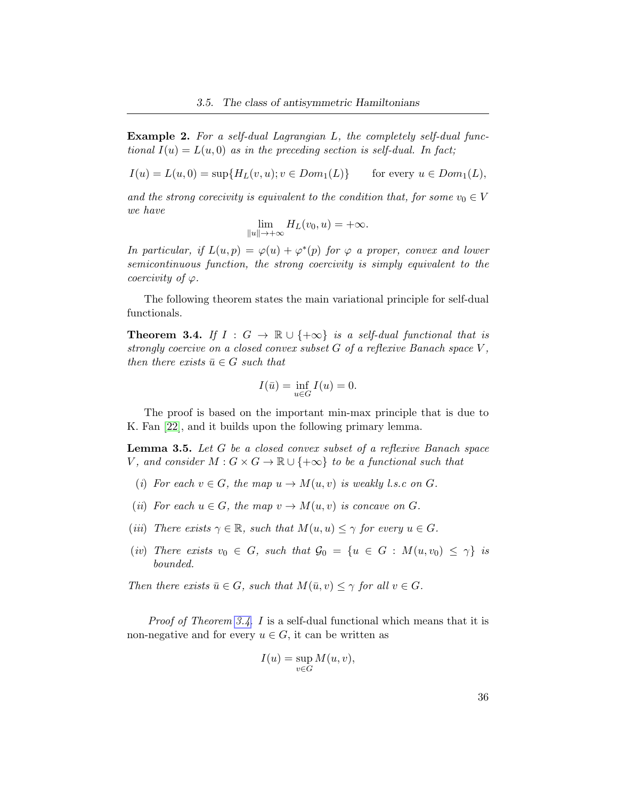Example 2. For a self-dual Lagrangian L, the completely self-dual functional  $I(u) = L(u, 0)$  as in the preceding section is self-dual. In fact;

 $I(u) = L(u, 0) = \sup\{H_L(v, u); v \in Dom_1(L)\}$  for every  $u \in Dom_1(L)$ ,

and the strong corecivity is equivalent to the condition that, for some  $v_0 \in V$ we have

$$
\lim_{\|u\| \to +\infty} H_L(v_0, u) = +\infty.
$$

In particular, if  $L(u, p) = \varphi(u) + \varphi^*(p)$  for  $\varphi$  a proper, convex and lower semicontinuous function, the strong coercivity is simply equivalent to the coercivity of  $\varphi$ .

The following theorem states the main variational principle for self-dual functionals.

<span id="page-43-0"></span>**Theorem 3.4.** If  $I : G \to \mathbb{R} \cup \{+\infty\}$  is a self-dual functional that is strongly coercive on a closed convex subset  $G$  of a reflexive Banach space  $V$ , then there exists  $\bar{u} \in G$  such that

$$
I(\bar{u}) = \inf_{u \in G} I(u) = 0.
$$

The proof is based on the important min-max principle that is due to K. Fan [\[22\]](#page-101-0), and it builds upon the following primary lemma.

<span id="page-43-1"></span>Lemma 3.5. Let G be a closed convex subset of a reflexive Banach space V, and consider  $M: G \times G \to \mathbb{R} \cup \{+\infty\}$  to be a functional such that

- (i) For each  $v \in G$ , the map  $u \to M(u, v)$  is weakly l.s.c on G.
- (ii) For each  $u \in G$ , the map  $v \to M(u, v)$  is concave on G.
- (iii) There exists  $\gamma \in \mathbb{R}$ , such that  $M(u, u) \leq \gamma$  for every  $u \in G$ .
- (iv) There exists  $v_0 \in G$ , such that  $\mathcal{G}_0 = \{u \in G : M(u, v_0) \leq \gamma\}$  is bounded.

Then there exists  $\bar{u} \in G$ , such that  $M(\bar{u}, v) \leq \gamma$  for all  $v \in G$ .

Proof of Theorem [3.4](#page-43-0). I is a self-dual functional which means that it is non-negative and for every  $u \in G$ , it can be written as

$$
I(u) = \sup_{v \in G} M(u, v),
$$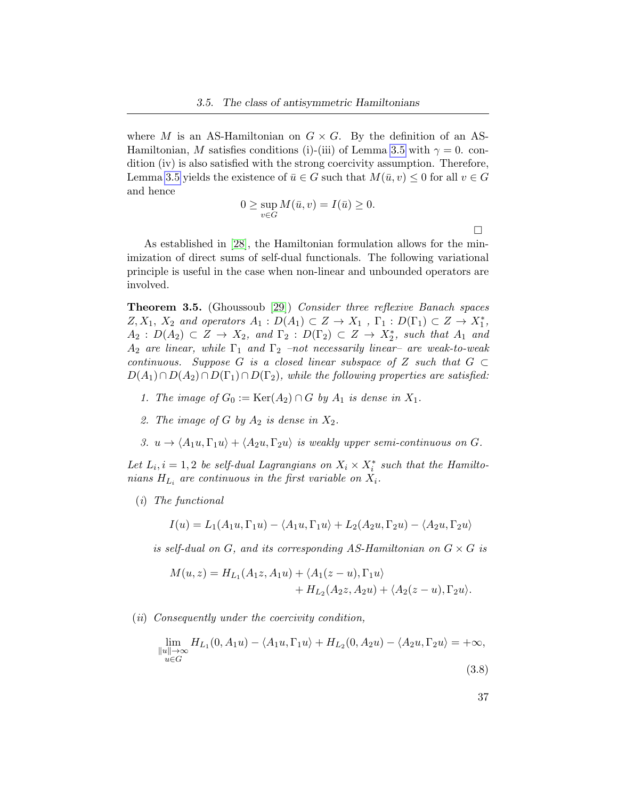where M is an AS-Hamiltonian on  $G \times G$ . By the definition of an AS-Hamiltonian, M satisfies conditions (i)-(iii) of Lemma [3.5](#page-43-1) with  $\gamma = 0$ . condition (iv) is also satisfied with the strong coercivity assumption. Therefore, Lemma [3.5](#page-43-1) yields the existence of  $\bar{u} \in G$  such that  $M(\bar{u}, v) \leq 0$  for all  $v \in G$ and hence

$$
0 \ge \sup_{v \in G} M(\bar{u}, v) = I(\bar{u}) \ge 0.
$$

 $\Box$ 

As established in [\[28\]](#page-102-2), the Hamiltonian formulation allows for the minimization of direct sums of self-dual functionals. The following variational principle is useful in the case when non-linear and unbounded operators are involved.

<span id="page-44-0"></span>**Theorem 3.5.** (Ghoussoub [\[29\]](#page-102-1)) Consider three reflexive Banach spaces  $Z, X_1, X_2$  and operators  $A_1 : D(A_1) \subset Z \to X_1$ ,  $\Gamma_1 : D(\Gamma_1) \subset Z \to X_1^*$ ,  $A_2: D(A_2) \subset Z \to X_2$ , and  $\Gamma_2: D(\Gamma_2) \subset Z \to X_2^*$ , such that  $A_1$  and  $A_2$  are linear, while  $\Gamma_1$  and  $\Gamma_2$  –not necessarily linear– are weak-to-weak continuous. Suppose G is a closed linear subspace of Z such that  $G \subset$  $D(A_1) \cap D(A_2) \cap D(\Gamma_1) \cap D(\Gamma_2)$ , while the following properties are satisfied:

- 1. The image of  $G_0 := \text{Ker}(A_2) \cap G$  by  $A_1$  is dense in  $X_1$ .
- 2. The image of G by  $A_2$  is dense in  $X_2$ .
- 3.  $u \to \langle A_1u, \Gamma_1u \rangle + \langle A_2u, \Gamma_2u \rangle$  is weakly upper semi-continuous on G.

Let  $L_i$ ,  $i = 1, 2$  be self-dual Lagrangians on  $X_i \times X_i^*$  such that the Hamiltonians  $H_{L_i}$  are continuous in the first variable on  $X_i$ .

(i) The functional

$$
I(u) = L_1(A_1u, \Gamma_1u) - \langle A_1u, \Gamma_1u \rangle + L_2(A_2u, \Gamma_2u) - \langle A_2u, \Gamma_2u \rangle
$$

is self-dual on G, and its corresponding AS-Hamiltonian on  $G \times G$  is

$$
M(u, z) = H_{L_1}(A_1z, A_1u) + \langle A_1(z - u), \Gamma_1u \rangle + H_{L_2}(A_2z, A_2u) + \langle A_2(z - u), \Gamma_2u \rangle.
$$

(ii) Consequently under the coercivity condition,

<span id="page-44-1"></span>
$$
\lim_{\substack{\|u\| \to \infty \\ u \in G}} H_{L_1}(0, A_1 u) - \langle A_1 u, \Gamma_1 u \rangle + H_{L_2}(0, A_2 u) - \langle A_2 u, \Gamma_2 u \rangle = +\infty,
$$
\n(3.8)

$$
(3.8)
$$

37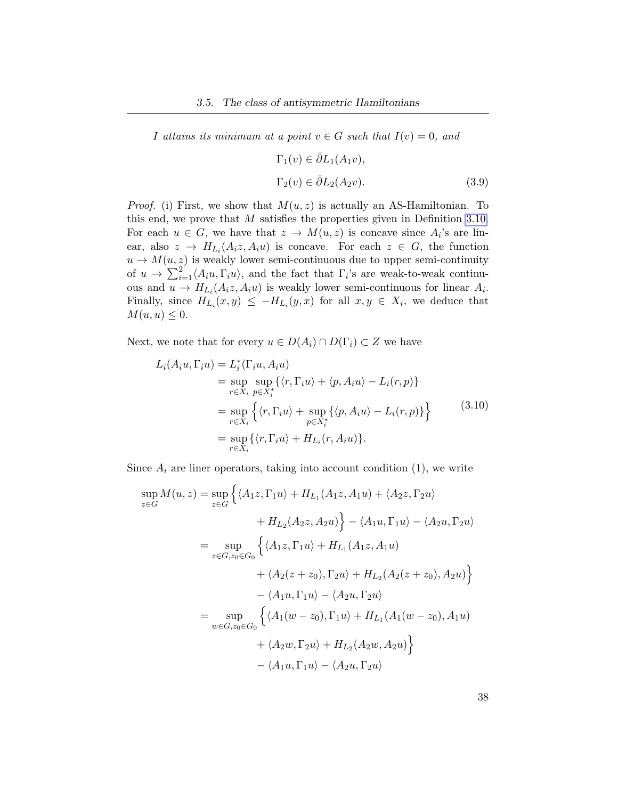I attains its minimum at a point  $v \in G$  such that  $I(v) = 0$ , and

<span id="page-45-1"></span><span id="page-45-0"></span>
$$
\Gamma_1(v) \in \bar{\partial}L_1(A_1v),
$$
  
\n
$$
\Gamma_2(v) \in \bar{\partial}L_2(A_2v).
$$
\n(3.9)

*Proof.* (i) First, we show that  $M(u, z)$  is actually an AS-Hamiltonian. To this end, we prove that  $M$  satisfies the properties given in Definition [3.10.](#page-42-0) For each  $u \in G$ , we have that  $z \to M(u, z)$  is concave since  $A_i$ 's are linear, also  $z \to H_{L_i}(A_i z, A_i u)$  is concave. For each  $z \in G$ , the function  $u \to M(u, z)$  is weakly lower semi-continuous due to upper semi-continuity of  $u \to \sum_{i=1}^{2} \langle A_i u, \Gamma_i u \rangle$ , and the fact that  $\Gamma_i$ 's are weak-to-weak continuous and  $u \to H_{L_i}(A_i z, A_i u)$  is weakly lower semi-continuous for linear  $A_i$ . Finally, since  $H_{L_i}(x, y) \leq -H_{L_i}(y, x)$  for all  $x, y \in X_i$ , we deduce that  $M(u, u) \leq 0.$ 

Next, we note that for every  $u \in D(A_i) \cap D(\Gamma_i) \subset Z$  we have

$$
L_i(A_i u, \Gamma_i u) = L_i^*(\Gamma_i u, A_i u)
$$
  
= 
$$
\sup_{r \in X_i} \sup_{p \in X_i^*} \{ \langle r, \Gamma_i u \rangle + \langle p, A_i u \rangle - L_i(r, p) \}
$$
  
= 
$$
\sup_{r \in X_i} \{ \langle r, \Gamma_i u \rangle + \sup_{p \in X_i^*} \{ \langle p, A_i u \rangle - L_i(r, p) \} \}
$$
  
= 
$$
\sup_{r \in X_i} \{ \langle r, \Gamma_i u \rangle + H_{L_i}(r, A_i u) \}.
$$
 (3.10)

Since  $A_i$  are liner operators, taking into account condition  $(1)$ , we write

$$
\sup_{z \in G} M(u, z) = \sup_{z \in G} \left\{ \langle A_1 z, \Gamma_1 u \rangle + H_{L_1}(A_1 z, A_1 u) + \langle A_2 z, \Gamma_2 u \rangle
$$
  
+  $H_{L_2}(A_2 z, A_2 u) \right\} - \langle A_1 u, \Gamma_1 u \rangle - \langle A_2 u, \Gamma_2 u \rangle$   
= 
$$
\sup_{z \in G, z_0 \in G_0} \left\{ \langle A_1 z, \Gamma_1 u \rangle + H_{L_1}(A_1 z, A_1 u)
$$
  
+  $\langle A_2 (z + z_0), \Gamma_2 u \rangle + H_{L_2}(A_2 (z + z_0), A_2 u) \right\}$   
-  $\langle A_1 u, \Gamma_1 u \rangle - \langle A_2 u, \Gamma_2 u \rangle$   
= 
$$
\sup_{w \in G, z_0 \in G_0} \left\{ \langle A_1 (w - z_0), \Gamma_1 u \rangle + H_{L_1}(A_1 (w - z_0), A_1 u)
$$
  
+  $\langle A_2 w, \Gamma_2 u \rangle + H_{L_2}(A_2 w, A_2 u) \right\}$   
-  $\langle A_1 u, \Gamma_1 u \rangle - \langle A_2 u, \Gamma_2 u \rangle$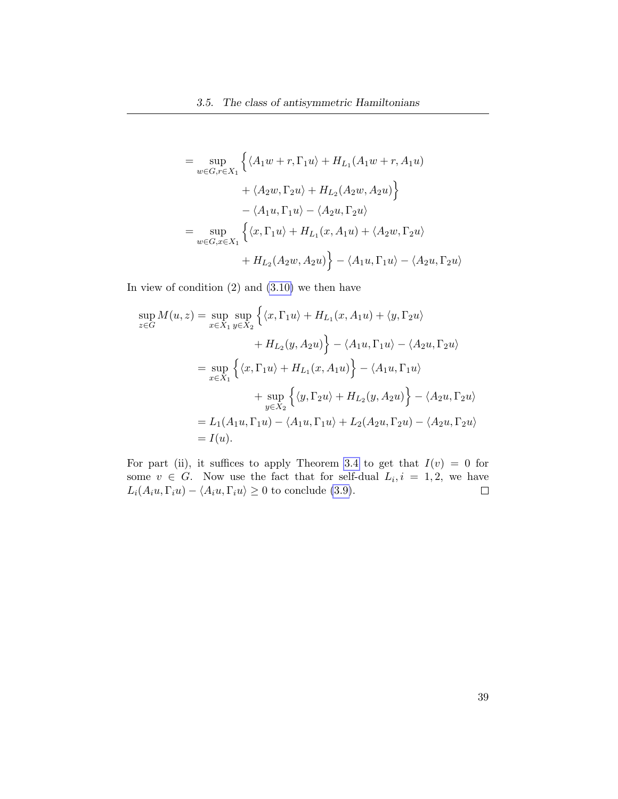$$
= \sup_{w \in G, r \in X_1} \left\{ \langle A_1 w + r, \Gamma_1 u \rangle + H_{L_1}(A_1 w + r, A_1 u) + \langle A_2 w, \Gamma_2 u \rangle + H_{L_2}(A_2 w, A_2 u) \right\}
$$

$$
- \langle A_1 u, \Gamma_1 u \rangle - \langle A_2 u, \Gamma_2 u \rangle
$$

$$
= \sup_{w \in G, x \in X_1} \left\{ \langle x, \Gamma_1 u \rangle + H_{L_1}(x, A_1 u) + \langle A_2 w, \Gamma_2 u \rangle + H_{L_2}(A_2 w, A_2 u) \right\} - \langle A_1 u, \Gamma_1 u \rangle - \langle A_2 u, \Gamma_2 u \rangle
$$

In view of condition  $(2)$  and  $(3.10)$  we then have

$$
\sup_{z \in G} M(u, z) = \sup_{x \in X_1} \sup_{y \in X_2} \left\{ \langle x, \Gamma_1 u \rangle + H_{L_1}(x, A_1 u) + \langle y, \Gamma_2 u \rangle \right.\n+ H_{L_2}(y, A_2 u) \right\} - \langle A_1 u, \Gamma_1 u \rangle - \langle A_2 u, \Gamma_2 u \rangle
$$
  
\n
$$
= \sup_{x \in X_1} \left\{ \langle x, \Gamma_1 u \rangle + H_{L_1}(x, A_1 u) \right\} - \langle A_1 u, \Gamma_1 u \rangle
$$
  
\n
$$
+ \sup_{y \in X_2} \left\{ \langle y, \Gamma_2 u \rangle + H_{L_2}(y, A_2 u) \right\} - \langle A_2 u, \Gamma_2 u \rangle
$$
  
\n
$$
= L_1(A_1 u, \Gamma_1 u) - \langle A_1 u, \Gamma_1 u \rangle + L_2(A_2 u, \Gamma_2 u) - \langle A_2 u, \Gamma_2 u \rangle
$$
  
\n
$$
= I(u).
$$

For part (ii), it suffices to apply Theorem [3.4](#page-43-0) to get that  $I(v) = 0$  for some  $v \in G$ . Now use the fact that for self-dual  $L_i, i = 1, 2$ , we have  $L_i(A_i u, \Gamma_i u) - \langle A_i u, \Gamma_i u \rangle \geq 0$  to conclude [\(3.9\)](#page-45-1).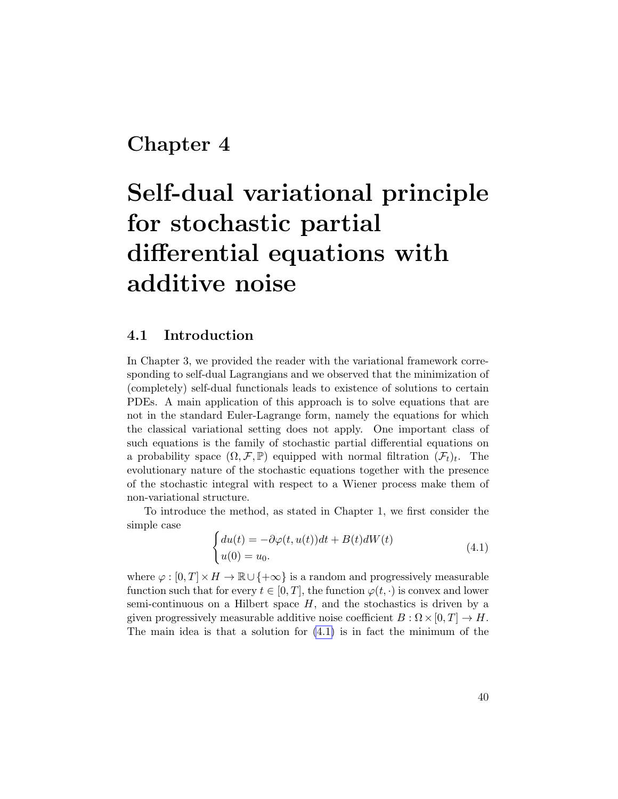## Chapter 4

# Self-dual variational principle for stochastic partial differential equations with additive noise

### 4.1 Introduction

In Chapter 3, we provided the reader with the variational framework corresponding to self-dual Lagrangians and we observed that the minimization of (completely) self-dual functionals leads to existence of solutions to certain PDEs. A main application of this approach is to solve equations that are not in the standard Euler-Lagrange form, namely the equations for which the classical variational setting does not apply. One important class of such equations is the family of stochastic partial differential equations on a probability space  $(\Omega, \mathcal{F}, \mathbb{P})$  equipped with normal filtration  $(\mathcal{F}_t)_t$ . The evolutionary nature of the stochastic equations together with the presence of the stochastic integral with respect to a Wiener process make them of non-variational structure.

To introduce the method, as stated in Chapter 1, we first consider the simple case

<span id="page-47-0"></span>
$$
\begin{cases} du(t) = -\partial \varphi(t, u(t))dt + B(t)dW(t) \\ u(0) = u_0. \end{cases} \tag{4.1}
$$

where  $\varphi : [0, T] \times H \to \mathbb{R} \cup \{+\infty\}$  is a random and progressively measurable function such that for every  $t \in [0, T]$ , the function  $\varphi(t, \cdot)$  is convex and lower semi-continuous on a Hilbert space  $H$ , and the stochastics is driven by a given progressively measurable additive noise coefficient  $B : \Omega \times [0, T] \to H$ . The main idea is that a solution for [\(4.1\)](#page-47-0) is in fact the minimum of the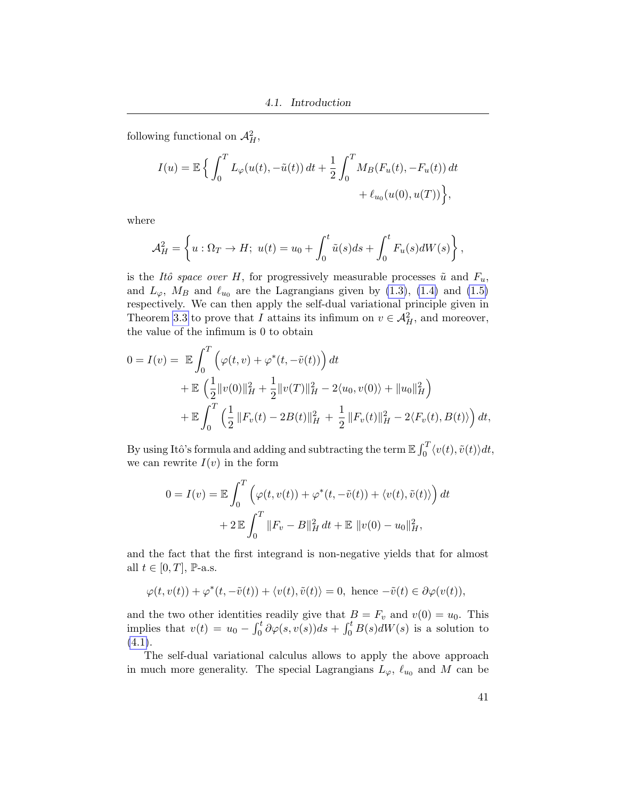following functional on  $\mathcal{A}_{H}^{2}$ ,

$$
I(u) = \mathbb{E}\left\{\int_0^T L_{\varphi}(u(t), -\tilde{u}(t)) dt + \frac{1}{2} \int_0^T M_B(F_u(t), -F_u(t)) dt + \ell_{u_0}(u(0), u(T))\right\},\,
$$

where

$$
\mathcal{A}_H^2 = \left\{ u : \Omega_T \to H; \ u(t) = u_0 + \int_0^t \tilde{u}(s)ds + \int_0^t F_u(s)dW(s) \right\},\
$$

is the Itô space over H, for progressively measurable processes  $\tilde{u}$  and  $F_u$ , and  $L_{\varphi}$ ,  $M_B$  and  $\ell_{u_0}$  are the Lagrangians given by [\(1.3\)](#page-11-0), [\(1.4\)](#page-11-1) and [\(1.5\)](#page-11-2) respectively. We can then apply the self-dual variational principle given in Theorem [3.3](#page-40-1) to prove that I attains its infimum on  $v \in \mathcal{A}_{H}^{2}$ , and moreover, the value of the infimum is 0 to obtain

$$
0 = I(v) = \mathbb{E} \int_0^T \left( \varphi(t, v) + \varphi^*(t, -\tilde{v}(t)) \right) dt
$$
  
+  $\mathbb{E} \left( \frac{1}{2} ||v(0)||_H^2 + \frac{1}{2} ||v(T)||_H^2 - 2\langle u_0, v(0) \rangle + ||u_0||_H^2 \right)$   
+  $\mathbb{E} \int_0^T \left( \frac{1}{2} ||F_v(t) - 2B(t)||_H^2 + \frac{1}{2} ||F_v(t)||_H^2 - 2\langle F_v(t), B(t) \rangle \right) dt$ ,

By using Itô's formula and adding and subtracting the term  $\mathbb{E}\int_0^T \langle v(t), \tilde{v}(t) \rangle dt$ , we can rewrite  $I(v)$  in the form

$$
0 = I(v) = \mathbb{E} \int_0^T \left( \varphi(t, v(t)) + \varphi^*(t, -\tilde{v}(t)) + \langle v(t), \tilde{v}(t) \rangle \right) dt
$$

$$
+ 2 \mathbb{E} \int_0^T \|F_v - B\|_H^2 dt + \mathbb{E} \|v(0) - u_0\|_H^2,
$$

and the fact that the first integrand is non-negative yields that for almost all  $t \in [0, T]$ , P-a.s.

$$
\varphi(t, v(t)) + \varphi^*(t, -\tilde{v}(t)) + \langle v(t), \tilde{v}(t) \rangle = 0, \text{ hence } -\tilde{v}(t) \in \partial \varphi(v(t)),
$$

and the two other identities readily give that  $B = F_v$  and  $v(0) = u_0$ . This implies that  $v(t) = u_0 - \int_0^t \partial \varphi(s, v(s)) ds + \int_0^t B(s) dW(s)$  is a solution to  $(4.1).$  $(4.1).$ 

The self-dual variational calculus allows to apply the above approach in much more generality. The special Lagrangians  $L_{\varphi}, \ell_{u_0}$  and M can be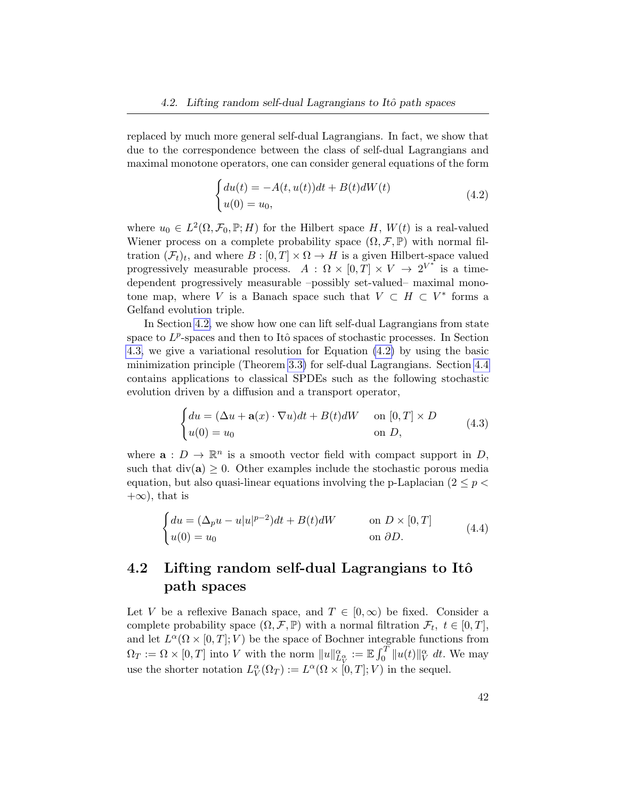replaced by much more general self-dual Lagrangians. In fact, we show that due to the correspondence between the class of self-dual Lagrangians and maximal monotone operators, one can consider general equations of the form

<span id="page-49-1"></span>
$$
\begin{cases} du(t) = -A(t, u(t))dt + B(t)dW(t) \\ u(0) = u_0, \end{cases}
$$
\n(4.2)

where  $u_0 \in L^2(\Omega, \mathcal{F}_0, \mathbb{P}; H)$  for the Hilbert space H,  $W(t)$  is a real-valued Wiener process on a complete probability space  $(\Omega, \mathcal{F}, \mathbb{P})$  with normal filtration  $(\mathcal{F}_t)_t$ , and where  $B : [0, T] \times \Omega \to H$  is a given Hilbert-space valued progressively measurable process.  $A: \Omega \times [0,T] \times V \to 2^{V^*}$  is a timedependent progressively measurable –possibly set-valued– maximal monotone map, where V is a Banach space such that  $V \subset H \subset V^*$  forms a Gelfand evolution triple.

In Section [4.2,](#page-49-0) we show how one can lift self-dual Lagrangians from state space to  $L^p$ -spaces and then to Itô spaces of stochastic processes. In Section [4.3,](#page-56-0) we give a variational resolution for Equation [\(4.2\)](#page-49-1) by using the basic minimization principle (Theorem [3.3\)](#page-40-1) for self-dual Lagrangians. Section [4.4](#page-62-0) contains applications to classical SPDEs such as the following stochastic evolution driven by a diffusion and a transport operator,

$$
\begin{cases} du = (\Delta u + \mathbf{a}(x) \cdot \nabla u)dt + B(t)dW & \text{on } [0, T] \times D \\ u(0) = u_0 & \text{on } D, \end{cases}
$$
(4.3)

where  $\mathbf{a}: D \to \mathbb{R}^n$  is a smooth vector field with compact support in D, such that  $div(a) \geq 0$ . Other examples include the stochastic porous media equation, but also quasi-linear equations involving the p-Laplacian ( $2 \leq p <$  $+\infty$ , that is

$$
\begin{cases} du = (\Delta_p u - u|u|^{p-2})dt + B(t)dW & \text{on } D \times [0, T] \\ u(0) = u_0 & \text{on } \partial D. \end{cases}
$$
 (4.4)

### <span id="page-49-0"></span>4.2 Lifting random self-dual Lagrangians to Itô path spaces

Let V be a reflexive Banach space, and  $T \in [0,\infty)$  be fixed. Consider a complete probability space  $(\Omega, \mathcal{F}, \mathbb{P})$  with a normal filtration  $\mathcal{F}_t$ ,  $t \in [0, T]$ , and let  $L^{\alpha}(\Omega \times [0,T]; V)$  be the space of Bochner integrable functions from  $\Omega_T := \Omega \times [0, T]$  into V with the norm  $||u||_{L_V^{\alpha}}^{\alpha} := \mathbb{E} \int_0^T ||u(t)||_V^{\alpha} dt$ . We may use the shorter notation  $L_V^{\alpha}(\Omega_T) := L^{\alpha}(\Omega \times [0,T]; V)$  in the sequel.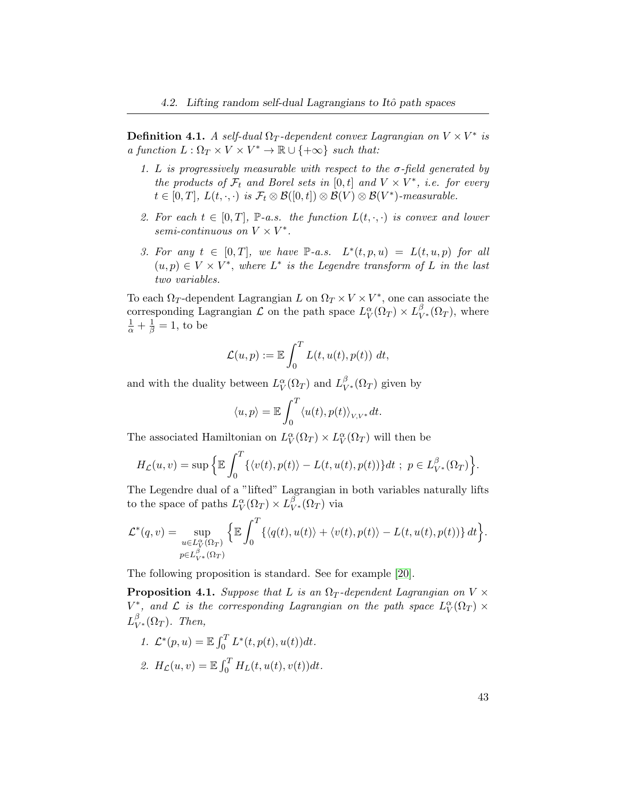**Definition 4.1.** A self-dual  $\Omega_T$ -dependent convex Lagrangian on  $V \times V^*$  is a function  $L : \Omega_T \times V \times V^* \to \mathbb{R} \cup \{+\infty\}$  such that:

- 1. L is progressively measurable with respect to the  $\sigma$ -field generated by the products of  $\mathcal{F}_t$  and Borel sets in  $[0,t]$  and  $V \times V^*$ , i.e. for every  $t \in [0, T], L(t, \cdot, \cdot)$  is  $\mathcal{F}_t \otimes \mathcal{B}([0, t]) \otimes \mathcal{B}(V) \otimes \mathcal{B}(V^*)$ -measurable.
- 2. For each  $t \in [0, T]$ , P-a.s. the function  $L(t, \cdot, \cdot)$  is convex and lower semi-continuous on  $V \times V^*$ .
- 3. For any  $t \in [0,T]$ , we have P-a.s.  $L^*(t,p,u) = L(t,u,p)$  for all  $(u, p) \in V \times V^*$ , where  $L^*$  is the Legendre transform of L in the last two variables.

To each  $\Omega_T$ -dependent Lagrangian L on  $\Omega_T \times V \times V^*$ , one can associate the corresponding Lagrangian  $\mathcal L$  on the path space  $L_V^{\alpha}(\Omega_T) \times L_{V^*}^{\beta}(\Omega_T)$ , where  $\frac{1}{\alpha} + \frac{1}{\beta} = 1$ , to be

$$
\mathcal{L}(u,p) := \mathbb{E} \int_0^T L(t, u(t), p(t)) dt,
$$

and with the duality between  $L_V^{\alpha}(\Omega_T)$  and  $L_{V^*}^{\beta}(\Omega_T)$  given by

$$
\langle u, p \rangle = \mathbb{E} \int_0^T \langle u(t), p(t) \rangle_{V, V^*} dt.
$$

The associated Hamiltonian on  $L_V^{\alpha}(\Omega_T) \times L_V^{\alpha}(\Omega_T)$  will then be

$$
H_{\mathcal{L}}(u,v)=\sup \Big\{\mathbb{E}\int_0^T \{\langle v(t),p(t)\rangle-L(t,u(t),p(t))\}dt\ ;\ p\in L_{V^*}^{\beta}(\Omega_T)\Big\}.
$$

The Legendre dual of a "lifted" Lagrangian in both variables naturally lifts to the space of paths  $L_V^{\alpha}(\Omega_T) \times L_{V^*}^{\beta}(\Omega_T)$  via

$$
\mathcal{L}^*(q, v) = \sup_{\substack{u \in L_V^{\alpha}(\Omega_T) \\ p \in L_{V^*}^{\beta}(\Omega_T)}} \left\{ \mathbb{E} \int_0^T \{ \langle q(t), u(t) \rangle + \langle v(t), p(t) \rangle - L(t, u(t), p(t)) \} dt \right\}.
$$

The following proposition is standard. See for example [\[20\]](#page-101-1).

<span id="page-50-0"></span>**Proposition 4.1.** Suppose that L is an  $\Omega_T$ -dependent Lagrangian on V  $\times$  $V^*$ , and  $\mathcal L$  is the corresponding Lagrangian on the path space  $L_V^{\alpha}(\Omega_T) \times$  $L_{V^*}^{\beta}(\Omega_T)$ . Then,

1.  $\mathcal{L}^*(p, u) = \mathbb{E} \int_0^T L^*(t, p(t), u(t)) dt$ . 2.  $H_{\mathcal{L}}(u, v) = \mathbb{E} \int_0^T H_L(t, u(t), v(t)) dt$ .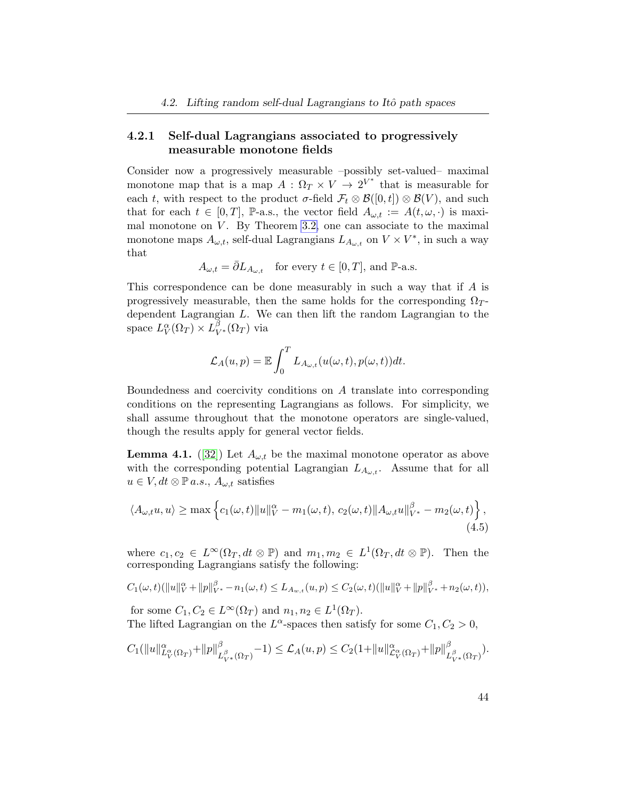### <span id="page-51-0"></span>4.2.1 Self-dual Lagrangians associated to progressively measurable monotone fields

Consider now a progressively measurable –possibly set-valued– maximal monotone map that is a map  $A: \Omega_T \times V \to 2^{V^*}$  that is measurable for each t, with respect to the product  $\sigma$ -field  $\mathcal{F}_t \otimes \mathcal{B}([0,t]) \otimes \mathcal{B}(V)$ , and such that for each  $t \in [0, T]$ , P-a.s., the vector field  $A_{\omega,t} := A(t, \omega, \cdot)$  is maximal monotone on  $V$ . By Theorem [3.2,](#page-36-1) one can associate to the maximal monotone maps  $A_{\omega,t}$ , self-dual Lagrangians  $L_{A_{\omega,t}}$  on  $V \times V^*$ , in such a way that

$$
A_{\omega,t} = \overline{\partial} L_{A_{\omega,t}} \quad \text{for every } t \in [0,T], \text{ and } \mathbb{P}\text{-a.s.}
$$

This correspondence can be done measurably in such a way that if A is progressively measurable, then the same holds for the corresponding  $\Omega_T$ dependent Lagrangian L. We can then lift the random Lagrangian to the space  $L_V^{\alpha}(\Omega_T) \times L_{V^*}^{\beta}(\Omega_T)$  via

$$
\mathcal{L}_A(u,p) = \mathbb{E} \int_0^T L_{A_{\omega,t}}(u(\omega,t),p(\omega,t))dt.
$$

Boundedness and coercivity conditions on A translate into corresponding conditions on the representing Lagrangians as follows. For simplicity, we shall assume throughout that the monotone operators are single-valued, though the results apply for general vector fields.

**Lemma 4.1.** ([\[32\]](#page-102-3)) Let  $A_{\omega,t}$  be the maximal monotone operator as above with the corresponding potential Lagrangian  $L_{A_{\omega,t}}$ . Assume that for all  $u \in V, dt \otimes \mathbb{P} a.s., A_{\omega,t}$  satisfies

$$
\langle A_{\omega,t}u, u \rangle \ge \max \left\{ c_1(\omega, t) \|u\|_V^{\alpha} - m_1(\omega, t), c_2(\omega, t) \|A_{\omega,t}u\|_{V^*}^{\beta} - m_2(\omega, t) \right\},\tag{4.5}
$$

where  $c_1, c_2 \in L^{\infty}(\Omega_T, dt \otimes \mathbb{P})$  and  $m_1, m_2 \in L^1(\Omega_T, dt \otimes \mathbb{P})$ . Then the corresponding Lagrangians satisfy the following:

$$
C_1(\omega, t)(\|u\|_{V}^{\alpha} + \|p\|_{V^*}^{\beta} - n_1(\omega, t) \le L_{A_{w,t}}(u, p) \le C_2(\omega, t)(\|u\|_{V}^{\alpha} + \|p\|_{V^*}^{\beta} + n_2(\omega, t)),
$$

for some  $C_1, C_2 \in L^{\infty}(\Omega_T)$  and  $n_1, n_2 \in L^1(\Omega_T)$ . The lifted Lagrangian on the  $L^{\alpha}$ -spaces then satisfy for some  $C_1, C_2 > 0$ ,

$$
C_1(||u||_{L_V^{\alpha}(\Omega_T)}^{\alpha} + ||p||_{L_{V^*}^{\beta}(\Omega_T)}^{\beta} - 1) \leq \mathcal{L}_A(u, p) \leq C_2(1 + ||u||_{\mathcal{L}_V^{\alpha}(\Omega_T)}^{\alpha} + ||p||_{L_{V^*}^{\beta}(\Omega_T)}^{\beta}).
$$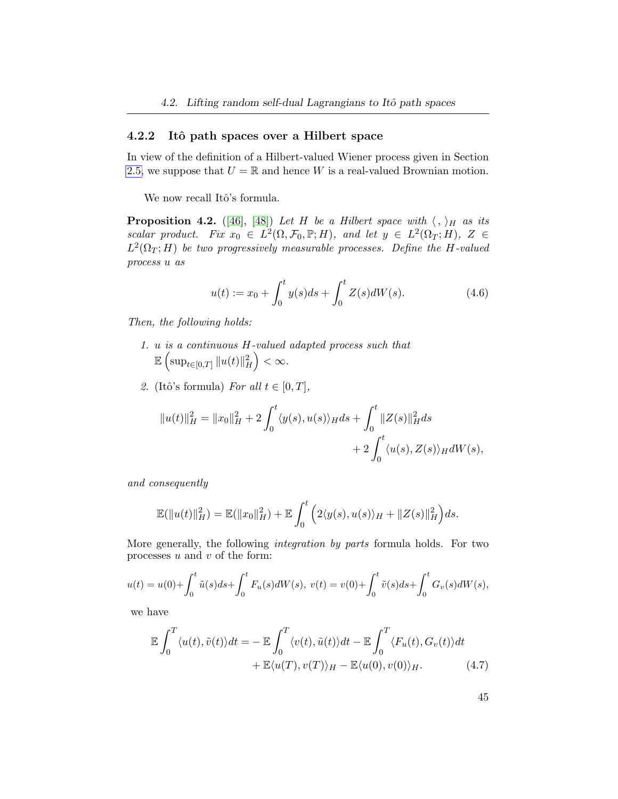### 4.2.2 Itô path spaces over a Hilbert space

In view of the definition of a Hilbert-valued Wiener process given in Section [2.5,](#page-21-0) we suppose that  $U = \mathbb{R}$  and hence W is a real-valued Brownian motion.

We now recall Itô's formula.

**Proposition 4.2.** ([\[46\]](#page-103-0), [\[48\]](#page-103-1)) Let H be a Hilbert space with  $\langle , \rangle_H$  as its scalar product. Fix  $x_0 \in L^2(\Omega, \mathcal{F}_0, \mathbb{P}; H)$ , and let  $y \in L^2(\Omega_T; H)$ ,  $Z \in$  $L^2(\Omega_T; H)$  be two progressively measurable processes. Define the H-valued process u as

$$
u(t) := x_0 + \int_0^t y(s)ds + \int_0^t Z(s)dW(s).
$$
 (4.6)

Then, the following holds:

- 1. u is a continuous H-valued adapted process such that  $\mathbb{E}\left(\sup_{t\in[0,T]}\|u(t)\|_{H}^2\right)<\infty.$
- 2. (Itô's formula) For all  $t \in [0, T]$ ,

$$
||u(t)||_H^2 = ||x_0||_H^2 + 2 \int_0^t \langle y(s), u(s) \rangle_H ds + \int_0^t ||Z(s)||_H^2 ds
$$
  
+ 
$$
2 \int_0^t \langle u(s), Z(s) \rangle_H dW(s),
$$

and consequently

$$
\mathbb{E}(\|u(t)\|_H^2) = \mathbb{E}(\|x_0\|_H^2) + \mathbb{E}\int_0^t \left(2\langle y(s), u(s)\rangle_H + \|Z(s)\|_H^2\right)ds.
$$

More generally, the following integration by parts formula holds. For two processes  $u$  and  $v$  of the form:

$$
u(t) = u(0) + \int_0^t \tilde{u}(s)ds + \int_0^t F_u(s)dW(s), \ v(t) = v(0) + \int_0^t \tilde{v}(s)ds + \int_0^t G_v(s)dW(s),
$$

we have

$$
\mathbb{E} \int_0^T \langle u(t), \tilde{v}(t) \rangle dt = - \mathbb{E} \int_0^T \langle v(t), \tilde{u}(t) \rangle dt - \mathbb{E} \int_0^T \langle F_u(t), G_v(t) \rangle dt + \mathbb{E} \langle u(T), v(T) \rangle_H - \mathbb{E} \langle u(0), v(0) \rangle_H.
$$
 (4.7)

<span id="page-52-0"></span>45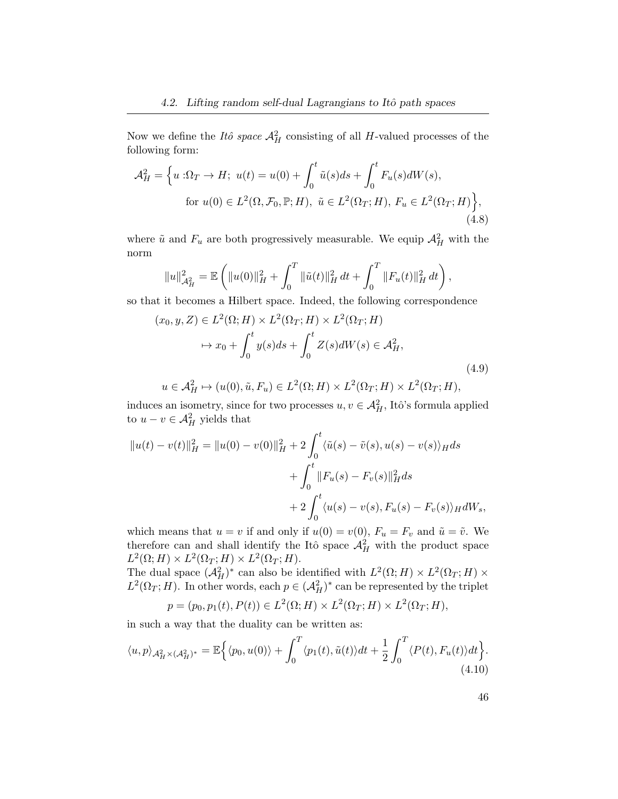Now we define the *Itô space*  $\mathcal{A}_{H}^{2}$  consisting of all *H*-valued processes of the following form:

$$
\mathcal{A}_{H}^{2} = \left\{ u : \Omega_{T} \to H; \ u(t) = u(0) + \int_{0}^{t} \tilde{u}(s)ds + \int_{0}^{t} F_{u}(s)dW(s), \right\}
$$
  
for  $u(0) \in L^{2}(\Omega, \mathcal{F}_{0}, \mathbb{P}; H), \ \tilde{u} \in L^{2}(\Omega_{T}; H), \ F_{u} \in L^{2}(\Omega_{T}; H) \right\},$   
(4.8)

where  $\tilde{u}$  and  $F_u$  are both progressively measurable. We equip  $\mathcal{A}_H^2$  with the norm

$$
||u||_{\mathcal{A}_H^2}^2 = \mathbb{E}\left(||u(0)||_H^2 + \int_0^T ||\tilde{u}(t)||_H^2 dt + \int_0^T ||F_u(t)||_H^2 dt\right),
$$

so that it becomes a Hilbert space. Indeed, the following correspondence

$$
(x_0, y, Z) \in L^2(\Omega; H) \times L^2(\Omega_T; H) \times L^2(\Omega_T; H)
$$
  

$$
\mapsto x_0 + \int_0^t y(s)ds + \int_0^t Z(s)dW(s) \in \mathcal{A}_H^2,
$$
  
(4.9)

$$
u \in \mathcal{A}^2_H \mapsto (u(0), \tilde{u}, F_u) \in L^2(\Omega; H) \times L^2(\Omega_T; H) \times L^2(\Omega_T; H),
$$

induces an isometry, since for two processes  $u, v \in \mathcal{A}_{H}^{2}$ , Itô's formula applied to  $u - v \in \mathcal{A}^2_H$  yields that

$$
||u(t) - v(t)||_H^2 = ||u(0) - v(0)||_H^2 + 2 \int_0^t \langle \tilde{u}(s) - \tilde{v}(s), u(s) - v(s) \rangle_H ds
$$
  
+ 
$$
\int_0^t ||F_u(s) - F_v(s)||_H^2 ds
$$
  
+ 
$$
2 \int_0^t \langle u(s) - v(s), F_u(s) - F_v(s) \rangle_H dW_s,
$$

which means that  $u = v$  if and only if  $u(0) = v(0)$ ,  $F_u = F_v$  and  $\tilde{u} = \tilde{v}$ . We therefore can and shall identify the Itô space  $\mathcal{A}_{H}^{2}$  with the product space  $L^2(\Omega; H) \times L^2(\Omega_T; H) \times L^2(\Omega_T; H).$ 

The dual space  $(\mathcal{A}_{H}^{2})^*$  can also be identified with  $L^{2}(\Omega; H) \times L^{2}(\Omega_{T}; H) \times$  $L^2(\Omega_T; H)$ . In other words, each  $p \in (A_H^2)^*$  can be represented by the triplet

$$
p = (p_0, p_1(t), P(t)) \in L^2(\Omega; H) \times L^2(\Omega_T; H) \times L^2(\Omega_T; H),
$$

in such a way that the duality can be written as:

$$
\langle u, p \rangle_{\mathcal{A}^2_H \times (\mathcal{A}^2_H)^*} = \mathbb{E} \Big\{ \langle p_0, u(0) \rangle + \int_0^T \langle p_1(t), \tilde{u}(t) \rangle dt + \frac{1}{2} \int_0^T \langle P(t), F_u(t) \rangle dt \Big\}. \tag{4.10}
$$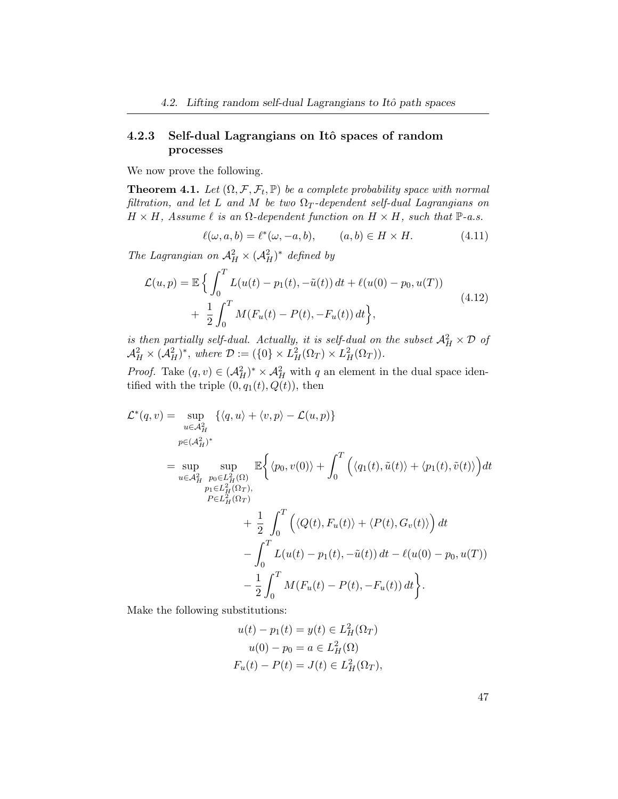### 4.2.3 Self-dual Lagrangians on Itô spaces of random processes

We now prove the following.

<span id="page-54-0"></span>**Theorem 4.1.** Let  $(\Omega, \mathcal{F}, \mathcal{F}_t, \mathbb{P})$  be a complete probability space with normal filtration, and let L and M be two  $\Omega_T$ -dependent self-dual Lagrangians on  $H \times H$ , Assume  $\ell$  is an  $\Omega$ -dependent function on  $H \times H$ , such that  $\mathbb{P}\text{-}a.s$ .

<span id="page-54-1"></span>
$$
\ell(\omega, a, b) = \ell^*(\omega, -a, b), \qquad (a, b) \in H \times H. \tag{4.11}
$$

The Lagrangian on  $\mathcal{A}_{H}^2 \times (\mathcal{A}_{H}^2)^*$  defined by

$$
\mathcal{L}(u, p) = \mathbb{E} \left\{ \int_0^T L(u(t) - p_1(t), -\tilde{u}(t)) dt + \ell(u(0) - p_0, u(T)) + \frac{1}{2} \int_0^T M(F_u(t) - P(t), -F_u(t)) dt \right\},
$$
\n(4.12)

is then partially self-dual. Actually, it is self-dual on the subset  $\mathcal{A}_{H}^{2} \times \mathcal{D}$  of  $\mathcal{A}_{H}^{2} \times (\mathcal{A}_{H}^{2})^{*}$ , where  $\mathcal{D} := (\{0\} \times L_{H}^{2}(\Omega_{T}) \times L_{H}^{2}(\Omega_{T}))$ .

*Proof.* Take  $(q, v) \in (\mathcal{A}_{H}^{2})^{*} \times \mathcal{A}_{H}^{2}$  with q an element in the dual space identified with the triple  $(0, q_1(t), Q(t))$ , then

$$
\mathcal{L}^*(q, v) = \sup_{u \in \mathcal{A}_H^2} \{ \langle q, u \rangle + \langle v, p \rangle - \mathcal{L}(u, p) \}
$$
  
\n
$$
= \sup_{u \in \mathcal{A}_H^2} \sup_{p_0 \in L_H^2(\Omega)} \mathbb{E} \left\{ \langle p_0, v(0) \rangle + \int_0^T \left( \langle q_1(t), \tilde{u}(t) \rangle + \langle p_1(t), \tilde{v}(t) \rangle \right) dt \right\}
$$
  
\n
$$
= \sup_{p_1 \in L_H^2(\Omega_T), p_2 \in L_H^2(\Omega_T)} \mathbb{E} \left\{ \langle p_0, v(0) \rangle + \int_0^T \left( \langle q_1(t), \tilde{u}(t) \rangle + \langle p_1(t), \tilde{v}(t) \rangle \right) dt \right\}
$$
  
\n
$$
+ \frac{1}{2} \int_0^T \left( \langle Q(t), F_u(t) \rangle + \langle P(t), G_v(t) \rangle \right) dt
$$
  
\n
$$
- \int_0^T L(u(t) - p_1(t), -\tilde{u}(t)) dt - \ell(u(0) - p_0, u(T))
$$
  
\n
$$
- \frac{1}{2} \int_0^T M(F_u(t) - P(t), -F_u(t)) dt \right\}.
$$

Make the following substitutions:

$$
u(t) - p_1(t) = y(t) \in L_H^2(\Omega_T)
$$
  

$$
u(0) - p_0 = a \in L_H^2(\Omega)
$$
  

$$
F_u(t) - P(t) = J(t) \in L_H^2(\Omega_T),
$$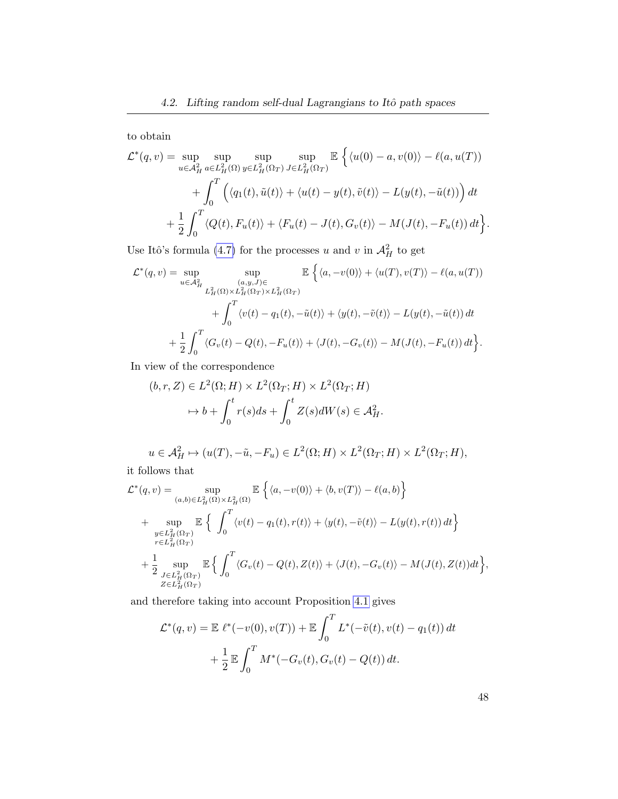to obtain

$$
\mathcal{L}^*(q, v) = \sup_{u \in \mathcal{A}^2_H} \sup_{a \in L^2_H(\Omega)} \sup_{y \in L^2_H(\Omega_T)} \sup_{J \in L^2_H(\Omega_T)} \mathbb{E} \left\{ \langle u(0) - a, v(0) \rangle - \ell(a, u(T)) \right\}
$$

$$
+ \int_0^T \left( \langle q_1(t), \tilde{u}(t) \rangle + \langle u(t) - y(t), \tilde{v}(t) \rangle - L(y(t), -\tilde{u}(t)) \right) dt
$$

$$
+ \frac{1}{2} \int_0^T \langle Q(t), F_u(t) \rangle + \langle F_u(t) - J(t), G_v(t) \rangle - M(J(t), -F_u(t)) dt \right\}
$$

Use Itô's formula [\(4.7\)](#page-52-0) for the processes u and v in  $\mathcal{A}^2_H$  to get

$$
\mathcal{L}^*(q, v) = \sup_{u \in \mathcal{A}^2_H} \sup_{\substack{(a, y, J) \in \\ L^2_H(\Omega) \times L^2_H(\Omega_T) \times L^2_H(\Omega_T)}} \mathbb{E}\left\{\langle a, -v(0) \rangle + \langle u(T), v(T) \rangle - \ell(a, u(T))\right\}
$$

$$
+ \int_0^T \langle v(t) - q_1(t), -\tilde{u}(t) \rangle + \langle y(t), -\tilde{v}(t) \rangle - L(y(t), -\tilde{u}(t)) dt
$$

$$
+ \frac{1}{2} \int_0^T \langle G_v(t) - Q(t), -F_u(t) \rangle + \langle J(t), -G_v(t) \rangle - M(J(t), -F_u(t)) dt\right\}.
$$

In view of the correspondence

$$
(b, r, Z) \in L^{2}(\Omega; H) \times L^{2}(\Omega_{T}; H) \times L^{2}(\Omega_{T}; H)
$$

$$
\mapsto b + \int_{0}^{t} r(s)ds + \int_{0}^{t} Z(s)dW(s) \in \mathcal{A}_{H}^{2}.
$$

$$
u \in \mathcal{A}^2_H \mapsto (u(T), -\tilde{u}, -F_u) \in L^2(\Omega; H) \times L^2(\Omega_T; H) \times L^2(\Omega_T; H),
$$

it follows that

$$
\mathcal{L}^*(q, v) = \sup_{(a,b)\in L_H^2(\Omega)\times L_H^2(\Omega)} \mathbb{E}\left\{\langle a, -v(0)\rangle + \langle b, v(T)\rangle - \ell(a,b)\right\}
$$
  
+ 
$$
\sup_{\substack{y\in L_H^2(\Omega_T)\\r\in L_H^2(\Omega_T)}} \mathbb{E}\left\{\int_0^T \langle v(t) - q_1(t), r(t)\rangle + \langle y(t), -\tilde{v}(t)\rangle - L(y(t), r(t)) dt\right\}
$$
  
+ 
$$
\frac{1}{2} \sup_{\substack{J\in L_H^2(\Omega_T)\\Z\in L_H^2(\Omega_T)}} \mathbb{E}\left\{\int_0^T \langle G_v(t) - Q(t), Z(t)\rangle + \langle J(t), -G_v(t)\rangle - M(J(t), Z(t)) dt\right\},
$$

and therefore taking into account Proposition [4.1](#page-50-0) gives

$$
\mathcal{L}^*(q, v) = \mathbb{E} \ \ell^*(-v(0), v(T)) + \mathbb{E} \int_0^T L^*(-\tilde{v}(t), v(t) - q_1(t)) dt + \frac{1}{2} \mathbb{E} \int_0^T M^*(-G_v(t), G_v(t) - Q(t)) dt.
$$

48

.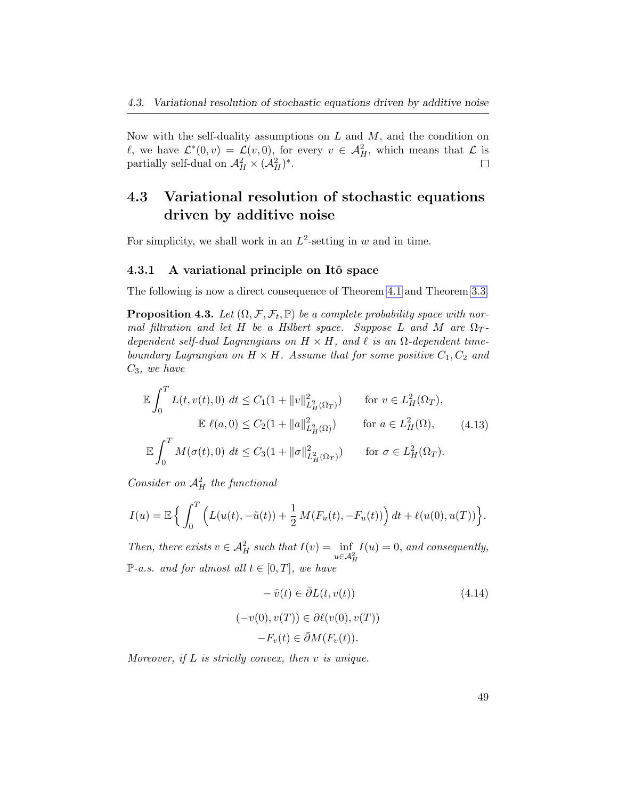Now with the self-duality assumptions on  $L$  and  $M$ , and the condition on  $\ell$ , we have  $\mathcal{L}^*(0, v) = \mathcal{L}(v, 0)$ , for every  $v \in \mathcal{A}_H^2$ , which means that  $\mathcal{L}$  is partially self-dual on  $\mathcal{A}_{H}^{2} \times (\mathcal{A}_{H}^{2})^*$ .  $\Box$ 

### <span id="page-56-0"></span>4.3 Variational resolution of stochastic equations driven by additive noise

For simplicity, we shall work in an  $L^2$ -setting in w and in time.

### 4.3.1 A variational principle on Itô space

The following is now a direct consequence of Theorem [4.1](#page-54-0) and Theorem [3.3.](#page-40-1)

<span id="page-56-3"></span>**Proposition 4.3.** Let  $(\Omega, \mathcal{F}, \mathcal{F}_t, \mathbb{P})$  be a complete probability space with normal filtration and let H be a Hilbert space. Suppose L and M are  $\Omega_T$ dependent self-dual Lagrangians on  $H \times H$ , and  $\ell$  is an  $\Omega$ -dependent timeboundary Lagrangian on  $H \times H$ . Assume that for some positive  $C_1, C_2$  and  $C_3$ , we have

$$
\mathbb{E} \int_0^T L(t, v(t), 0) \, dt \le C_1 (1 + \|v\|_{L_H^2(\Omega_T)}^2) \qquad \text{for } v \in L_H^2(\Omega_T),
$$
\n
$$
\mathbb{E} \ell(a, 0) \le C_2 (1 + \|a\|_{L_H^2(\Omega)}^2) \qquad \text{for } a \in L_H^2(\Omega), \tag{4.13}
$$
\n
$$
\mathbb{E} \int_0^T M(\sigma(t), 0) \, dt \le C_3 (1 + \|\sigma\|_{L_H^2(\Omega_T)}^2) \qquad \text{for } \sigma \in L_H^2(\Omega_T).
$$

Consider on  $\mathcal{A}^2_H$  the functional

$$
I(u) = \mathbb{E}\left\{\int_0^T \left(L(u(t), -\tilde{u}(t)) + \frac{1}{2} M(F_u(t), -F_u(t))\right) dt + \ell(u(0), u(T))\right\}.
$$

Then, there exists  $v \in \mathcal{A}^2_H$  such that  $I(v) = \inf_{u \in \mathcal{A}^2_H}$  $I(u) = 0$ , and consequently,  $\mathbb{P}\text{-}a.s.$  and for almost all  $t \in [0,T]$ , we have

<span id="page-56-2"></span><span id="page-56-1"></span>
$$
- \tilde{v}(t) \in \bar{\partial}L(t, v(t))
$$
\n
$$
(-v(0), v(T)) \in \partial \ell(v(0), v(T))
$$
\n
$$
-F_v(t) \in \bar{\partial}M(F_v(t)).
$$
\n(4.14)

Moreover, if  $L$  is strictly convex, then  $v$  is unique.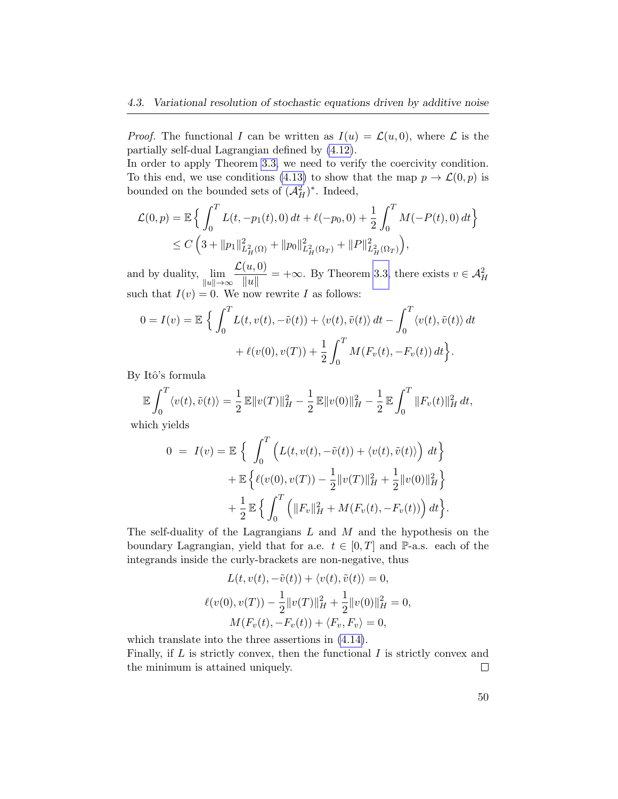*Proof.* The functional I can be written as  $I(u) = \mathcal{L}(u, 0)$ , where  $\mathcal L$  is the partially self-dual Lagrangian defined by [\(4.12\)](#page-54-1).

In order to apply Theorem [3.3,](#page-40-1) we need to verify the coercivity condition. To this end, we use conditions [\(4.13\)](#page-56-1) to show that the map  $p \to \mathcal{L}(0,p)$  is bounded on the bounded sets of  $(\mathcal{A}_{H}^{2})^*$ . Indeed,

$$
\mathcal{L}(0, p) = \mathbb{E}\left\{\int_0^T L(t, -p_1(t), 0) dt + \ell(-p_0, 0) + \frac{1}{2} \int_0^T M(-P(t), 0) dt\right\}
$$
  
 
$$
\leq C\left(3 + \|p_1\|_{L^2_H(\Omega)}^2 + \|p_0\|_{L^2_H(\Omega_T)}^2 + \|P\|_{L^2_H(\Omega_T)}^2\right),
$$

and by duality,  $\lim_{\|u\| \to \infty}$  $\mathcal{L}(u,0)$  $\frac{d(u, v)}{\Vert u \Vert}$  =  $+\infty$ . By Theorem [3.3,](#page-40-1) there exists  $v \in \mathcal{A}^2_H$ such that  $I(v) = 0$ . We now rewrite I as follows:

$$
0 = I(v) = \mathbb{E} \left\{ \int_0^T L(t, v(t), -\tilde{v}(t)) + \langle v(t), \tilde{v}(t) \rangle dt - \int_0^T \langle v(t), \tilde{v}(t) \rangle dt \right\}
$$

$$
+ \ell(v(0), v(T)) + \frac{1}{2} \int_0^T M(F_v(t), -F_v(t)) dt \right\}.
$$

By Itô's formula

$$
\mathbb{E}\int_0^T \langle v(t), \tilde{v}(t) \rangle = \frac{1}{2} \mathbb{E} \|v(T)\|_H^2 - \frac{1}{2} \mathbb{E} \|v(0)\|_H^2 - \frac{1}{2} \mathbb{E} \int_0^T \|F_v(t)\|_H^2 dt,
$$

which yields

$$
0 = I(v) = \mathbb{E} \left\{ \int_0^T \left( L(t, v(t), -\tilde{v}(t)) + \langle v(t), \tilde{v}(t) \rangle \right) dt \right\} + \mathbb{E} \left\{ \ell(v(0), v(T)) - \frac{1}{2} ||v(T)||_H^2 + \frac{1}{2} ||v(0)||_H^2 \right\} + \frac{1}{2} \mathbb{E} \left\{ \int_0^T \left( ||F_v||_H^2 + M(F_v(t), -F_v(t)) \right) dt \right\}.
$$

The self-duality of the Lagrangians  $L$  and  $M$  and the hypothesis on the boundary Lagrangian, yield that for a.e.  $t \in [0, T]$  and P-a.s. each of the integrands inside the curly-brackets are non-negative, thus

$$
L(t, v(t), -\tilde{v}(t)) + \langle v(t), \tilde{v}(t) \rangle = 0,
$$
  

$$
\ell(v(0), v(T)) - \frac{1}{2} ||v(T)||_H^2 + \frac{1}{2} ||v(0)||_H^2 = 0,
$$
  

$$
M(F_v(t), -F_v(t)) + \langle F_v, F_v \rangle = 0,
$$

which translate into the three assertions in [\(4.14\)](#page-56-2).

Finally, if  $L$  is strictly convex, then the functional  $I$  is strictly convex and the minimum is attained uniquely.  $\Box$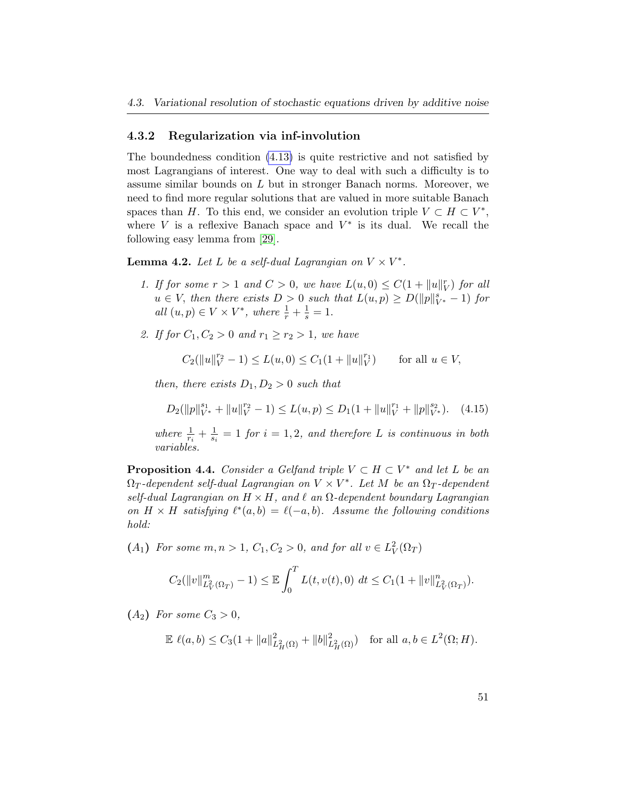### 4.3.2 Regularization via inf-involution

The boundedness condition [\(4.13\)](#page-56-1) is quite restrictive and not satisfied by most Lagrangians of interest. One way to deal with such a difficulty is to assume similar bounds on L but in stronger Banach norms. Moreover, we need to find more regular solutions that are valued in more suitable Banach spaces than H. To this end, we consider an evolution triple  $V \subset H \subset V^*$ , where  $V$  is a reflexive Banach space and  $V^*$  is its dual. We recall the following easy lemma from [\[29\]](#page-102-1).

<span id="page-58-0"></span>**Lemma 4.2.** Let L be a self-dual Lagrangian on  $V \times V^*$ .

- 1. If for some  $r > 1$  and  $C > 0$ , we have  $L(u, 0) \leq C(1 + ||u||_V^r)$  for all  $u \in V$ , then there exists  $D > 0$  such that  $L(u, p) \ge D(||p||_{V^*}^s - 1)$  for all  $(u, p) \in V \times V^*$ , where  $\frac{1}{r} + \frac{1}{s} = 1$ .
- 2. If for  $C_1, C_2 > 0$  and  $r_1 \ge r_2 > 1$ , we have

$$
C_2(||u||_V^{r_2} - 1) \le L(u, 0) \le C_1(1 + ||u||_V^{r_1}) \quad \text{for all } u \in V,
$$

then, there exists  $D_1, D_2 > 0$  such that

$$
D_2(||p||_{V^*}^{s_1} + ||u||_V^{r_2} - 1) \le L(u, p) \le D_1(1 + ||u||_V^{r_1} + ||p||_{V^*}^{s_2}). \tag{4.15}
$$

where  $\frac{1}{r_i} + \frac{1}{s_i}$  $\frac{1}{s_i} = 1$  for  $i = 1, 2$ , and therefore L is continuous in both variables.

<span id="page-58-1"></span>**Proposition 4.4.** Consider a Gelfand triple  $V \subset H \subset V^*$  and let L be an  $\Omega_T$ -dependent self-dual Lagrangian on  $V \times V^*$ . Let M be an  $\Omega_T$ -dependent self-dual Lagrangian on  $H \times H$ , and  $\ell$  an  $\Omega$ -dependent boundary Lagrangian on  $H \times H$  satisfying  $\ell^*(a, b) = \ell(-a, b)$ . Assume the following conditions hold:

(A<sub>1</sub>) For some  $m, n > 1$ ,  $C_1, C_2 > 0$ , and for all  $v \in L^2_V(\Omega_T)$ 

$$
C_2(||v||_{L^2_V(\Omega_T)}^m - 1) \leq \mathbb{E} \int_0^T L(t, v(t), 0) dt \leq C_1 (1 + ||v||_{L^2_V(\Omega_T)}^m).
$$

 $(A_2)$  For some  $C_3 > 0$ ,

$$
\mathbb{E} \ \ell(a,b) \le C_3(1 + \|a\|_{L^2_H(\Omega)}^2 + \|b\|_{L^2_H(\Omega)}^2) \quad \text{for all } a,b \in L^2(\Omega;H).
$$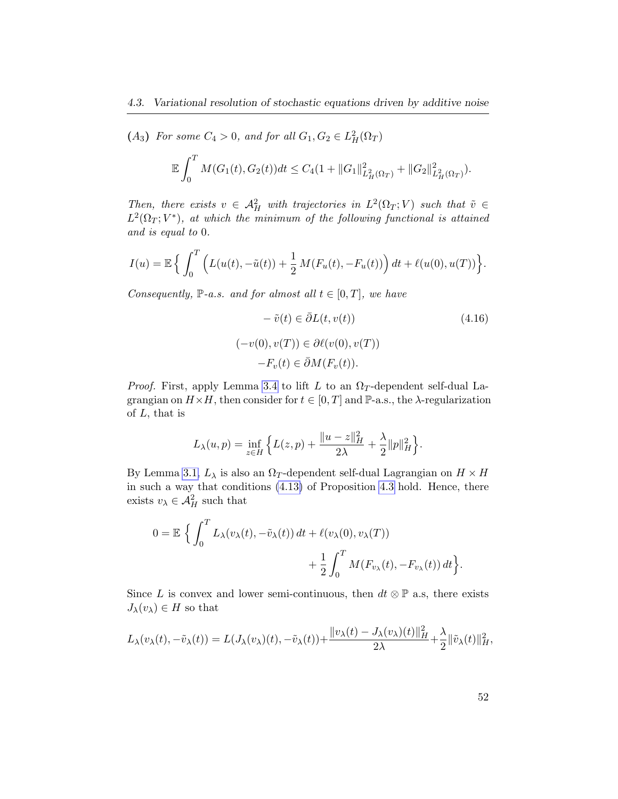(A<sub>3</sub>) For some  $C_4 > 0$ , and for all  $G_1, G_2 \in L^2_H(\Omega_T)$ 

$$
\mathbb{E}\int_0^T M(G_1(t), G_2(t))dt \leq C_4(1 + ||G_1||^2_{L^2_H(\Omega_T)} + ||G_2||^2_{L^2_H(\Omega_T)}).
$$

Then, there exists  $v \in \mathcal{A}_{H}^2$  with trajectories in  $L^2(\Omega_T; V)$  such that  $\tilde{v} \in$  $L^2(\Omega_T;V^*)$ , at which the minimum of the following functional is attained and is equal to 0.

$$
I(u) = \mathbb{E}\left\{\int_0^T \left(L(u(t), -\tilde{u}(t)) + \frac{1}{2} M(F_u(t), -F_u(t))\right) dt + \ell(u(0), u(T))\right\}.
$$

Consequently,  $\mathbb{P}\text{-}a.s.$  and for almost all  $t \in [0,T]$ , we have

$$
-\tilde{v}(t) \in \bar{\partial}L(t, v(t))
$$
\n
$$
(-v(0), v(T)) \in \partial \ell(v(0), v(T))
$$
\n
$$
-F_v(t) \in \bar{\partial}M(F_v(t)).
$$
\n(4.16)

*Proof.* First, apply Lemma [3.4](#page-38-1) to lift L to an  $\Omega_T$ -dependent self-dual Lagrangian on  $H \times H$ , then consider for  $t \in [0, T]$  and  $\mathbb{P}\text{-a.s.,}$  the  $\lambda$ -regularization of  $L$ , that is

$$
L_{\lambda}(u, p) = \inf_{z \in H} \left\{ L(z, p) + \frac{\|u - z\|_{H}^{2}}{2\lambda} + \frac{\lambda}{2} \|p\|_{H}^{2} \right\}.
$$

By Lemma [3.1,](#page-33-0)  $L_\lambda$  is also an  $\Omega_T\text{-dependent self-dual Lagrangian on }H\times H$ in such a way that conditions [\(4.13\)](#page-56-1) of Proposition [4.3](#page-56-3) hold. Hence, there exists  $v_{\lambda} \in \mathcal{A}_{H}^{2}$  such that

$$
0 = \mathbb{E} \left\{ \int_0^T L_{\lambda}(v_{\lambda}(t), -\tilde{v}_{\lambda}(t)) dt + \ell(v_{\lambda}(0), v_{\lambda}(T)) + \frac{1}{2} \int_0^T M(F_{v_{\lambda}}(t), -F_{v_{\lambda}}(t)) dt \right\}
$$

Since L is convex and lower semi-continuous, then  $dt \otimes \mathbb{P}$  a.s, there exists  $J_{\lambda}(v_{\lambda}) \in H$  so that

$$
L_{\lambda}(v_{\lambda}(t),-\tilde{v}_{\lambda}(t))=L(J_{\lambda}(v_{\lambda})(t),-\tilde{v}_{\lambda}(t))+\frac{\|v_{\lambda}(t)-J_{\lambda}(v_{\lambda})(t)\|_{H}^{2}}{2\lambda}+\frac{\lambda}{2}\|\tilde{v}_{\lambda}(t)\|_{H}^{2},
$$

.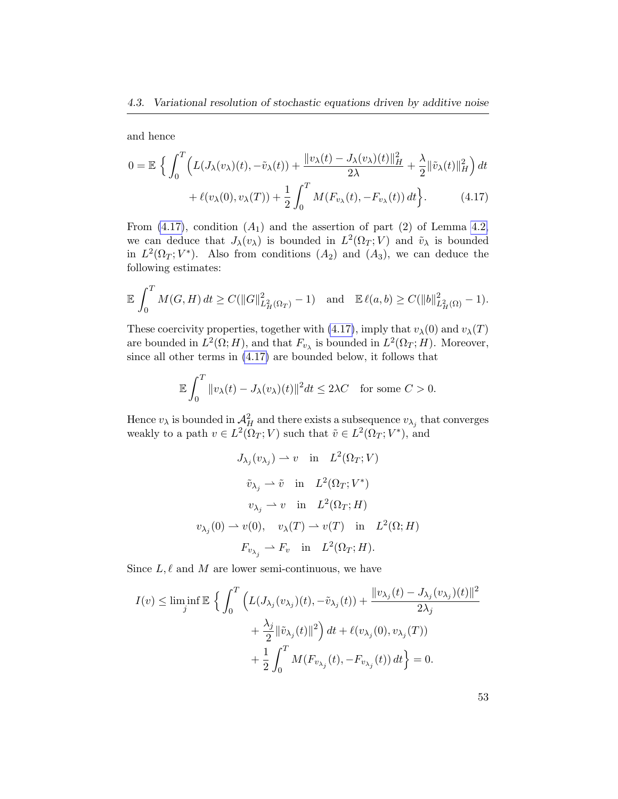and hence

<span id="page-60-0"></span>
$$
0 = \mathbb{E} \left\{ \int_0^T \left( L(J_\lambda(v_\lambda)(t), -\tilde{v}_\lambda(t)) + \frac{\|v_\lambda(t) - J_\lambda(v_\lambda)(t)\|_H^2}{2\lambda} + \frac{\lambda}{2} \|\tilde{v}_\lambda(t)\|_H^2 \right) dt + \ell(v_\lambda(0), v_\lambda(T)) + \frac{1}{2} \int_0^T M(F_{v_\lambda}(t), -F_{v_\lambda}(t)) dt \right\}.
$$
 (4.17)

From  $(4.17)$ , condition  $(A_1)$  and the assertion of part  $(2)$  of Lemma [4.2,](#page-58-0) we can deduce that  $J_{\lambda}(v_{\lambda})$  is bounded in  $L^2(\Omega_T; V)$  and  $\tilde{v}_{\lambda}$  is bounded in  $L^2(\Omega_T; V^*)$ . Also from conditions  $(A_2)$  and  $(A_3)$ , we can deduce the following estimates:

$$
\mathbb{E} \int_0^T M(G, H) dt \ge C(||G||^2_{L^2_H(\Omega_T)} - 1) \text{ and } \mathbb{E} \ell(a, b) \ge C(||b||^2_{L^2_H(\Omega)} - 1).
$$

These coercivity properties, together with [\(4.17\)](#page-60-0), imply that  $v_{\lambda}(0)$  and  $v_{\lambda}(T)$ are bounded in  $L^2(\Omega; H)$ , and that  $F_{v_\lambda}$  is bounded in  $L^2(\Omega_T; H)$ . Moreover, since all other terms in [\(4.17\)](#page-60-0) are bounded below, it follows that

$$
\mathbb{E}\int_0^T \|v_\lambda(t) - J_\lambda(v_\lambda)(t)\|^2 dt \le 2\lambda C \quad \text{for some } C > 0.
$$

Hence  $v_{\lambda}$  is bounded in  $\mathcal{A}_{H}^{2}$  and there exists a subsequence  $v_{\lambda_{j}}$  that converges weakly to a path  $v \in L^2(\Omega_T; V)$  such that  $\tilde{v} \in L^2(\Omega_T; V^*)$ , and

$$
J_{\lambda_j}(v_{\lambda_j}) \rightharpoonup v \quad \text{in} \quad L^2(\Omega_T; V)
$$

$$
\tilde{v}_{\lambda_j} \rightharpoonup \tilde{v} \quad \text{in} \quad L^2(\Omega_T; V^*)
$$

$$
v_{\lambda_j} \rightharpoonup v \quad \text{in} \quad L^2(\Omega_T; H)
$$

$$
v_{\lambda_j}(0) \rightharpoonup v(0), \quad v_{\lambda}(T) \rightharpoonup v(T) \quad \text{in} \quad L^2(\Omega; H)
$$

$$
F_{v_{\lambda_j}} \rightharpoonup F_v \quad \text{in} \quad L^2(\Omega_T; H).
$$

Since  $L, \ell$  and M are lower semi-continuous, we have

$$
\begin{aligned} I(v)\leq \liminf_{j} \mathbb{E}\,\left\{\,\int_0^T \Big(L(J_{\lambda_j}(v_{\lambda_j})(t),-\tilde{v}_{\lambda_j}(t))+\frac{\|v_{\lambda_j}(t)-J_{\lambda_j}(v_{\lambda_j})(t)\|^2}{2\lambda_j} \right.\\ &\qquad \qquad \left.+\,\frac{\lambda_j}{2}\|\tilde{v}_{\lambda_j}(t)\|^2\right)dt + \ell(v_{\lambda_j}(0),v_{\lambda_j}(T))\\ &\qquad \qquad +\,\frac{1}{2}\int_0^T M(F_{v_{\lambda_j}}(t),-F_{v_{\lambda_j}}(t))\,dt\right\}=0. \end{aligned}
$$

53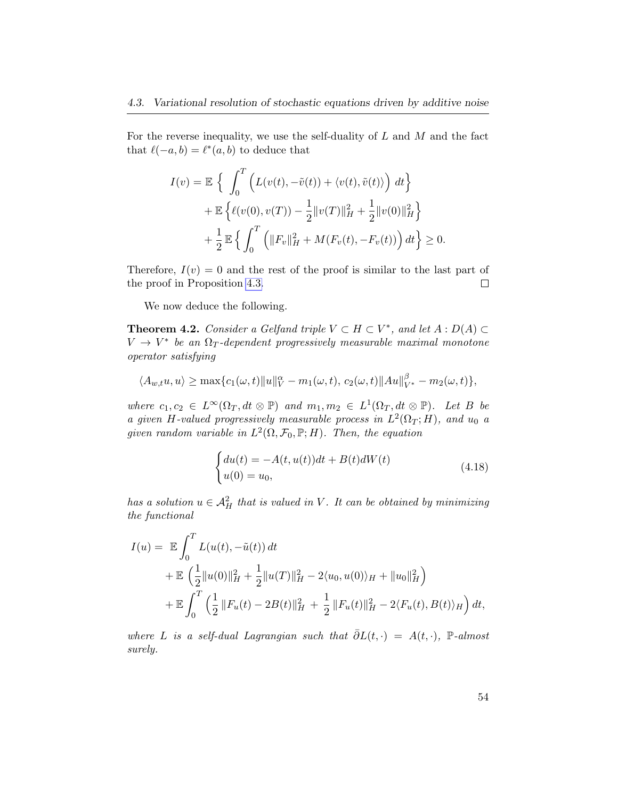For the reverse inequality, we use the self-duality of  $L$  and  $M$  and the fact that  $\ell(-a, b) = \ell^*(a, b)$  to deduce that

$$
I(v) = \mathbb{E} \left\{ \int_0^T \left( L(v(t), -\tilde{v}(t)) + \langle v(t), \tilde{v}(t) \rangle \right) dt \right\} + \mathbb{E} \left\{ \ell(v(0), v(T)) - \frac{1}{2} ||v(T)||_H^2 + \frac{1}{2} ||v(0)||_H^2 \right\} + \frac{1}{2} \mathbb{E} \left\{ \int_0^T \left( ||F_v||_H^2 + M(F_v(t), -F_v(t)) \right) dt \right\} \ge 0.
$$

Therefore,  $I(v) = 0$  and the rest of the proof is similar to the last part of the proof in Proposition [4.3.](#page-56-3)  $\Box$ 

We now deduce the following.

<span id="page-61-0"></span>**Theorem 4.2.** Consider a Gelfand triple  $V \subset H \subset V^*$ , and let  $A : D(A) \subset$  $V \rightarrow V^*$  be an  $\Omega_T$ -dependent progressively measurable maximal monotone operator satisfying

$$
\langle A_{w,t}u, u \rangle \ge \max\{c_1(\omega, t) ||u||_V^{\alpha} - m_1(\omega, t), c_2(\omega, t) ||Au||_{V^*}^{\beta} - m_2(\omega, t)\},\
$$

where  $c_1, c_2 \in L^{\infty}(\Omega_T, dt \otimes \mathbb{P})$  and  $m_1, m_2 \in L^1(\Omega_T, dt \otimes \mathbb{P})$ . Let B be a given H-valued progressively measurable process in  $L^2(\Omega_T; H)$ , and  $u_0$  a given random variable in  $L^2(\Omega, \mathcal{F}_0, \mathbb{P}; H)$ . Then, the equation

$$
\begin{cases} du(t) = -A(t, u(t))dt + B(t)dW(t) \\ u(0) = u_0, \end{cases}
$$
\n(4.18)

has a solution  $u \in \mathcal{A}^2_H$  that is valued in V. It can be obtained by minimizing the functional

$$
I(u) = \mathbb{E} \int_0^T L(u(t), -\tilde{u}(t)) dt
$$
  
+  $\mathbb{E} \left( \frac{1}{2} ||u(0)||_H^2 + \frac{1}{2} ||u(T)||_H^2 - 2\langle u_0, u(0) \rangle_H + ||u_0||_H^2 \right)$   
+  $\mathbb{E} \int_0^T \left( \frac{1}{2} ||F_u(t) - 2B(t)||_H^2 + \frac{1}{2} ||F_u(t)||_H^2 - 2\langle F_u(t), B(t) \rangle_H \right) dt$ ,

where L is a self-dual Lagrangian such that  $\overline{\partial}L(t, \cdot) = A(t, \cdot)$ , P-almost surely.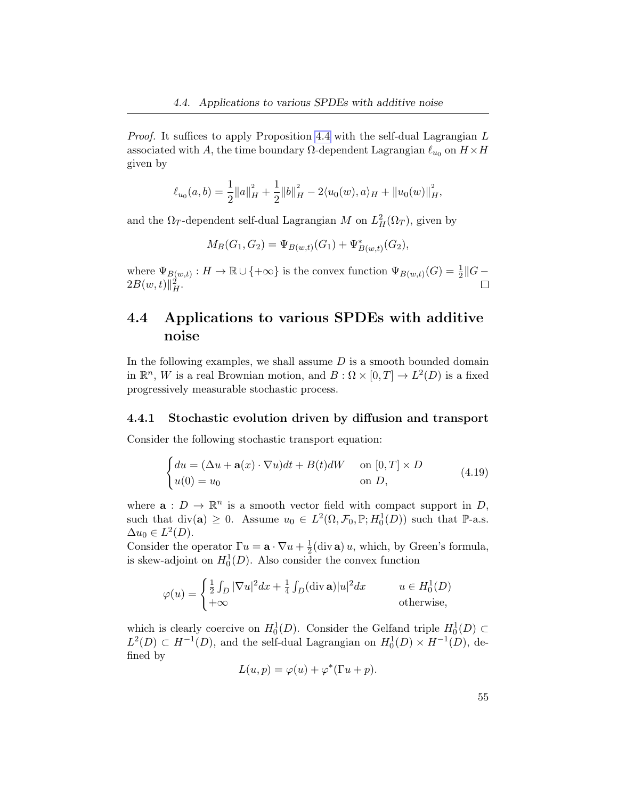Proof. It suffices to apply Proposition [4.4](#page-58-1) with the self-dual Lagrangian L associated with A, the time boundary  $\Omega$ -dependent Lagrangian  $\ell_{u_0}$  on  $H \times H$ given by

$$
\ell_{u_0}(a,b) = \frac{1}{2} ||a||_H^2 + \frac{1}{2} ||b||_H^2 - 2\langle u_0(w), a \rangle_H + ||u_0(w)||_H^2,
$$

and the  $\Omega_T$ -dependent self-dual Lagrangian M on  $L^2_H(\Omega_T)$ , given by

 $M_B(G_1, G_2) = \Psi_{B(w,t)}(G_1) + \Psi_{B(w,t)}^*(G_2),$ 

where  $\Psi_{B(w,t)} : H \to \mathbb{R} \cup \{+\infty\}$  is the convex function  $\Psi_{B(w,t)}(G) = \frac{1}{2} ||G 2B(w,t)\|_{H}^{2}.$ 

### <span id="page-62-0"></span>4.4 Applications to various SPDEs with additive noise

In the following examples, we shall assume  $D$  is a smooth bounded domain in  $\mathbb{R}^n$ , W is a real Brownian motion, and  $B: \Omega \times [0,T] \to L^2(D)$  is a fixed progressively measurable stochastic process.

### 4.4.1 Stochastic evolution driven by diffusion and transport

Consider the following stochastic transport equation:

<span id="page-62-1"></span>
$$
\begin{cases} du = (\Delta u + \mathbf{a}(x) \cdot \nabla u)dt + B(t)dW & \text{on } [0, T] \times D \\ u(0) = u_0 & \text{on } D, \end{cases}
$$
(4.19)

where  $\mathbf{a}: D \to \mathbb{R}^n$  is a smooth vector field with compact support in D, such that  $\text{div}(\mathbf{a}) \geq 0$ . Assume  $u_0 \in L^2(\Omega, \mathcal{F}_0, \mathbb{P}; H_0^1(D))$  such that  $\mathbb{P}\text{-a.s.}$  $\Delta u_0 \in L^2(D).$ 

Consider the operator  $\Gamma u = \mathbf{a} \cdot \nabla u + \frac{1}{2}$  $\frac{1}{2}$ (div **a**) *u*, which, by Green's formula, is skew-adjoint on  $H_0^1(D)$ . Also consider the convex function

$$
\varphi(u) = \begin{cases} \frac{1}{2} \int_D |\nabla u|^2 dx + \frac{1}{4} \int_D (\text{div } \mathbf{a}) |u|^2 dx & u \in H_0^1(D) \\ +\infty & \text{otherwise,} \end{cases}
$$

which is clearly coercive on  $H_0^1(D)$ . Consider the Gelfand triple  $H_0^1(D) \subset$  $L^2(D) \subset H^{-1}(D)$ , and the self-dual Lagrangian on  $H_0^1(D) \times H^{-1}(D)$ , defined by

$$
L(u, p) = \varphi(u) + \varphi^*(\Gamma u + p).
$$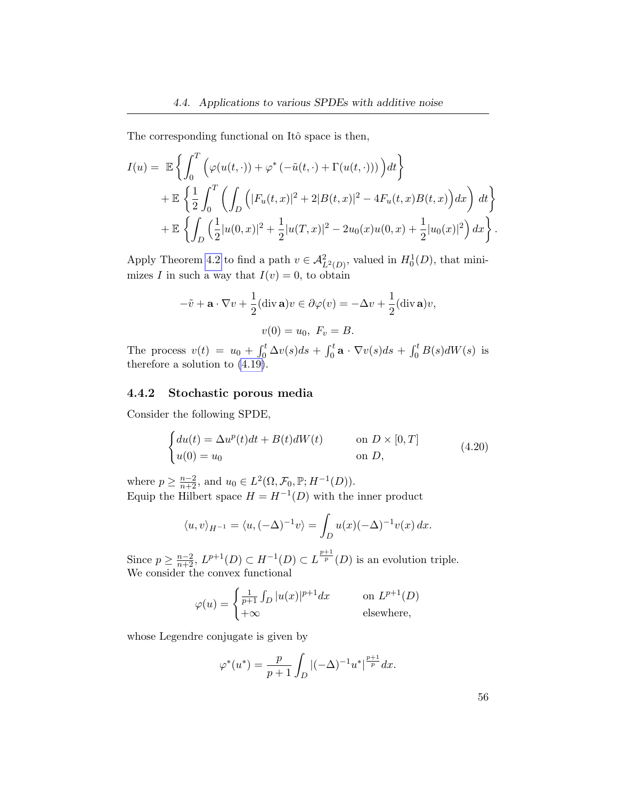The corresponding functional on Itô space is then,

$$
I(u) = \mathbb{E}\left\{\int_0^T \left(\varphi(u(t, \cdot)) + \varphi^* \left(-\tilde{u}(t, \cdot) + \Gamma(u(t, \cdot))\right)\right) dt\right\}
$$
  
+  $\mathbb{E}\left\{\frac{1}{2} \int_0^T \left(\int_D \left(|F_u(t, x)|^2 + 2|B(t, x)|^2 - 4F_u(t, x)B(t, x)\right) dx\right) dt\right\}$   
+  $\mathbb{E}\left\{\int_D \left(\frac{1}{2}|u(0, x)|^2 + \frac{1}{2}|u(T, x)|^2 - 2u_0(x)u(0, x) + \frac{1}{2}|u_0(x)|^2\right) dx\right\}.$ 

Apply Theorem [4.2](#page-61-0) to find a path  $v \in \mathcal{A}_{L^2(D)}^2$ , valued in  $H_0^1(D)$ , that minimizes I in such a way that  $I(v) = 0$ , to obtain

$$
-\tilde{v} + \mathbf{a} \cdot \nabla v + \frac{1}{2} (\text{div } \mathbf{a}) v \in \partial \varphi(v) = -\Delta v + \frac{1}{2} (\text{div } \mathbf{a}) v,
$$

$$
v(0) = u_0, \ F_v = B.
$$

The process  $v(t) = u_0 + \int_0^t \Delta v(s)ds + \int_0^t \mathbf{a} \cdot \nabla v(s)ds + \int_0^t B(s)dW(s)$  is therefore a solution to [\(4.19\)](#page-62-1).

### 4.4.2 Stochastic porous media

Consider the following SPDE,

$$
\begin{cases}\ndu(t) = \Delta u^p(t)dt + B(t)dW(t) & \text{on } D \times [0, T] \\
u(0) = u_0 & \text{on } D,\n\end{cases}
$$
\n(4.20)

where  $p \geq \frac{n-2}{n+2}$ , and  $u_0 \in L^2(\Omega, \mathcal{F}_0, \mathbb{P}; H^{-1}(D)).$ Equip the Hilbert space  $H = H^{-1}(D)$  with the inner product

$$
\langle u, v \rangle_{H^{-1}} = \langle u, (-\Delta)^{-1} v \rangle = \int_D u(x)(-\Delta)^{-1} v(x) \, dx.
$$

Since  $p \geq \frac{n-2}{n+2}$ ,  $L^{p+1}(D) \subset H^{-1}(D) \subset L^{\frac{p+1}{p}}(D)$  is an evolution triple. We consider the convex functional

$$
\varphi(u) = \begin{cases} \frac{1}{p+1} \int_D |u(x)|^{p+1} dx & \text{on } L^{p+1}(D) \\ +\infty & \text{elsewhere,} \end{cases}
$$

whose Legendre conjugate is given by

$$
\varphi^*(u^*) = \frac{p}{p+1} \int_D |(-\Delta)^{-1} u^*|^{\frac{p+1}{p}} dx.
$$

<span id="page-63-0"></span>56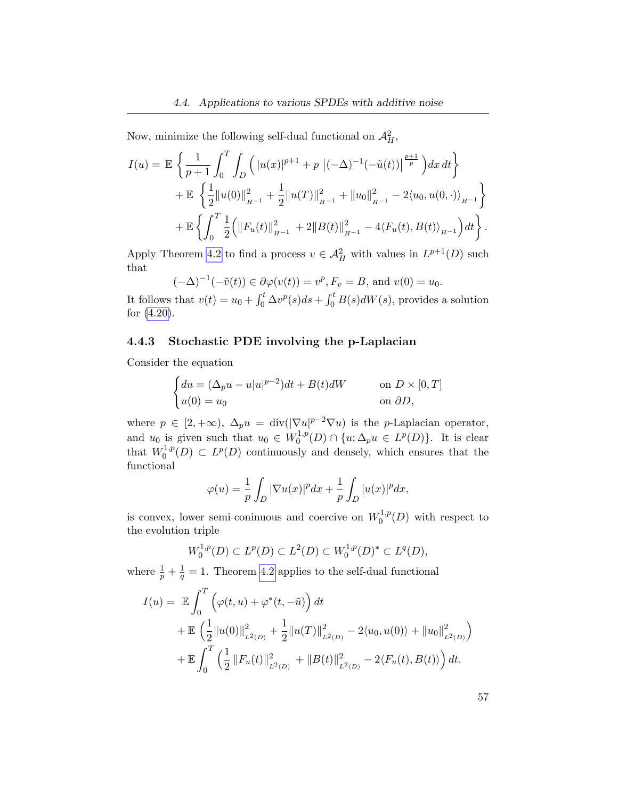Now, minimize the following self-dual functional on  $\mathcal{A}_{H}^{2}$ ,

$$
I(u) = \mathbb{E} \left\{ \frac{1}{p+1} \int_0^T \int_D \left( |u(x)|^{p+1} + p |(-\Delta)^{-1}(-\tilde{u}(t))|^{\frac{p+1}{p}} \right) dx dt \right\} + \mathbb{E} \left\{ \frac{1}{2} ||u(0)||_{H^{-1}}^2 + \frac{1}{2} ||u(T)||_{H^{-1}}^2 + ||u_0||_{H^{-1}}^2 - 2\langle u_0, u(0, \cdot) \rangle_{H^{-1}} \right\} + \mathbb{E} \left\{ \int_0^T \frac{1}{2} \left( ||F_u(t)||_{H^{-1}}^2 + 2||B(t)||_{H^{-1}}^2 - 4\langle F_u(t), B(t) \rangle_{H^{-1}} \right) dt \right\}.
$$

Apply Theorem [4.2](#page-61-0) to find a process  $v \in \mathcal{A}_{H}^{2}$  with values in  $L^{p+1}(D)$  such that

$$
(-\Delta)^{-1}(-\tilde{v}(t)) \in \partial \varphi(v(t)) = v^p, F_v = B
$$
, and  $v(0) = u_0$ .

It follows that  $v(t) = u_0 + \int_0^t \Delta v^p(s)ds + \int_0^t B(s)dW(s)$ , provides a solution for [\(4.20\)](#page-63-0).

### 4.4.3 Stochastic PDE involving the p-Laplacian

Consider the equation

$$
\begin{cases} du = (\Delta_p u - u|u|^{p-2})dt + B(t)dW & \text{on } D \times [0,T] \\ u(0) = u_0 & \text{on } \partial D, \end{cases}
$$

where  $p \in [2, +\infty)$ ,  $\Delta_p u = \text{div}(|\nabla u|^{p-2} \nabla u)$  is the *p*-Laplacian operator, and  $u_0$  is given such that  $u_0 \in W_0^{1,p}$  $L^{1,p}(D) \cap \{u; \Delta_p u \in L^p(D)\}.$  It is clear that  $W_0^{1,p}$  $O_0^{1,p}(D) \subset L^p(D)$  continuously and densely, which ensures that the functional

$$
\varphi(u) = \frac{1}{p} \int_D |\nabla u(x)|^p dx + \frac{1}{p} \int_D |u(x)|^p dx,
$$

is convex, lower semi-coninuous and coercive on  $W_0^{1,p}$  $C_0^{1,p}(D)$  with respect to the evolution triple

$$
W_0^{1,p}(D) \subset L^p(D) \subset L^2(D) \subset W_0^{1,p}(D)^* \subset L^q(D),
$$

where  $\frac{1}{p} + \frac{1}{q} = 1$ . Theorem [4.2](#page-61-0) applies to the self-dual functional

$$
I(u) = \mathbb{E} \int_0^T \left( \varphi(t, u) + \varphi^*(t, -\tilde{u}) \right) dt
$$
  
+  $\mathbb{E} \left( \frac{1}{2} ||u(0)||_{L^2(D)}^2 + \frac{1}{2} ||u(T)||_{L^2(D)}^2 - 2\langle u_0, u(0) \rangle + ||u_0||_{L^2(D)}^2 \right)$   
+  $\mathbb{E} \int_0^T \left( \frac{1}{2} ||F_u(t)||_{L^2(D)}^2 + ||B(t)||_{L^2(D)}^2 - 2\langle F_u(t), B(t) \rangle \right) dt.$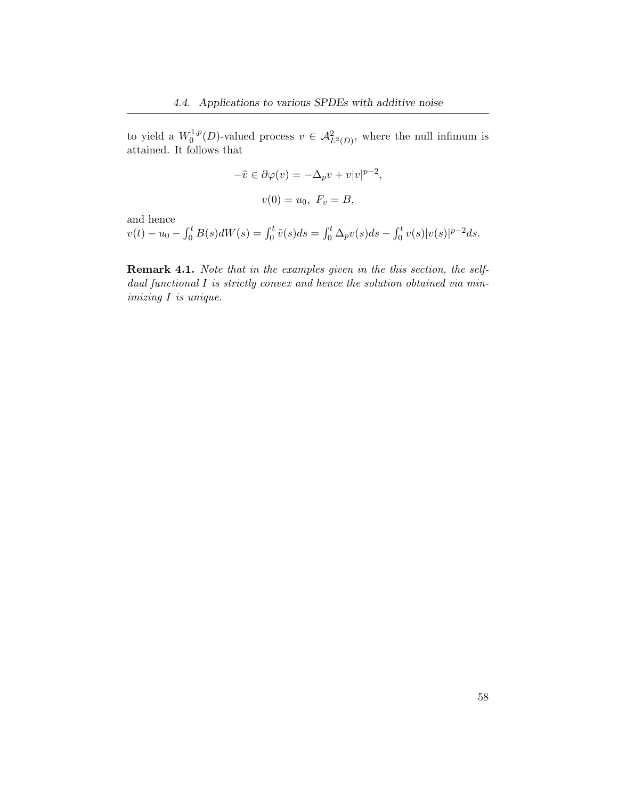to yield a  $W_0^{1,p}$  $\mathcal{A}_{L^2(D)}^{1,p}(D)$ -valued process  $v \in \mathcal{A}_{L^2(D)}^2$ , where the null infimum is attained. It follows that

$$
-\tilde{v} \in \partial \varphi(v) = -\Delta_p v + v|v|^{p-2},
$$
  

$$
v(0) = u_0, \ F_v = B,
$$

and hence

 $v(t) - u_0 - \int_0^t B(s) dW(s) = \int_0^t \tilde{v}(s) ds = \int_0^t \Delta_p v(s) ds - \int_0^t v(s) |v(s)|^{p-2} ds.$ 

Remark 4.1. Note that in the examples given in the this section, the selfdual functional I is strictly convex and hence the solution obtained via minimizing I is unique.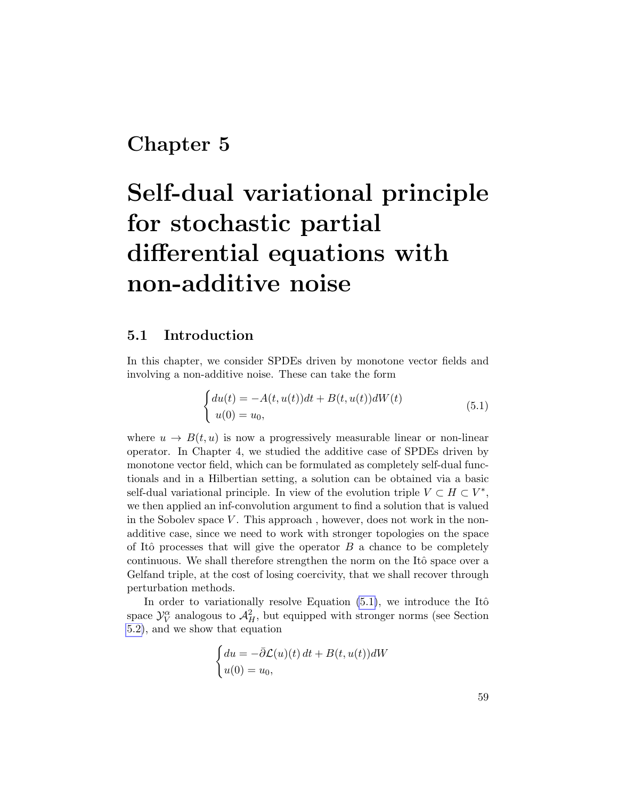## Chapter 5

# Self-dual variational principle for stochastic partial differential equations with non-additive noise

### 5.1 Introduction

In this chapter, we consider SPDEs driven by monotone vector fields and involving a non-additive noise. These can take the form

<span id="page-66-0"></span>
$$
\begin{cases} du(t) = -A(t, u(t))dt + B(t, u(t))dW(t) \\ u(0) = u_0, \end{cases}
$$
(5.1)

where  $u \to B(t, u)$  is now a progressively measurable linear or non-linear operator. In Chapter 4, we studied the additive case of SPDEs driven by monotone vector field, which can be formulated as completely self-dual functionals and in a Hilbertian setting, a solution can be obtained via a basic self-dual variational principle. In view of the evolution triple  $V \subset H \subset V^*$ , we then applied an inf-convolution argument to find a solution that is valued in the Sobolev space  $V$ . This approach, however, does not work in the nonadditive case, since we need to work with stronger topologies on the space of Itô processes that will give the operator  $B$  a chance to be completely continuous. We shall therefore strengthen the norm on the Itô space over a Gelfand triple, at the cost of losing coercivity, that we shall recover through perturbation methods.

In order to variationally resolve Equation  $(5.1)$ , we introduce the Itô space  $\mathcal{Y}_{V}^{\alpha}$  analogous to  $\mathcal{A}_{H}^{2}$ , but equipped with stronger norms (see Section [5.2\)](#page-67-0), and we show that equation

$$
\begin{cases} du = -\bar{\partial}\mathcal{L}(u)(t) dt + B(t, u(t)) dW \\ u(0) = u_0, \end{cases}
$$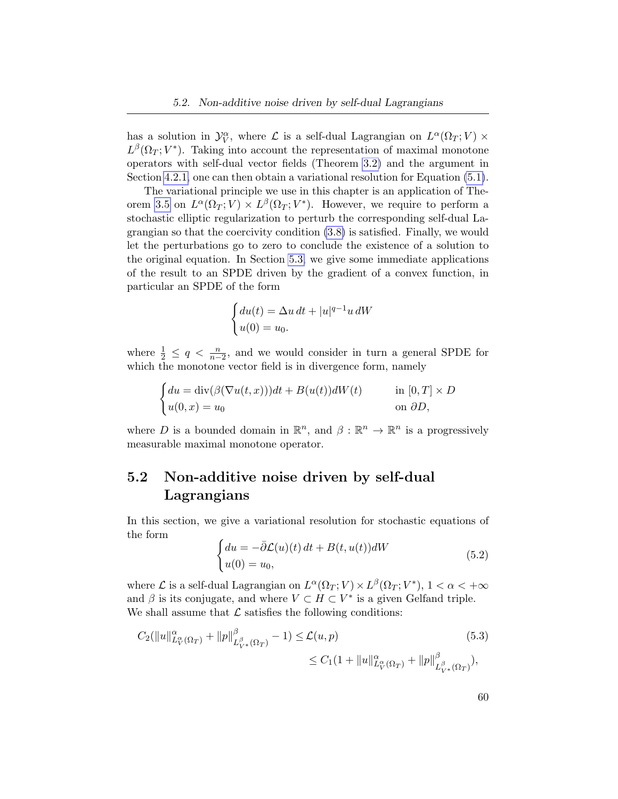has a solution in  $\mathcal{Y}_{V}^{\alpha}$ , where  $\mathcal{L}$  is a self-dual Lagrangian on  $L^{\alpha}(\Omega_T; V) \times$  $L^{\beta}(\Omega_T; V^*)$ . Taking into account the representation of maximal monotone operators with self-dual vector fields (Theorem [3.2\)](#page-36-1) and the argument in Section [4.2.1,](#page-51-0) one can then obtain a variational resolution for Equation [\(5.1\)](#page-66-0).

The variational principle we use in this chapter is an application of The-orem [3.5](#page-44-0) on  $L^{\alpha}(\Omega_T; V) \times L^{\beta}(\Omega_T; V^*)$ . However, we require to perform a stochastic elliptic regularization to perturb the corresponding self-dual Lagrangian so that the coercivity condition [\(3.8\)](#page-44-1) is satisfied. Finally, we would let the perturbations go to zero to conclude the existence of a solution to the original equation. In Section [5.3,](#page-76-0) we give some immediate applications of the result to an SPDE driven by the gradient of a convex function, in particular an SPDE of the form

$$
\begin{cases} du(t) = \Delta u dt + |u|^{q-1} u dW \\ u(0) = u_0. \end{cases}
$$

where  $\frac{1}{2} \leq q < \frac{n}{n-2}$ , and we would consider in turn a general SPDE for which the monotone vector field is in divergence form, namely

$$
\begin{cases} du = \text{div}(\beta(\nabla u(t, x)))dt + B(u(t))dW(t) & \text{in } [0, T] \times D \\ u(0, x) = u_0 & \text{on } \partial D, \end{cases}
$$

where D is a bounded domain in  $\mathbb{R}^n$ , and  $\beta : \mathbb{R}^n \to \mathbb{R}^n$  is a progressively measurable maximal monotone operator.

### <span id="page-67-0"></span>5.2 Non-additive noise driven by self-dual Lagrangians

In this section, we give a variational resolution for stochastic equations of the form

<span id="page-67-2"></span>
$$
\begin{cases} du = -\bar{\partial}\mathcal{L}(u)(t) dt + B(t, u(t)) dW \\ u(0) = u_0, \end{cases}
$$
\n(5.2)

where  $\mathcal L$  is a self-dual Lagrangian on  $L^{\alpha}(\Omega_T; V) \times L^{\beta}(\Omega_T; V^*)$ ,  $1 < \alpha < +\infty$ and  $\beta$  is its conjugate, and where  $V \subset H \subset V^*$  is a given Gelfand triple. We shall assume that  $\mathcal L$  satisfies the following conditions:

$$
C_2(||u||_{L_V^{\alpha}(\Omega_T)}^{\alpha} + ||p||_{L_{V^*}^{\beta}(\Omega_T)}^{\beta} - 1) \leq \mathcal{L}(u, p)
$$
\n
$$
\leq C_1 (1 + ||u||_{L_V^{\alpha}(\Omega_T)}^{\alpha} + ||p||_{L_{V^*}^{\beta}(\Omega_T)}^{\beta}),
$$
\n(5.3)

<span id="page-67-1"></span>60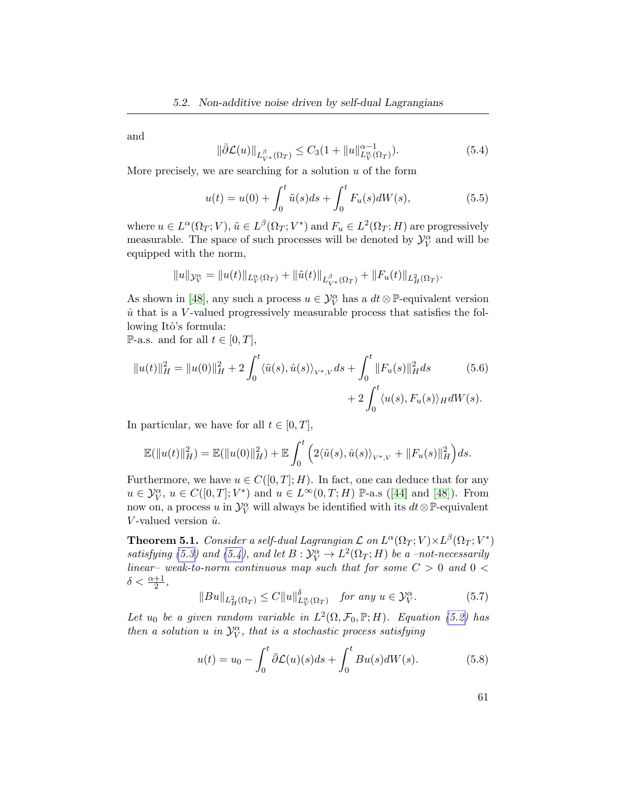and

<span id="page-68-0"></span>
$$
\|\bar{\partial}\mathcal{L}(u)\|_{L_{V^*}^{\beta}(\Omega_T)} \le C_3(1 + \|u\|_{L_V^{\alpha}(\Omega_T)}^{\alpha-1}).\tag{5.4}
$$

More precisely, we are searching for a solution  $u$  of the form

$$
u(t) = u(0) + \int_0^t \tilde{u}(s)ds + \int_0^t F_u(s)dW(s), \tag{5.5}
$$

where  $u \in L^{\alpha}(\Omega_T; V)$ ,  $\tilde{u} \in L^{\beta}(\Omega_T; V^*)$  and  $F_u \in L^2(\Omega_T; H)$  are progressively measurable. The space of such processes will be denoted by  $\mathcal{Y}_V^{\alpha}$  and will be equipped with the norm,

$$
||u||_{\mathcal{Y}_V^{\alpha}} = ||u(t)||_{L_V^{\alpha}(\Omega_T)} + ||\tilde{u}(t)||_{L_{V^*}^{\beta}(\Omega_T)} + ||F_u(t)||_{L_H^2(\Omega_T)}.
$$

As shown in [\[48\]](#page-103-1), any such a process  $u \in \mathcal{Y}_V^{\alpha}$  has a  $dt \otimes \mathbb{P}$ -equivalent version  $\hat{u}$  that is a V-valued progressively measurable process that satisfies the following Itô's formula:

P-a.s. and for all  $t \in [0, T]$ ,

$$
||u(t)||_H^2 = ||u(0)||_H^2 + 2\int_0^t \langle \tilde{u}(s), \hat{u}(s) \rangle_{V^*,V} ds + \int_0^t ||F_u(s)||_H^2 ds
$$
(5.6)  
+2
$$
\int_0^t \langle u(s), F_u(s) \rangle_H dW(s).
$$

In particular, we have for all  $t \in [0, T]$ ,

$$
\mathbb{E}(\|u(t)\|_H^2) = \mathbb{E}(\|u(0)\|_H^2) + \mathbb{E}\int_0^t \left(2\langle \tilde{u}(s), \hat{u}(s)\rangle_{V^*,V} + \|F_u(s)\|_H^2\right)ds.
$$

Furthermore, we have  $u \in C([0, T]; H)$ . In fact, one can deduce that for any  $u \in \mathcal{Y}_V^{\alpha}$  $u \in \mathcal{Y}_V^{\alpha}$  $u \in \mathcal{Y}_V^{\alpha}$ ,  $u \in C([0,T]; V^*)$  and  $u \in L^{\infty}(0,T; H)$  P-a.s ([\[44\]](#page-103-2) and [\[48\]](#page-103-1)). From now on, a process u in  $\mathcal{Y}_V^{\alpha}$  will always be identified with its  $dt \otimes \mathbb{P}$ -equivalent V-valued version  $\hat{u}$ .

**Theorem 5.1.** Consider a self-dual Lagrangian  $\mathcal L$  on  $L^\alpha(\Omega_T;V){\times}L^\beta(\Omega_T;V^*)$ satisfying [\(5.3\)](#page-67-1) and [\(5.4\)](#page-68-0), and let  $B: \mathcal{Y}_V^{\alpha} \to L^2(\Omega_T; H)$  be a -not-necessarily linear– weak-to-norm continuous map such that for some  $C > 0$  and  $0 <$  $\delta < \frac{\alpha+1}{2},$ 

<span id="page-68-1"></span>
$$
||Bu||_{L^2_H(\Omega_T)} \le C||u||_{L^{\alpha}_V(\Omega_T)}^{\delta} \quad \text{for any } u \in \mathcal{Y}_V^{\alpha}.
$$
 (5.7)

Let  $u_0$  be a given random variable in  $L^2(\Omega, \mathcal{F}_0, \mathbb{P}; H)$ . Equation [\(5.2\)](#page-67-2) has then a solution  $u$  in  $\mathcal{Y}_{V}^{\alpha}$ , that is a stochastic process satisfying

$$
u(t) = u_0 - \int_0^t \bar{\partial} \mathcal{L}(u)(s)ds + \int_0^t Bu(s)dW(s).
$$
 (5.8)

61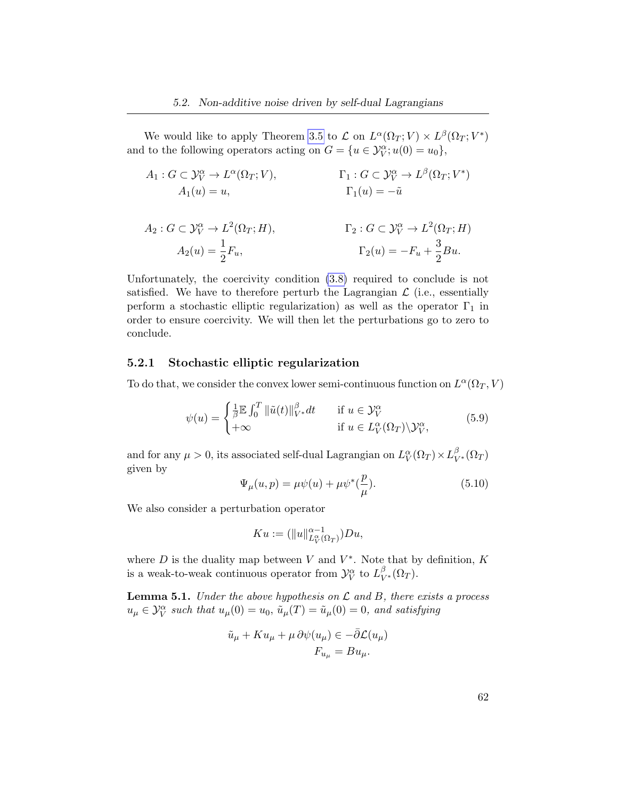We would like to apply Theorem [3.5](#page-44-0) to  $\mathcal L$  on  $L^{\alpha}(\Omega_T; V) \times L^{\beta}(\Omega_T; V^*)$ and to the following operators acting on  $G = \{u \in \mathcal{Y}_{V}^{\alpha}$ ;  $u(0) = u_0\},\$ 

$$
A_1: G \subset \mathcal{Y}_V^{\alpha} \to L^{\alpha}(\Omega_T; V), \qquad \qquad \Gamma_1: G \subset \mathcal{Y}_V^{\alpha} \to L^{\beta}(\Omega_T; V^*)
$$

$$
A_1(u) = u, \qquad \qquad \Gamma_1(u) = -\tilde{u}
$$

$$
A_2: G \subset \mathcal{Y}_V^{\alpha} \to L^2(\Omega_T; H), \qquad \qquad \Gamma_2: G \subset \mathcal{Y}_V^{\alpha} \to L^2(\Omega_T; H)
$$

$$
A_2(u) = \frac{1}{2} F_u, \qquad \qquad \Gamma_2(u) = -F_u + \frac{3}{2} Bu.
$$

Unfortunately, the coercivity condition [\(3.8\)](#page-44-1) required to conclude is not satisfied. We have to therefore perturb the Lagrangian  $\mathcal L$  (i.e., essentially perform a stochastic elliptic regularization) as well as the operator  $\Gamma_1$  in order to ensure coercivity. We will then let the perturbations go to zero to conclude.

### 5.2.1 Stochastic elliptic regularization

To do that, we consider the convex lower semi-continuous function on  $L^{\alpha}(\Omega_T, V)$ 

$$
\psi(u) = \begin{cases} \frac{1}{\beta} \mathbb{E} \int_0^T \|\tilde{u}(t)\|_{V^*}^{\beta} dt & \text{if } u \in \mathcal{Y}_V^{\alpha} \\ +\infty & \text{if } u \in L_V^{\alpha}(\Omega_T) \backslash \mathcal{Y}_V^{\alpha}, \end{cases}
$$
(5.9)

and for any  $\mu > 0$ , its associated self-dual Lagrangian on  $L_V^\alpha(\Omega_T) \times L_{V^*}^\beta(\Omega_T)$ given by

$$
\Psi_{\mu}(u,p) = \mu \psi(u) + \mu \psi^*(\frac{p}{\mu}).
$$
\n(5.10)

We also consider a perturbation operator

$$
Ku := (\|u\|_{L^{\alpha}_{V}(\Omega_{T})}^{\alpha-1})Du,
$$

where  $D$  is the duality map between  $V$  and  $V^*$ . Note that by definition,  $K$ is a weak-to-weak continuous operator from  $\mathcal{Y}_V^{\alpha}$  to  $L^{\beta}_{V^*}(\Omega_T)$ .

**Lemma 5.1.** Under the above hypothesis on  $\mathcal L$  and  $B$ , there exists a process  $u_{\mu} \in \mathcal{Y}_{V}^{\alpha}$  such that  $u_{\mu}(0) = u_{0}$ ,  $\tilde{u}_{\mu}(T) = \tilde{u}_{\mu}(0) = 0$ , and satisfying

$$
\tilde{u}_{\mu} + Ku_{\mu} + \mu \partial \psi(u_{\mu}) \in -\bar{\partial} \mathcal{L}(u_{\mu})
$$

$$
F_{u_{\mu}} = Bu_{\mu}.
$$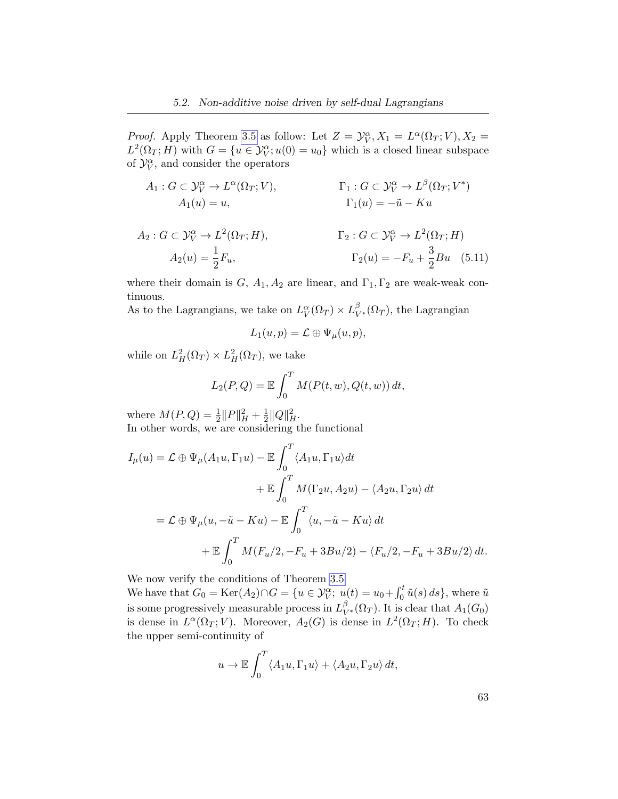*Proof.* Apply Theorem [3.5](#page-44-0) as follow: Let  $Z = \mathcal{Y}_V^{\alpha}$ ,  $X_1 = L^{\alpha}(\Omega_T; V)$ ,  $X_2 =$  $L^2(\Omega_T; H)$  with  $G = \{u \in \mathcal{Y}_V^{\alpha}$ ;  $u(0) = u_0\}$  which is a closed linear subspace of  $\mathcal{Y}_V^{\alpha}$ , and consider the operators

$$
A_1: G \subset \mathcal{Y}_V^{\alpha} \to L^{\alpha}(\Omega_T; V), \qquad \qquad \Gamma_1: G \subset \mathcal{Y}_V^{\alpha} \to L^{\beta}(\Omega_T; V^*)
$$
  
\n
$$
A_1(u) = u, \qquad \qquad \Gamma_1(u) = -\tilde{u} - Ku
$$
  
\n
$$
A_2: G \subset \mathcal{Y}_V^{\alpha} \to L^2(\Omega_T; H), \qquad \qquad \Gamma_2: G \subset \mathcal{Y}_V^{\alpha} \to L^2(\Omega_T; H)
$$
  
\n
$$
A_2(u) = \frac{1}{2}F_u, \qquad \qquad \Gamma_2(u) = -F_u + \frac{3}{2}Bu \quad (5.11)
$$

where their domain is  $G, A_1, A_2$  are linear, and  $\Gamma_1, \Gamma_2$  are weak-weak continuous.

As to the Lagrangians, we take on  $L_V^{\alpha}(\Omega_T) \times L_{V^*}^{\beta}(\Omega_T)$ , the Lagrangian

$$
L_1(u,p) = \mathcal{L} \oplus \Psi_{\mu}(u,p),
$$

while on  $L_H^2(\Omega_T) \times L_H^2(\Omega_T)$ , we take

$$
L_2(P,Q) = \mathbb{E} \int_0^T M(P(t, w), Q(t, w)) dt,
$$

where  $M(P,Q) = \frac{1}{2} ||P||_H^2 + \frac{1}{2}$  $\frac{1}{2} ||Q||_H^2$ . In other words, we are considering the functional

$$
I_{\mu}(u) = \mathcal{L} \oplus \Psi_{\mu}(A_{1}u, \Gamma_{1}u) - \mathbb{E} \int_{0}^{T} \langle A_{1}u, \Gamma_{1}u \rangle dt
$$
  
+  $\mathbb{E} \int_{0}^{T} M(\Gamma_{2}u, A_{2}u) - \langle A_{2}u, \Gamma_{2}u \rangle dt$   
=  $\mathcal{L} \oplus \Psi_{\mu}(u, -\tilde{u} - Ku) - \mathbb{E} \int_{0}^{T} \langle u, -\tilde{u} - Ku \rangle dt$   
+  $\mathbb{E} \int_{0}^{T} M(F_{u}/2, -F_{u} + 3Bu/2) - \langle F_{u}/2, -F_{u} + 3Bu/2 \rangle dt.$ 

We now verify the conditions of Theorem [3.5.](#page-44-0)

We have that  $G_0 = \text{Ker}(A_2) \cap G = \{u \in \mathcal{Y}_V^{\alpha}; u(t) = u_0 + \int_0^t \tilde{u}(s) ds\}$ , where  $\tilde{u}$ is some progressively measurable process in  $L^{\beta}_{V^*}(\Omega_T)$ . It is clear that  $A_1(G_0)$ is dense in  $L^{\alpha}(\Omega_T; V)$ . Moreover,  $A_2(G)$  is dense in  $L^2(\Omega_T; H)$ . To check the upper semi-continuity of

$$
u \to \mathbb{E} \int_0^T \langle A_1 u, \Gamma_1 u \rangle + \langle A_2 u, \Gamma_2 u \rangle dt,
$$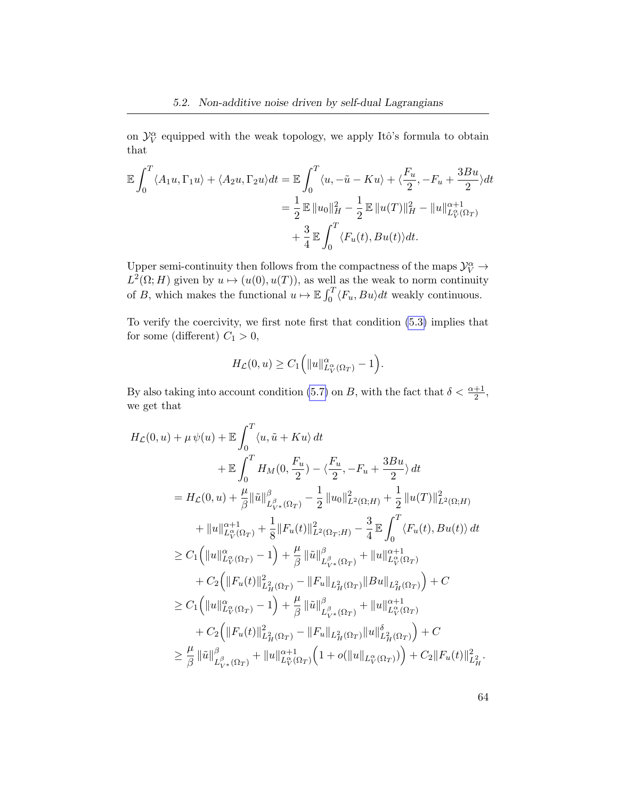on  $\mathcal{Y}_V^{\alpha}$  equipped with the weak topology, we apply Itô's formula to obtain that

$$
\mathbb{E} \int_0^T \langle A_1 u, \Gamma_1 u \rangle + \langle A_2 u, \Gamma_2 u \rangle dt = \mathbb{E} \int_0^T \langle u, -\tilde{u} - Ku \rangle + \langle \frac{F_u}{2}, -F_u + \frac{3Bu}{2} \rangle dt
$$
  

$$
= \frac{1}{2} \mathbb{E} ||u_0||_H^2 - \frac{1}{2} \mathbb{E} ||u(T)||_H^2 - ||u||_{L_V^{\infty}(\Omega_T)}^{\alpha+1}
$$
  

$$
+ \frac{3}{4} \mathbb{E} \int_0^T \langle F_u(t), Bu(t) \rangle dt.
$$

Upper semi-continuity then follows from the compactness of the maps  $\mathcal{Y}_V^\alpha \to$  $L^2(\Omega; H)$  given by  $u \mapsto (u(0), u(T))$ , as well as the weak to norm continuity of B, which makes the functional  $u \mapsto \mathbb{E} \int_0^T \langle F_u, Bu \rangle dt$  weakly continuous.

To verify the coercivity, we first note first that condition [\(5.3\)](#page-67-1) implies that for some (different)  $C_1 > 0$ ,

$$
H_{\mathcal{L}}(0, u) \geq C_1 \Big( \|u\|_{L^{\alpha}_{V}(\Omega_{T})}^{\alpha} - 1 \Big).
$$

By also taking into account condition [\(5.7\)](#page-68-1) on B, with the fact that  $\delta < \frac{\alpha+1}{2}$ , we get that

$$
H_{\mathcal{L}}(0, u) + \mu \psi(u) + \mathbb{E} \int_{0}^{T} \langle u, \tilde{u} + Ku \rangle dt + \mathbb{E} \int_{0}^{T} H_{M}(0, \frac{F_{u}}{2}) - \langle \frac{F_{u}}{2}, -F_{u} + \frac{3Bu}{2} \rangle dt = H_{\mathcal{L}}(0, u) + \frac{\mu}{\beta} \|\tilde{u}\|_{L_{V^{*}}^{{\beta}}(\Omega_{T})}^{\beta} - \frac{1}{2} \|u_{0}\|_{L^{2}(\Omega; H)}^{2} + \frac{1}{2} \|u(T)\|_{L^{2}(\Omega; H)}^{2} + \|u\|_{L_{V}^{\alpha}(\Omega_{T})}^{\alpha+1} + \frac{1}{8} \|F_{u}(t)\|_{L^{2}(\Omega_{T}; H)}^{2} - \frac{3}{4} \mathbb{E} \int_{0}^{T} \langle F_{u}(t), Bu(t) \rangle dt \geq C_{1} (||u||_{L_{V}^{\alpha}(\Omega_{T})}^{\alpha} - 1) + \frac{\mu}{\beta} \|\tilde{u}\|_{L_{V^{*}}^{\beta}(\Omega_{T})}^{\beta} + ||u||_{L_{V}^{\alpha}(\Omega_{T})}^{\alpha+1} + C_{2} (||F_{u}(t)||_{L_{H}^{2}(\Omega_{T})}^{\beta} - ||F_{u}||_{L_{H}^{2}(\Omega_{T})}||Bu||_{L_{H}^{2}(\Omega_{T})}) + C \geq C_{1} (||u||_{L_{V}^{\alpha}(\Omega_{T})}^{\alpha} - 1) + \frac{\mu}{\beta} \|\tilde{u}\|_{L_{V^{*}}^{\beta}(\Omega_{T})}^{\beta} + ||u||_{L_{V}^{\alpha}(\Omega_{T})}^{\alpha+1} + C_{2} (||F_{u}(t)||_{L_{H}^{2}(\Omega_{T})}^{\beta} - ||F_{u}||_{L_{H}^{2}(\Omega_{T})}||u||_{L_{H}^{\beta}(\Omega_{T})}^{\delta}) + C \geq \frac{\mu}{\beta} \|\tilde{u}\|_{L_{V^{*}}^{\beta}(\Omega_{T})}^{\beta} + ||u||_{L_{V}^{\alpha}(\Omega_{T})}^{\alpha+1} (1 + o(||u||_{L_{V}^{\alpha}(\Omega_{T})})) + C_{2} ||
$$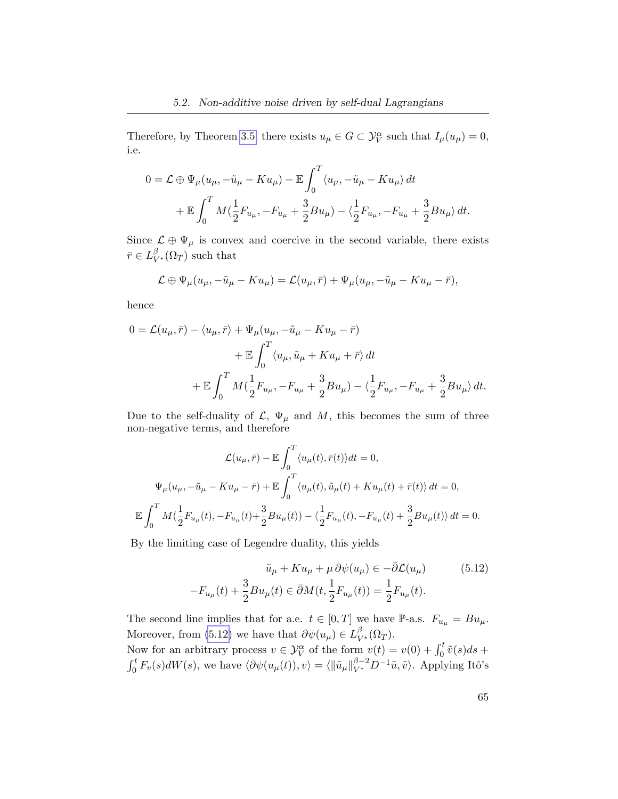Therefore, by Theorem [3.5,](#page-44-0) there exists  $u_{\mu} \in G \subset \mathcal{Y}_{V}^{\alpha}$  such that  $I_{\mu}(u_{\mu}) = 0$ , i.e.

$$
0 = \mathcal{L} \oplus \Psi_{\mu}(u_{\mu}, -\tilde{u}_{\mu} - Ku_{\mu}) - \mathbb{E} \int_{0}^{T} \langle u_{\mu}, -\tilde{u}_{\mu} - Ku_{\mu} \rangle dt + \mathbb{E} \int_{0}^{T} M(\frac{1}{2}F_{u_{\mu}}, -F_{u_{\mu}} + \frac{3}{2}Bu_{\mu}) - \langle \frac{1}{2}F_{u_{\mu}}, -F_{u_{\mu}} + \frac{3}{2}Bu_{\mu} \rangle dt.
$$

Since  $\mathcal{L} \oplus \Psi_{\mu}$  is convex and coercive in the second variable, there exists  $\bar{r} \in L^{\beta}_{V^*}(\Omega_T)$  such that

$$
\mathcal{L} \oplus \Psi_{\mu}(u_{\mu}, -\tilde{u}_{\mu} - Ku_{\mu}) = \mathcal{L}(u_{\mu}, \bar{r}) + \Psi_{\mu}(u_{\mu}, -\tilde{u}_{\mu} - Ku_{\mu} - \bar{r}),
$$

hence

$$
0 = \mathcal{L}(u_{\mu}, \bar{r}) - \langle u_{\mu}, \bar{r} \rangle + \Psi_{\mu}(u_{\mu}, -\tilde{u}_{\mu} - Ku_{\mu} - \bar{r})
$$
  
+ 
$$
\mathbb{E} \int_{0}^{T} \langle u_{\mu}, \tilde{u}_{\mu} + Ku_{\mu} + \bar{r} \rangle dt
$$
  
+ 
$$
\mathbb{E} \int_{0}^{T} M(\frac{1}{2}F_{u_{\mu}}, -F_{u_{\mu}} + \frac{3}{2}Bu_{\mu}) - \langle \frac{1}{2}F_{u_{\mu}}, -F_{u_{\mu}} + \frac{3}{2}Bu_{\mu} \rangle dt.
$$

Due to the self-duality of  $\mathcal{L}, \Psi_{\mu}$  and M, this becomes the sum of three non-negative terms, and therefore

$$
\mathcal{L}(u_{\mu},\bar{r}) - \mathbb{E}\int_0^T \langle u_{\mu}(t),\bar{r}(t) \rangle dt = 0,
$$
  

$$
\Psi_{\mu}(u_{\mu}, -\tilde{u}_{\mu} - Ku_{\mu} - \bar{r}) + \mathbb{E}\int_0^T \langle u_{\mu}(t),\tilde{u}_{\mu}(t) + Ku_{\mu}(t) + \bar{r}(t) \rangle dt = 0,
$$
  

$$
\mathbb{E}\int_0^T M(\frac{1}{2}F_{u_{\mu}}(t), -F_{u_{\mu}}(t) + \frac{3}{2}Bu_{\mu}(t)) - \langle \frac{1}{2}F_{u_{\mu}}(t), -F_{u_{\mu}}(t) + \frac{3}{2}Bu_{\mu}(t) \rangle dt = 0.
$$

By the limiting case of Legendre duality, this yields

<span id="page-72-0"></span>
$$
\tilde{u}_{\mu} + Ku_{\mu} + \mu \partial \psi(u_{\mu}) \in -\bar{\partial} \mathcal{L}(u_{\mu})
$$
\n
$$
-F_{u_{\mu}}(t) + \frac{3}{2}Bu_{\mu}(t) \in \bar{\partial}M(t, \frac{1}{2}F_{u_{\mu}}(t)) = \frac{1}{2}F_{u_{\mu}}(t).
$$
\n(5.12)

The second line implies that for a.e.  $t \in [0, T]$  we have P-a.s.  $F_{u_{\mu}} = Bu_{\mu}$ . Moreover, from [\(5.12\)](#page-72-0) we have that  $\partial \psi(u_\mu) \in L^{\beta}_{V^*}(\Omega_T)$ . Now for an arbitrary process  $v \in \mathcal{Y}_V^{\alpha}$  of the form  $v(t) = v(0) + \int_0^t \tilde{v}(s)ds +$  $\int_0^t F_v(s)dW(s)$ , we have  $\langle \partial \psi(u_\mu(t)), v \rangle = \langle ||\tilde{u}_\mu||_{V^*}^{\beta-2} D^{-1} \tilde{u}, \tilde{v} \rangle$ . Applying Itô's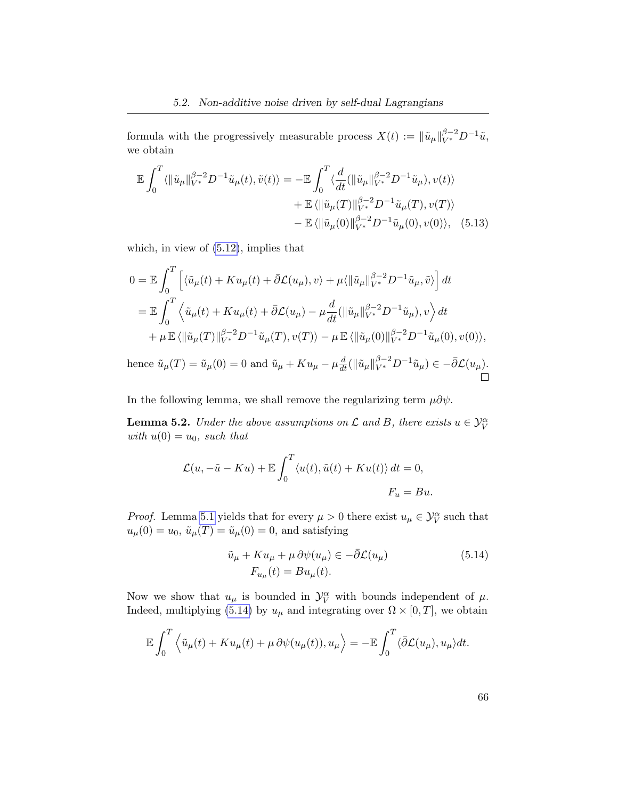formula with the progressively measurable process  $X(t) := \|\tilde{u}_{\mu}\|_{V^*}^{\beta-2} D^{-1} \tilde{u}$ , we obtain

<span id="page-73-1"></span>
$$
\mathbb{E} \int_0^T \langle ||\tilde{u}_\mu||_{V^*}^{\beta-2} D^{-1} \tilde{u}_\mu(t), \tilde{v}(t) \rangle = -\mathbb{E} \int_0^T \langle \frac{d}{dt} (||\tilde{u}_\mu||_{V^*}^{\beta-2} D^{-1} \tilde{u}_\mu), v(t) \rangle \n+ \mathbb{E} \langle ||\tilde{u}_\mu(T)||_{V^*}^{\beta-2} D^{-1} \tilde{u}_\mu(T), v(T) \rangle \n- \mathbb{E} \langle ||\tilde{u}_\mu(0)||_{V^*}^{\beta-2} D^{-1} \tilde{u}_\mu(0), v(0) \rangle, (5.13)
$$

which, in view of [\(5.12\)](#page-72-0), implies that

$$
0 = \mathbb{E} \int_0^T \left[ \langle \tilde{u}_{\mu}(t) + Ku_{\mu}(t) + \bar{\partial}\mathcal{L}(u_{\mu}), v \rangle + \mu \langle ||\tilde{u}_{\mu}||_{V^*}^{\beta - 2} D^{-1} \tilde{u}_{\mu}, \tilde{v} \rangle \right] dt
$$
  
\n
$$
= \mathbb{E} \int_0^T \left\langle \tilde{u}_{\mu}(t) + Ku_{\mu}(t) + \bar{\partial}\mathcal{L}(u_{\mu}) - \mu \frac{d}{dt} (||\tilde{u}_{\mu}||_{V^*}^{\beta - 2} D^{-1} \tilde{u}_{\mu}), v \right\rangle dt
$$
  
\n
$$
+ \mu \mathbb{E} \langle ||\tilde{u}_{\mu}(T)||_{V^*}^{\beta - 2} D^{-1} \tilde{u}_{\mu}(T), v(T) \rangle - \mu \mathbb{E} \langle ||\tilde{u}_{\mu}(0)||_{V^*}^{\beta - 2} D^{-1} \tilde{u}_{\mu}(0), v(0) \rangle,
$$
  
\nhence  $\tilde{u}_{\mu}(T) = \tilde{u}_{\mu}(0) = 0$  and  $\tilde{u}_{\mu} + Ku_{\mu} - \mu \frac{d}{dt} (||\tilde{u}_{\mu}||_{V^*}^{\beta - 2} D^{-1} \tilde{u}_{\mu}) \in -\bar{\partial}\mathcal{L}(u_{\mu}).$ 

In the following lemma, we shall remove the regularizing term  $\mu \partial \psi$ .

<span id="page-73-2"></span>**Lemma 5.2.** Under the above assumptions on  $\mathcal L$  and  $B$ , there exists  $u \in \mathcal Y_V^{\alpha}$ with  $u(0) = u_0$ , such that

$$
\mathcal{L}(u, -\tilde{u} - Ku) + \mathbb{E} \int_0^T \langle u(t), \tilde{u}(t) + Ku(t) \rangle dt = 0,
$$
  

$$
F_u = Bu.
$$

*Proof.* Lemma [5.1](#page-69-0) yields that for every  $\mu > 0$  there exist  $u_{\mu} \in \mathcal{Y}_{V}^{\alpha}$  such that  $u_{\mu}(0) = u_0$ ,  $\tilde{u}_{\mu}(T) = \tilde{u}_{\mu}(0) = 0$ , and satisfying

$$
\tilde{u}_{\mu} + Ku_{\mu} + \mu \partial \psi(u_{\mu}) \in -\bar{\partial} \mathcal{L}(u_{\mu})
$$
\n
$$
F_{u_{\mu}}(t) = Bu_{\mu}(t).
$$
\n(5.14)

Now we show that  $u_{\mu}$  is bounded in  $\mathcal{Y}_{V}^{\alpha}$  with bounds independent of  $\mu$ . Indeed, multiplying [\(5.14\)](#page-73-0) by  $u_{\mu}$  and integrating over  $\Omega \times [0, T]$ , we obtain

$$
\mathbb{E}\int_0^T \left\langle \tilde{u}_\mu(t) + K u_\mu(t) + \mu \, \partial \psi(u_\mu(t)), u_\mu \right\rangle = -\mathbb{E}\int_0^T \left\langle \bar{\partial} \mathcal{L}(u_\mu), u_\mu \right\rangle dt.
$$

<span id="page-73-0"></span>66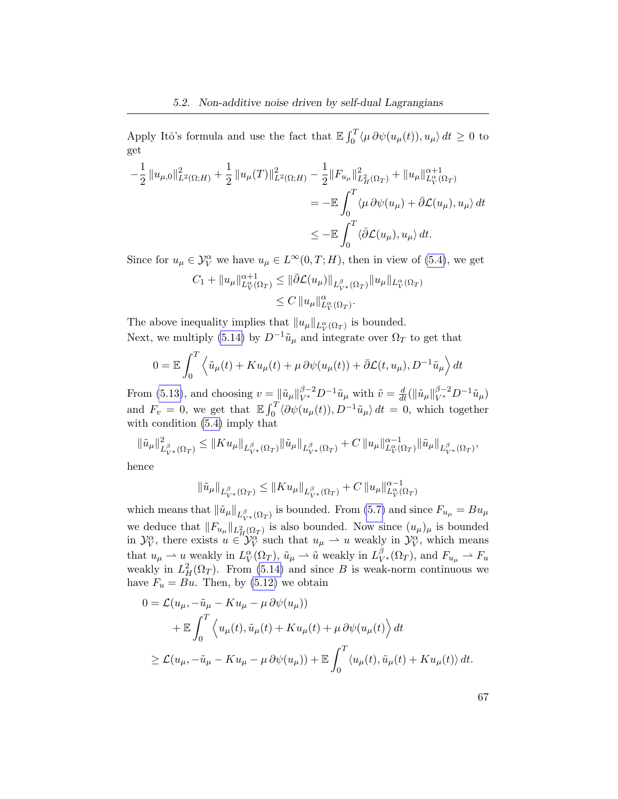Apply Itô's formula and use the fact that  $\mathbb{E} \int_0^T \langle \mu \, \partial \psi(u_\mu(t)), u_\mu \rangle dt \ge 0$  to get

$$
-\frac{1}{2} ||u_{\mu,0}||_{L^{2}(\Omega;H)}^{2} + \frac{1}{2} ||u_{\mu}(T)||_{L^{2}(\Omega;H)}^{2} - \frac{1}{2} ||F_{u_{\mu}}||_{L_{H}^{2}(\Omega_{T})}^{2} + ||u_{\mu}||_{L_{V}^{\alpha}(\Omega_{T})}^{2}
$$
  

$$
= -\mathbb{E} \int_{0}^{T} \langle \mu \partial \psi(u_{\mu}) + \bar{\partial} \mathcal{L}(u_{\mu}), u_{\mu} \rangle dt
$$
  

$$
\leq -\mathbb{E} \int_{0}^{T} \langle \bar{\partial} \mathcal{L}(u_{\mu}), u_{\mu} \rangle dt.
$$

Since for  $u_{\mu} \in \mathcal{Y}_{V}^{\alpha}$  we have  $u_{\mu} \in L^{\infty}(0,T;H)$ , then in view of [\(5.4\)](#page-68-0), we get

$$
C_1 + ||u_\mu||_{L_V^{\alpha}(\Omega_T)}^{\alpha+1} \le ||\bar{\partial} \mathcal{L}(u_\mu)||_{L_{V^*}^{\beta}(\Omega_T)} ||u_\mu||_{L_V^{\alpha}(\Omega_T)}
$$
  

$$
\le C ||u_\mu||_{L_V^{\alpha}(\Omega_T)}^{\alpha}.
$$

The above inequality implies that  $||u_\mu||_{L_V^{\alpha}(\Omega_T)}$  is bounded. Next, we multiply [\(5.14\)](#page-73-0) by  $D^{-1}\tilde{u}_{\mu}$  and integrate over  $\Omega_T$  to get that

$$
0 = \mathbb{E} \int_0^T \left\langle \tilde{u}_{\mu}(t) + K u_{\mu}(t) + \mu \, \partial \psi(u_{\mu}(t)) + \bar{\partial} \mathcal{L}(t, u_{\mu}), D^{-1} \tilde{u}_{\mu} \right\rangle dt
$$

From [\(5.13\)](#page-73-1), and choosing  $v = ||\tilde{u}_{\mu}||_{V^*}^{\beta-2} D^{-1} \tilde{u}_{\mu}$  with  $\tilde{v} = \frac{d}{dt} (||\tilde{u}_{\mu}||_{V^*}^{\beta-2} D^{-1} \tilde{u}_{\mu})$ and  $F_v = 0$ , we get that  $\mathbb{E} \int_0^T \langle \partial \psi(u_\mu(t)), D^{-1} \tilde{u}_\mu \rangle dt = 0$ , which together with condition [\(5.4\)](#page-68-0) imply that

$$
\|\tilde{u}_{\mu}\|_{L^{\beta}_{V^{*}}(\Omega_{T})}^{2} \leq \|K u_{\mu}\|_{L^{\beta}_{V^{*}}(\Omega_{T})}\|\tilde{u}_{\mu}\|_{L^{\beta}_{V^{*}}(\Omega_{T})} + C \|u_{\mu}\|_{L^{\alpha}_{V}(\Omega_{T})}^{\alpha-1} \|\tilde{u}_{\mu}\|_{L^{\beta}_{V^{*}}(\Omega_{T})},
$$

hence

$$
\|\tilde{u}_{\mu}\|_{L_{V^*}^{\beta}(\Omega_T)} \leq \|K u_{\mu}\|_{L_{V^*}^{\beta}(\Omega_T)} + C \|u_{\mu}\|_{L_V^{\alpha}(\Omega_T)}^{\alpha-1}
$$

which means that  $\|\tilde{u}_\mu\|_{L^{\beta}_{V^*}(\Omega_T)}$  is bounded. From [\(5.7\)](#page-68-1) and since  $F_{u_\mu} = Bu_\mu$ we deduce that  $||F_{u_\mu}||_{L^2_{H}(\Omega_T)}$  is also bounded. Now since  $(u_\mu)_{\mu}$  is bounded in  $\mathcal{Y}_V^{\alpha}$ , there exists  $u \in \mathcal{Y}_V^{\alpha}$  such that  $u_{\mu} \to u$  weakly in  $\mathcal{Y}_V^{\alpha}$ , which means that  $u_{\mu} \to u$  weakly in  $L_V^{\alpha}(\Omega_T)$ ,  $\tilde{u}_{\mu} \to \tilde{u}$  weakly in  $L_{V^*}^{\beta}(\Omega_T)$ , and  $F_{u_{\mu}} \to F_u$ weakly in  $L^2_H(\Omega_T)$ . From [\(5.14\)](#page-73-0) and since B is weak-norm continuous we have  $F_u = Bu$ . Then, by [\(5.12\)](#page-72-0) we obtain

$$
0 = \mathcal{L}(u_{\mu}, -\tilde{u}_{\mu} - Ku_{\mu} - \mu \partial \psi(u_{\mu}))
$$
  
+  $\mathbb{E} \int_0^T \left\langle u_{\mu}(t), \tilde{u}_{\mu}(t) + Ku_{\mu}(t) + \mu \partial \psi(u_{\mu}(t)) \right\rangle dt$   
 $\geq \mathcal{L}(u_{\mu}, -\tilde{u}_{\mu} - Ku_{\mu} - \mu \partial \psi(u_{\mu})) + \mathbb{E} \int_0^T \left\langle u_{\mu}(t), \tilde{u}_{\mu}(t) + Ku_{\mu}(t) \right\rangle dt.$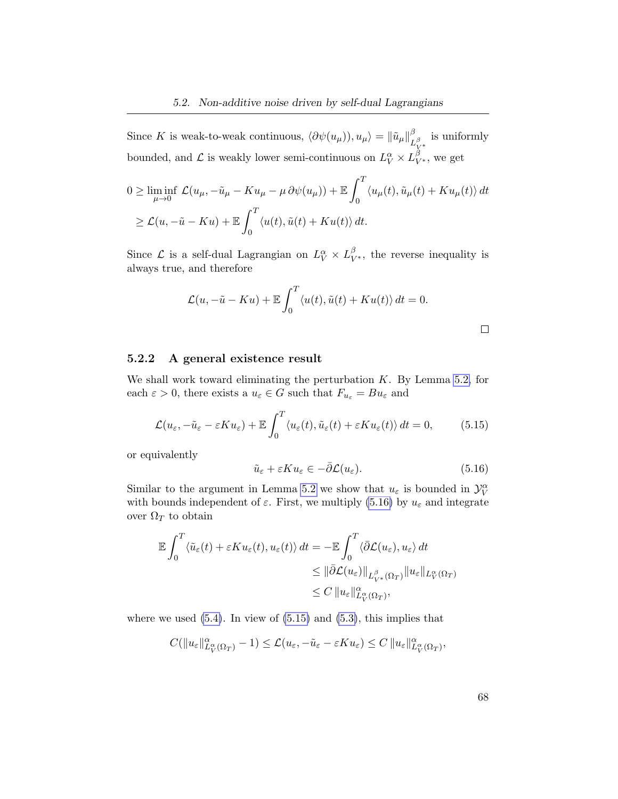Since K is weak-to-weak continuous,  $\langle \partial \psi(u_\mu) \rangle, u_\mu \rangle = {\|\tilde{u}_\mu\|}_L^{\beta}$  $L_{V^*}^\beta$ is uniformly bounded, and  $\mathcal L$  is weakly lower semi-continuous on  $L_V^\alpha \times L_{V^*}^\beta$ , we get

$$
0 \geq \liminf_{\mu \to 0} \mathcal{L}(u_{\mu}, -\tilde{u}_{\mu} - Ku_{\mu} - \mu \partial \psi(u_{\mu})) + \mathbb{E} \int_0^T \langle u_{\mu}(t), \tilde{u}_{\mu}(t) + Ku_{\mu}(t) \rangle dt
$$
  
 
$$
\geq \mathcal{L}(u, -\tilde{u} - Ku) + \mathbb{E} \int_0^T \langle u(t), \tilde{u}(t) + Ku(t) \rangle dt.
$$

Since  $\mathcal L$  is a self-dual Lagrangian on  $L_V^{\alpha} \times L_{V^*}^{\beta}$ , the reverse inequality is always true, and therefore

$$
\mathcal{L}(u, -\tilde{u} - Ku) + \mathbb{E} \int_0^T \langle u(t), \tilde{u}(t) + Ku(t) \rangle dt = 0.
$$

### 5.2.2 A general existence result

We shall work toward eliminating the perturbation  $K$ . By Lemma [5.2,](#page-73-2) for each  $\varepsilon > 0$ , there exists a  $u_{\varepsilon} \in G$  such that  $F_{u_{\varepsilon}} = Bu_{\varepsilon}$  and

<span id="page-75-1"></span>
$$
\mathcal{L}(u_{\varepsilon}, -\tilde{u}_{\varepsilon} - \varepsilon K u_{\varepsilon}) + \mathbb{E} \int_0^T \langle u_{\varepsilon}(t), \tilde{u}_{\varepsilon}(t) + \varepsilon K u_{\varepsilon}(t) \rangle dt = 0, \qquad (5.15)
$$

or equivalently

<span id="page-75-0"></span>
$$
\tilde{u}_{\varepsilon} + \varepsilon K u_{\varepsilon} \in -\bar{\partial} \mathcal{L}(u_{\varepsilon}).\tag{5.16}
$$

Similar to the argument in Lemma [5.2](#page-73-2) we show that  $u_{\varepsilon}$  is bounded in  $\mathcal{Y}_{V}^{\alpha}$ with bounds independent of  $\varepsilon$ . First, we multiply [\(5.16\)](#page-75-0) by  $u_{\varepsilon}$  and integrate over  $\Omega_T$  to obtain

$$
\mathbb{E} \int_0^T \langle \tilde{u}_{\varepsilon}(t) + \varepsilon K u_{\varepsilon}(t), u_{\varepsilon}(t) \rangle dt = - \mathbb{E} \int_0^T \langle \bar{\partial} \mathcal{L}(u_{\varepsilon}), u_{\varepsilon} \rangle dt
$$
  

$$
\leq \| \bar{\partial} \mathcal{L}(u_{\varepsilon}) \|_{L^{\beta}_{V^*}(\Omega_T)} \| u_{\varepsilon} \|_{L^{\alpha}_{V}(\Omega_T)}
$$
  

$$
\leq C \| u_{\varepsilon} \|_{L^{\alpha}_{V}(\Omega_T)}^{\alpha},
$$

where we used  $(5.4)$ . In view of  $(5.15)$  and  $(5.3)$ , this implies that

$$
C(\|u_{\varepsilon}\|_{L^{\alpha}_{V}(\Omega_{T})}^{\alpha}-1) \leq \mathcal{L}(u_{\varepsilon},-\tilde{u}_{\varepsilon}-\varepsilon Ku_{\varepsilon}) \leq C\|u_{\varepsilon}\|_{L^{\alpha}_{V}(\Omega_{T})}^{\alpha},
$$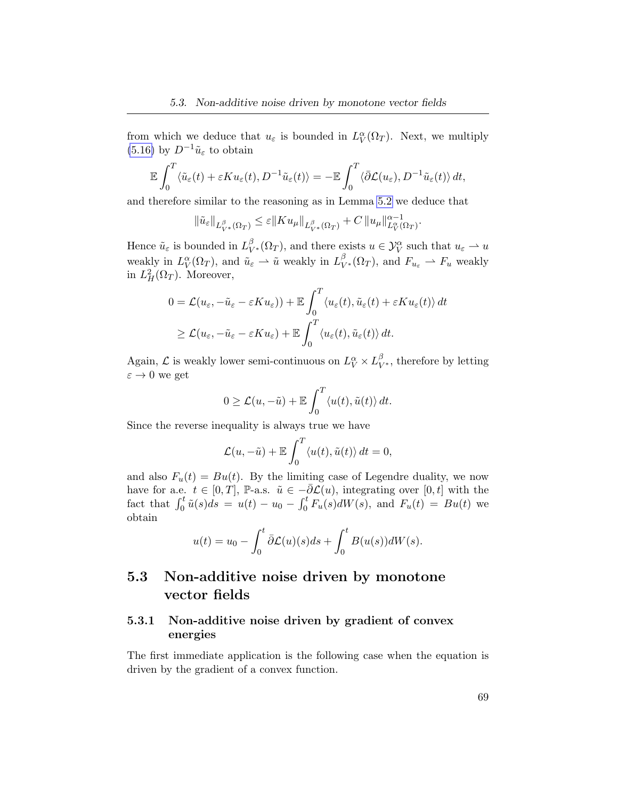from which we deduce that  $u_{\varepsilon}$  is bounded in  $L_V^{\alpha}(\Omega_T)$ . Next, we multiply [\(5.16\)](#page-75-0) by  $D^{-1}\tilde{u}_{\varepsilon}$  to obtain

$$
\mathbb{E}\int_0^T \langle \tilde{u}_{\varepsilon}(t) + \varepsilon K u_{\varepsilon}(t), D^{-1} \tilde{u}_{\varepsilon}(t) \rangle = -\mathbb{E}\int_0^T \langle \bar{\partial} \mathcal{L}(u_{\varepsilon}), D^{-1} \tilde{u}_{\varepsilon}(t) \rangle dt,
$$

and therefore similar to the reasoning as in Lemma [5.2](#page-73-2) we deduce that

$$
\|\tilde{u}_{\varepsilon}\|_{L^{\beta}_{V^*}(\Omega_T)} \leq \varepsilon \|K u_{\mu}\|_{L^{\beta}_{V^*}(\Omega_T)} + C \|u_{\mu}\|_{L^{\alpha}_{V}(\Omega_T)}^{\alpha-1}.
$$

Hence  $\tilde{u}_{\varepsilon}$  is bounded in  $L^{\beta}_{V^*}(\Omega_T)$ , and there exists  $u \in \mathcal{Y}_V^{\alpha}$  such that  $u_{\varepsilon} \to u$ weakly in  $L_V^{\alpha}(\Omega_T)$ , and  $\tilde{u}_{\varepsilon} \rightharpoonup \tilde{u}$  weakly in  $L_{V^*}^{\beta}(\Omega_T)$ , and  $F_{u_{\varepsilon}} \rightharpoonup F_u$  weakly in  $L^2_H(\Omega_T)$ . Moreover,

$$
0 = \mathcal{L}(u_{\varepsilon}, -\tilde{u}_{\varepsilon} - \varepsilon K u_{\varepsilon})) + \mathbb{E} \int_0^T \langle u_{\varepsilon}(t), \tilde{u}_{\varepsilon}(t) + \varepsilon K u_{\varepsilon}(t) \rangle dt
$$
  
 
$$
\geq \mathcal{L}(u_{\varepsilon}, -\tilde{u}_{\varepsilon} - \varepsilon K u_{\varepsilon}) + \mathbb{E} \int_0^T \langle u_{\varepsilon}(t), \tilde{u}_{\varepsilon}(t) \rangle dt.
$$

Again,  $\mathcal L$  is weakly lower semi-continuous on  $L_V^{\alpha} \times L_{V^*}^{\beta}$ , therefore by letting  $\varepsilon \to 0$  we get

$$
0 \geq \mathcal{L}(u, -\tilde{u}) + \mathbb{E} \int_0^T \langle u(t), \tilde{u}(t) \rangle dt.
$$

Since the reverse inequality is always true we have

$$
\mathcal{L}(u, -\tilde{u}) + \mathbb{E} \int_0^T \langle u(t), \tilde{u}(t) \rangle dt = 0,
$$

and also  $F_u(t) = Bu(t)$ . By the limiting case of Legendre duality, we now have for a.e.  $t \in [0, T]$ , P-a.s.  $\tilde{u} \in -\overline{\partial} \mathcal{L}(u)$ , integrating over  $[0, t]$  with the fact that  $\int_0^t \tilde{u}(s)ds = u(t) - u_0 - \int_0^t F_u(s)dW(s)$ , and  $F_u(t) = Bu(t)$  we obtain

$$
u(t) = u_0 - \int_0^t \bar{\partial} \mathcal{L}(u)(s)ds + \int_0^t B(u(s))dW(s).
$$

### 5.3 Non-additive noise driven by monotone vector fields

### 5.3.1 Non-additive noise driven by gradient of convex energies

The first immediate application is the following case when the equation is driven by the gradient of a convex function.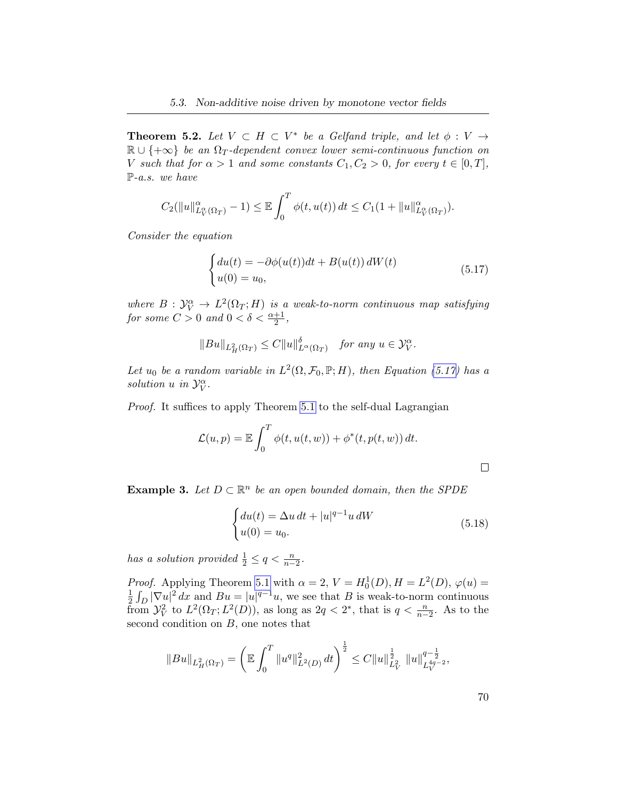**Theorem 5.2.** Let  $V \subset H \subset V^*$  be a Gelfand triple, and let  $\phi: V \to$  $\mathbb{R} \cup \{+\infty\}$  be an  $\Omega_T$ -dependent convex lower semi-continuous function on V such that for  $\alpha > 1$  and some constants  $C_1, C_2 > 0$ , for every  $t \in [0, T]$ , P-a.s. we have

$$
C_2(||u||^{\alpha}_{L^{\alpha}_{V}(\Omega_T)}-1) \leq \mathbb{E}\int_0^T \phi(t,u(t)) dt \leq C_1(1+||u||^{\alpha}_{L^{\alpha}_{V}(\Omega_T)}).
$$

Consider the equation

<span id="page-77-0"></span>
$$
\begin{cases} du(t) = -\partial \phi(u(t))dt + B(u(t)) dW(t) \\ u(0) = u_0, \end{cases}
$$
\n(5.17)

where  $B: \mathcal{Y}_V^{\alpha} \to L^2(\Omega_T; H)$  is a weak-to-norm continuous map satisfying for some  $C > 0$  and  $0 < \delta < \frac{\alpha + 1}{2}$ ,

$$
||Bu||_{L^2_H(\Omega_T)} \leq C||u||_{L^{\alpha}(\Omega_T)}^{\delta} \quad \text{for any } u \in \mathcal{Y}_V^{\alpha}.
$$

Let u<sub>0</sub> be a random variable in  $L^2(\Omega, \mathcal{F}_0, \mathbb{P}; H)$ , then Equation [\(5.17\)](#page-77-0) has a solution u in  $\mathcal{Y}_V^{\alpha}$ .

Proof. It suffices to apply Theorem [5.1](#page-68-2) to the self-dual Lagrangian

$$
\mathcal{L}(u,p) = \mathbb{E} \int_0^T \phi(t, u(t, w)) + \phi^*(t, p(t, w)) dt.
$$

 $\Box$ 

**Example 3.** Let  $D \subset \mathbb{R}^n$  be an open bounded domain, then the SPDE

<span id="page-77-1"></span>
$$
\begin{cases} du(t) = \Delta u \, dt + |u|^{q-1} u \, dW \\ u(0) = u_0. \end{cases} \tag{5.18}
$$

has a solution provided  $\frac{1}{2} \leq q < \frac{n}{n-2}$ .

*Proof.* Applying Theorem [5.1](#page-68-2) with  $\alpha = 2$ ,  $V = H_0^1(D)$ ,  $H = L^2(D)$ ,  $\varphi(u) =$ 1  $\frac{1}{2} \int_D |\nabla u|^2 dx$  and  $Bu = |u|^{q-1}u$ , we see that B is weak-to-norm continuous from  $\mathcal{Y}_{V}^{2}$  to  $L^{2}(\Omega_{T}; L^{2}(D))$ , as long as  $2q < 2^{*}$ , that is  $q < \frac{n}{n-2}$ . As to the second condition on  $B$ , one notes that

$$
||Bu||_{L^2_H(\Omega_T)} = \left(\mathbb{E} \int_0^T \|u^q\|_{L^2(D)}^2 dt\right)^{\frac{1}{2}} \leq C ||u||_{L^2_V}^{\frac{1}{2}} ||u||_{L^{4q-2}_V}^{q-\frac{1}{2}},
$$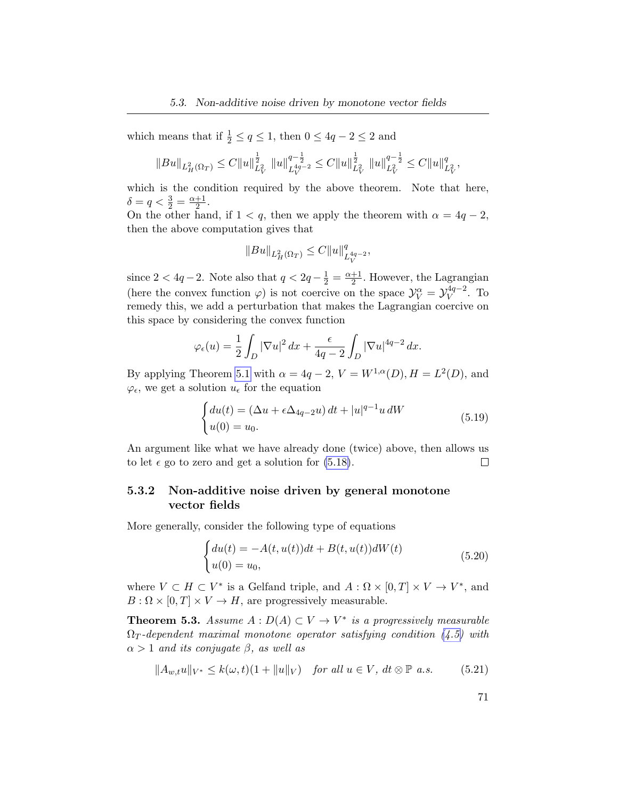which means that if  $\frac{1}{2} \le q \le 1$ , then  $0 \le 4q - 2 \le 2$  and

$$
\|Bu\|_{L^2_H(\Omega_T)}\leq C\|u\|_{L^2_V}^{\frac{1}{2}}\,\,\|u\|_{L^{4q-2}_V}^{q-\frac{1}{2}}\leq C\|u\|_{L^2_V}^{\frac{1}{2}}\,\,\|u\|_{L^2_V}^{q-\frac{1}{2}}\leq C\|u\|_{L^2_V}^q,
$$

which is the condition required by the above theorem. Note that here,  $\delta = q < \frac{3}{2} = \frac{\alpha + 1}{2}$  $\frac{+1}{2}$ .

On the other hand, if  $1 < q$ , then we apply the theorem with  $\alpha = 4q - 2$ , then the above computation gives that

$$
\|Bu\|_{L^2_H(\Omega_T)} \leq C \|u\|_{L^{4q-2}_V}^q,
$$

since  $2 < 4q - 2$ . Note also that  $q < 2q - \frac{1}{2} = \frac{\alpha + 1}{2}$  $\frac{+1}{2}$ . However, the Lagrangian (here the convex function  $\varphi$ ) is not coercive on the space  $\mathcal{Y}_V^{\alpha} = \mathcal{Y}_V^{4q-2}$  $V^{\frac{4q-2}{}}$ . To remedy this, we add a perturbation that makes the Lagrangian coercive on this space by considering the convex function

$$
\varphi_{\epsilon}(u) = \frac{1}{2} \int_{D} |\nabla u|^2 dx + \frac{\epsilon}{4q - 2} \int_{D} |\nabla u|^{4q - 2} dx.
$$

By applying Theorem [5.1](#page-68-2) with  $\alpha = 4q - 2$ ,  $V = W^{1,\alpha}(D)$ ,  $H = L^2(D)$ , and  $\varphi_{\epsilon}$ , we get a solution  $u_{\epsilon}$  for the equation

$$
\begin{cases} du(t) = (\Delta u + \epsilon \Delta_{4q-2}u) dt + |u|^{q-1} u dW \\ u(0) = u_0. \end{cases}
$$
 (5.19)

An argument like what we have already done (twice) above, then allows us  $\Box$ to let  $\epsilon$  go to zero and get a solution for [\(5.18\)](#page-77-1).

### 5.3.2 Non-additive noise driven by general monotone vector fields

More generally, consider the following type of equations

<span id="page-78-0"></span>
$$
\begin{cases} du(t) = -A(t, u(t))dt + B(t, u(t))dW(t) \\ u(0) = u_0, \end{cases}
$$
 (5.20)

where  $V \subset H \subset V^*$  is a Gelfand triple, and  $A: \Omega \times [0,T] \times V \to V^*$ , and  $B: \Omega \times [0,T] \times V \to H$ , are progressively measurable.

**Theorem 5.3.** Assume  $A: D(A) \subset V \to V^*$  is a progressively measurable  $\Omega_T$ -dependent maximal monotone operator satisfying condition [\(4.5\)](#page-51-0) with  $\alpha > 1$  and its conjugate  $\beta$ , as well as

<span id="page-78-1"></span>
$$
||A_{w,t}u||_{V^*} \le k(\omega,t)(1+||u||_V) \quad \text{for all } u \in V, \text{ dt } \otimes \mathbb{P} \text{ a.s.}
$$
 (5.21)

71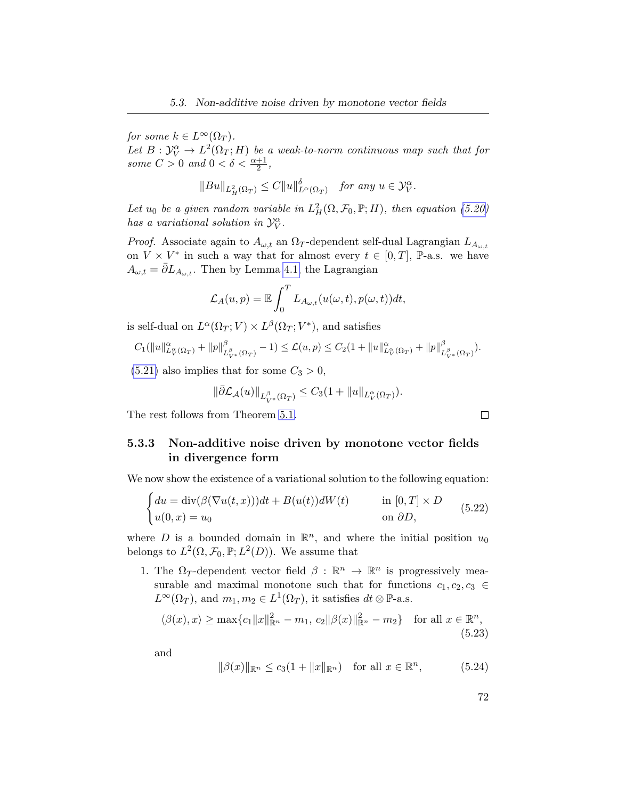for some  $k \in L^{\infty}(\Omega_T)$ .

Let  $B: \mathcal{Y}_V^{\alpha} \to L^2(\Omega_T; H)$  be a weak-to-norm continuous map such that for some  $C > 0$  and  $0 < \delta < \frac{\alpha + 1}{2}$ ,

$$
||Bu||_{L^2_H(\Omega_T)} \leq C||u||^{\delta}_{L^{\alpha}(\Omega_T)} \quad \text{for any } u \in \mathcal{Y}^{\alpha}_V.
$$

Let  $u_0$  be a given random variable in  $L^2_H(\Omega, \mathcal{F}_0, \mathbb{P}; H)$ , then equation [\(5.20\)](#page-78-0) has a variational solution in  $\mathcal{Y}_V^{\alpha}$ .

*Proof.* Associate again to  $A_{\omega,t}$  an  $\Omega_T$ -dependent self-dual Lagrangian  $L_{A_{\omega,t}}$ on  $V \times V^*$  in such a way that for almost every  $t \in [0, T]$ , P-a.s. we have  $A_{\omega,t} = \overline{\partial} L_{A_{\omega,t}}$ . Then by Lemma [4.1,](#page-51-1) the Lagrangian

$$
\mathcal{L}_A(u,p) = \mathbb{E} \int_0^T L_{A_{\omega,t}}(u(\omega,t), p(\omega,t))dt,
$$

is self-dual on  $L^{\alpha}(\Omega_T; V) \times L^{\beta}(\Omega_T; V^*)$ , and satisfies

$$
C_1(||u||_{L^{\alpha}_{V}(\Omega_T)}^{\alpha}+||p||_{L^{\beta}_{V^{*}}(\Omega_T)}^{\beta}-1) \leq \mathcal{L}(u,p) \leq C_2(1+||u||_{L^{\alpha}_{V}(\Omega_T)}^{\alpha}+||p||_{L^{\beta}_{V^{*}}(\Omega_T)}^{\beta}).
$$

 $(5.21)$  also implies that for some  $C_3 > 0$ ,

$$
\|\bar{\partial} \mathcal{L}_{\mathcal{A}}(u)\|_{L^{\beta}_{V^*}(\Omega_T)} \leq C_3(1 + \|u\|_{L^{\alpha}_{V}(\Omega_T)}).
$$

The rest follows from Theorem [5.1.](#page-68-2)

### 5.3.3 Non-additive noise driven by monotone vector fields in divergence form

We now show the existence of a variational solution to the following equation:

<span id="page-79-0"></span>
$$
\begin{cases} du = \text{div}(\beta(\nabla u(t, x)))dt + B(u(t))dW(t) & \text{in } [0, T] \times D \\ u(0, x) = u_0 & \text{on } \partial D, \end{cases}
$$
(5.22)

where D is a bounded domain in  $\mathbb{R}^n$ , and where the initial position  $u_0$ belongs to  $L^2(\Omega, \mathcal{F}_0, \mathbb{P}; L^2(D))$ . We assume that

1. The  $\Omega_T$ -dependent vector field  $\beta : \mathbb{R}^n \to \mathbb{R}^n$  is progressively measurable and maximal monotone such that for functions  $c_1, c_2, c_3 \in$  $L^{\infty}(\Omega_T)$ , and  $m_1, m_2 \in L^1(\Omega_T)$ , it satisfies  $dt \otimes \mathbb{P}$ -a.s.

$$
\langle \beta(x), x \rangle \ge \max\{c_1 \|x\|_{\mathbb{R}^n}^2 - m_1, c_2 \|\beta(x)\|_{\mathbb{R}^n}^2 - m_2\} \text{ for all } x \in \mathbb{R}^n,
$$
\n(5.23)

and

<span id="page-79-2"></span>
$$
\|\beta(x)\|_{\mathbb{R}^n} \le c_3(1 + \|x\|_{\mathbb{R}^n}) \quad \text{for all } x \in \mathbb{R}^n,
$$
 (5.24)

<span id="page-79-1"></span>

| I |
|---|
|   |

 $\Box$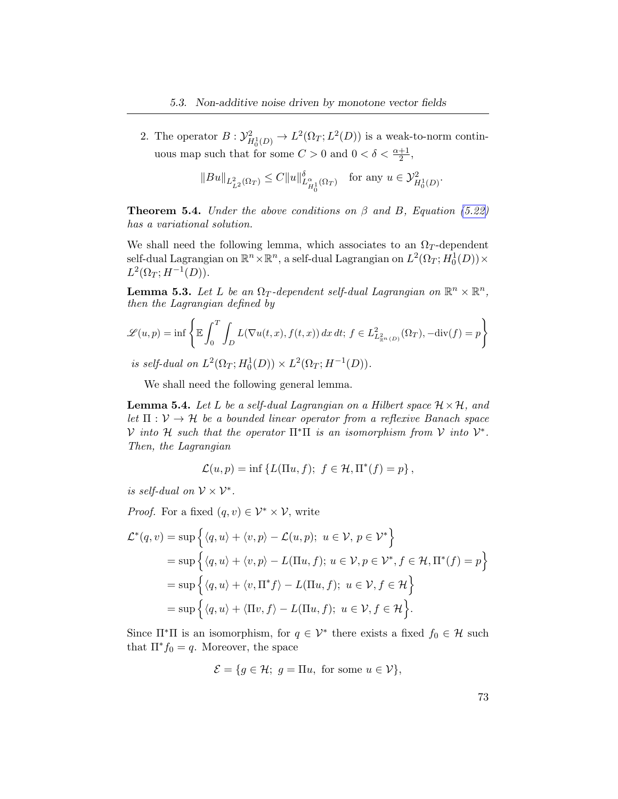2. The operator  $B: \mathcal{Y}_{H_0^1(D)}^2 \to L^2(\Omega_T; L^2(D))$  is a weak-to-norm continuous map such that for some  $C > 0$  and  $0 < \delta < \frac{\alpha+1}{2}$ ,

$$
||Bu||_{L_{L^2}^2(\Omega_T)} \leq C||u||_{L_{H_0^1}^{\alpha}(\Omega_T)}^{\delta} \quad \text{for any } u \in \mathcal{Y}_{H_0^1(D)}^2.
$$

<span id="page-80-2"></span>**Theorem 5.4.** Under the above conditions on  $\beta$  and  $B$ , Equation [\(5.22\)](#page-79-0) has a variational solution.

We shall need the following lemma, which associates to an  $\Omega_T$ -dependent self-dual Lagrangian on  $\mathbb{R}^n \times \mathbb{R}^n$ , a self-dual Lagrangian on  $L^2(\Omega_T; H^1_0(D)) \times$  $L^2(\Omega_T; H^{-1}(D)).$ 

<span id="page-80-0"></span>**Lemma 5.3.** Let L be an  $\Omega_T$ -dependent self-dual Lagrangian on  $\mathbb{R}^n \times \mathbb{R}^n$ , then the Lagrangian defined by

$$
\mathscr{L}(u,p) = \inf \left\{ \mathbb{E} \int_0^T \int_D L(\nabla u(t,x), f(t,x)) \, dx \, dt; \, f \in L^2_{L^2_{\mathbb{R}^n}(D)}(\Omega_T), -\text{div}(f) = p \right\}
$$

is self-dual on  $L^2(\Omega_T; H_0^1(D)) \times L^2(\Omega_T; H^{-1}(D)).$ 

We shall need the following general lemma.

<span id="page-80-1"></span>**Lemma 5.4.** Let L be a self-dual Lagrangian on a Hilbert space  $\mathcal{H} \times \mathcal{H}$ , and let  $\Pi : \mathcal{V} \to \mathcal{H}$  be a bounded linear operator from a reflexive Banach space V into H such that the operator  $\Pi^*\Pi$  is an isomorphism from V into  $\mathcal{V}^*$ . Then, the Lagrangian

$$
\mathcal{L}(u,p) = \inf \{ L(\Pi u, f); f \in \mathcal{H}, \Pi^*(f) = p \},
$$

is self-dual on  $\mathcal{V} \times \mathcal{V}^*$ .

*Proof.* For a fixed  $(q, v) \in \mathcal{V}^* \times \mathcal{V}$ , write

$$
\mathcal{L}^*(q, v) = \sup \Big\{ \langle q, u \rangle + \langle v, p \rangle - \mathcal{L}(u, p); \ u \in \mathcal{V}, \ p \in \mathcal{V}^* \Big\}
$$
  
= 
$$
\sup \Big\{ \langle q, u \rangle + \langle v, p \rangle - L(\Pi u, f); \ u \in \mathcal{V}, p \in \mathcal{V}^*, f \in \mathcal{H}, \Pi^*(f) = p \Big\}
$$
  
= 
$$
\sup \Big\{ \langle q, u \rangle + \langle v, \Pi^* f \rangle - L(\Pi u, f); \ u \in \mathcal{V}, f \in \mathcal{H} \Big\}
$$
  
= 
$$
\sup \Big\{ \langle q, u \rangle + \langle \Pi v, f \rangle - L(\Pi u, f); \ u \in \mathcal{V}, f \in \mathcal{H} \Big\}.
$$

Since  $\Pi^* \Pi$  is an isomorphism, for  $q \in \mathcal{V}^*$  there exists a fixed  $f_0 \in \mathcal{H}$  such that  $\Pi^* f_0 = q$ . Moreover, the space

$$
\mathcal{E} = \{ g \in \mathcal{H}; \ g = \Pi u, \text{ for some } u \in \mathcal{V} \},
$$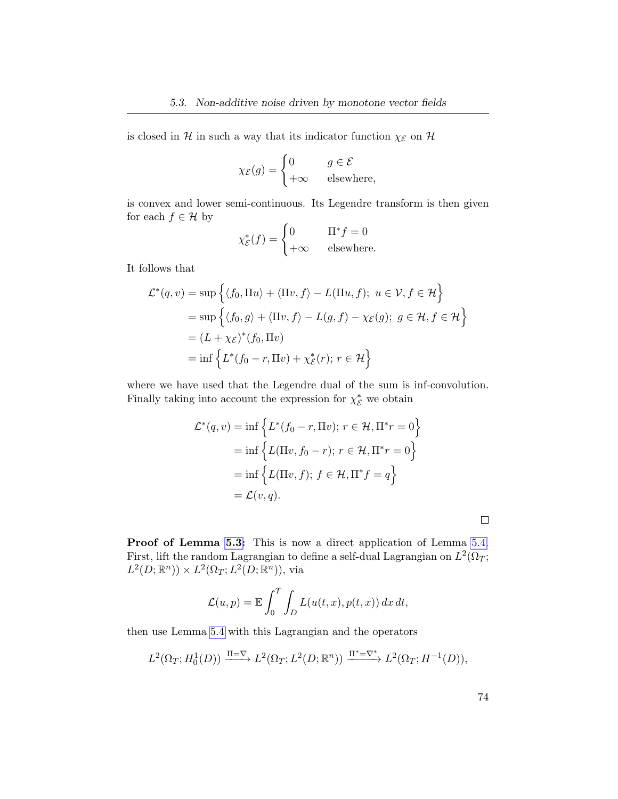is closed in  $\mathcal H$  in such a way that its indicator function  $\chi_{\mathcal E}$  on  $\mathcal H$ 

$$
\chi_{\mathcal{E}}(g) = \begin{cases} 0 & g \in \mathcal{E} \\ +\infty & \text{elsewhere,} \end{cases}
$$

is convex and lower semi-continuous. Its Legendre transform is then given for each  $f \in \mathcal{H}$  by

$$
\chi_{\mathcal{E}}^*(f) = \begin{cases} 0 & \Pi^* f = 0 \\ +\infty & \text{elsewhere.} \end{cases}
$$

It follows that

$$
\mathcal{L}^*(q, v) = \sup \Big\{ \langle f_0, \Pi u \rangle + \langle \Pi v, f \rangle - L(\Pi u, f); \ u \in \mathcal{V}, f \in \mathcal{H} \Big\}
$$
  
=  $\sup \Big\{ \langle f_0, g \rangle + \langle \Pi v, f \rangle - L(g, f) - \chi_{\mathcal{E}}(g); \ g \in \mathcal{H}, f \in \mathcal{H} \Big\}$   
=  $(L + \chi_{\mathcal{E}})^*(f_0, \Pi v)$   
=  $\inf \Big\{ L^*(f_0 - r, \Pi v) + \chi_{\mathcal{E}}^*(r); \ r \in \mathcal{H} \Big\}$ 

where we have used that the Legendre dual of the sum is inf-convolution. Finally taking into account the expression for  $\chi_{\mathcal{E}}^*$  we obtain

$$
\mathcal{L}^*(q, v) = \inf \left\{ L^*(f_0 - r, \Pi v); r \in \mathcal{H}, \Pi^* r = 0 \right\}
$$

$$
= \inf \left\{ L(\Pi v, f_0 - r); r \in \mathcal{H}, \Pi^* r = 0 \right\}
$$

$$
= \inf \left\{ L(\Pi v, f); f \in \mathcal{H}, \Pi^* f = q \right\}
$$

$$
= \mathcal{L}(v, q).
$$

Proof of Lemma [5.3:](#page-80-0) This is now a direct application of Lemma [5.4.](#page-80-1) First, lift the random Lagrangian to define a self-dual Lagrangian on  $L^2(\Omega_T;$  $L^2(D; \mathbb{R}^n) \rangle \times L^2(\Omega_T; L^2(D; \mathbb{R}^n))$ , via

$$
\mathcal{L}(u, p) = \mathbb{E} \int_0^T \int_D L(u(t, x), p(t, x)) dx dt,
$$

then use Lemma [5.4](#page-80-1) with this Lagrangian and the operators

$$
L^2(\Omega_T; H_0^1(D)) \xrightarrow{\Pi=\nabla} L^2(\Omega_T; L^2(D;\mathbb{R}^n)) \xrightarrow{\Pi^*=\nabla^*} L^2(\Omega_T; H^{-1}(D)),
$$

 $\Box$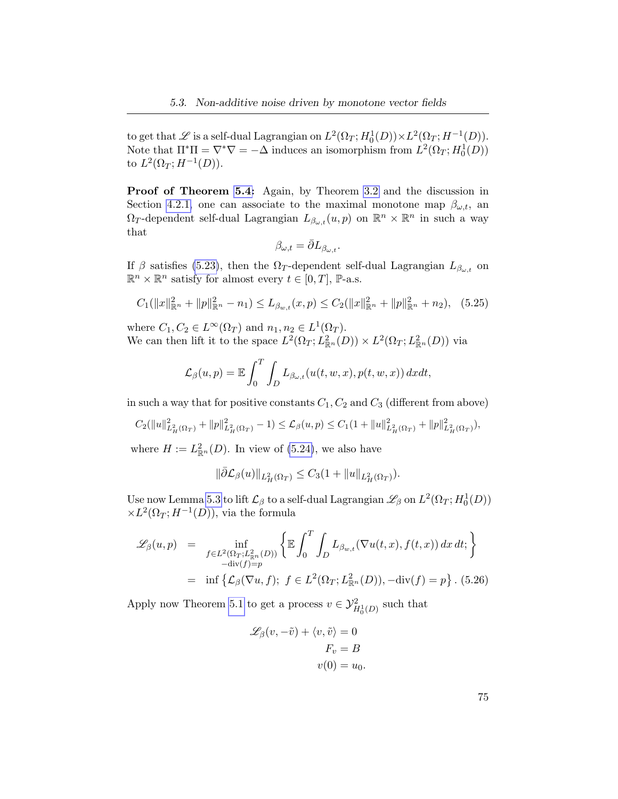to get that  $\mathscr L$  is a self-dual Lagrangian on  $L^2(\Omega_T; H_0^1(D)) \times L^2(\Omega_T; H^{-1}(D)).$ Note that  $\Pi^* \Pi = \nabla^* \nabla = -\Delta$  induces an isomorphism from  $L^2(\Omega_T; H_0^1(D))$ to  $L^2(\Omega_T; H^{-1}(D)).$ 

Proof of Theorem [5.4:](#page-80-2) Again, by Theorem [3.2](#page-36-0) and the discussion in Section [4.2.1,](#page-51-2) one can associate to the maximal monotone map  $\beta_{\omega,t}$ , an  $\Omega_T$ -dependent self-dual Lagrangian  $L_{\beta_{\omega,t}}(u,p)$  on  $\mathbb{R}^n \times \mathbb{R}^n$  in such a way that

<span id="page-82-0"></span>
$$
\beta_{\omega,t} = \bar{\partial} L_{\beta_{\omega,t}}.
$$

If  $\beta$  satisfies [\(5.23\)](#page-79-1), then the  $\Omega_T$ -dependent self-dual Lagrangian  $L_{\beta_{\omega,t}}$  on  $\mathbb{R}^n \times \mathbb{R}^n$  satisfy for almost every  $t \in [0, T]$ ,  $\mathbb{P}\text{-a.s.}$ 

$$
C_1(||x||_{\mathbb{R}^n}^2 + ||p||_{\mathbb{R}^n}^2 - n_1) \le L_{\beta_{w,t}}(x, p) \le C_2(||x||_{\mathbb{R}^n}^2 + ||p||_{\mathbb{R}^n}^2 + n_2), \quad (5.25)
$$

where  $C_1, C_2 \in L^{\infty}(\Omega_T)$  and  $n_1, n_2 \in L^1(\Omega_T)$ . We can then lift it to the space  $L^2(\Omega_T; L^2_{\mathbb{R}^n}(D)) \times L^2(\Omega_T; L^2_{\mathbb{R}^n}(D))$  via

$$
\mathcal{L}_{\beta}(u,p) = \mathbb{E} \int_0^T \int_D L_{\beta_{\omega,t}}(u(t,w,x), p(t,w,x)) \, dx dt,
$$

in such a way that for positive constants  $C_1, C_2$  and  $C_3$  (different from above)

$$
C_2(||u||^2_{L^2_H(\Omega_T)} + ||p||^2_{L^2_H(\Omega_T)} - 1) \leq \mathcal{L}_{\beta}(u, p) \leq C_1(1 + ||u||^2_{L^2_H(\Omega_T)} + ||p||^2_{L^2_H(\Omega_T)}),
$$

where  $H := L^2_{\mathbb{R}^n}(D)$ . In view of [\(5.24\)](#page-79-2), we also have

$$
\|\bar{\partial} \mathcal{L}_{\beta}(u)\|_{L^2_H(\Omega_T)} \leq C_3(1+\|u\|_{L^2_H(\Omega_T)}).
$$

Use now Lemma [5.3](#page-80-0) to lift  $\mathcal{L}_{\beta}$  to a self-dual Lagrangian  $\mathscr{L}_{\beta}$  on  $L^2(\Omega_T; H^1_0(D))$  $\times L^2(\Omega_T; H^{-1}(D))$ , via the formula

$$
\mathcal{L}_{\beta}(u,p) = \inf_{\substack{f \in L^{2}(\Omega_{T}; L^{2}_{\mathbb{R}^{n}}(D)) \\ -\text{div}(f) = p}} \left\{ \mathbb{E} \int_{0}^{T} \int_{D} L_{\beta_{w,t}}(\nabla u(t,x), f(t,x)) dx dt; \right\}
$$

$$
= \inf \left\{ \mathcal{L}_{\beta}(\nabla u, f); f \in L^{2}(\Omega_{T}; L^{2}_{\mathbb{R}^{n}}(D)), -\text{div}(f) = p \right\}. (5.26)
$$

Apply now Theorem [5.1](#page-68-2) to get a process  $v \in \mathcal{Y}_{H_0^1(D)}^2$  such that

$$
\mathcal{L}_{\beta}(v, -\tilde{v}) + \langle v, \tilde{v} \rangle = 0
$$

$$
F_v = B
$$

$$
v(0) = u_0.
$$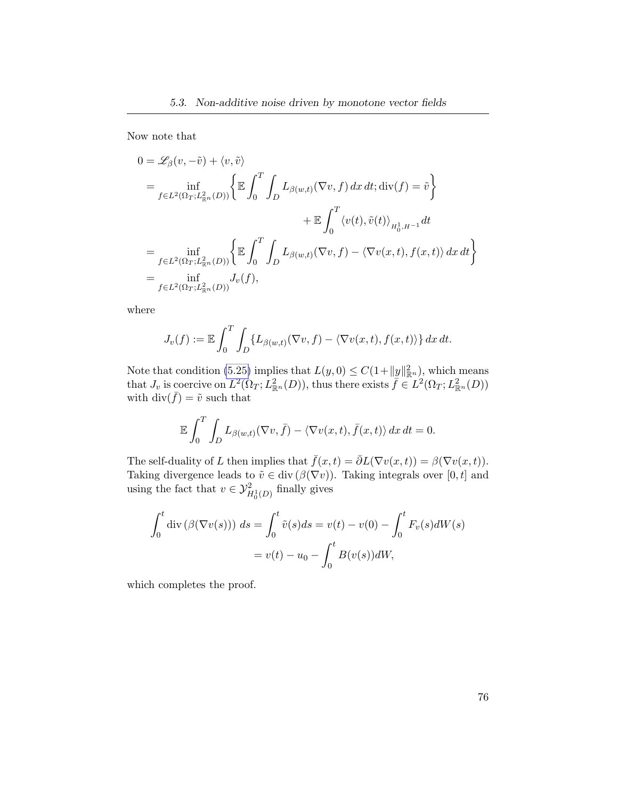Now note that

$$
0 = \mathscr{L}_{\beta}(v, -\tilde{v}) + \langle v, \tilde{v} \rangle
$$
  
\n
$$
= \inf_{f \in L^{2}(\Omega_{T}; L^{2}_{\mathbb{R}^{n}}(D))} \left\{ \mathbb{E} \int_{0}^{T} \int_{D} L_{\beta(w,t)}(\nabla v, f) dx dt; \text{div}(f) = \tilde{v} \right\}
$$
  
\n
$$
+ \mathbb{E} \int_{0}^{T} \langle v(t), \tilde{v}(t) \rangle_{H^{1}_{0}, H^{-1}} dt
$$
  
\n
$$
= \inf_{f \in L^{2}(\Omega_{T}; L^{2}_{\mathbb{R}^{n}}(D))} \left\{ \mathbb{E} \int_{0}^{T} \int_{D} L_{\beta(w,t)}(\nabla v, f) - \langle \nabla v(x,t), f(x,t) \rangle dx dt \right\}
$$
  
\n
$$
= \inf_{f \in L^{2}(\Omega_{T}; L^{2}_{\mathbb{R}^{n}}(D))} J_{v}(f),
$$

where

$$
J_v(f) := \mathbb{E} \int_0^T \int_D \{ L_{\beta(w,t)}(\nabla v, f) - \langle \nabla v(x,t), f(x,t) \rangle \} dx dt.
$$

Note that condition [\(5.25\)](#page-82-0) implies that  $L(y, 0) \leq C(1 + ||y||_{\mathbb{R}^n}^2)$ , which means that  $J_v$  is coercive on  $L^2(\Omega_T; L^2_{\mathbb{R}^n}(D))$ , thus there exists  $\overline{f} \in L^2(\Omega_T; L^2_{\mathbb{R}^n}(D))$ with  $\text{div}(\bar{f}) = \tilde{v}$  such that

$$
\mathbb{E}\int_0^T \int_D L_{\beta(w,t)}(\nabla v, \bar{f}) - \langle \nabla v(x,t), \bar{f}(x,t) \rangle \, dx \, dt = 0.
$$

The self-duality of L then implies that  $\bar{f}(x,t) = \bar{\partial}L(\nabla v(x,t)) = \beta(\nabla v(x,t)).$ Taking divergence leads to  $\tilde{v} \in \text{div}(\beta(\nabla v))$ . Taking integrals over [0, t] and using the fact that  $v \in \mathcal{Y}_{H_0^1(D)}^2$  finally gives

$$
\int_0^t \operatorname{div} \left( \beta(\nabla v(s)) \right) ds = \int_0^t \tilde{v}(s) ds = v(t) - v(0) - \int_0^t F_v(s) dW(s)
$$

$$
= v(t) - u_0 - \int_0^t B(v(s)) dW,
$$

which completes the proof.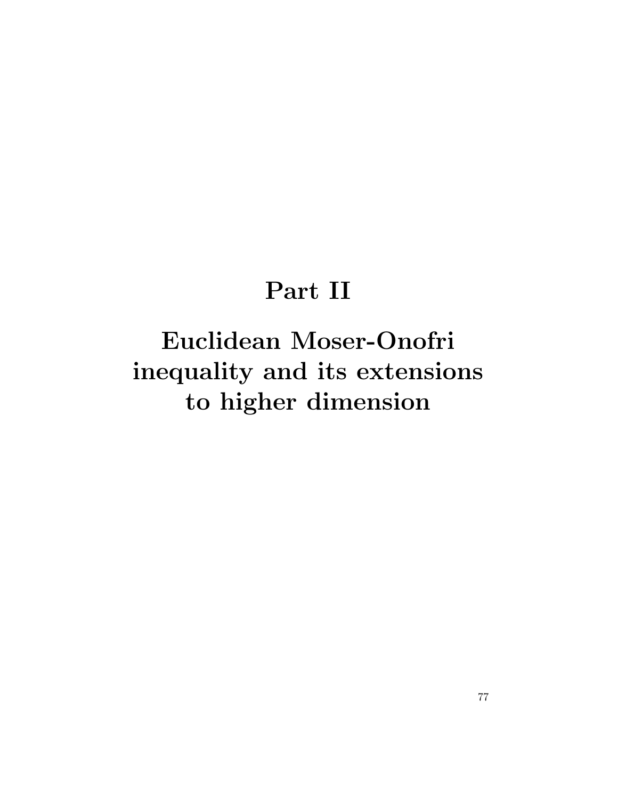### Part II

# Euclidean Moser-Onofri inequality and its extensions to higher dimension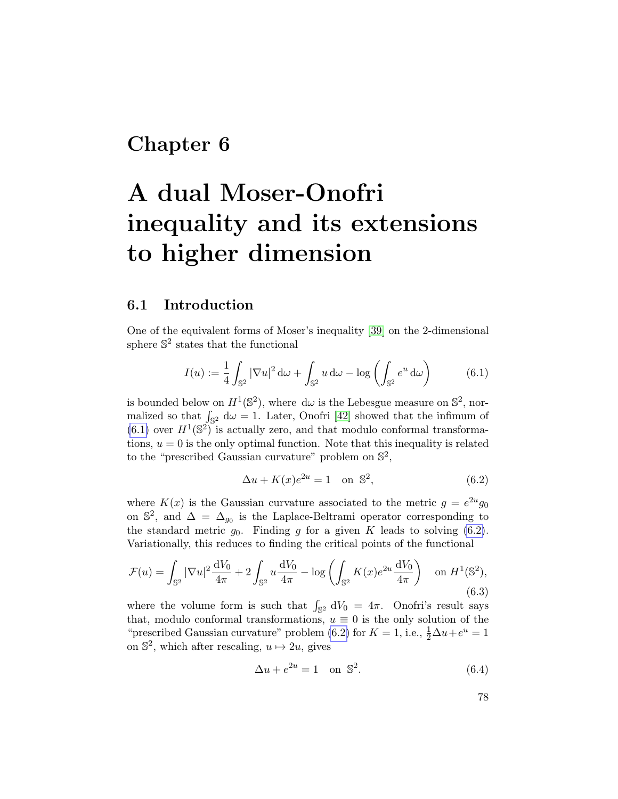### Chapter 6

## A dual Moser-Onofri inequality and its extensions to higher dimension

### 6.1 Introduction

One of the equivalent forms of Moser's inequality [\[39\]](#page-103-0) on the 2-dimensional sphere  $\mathbb{S}^2$  states that the functional

<span id="page-85-0"></span>
$$
I(u) := \frac{1}{4} \int_{\mathbb{S}^2} |\nabla u|^2 \, d\omega + \int_{\mathbb{S}^2} u \, d\omega - \log \left( \int_{\mathbb{S}^2} e^u \, d\omega \right) \tag{6.1}
$$

is bounded below on  $H^1(\mathbb{S}^2)$ , where d $\omega$  is the Lebesgue measure on  $\mathbb{S}^2$ , normalized so that  $\int_{\mathbb{S}^2} d\omega = 1$ . Later, Onofri [\[42\]](#page-103-1) showed that the infimum of  $(6.1)$  over  $H^1(\mathbb{S}^2)$  is actually zero, and that modulo conformal transformations,  $u = 0$  is the only optimal function. Note that this inequality is related to the "prescribed Gaussian curvature" problem on  $\mathbb{S}^2$ ,

<span id="page-85-1"></span>
$$
\Delta u + K(x)e^{2u} = 1 \quad \text{on } \mathbb{S}^2,\tag{6.2}
$$

where  $K(x)$  is the Gaussian curvature associated to the metric  $g = e^{2u}g_0$ on  $\mathbb{S}^2$ , and  $\Delta = \Delta_{g_0}$  is the Laplace-Beltrami operator corresponding to the standard metric  $g_0$ . Finding g for a given K leads to solving  $(6.2)$ . Variationally, this reduces to finding the critical points of the functional

<span id="page-85-2"></span>
$$
\mathcal{F}(u) = \int_{\mathbb{S}^2} |\nabla u|^2 \frac{dV_0}{4\pi} + 2 \int_{\mathbb{S}^2} u \frac{dV_0}{4\pi} - \log \left( \int_{\mathbb{S}^2} K(x) e^{2u} \frac{dV_0}{4\pi} \right) \quad \text{on } H^1(\mathbb{S}^2),\tag{6.3}
$$

where the volume form is such that  $\int_{\mathbb{S}^2} dV_0 = 4\pi$ . Onofri's result says that, modulo conformal transformations,  $u \equiv 0$  is the only solution of the "prescribed Gaussian curvature" problem [\(6.2\)](#page-85-1) for  $K = 1$ , i.e.,  $\frac{1}{2}\Delta u + e^u = 1$ on  $\mathbb{S}^2$ , which after rescaling,  $u \mapsto 2u$ , gives

<span id="page-85-3"></span>
$$
\Delta u + e^{2u} = 1 \quad \text{on } \mathbb{S}^2. \tag{6.4}
$$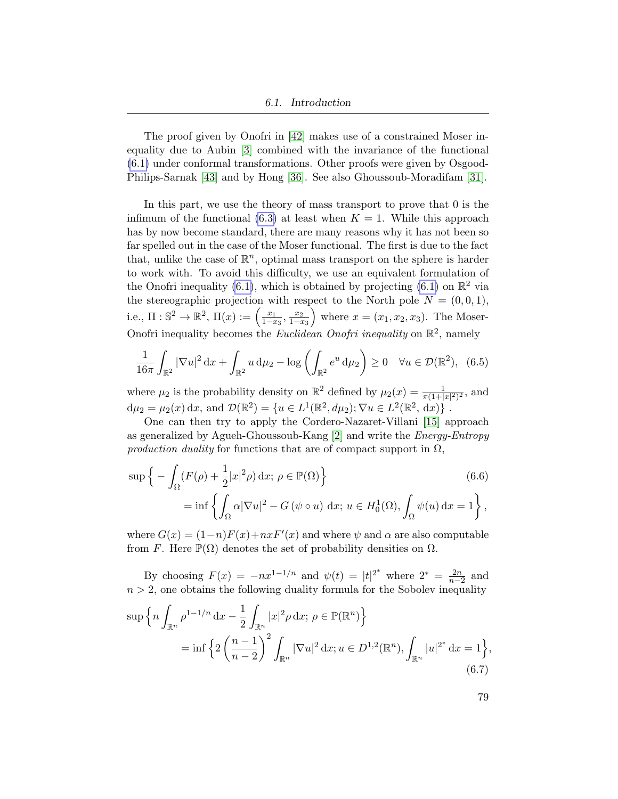The proof given by Onofri in [\[42\]](#page-103-1) makes use of a constrained Moser inequality due to Aubin [\[3\]](#page-100-0) combined with the invariance of the functional [\(6.1\)](#page-85-0) under conformal transformations. Other proofs were given by Osgood-Philips-Sarnak [\[43\]](#page-103-2) and by Hong [\[36\]](#page-102-0). See also Ghoussoub-Moradifam [\[31\]](#page-102-1).

In this part, we use the theory of mass transport to prove that 0 is the infimum of the functional  $(6.3)$  at least when  $K = 1$ . While this approach has by now become standard, there are many reasons why it has not been so far spelled out in the case of the Moser functional. The first is due to the fact that, unlike the case of  $\mathbb{R}^n$ , optimal mass transport on the sphere is harder to work with. To avoid this difficulty, we use an equivalent formulation of the Onofri inequality [\(6.1\)](#page-85-0), which is obtained by projecting (6.1) on  $\mathbb{R}^2$  via the stereographic projection with respect to the North pole  $N = (0, 0, 1)$ , i.e.,  $\Pi: \mathbb{S}^2 \to \mathbb{R}^2$ ,  $\Pi(x) := \begin{pmatrix} \frac{x_1}{1-x_1} & \cdots & \frac{x_n}{1-x_n} \end{pmatrix}$  $\frac{x_1}{1-x_3}, \frac{x_2}{1-x_3}$  $\overline{1-x_3}$ where  $x = (x_1, x_2, x_3)$ . The Moser-Onofri inequality becomes the *Euclidean Onofri inequality* on  $\mathbb{R}^2$ , namely

<span id="page-86-1"></span>
$$
\frac{1}{16\pi} \int_{\mathbb{R}^2} |\nabla u|^2 \, \mathrm{d}x + \int_{\mathbb{R}^2} u \, \mathrm{d}\mu_2 - \log \left( \int_{\mathbb{R}^2} e^u \, \mathrm{d}\mu_2 \right) \ge 0 \quad \forall u \in \mathcal{D}(\mathbb{R}^2), \tag{6.5}
$$

where  $\mu_2$  is the probability density on  $\mathbb{R}^2$  defined by  $\mu_2(x) = \frac{1}{\pi(1+|x|^2)^2}$ , and  $d\mu_2 = \mu_2(x) dx$ , and  $\mathcal{D}(\mathbb{R}^2) = \{u \in L^1(\mathbb{R}^2, d\mu_2); \nabla u \in L^2(\mathbb{R}^2, dx)\}\.$ 

One can then try to apply the Cordero-Nazaret-Villani [\[15\]](#page-101-0) approach as generalized by Agueh-Ghoussoub-Kang [\[2\]](#page-100-1) and write the Energy-Entropy production duality for functions that are of compact support in  $\Omega$ ,

$$
\sup \left\{ -\int_{\Omega} (F(\rho) + \frac{1}{2}|x|^2 \rho) dx; \ \rho \in \mathbb{P}(\Omega) \right\}
$$
\n
$$
= \inf \left\{ \int_{\Omega} \alpha |\nabla u|^2 - G(\psi \circ u) dx; \ u \in H_0^1(\Omega), \int_{\Omega} \psi(u) dx = 1 \right\},
$$
\n(6.6)

where  $G(x) = (1-n)F(x) + nxF'(x)$  and where  $\psi$  and  $\alpha$  are also computable from F. Here  $\mathbb{P}(\Omega)$  denotes the set of probability densities on  $\Omega$ .

By choosing  $F(x) = -nx^{1-1/n}$  and  $\psi(t) = |t|^{2^*}$  where  $2^* = \frac{2n}{n-2}$  and  $n > 2$ , one obtains the following duality formula for the Sobolev inequality

$$
\sup \left\{ n \int_{\mathbb{R}^n} \rho^{1-1/n} dx - \frac{1}{2} \int_{\mathbb{R}^n} |x|^2 \rho dx; \ \rho \in \mathbb{P}(\mathbb{R}^n) \right\}
$$
  
= 
$$
\inf \left\{ 2 \left( \frac{n-1}{n-2} \right)^2 \int_{\mathbb{R}^n} |\nabla u|^2 dx; u \in D^{1,2}(\mathbb{R}^n), \int_{\mathbb{R}^n} |u|^{2^*} dx = 1 \right\},
$$
  
(6.7)

<span id="page-86-0"></span>79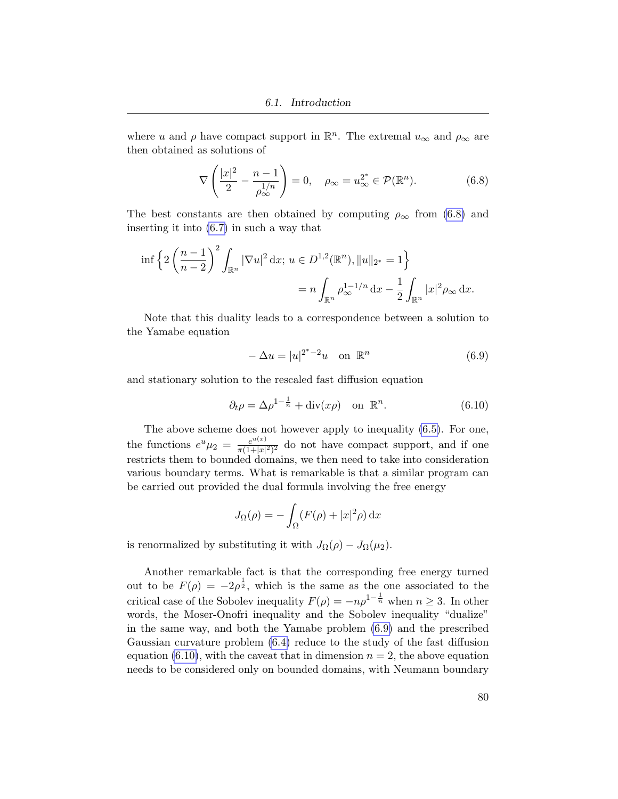where u and  $\rho$  have compact support in  $\mathbb{R}^n$ . The extremal  $u_{\infty}$  and  $\rho_{\infty}$  are then obtained as solutions of

<span id="page-87-0"></span>
$$
\nabla \left( \frac{|x|^2}{2} - \frac{n-1}{\rho_{\infty}^{1/n}} \right) = 0, \quad \rho_{\infty} = u_{\infty}^{2^*} \in \mathcal{P}(\mathbb{R}^n). \tag{6.8}
$$

The best constants are then obtained by computing  $\rho_{\infty}$  from [\(6.8\)](#page-87-0) and inserting it into [\(6.7\)](#page-86-0) in such a way that

$$
\inf \left\{ 2 \left( \frac{n-1}{n-2} \right)^2 \int_{\mathbb{R}^n} |\nabla u|^2 \, \mathrm{d} x; \, u \in D^{1,2}(\mathbb{R}^n), \|u\|_{2^*} = 1 \right\} \n= n \int_{\mathbb{R}^n} \rho_{\infty}^{1-1/n} \, \mathrm{d} x - \frac{1}{2} \int_{\mathbb{R}^n} |x|^2 \rho_{\infty} \, \mathrm{d} x.
$$

Note that this duality leads to a correspondence between a solution to the Yamabe equation

<span id="page-87-1"></span>
$$
-\Delta u = |u|^{2^*-2}u \quad \text{on } \mathbb{R}^n \tag{6.9}
$$

and stationary solution to the rescaled fast diffusion equation

<span id="page-87-2"></span>
$$
\partial_t \rho = \Delta \rho^{1 - \frac{1}{n}} + \text{div}(x \rho) \quad \text{on } \mathbb{R}^n. \tag{6.10}
$$

The above scheme does not however apply to inequality [\(6.5\)](#page-86-1). For one, the functions  $e^u \mu_2 = \frac{e^{u(x)}}{\pi(1+|x|)}$  $\frac{e^{u(x)}}{\pi(1+|x|^2)^2}$  do not have compact support, and if one restricts them to bounded domains, we then need to take into consideration various boundary terms. What is remarkable is that a similar program can be carried out provided the dual formula involving the free energy

$$
J_{\Omega}(\rho) = -\int_{\Omega} (F(\rho) + |x|^2 \rho) \, \mathrm{d}x
$$

is renormalized by substituting it with  $J_{\Omega}(\rho) - J_{\Omega}(\mu_2)$ .

Another remarkable fact is that the corresponding free energy turned out to be  $F(\rho) = -2\rho^{\frac{1}{2}}$ , which is the same as the one associated to the critical case of the Sobolev inequality  $F(\rho) = -n\rho^{1-\frac{1}{n}}$  when  $n \geq 3$ . In other words, the Moser-Onofri inequality and the Sobolev inequality "dualize" in the same way, and both the Yamabe problem [\(6.9\)](#page-87-1) and the prescribed Gaussian curvature problem [\(6.4\)](#page-85-3) reduce to the study of the fast diffusion equation [\(6.10\)](#page-87-2), with the caveat that in dimension  $n = 2$ , the above equation needs to be considered only on bounded domains, with Neumann boundary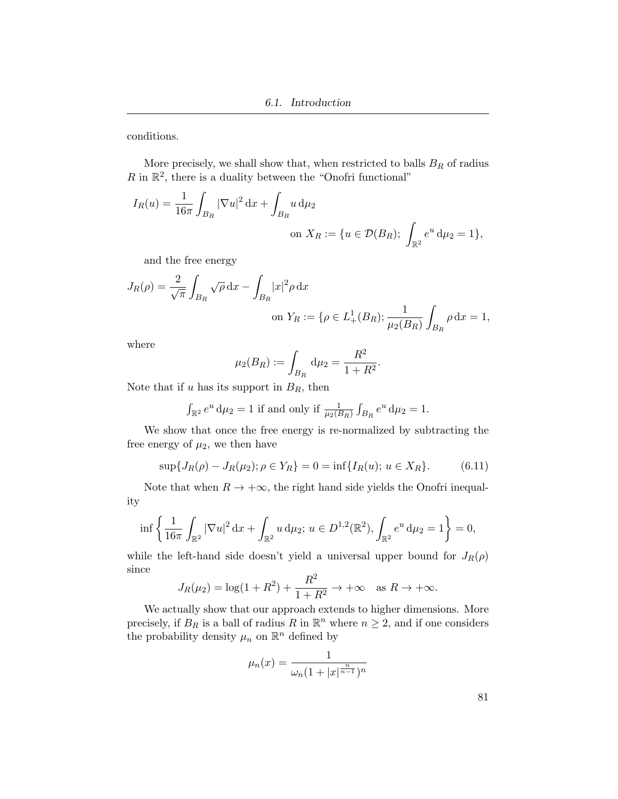conditions.

More precisely, we shall show that, when restricted to balls  $B_R$  of radius  $R$  in  $\mathbb{R}^2$ , there is a duality between the "Onofri functional"

$$
I_R(u) = \frac{1}{16\pi} \int_{B_R} |\nabla u|^2 dx + \int_{B_R} u d\mu_2
$$
  
on  $X_R := \{u \in \mathcal{D}(B_R); \int_{\mathbb{R}^2} e^u d\mu_2 = 1\},\$ 

and the free energy

$$
J_R(\rho) = \frac{2}{\sqrt{\pi}} \int_{B_R} \sqrt{\rho} \, dx - \int_{B_R} |x|^2 \rho \, dx
$$
  
on  $Y_R := \{ \rho \in L_+^1(B_R) ; \frac{1}{\mu_2(B_R)} \int_{B_R} \rho \, dx = 1,$ 

where

$$
\mu_2(B_R) := \int_{B_R} \mathrm{d}\mu_2 = \frac{R^2}{1 + R^2}.
$$

Note that if u has its support in  $B_R$ , then

$$
\int_{\mathbb{R}^2} e^u \, \mathrm{d}\mu_2 = 1
$$
 if and only if  $\frac{1}{\mu_2(B_R)} \int_{B_R} e^u \, \mathrm{d}\mu_2 = 1.$ 

We show that once the free energy is re-normalized by subtracting the free energy of  $\mu_2$ , we then have

$$
\sup\{J_R(\rho) - J_R(\mu_2); \rho \in Y_R\} = 0 = \inf\{I_R(u); u \in X_R\}.
$$
 (6.11)

Note that when  $R \to +\infty$ , the right hand side yields the Onofri inequality

$$
\inf \left\{ \frac{1}{16\pi} \int_{\mathbb{R}^2} |\nabla u|^2 \, \mathrm{d}x + \int_{\mathbb{R}^2} u \, \mathrm{d}\mu_2; \, u \in D^{1,2}(\mathbb{R}^2), \int_{\mathbb{R}^2} e^u \, \mathrm{d}\mu_2 = 1 \right\} = 0,
$$

while the left-hand side doesn't yield a universal upper bound for  $J_R(\rho)$ since

$$
J_R(\mu_2) = \log(1 + R^2) + \frac{R^2}{1 + R^2} \to +\infty \quad \text{as } R \to +\infty.
$$

We actually show that our approach extends to higher dimensions. More precisely, if  $B_R$  is a ball of radius R in  $\mathbb{R}^n$  where  $n \geq 2$ , and if one considers the probability density  $\mu_n$  on  $\mathbb{R}^n$  defined by

$$
\mu_n(x) = \frac{1}{\omega_n (1 + |x|^{\frac{n}{n-1}})^n}
$$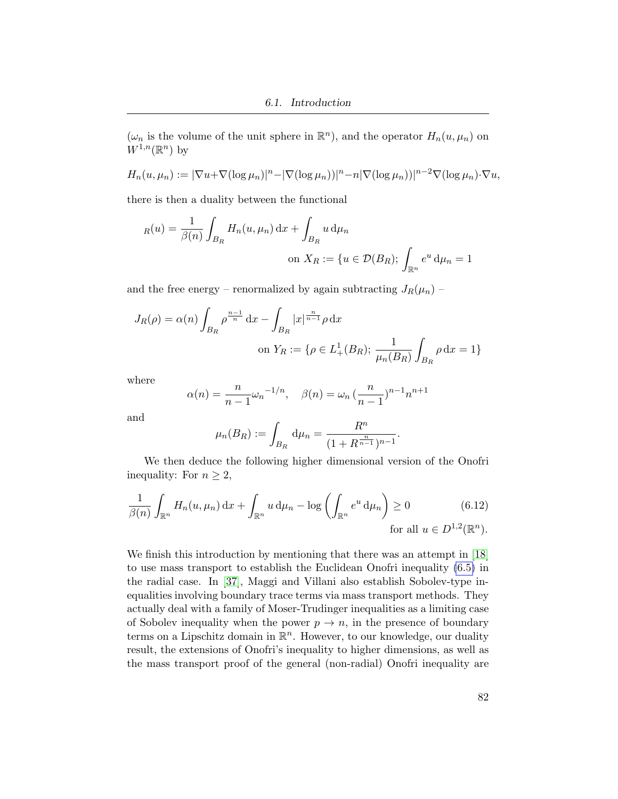$(\omega_n$  is the volume of the unit sphere in  $\mathbb{R}^n$ , and the operator  $H_n(u, \mu_n)$  on  $W^{1,n}(\mathbb{R}^n)$  by

$$
H_n(u, \mu_n) := |\nabla u + \nabla (\log \mu_n)|^n - |\nabla (\log \mu_n)|^n - n |\nabla (\log \mu_n)|^{n-2} \nabla (\log \mu_n) \cdot \nabla u,
$$

there is then a duality between the functional

$$
R(u) = \frac{1}{\beta(n)} \int_{B_R} H_n(u, \mu_n) dx + \int_{B_R} u d\mu_n
$$
  
on  $X_R := \{u \in \mathcal{D}(B_R); \int_{\mathbb{R}^n} e^u d\mu_n = 1\}$ 

and the free energy – renormalized by again subtracting  $J_R(\mu_n)$  –

$$
J_R(\rho) = \alpha(n) \int_{B_R} \rho^{\frac{n-1}{n}} dx - \int_{B_R} |x|^{\frac{n}{n-1}} \rho dx
$$
  
on  $Y_R := \{ \rho \in L^1_+(B_R) ; \frac{1}{\mu_n(B_R)} \int_{B_R} \rho dx = 1 \}$ 

where

$$
\alpha(n) = \frac{n}{n-1} \omega_n^{-1/n}, \quad \beta(n) = \omega_n \left(\frac{n}{n-1}\right)^{n-1} n^{n+1}
$$

and

$$
\mu_n(B_R) := \int_{B_R} d\mu_n = \frac{R^n}{(1 + R^{\frac{n}{n-1}})^{n-1}}.
$$

We then deduce the following higher dimensional version of the Onofri inequality: For  $n \geq 2$ ,

$$
\frac{1}{\beta(n)} \int_{\mathbb{R}^n} H_n(u, \mu_n) dx + \int_{\mathbb{R}^n} u d\mu_n - \log \left( \int_{\mathbb{R}^n} e^u d\mu_n \right) \ge 0 \qquad (6.12)
$$
  
for all  $u \in D^{1,2}(\mathbb{R}^n)$ .

We finish this introduction by mentioning that there was an attempt in [\[18\]](#page-101-1) to use mass transport to establish the Euclidean Onofri inequality [\(6.5\)](#page-86-1) in the radial case. In [\[37\]](#page-103-3), Maggi and Villani also establish Sobolev-type inequalities involving boundary trace terms via mass transport methods. They actually deal with a family of Moser-Trudinger inequalities as a limiting case of Sobolev inequality when the power  $p \to n$ , in the presence of boundary terms on a Lipschitz domain in  $\mathbb{R}^n$ . However, to our knowledge, our duality result, the extensions of Onofri's inequality to higher dimensions, as well as the mass transport proof of the general (non-radial) Onofri inequality are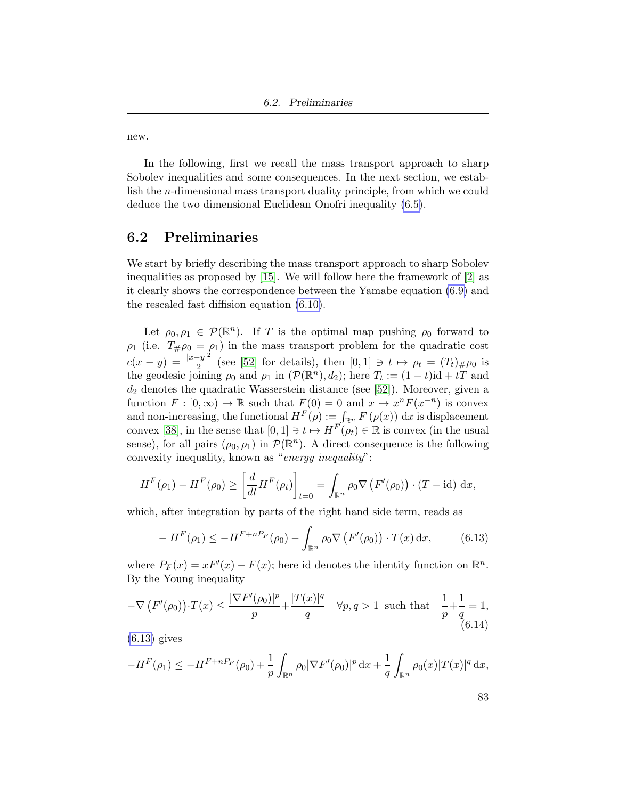new.

In the following, first we recall the mass transport approach to sharp Sobolev inequalities and some consequences. In the next section, we establish the n-dimensional mass transport duality principle, from which we could deduce the two dimensional Euclidean Onofri inequality [\(6.5\)](#page-86-1).

### 6.2 Preliminaries

We start by briefly describing the mass transport approach to sharp Sobolev inequalities as proposed by [\[15\]](#page-101-0). We will follow here the framework of [\[2\]](#page-100-1) as it clearly shows the correspondence between the Yamabe equation [\(6.9\)](#page-87-1) and the rescaled fast diffision equation [\(6.10\)](#page-87-2).

Let  $\rho_0, \rho_1 \in \mathcal{P}(\mathbb{R}^n)$ . If T is the optimal map pushing  $\rho_0$  forward to  $\rho_1$  (i.e.  $T_{\#}\rho_0 = \rho_1$ ) in the mass transport problem for the quadratic cost  $c(x - y) = \frac{|x-y|^2}{2}$  $\frac{2}{2}$  (see [\[52\]](#page-104-0) for details), then  $[0,1] \ni t \mapsto \rho_t = (T_t)_{\#}\rho_0$  is the geodesic joining  $\rho_0$  and  $\rho_1$  in  $(\mathcal{P}(\mathbb{R}^n), d_2)$ ; here  $T_t := (1 - t)\mathrm{id} + t\tilde{T}$  and  $d_2$  denotes the quadratic Wasserstein distance (see [\[52\]](#page-104-0)). Moreover, given a function  $F : [0, \infty) \to \mathbb{R}$  such that  $F(0) = 0$  and  $x \mapsto x^n F(x^{-n})$  is convex and non-increasing, the functional  $H^F(\rho) := \int_{\mathbb{R}^n} F(\rho(x)) dx$  is displacement convex [\[38\]](#page-103-4), in the sense that  $[0,1] \ni t \mapsto H^{F}(\mathfrak{p}_t) \in \mathbb{R}$  is convex (in the usual sense), for all pairs  $(\rho_0, \rho_1)$  in  $\mathcal{P}(\mathbb{R}^n)$ . A direct consequence is the following convexity inequality, known as "energy inequality":

$$
H^{F}(\rho_1) - H^{F}(\rho_0) \ge \left[\frac{d}{dt} H^{F}(\rho_t)\right]_{t=0} = \int_{\mathbb{R}^n} \rho_0 \nabla \left(F'(\rho_0)\right) \cdot (T - \mathrm{id}) \, \mathrm{d}x,
$$

which, after integration by parts of the right hand side term, reads as

<span id="page-90-0"></span>
$$
-H^F(\rho_1) \le -H^{F+nP_F}(\rho_0) - \int_{\mathbb{R}^n} \rho_0 \nabla \left( F'(\rho_0) \right) \cdot T(x) \, \mathrm{d}x,\tag{6.13}
$$

where  $P_F(x) = xF'(x) - F(x)$ ; here id denotes the identity function on  $\mathbb{R}^n$ . By the Young inequality

<span id="page-90-1"></span>
$$
-\nabla \left(F'(\rho_0)\right) \cdot T(x) \le \frac{|\nabla F'(\rho_0)|^p}{p} + \frac{|T(x)|^q}{q} \quad \forall p, q > 1 \text{ such that } \frac{1}{p} + \frac{1}{q} = 1,
$$
\n(6.14)

 $(6.13)$  gives

$$
-H^{F}(\rho_1) \leq -H^{F+nP_F}(\rho_0) + \frac{1}{p} \int_{\mathbb{R}^n} \rho_0 |\nabla F'(\rho_0)|^p \,dx + \frac{1}{q} \int_{\mathbb{R}^n} \rho_0(x) |T(x)|^q \,dx,
$$

$$
83\,
$$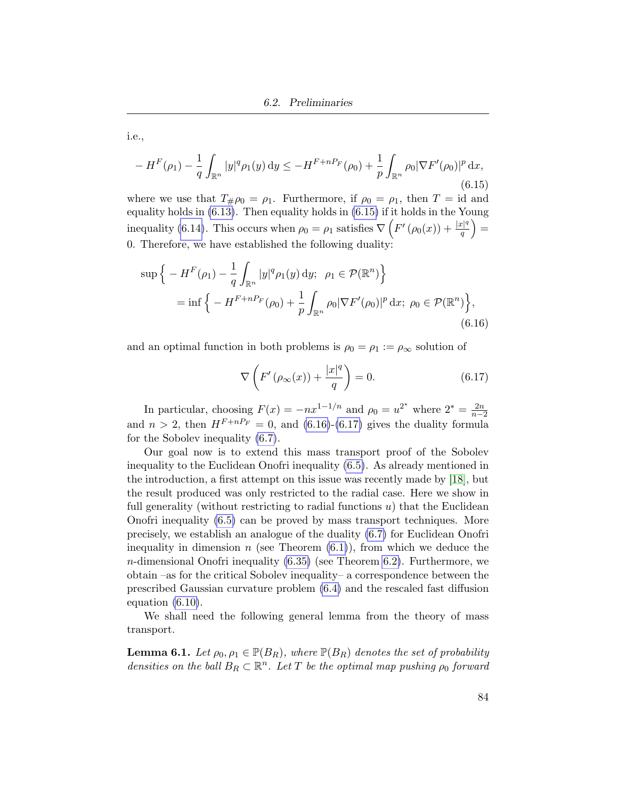i.e.,

<span id="page-91-0"></span>
$$
-H^{F}(\rho_{1}) - \frac{1}{q} \int_{\mathbb{R}^{n}} |y|^{q} \rho_{1}(y) dy \leq -H^{F+nP_{F}}(\rho_{0}) + \frac{1}{p} \int_{\mathbb{R}^{n}} \rho_{0} |\nabla F'(\rho_{0})|^{p} dx,
$$
\n(6.15)

where we use that  $T_{\#}\rho_0 = \rho_1$ . Furthermore, if  $\rho_0 = \rho_1$ , then  $T = id$  and equality holds in [\(6.13\)](#page-90-0). Then equality holds in [\(6.15\)](#page-91-0) if it holds in the Young inequality [\(6.14\)](#page-90-1). This occurs when  $\rho_0 = \rho_1$  satisfies  $\nabla \left( F'(\rho_0(x)) + \frac{|x|^q}{q} \right)$  $\frac{|c|^q}{q}\Big)=$ 0. Therefore, we have established the following duality:

$$
\sup \Big\{ -H^F(\rho_1) - \frac{1}{q} \int_{\mathbb{R}^n} |y|^q \rho_1(y) \, dy; \ \rho_1 \in \mathcal{P}(\mathbb{R}^n) \Big\} \n= \inf \Big\{ -H^{F+nP_F}(\rho_0) + \frac{1}{p} \int_{\mathbb{R}^n} \rho_0 |\nabla F'(\rho_0)|^p \, dx; \ \rho_0 \in \mathcal{P}(\mathbb{R}^n) \Big\},
$$
\n(6.16)

and an optimal function in both problems is  $\rho_0 = \rho_1 := \rho_\infty$  solution of

<span id="page-91-2"></span><span id="page-91-1"></span>
$$
\nabla \left( F' \left( \rho_{\infty}(x) \right) + \frac{|x|^q}{q} \right) = 0. \tag{6.17}
$$

In particular, choosing  $F(x) = -nx^{1-1/n}$  and  $\rho_0 = u^{2^*}$  where  $2^* = \frac{2n}{n-2}$ and  $n > 2$ , then  $H^{F+nP_F} = 0$ , and [\(6.16\)](#page-91-1)-[\(6.17\)](#page-91-2) gives the duality formula for the Sobolev inequality [\(6.7\)](#page-86-0).

Our goal now is to extend this mass transport proof of the Sobolev inequality to the Euclidean Onofri inequality [\(6.5\)](#page-86-1). As already mentioned in the introduction, a first attempt on this issue was recently made by [\[18\]](#page-101-1), but the result produced was only restricted to the radial case. Here we show in full generality (without restricting to radial functions  $u$ ) that the Euclidean Onofri inequality [\(6.5\)](#page-86-1) can be proved by mass transport techniques. More precisely, we establish an analogue of the duality [\(6.7\)](#page-86-0) for Euclidean Onofri inequality in dimension n (see Theorem  $(6.1)$ ), from which we deduce the *n*-dimensional Onofri inequality  $(6.35)$  (see Theorem [6.2\)](#page-97-1). Furthermore, we obtain –as for the critical Sobolev inequality– a correspondence between the prescribed Gaussian curvature problem [\(6.4\)](#page-85-3) and the rescaled fast diffusion equation [\(6.10\)](#page-87-2).

We shall need the following general lemma from the theory of mass transport.

<span id="page-91-3"></span>**Lemma 6.1.** Let  $\rho_0, \rho_1 \in \mathbb{P}(B_R)$ , where  $\mathbb{P}(B_R)$  denotes the set of probability densities on the ball  $B_R \subset \mathbb{R}^n$ . Let T be the optimal map pushing  $\rho_0$  forward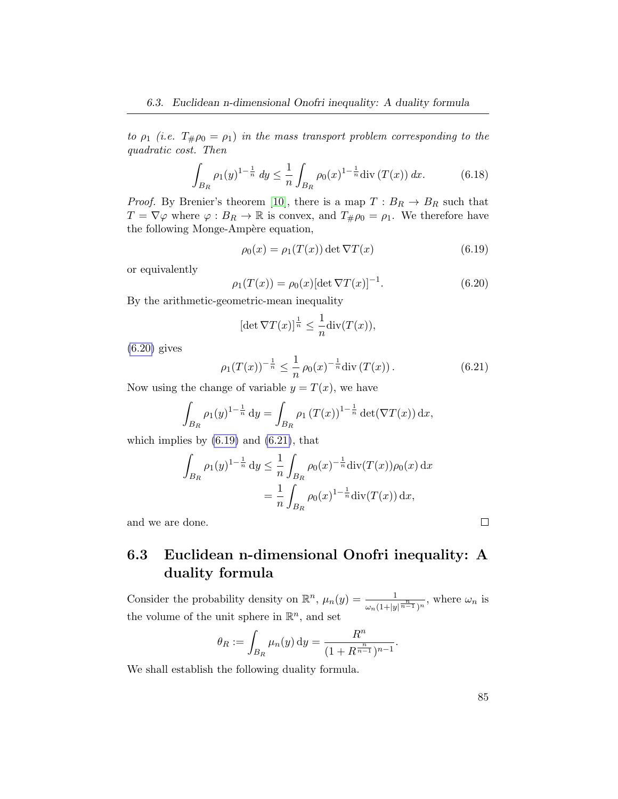to  $\rho_1$  (i.e.  $T_{\#}\rho_0 = \rho_1$ ) in the mass transport problem corresponding to the quadratic cost. Then

$$
\int_{B_R} \rho_1(y)^{1-\frac{1}{n}} dy \le \frac{1}{n} \int_{B_R} \rho_0(x)^{1-\frac{1}{n}} \text{div} (T(x)) dx.
$$
 (6.18)

*Proof.* By Brenier's theorem [\[10\]](#page-100-2), there is a map  $T: B_R \to B_R$  such that  $T = \nabla \varphi$  where  $\varphi : B_R \to \mathbb{R}$  is convex, and  $T_{\#}\rho_0 = \rho_1$ . We therefore have the following Monge-Ampère equation,

<span id="page-92-1"></span>
$$
\rho_0(x) = \rho_1(T(x)) \det \nabla T(x) \tag{6.19}
$$

or equivalently

<span id="page-92-0"></span>
$$
\rho_1(T(x)) = \rho_0(x)[\det \nabla T(x)]^{-1}.
$$
\n(6.20)

By the arithmetic-geometric-mean inequality

$$
[\det \nabla T(x)]^{\frac{1}{n}} \le \frac{1}{n} \operatorname{div}(T(x)),
$$

 $(6.20)$  gives

<span id="page-92-2"></span>
$$
\rho_1(T(x))^{-\frac{1}{n}} \le \frac{1}{n} \rho_0(x)^{-\frac{1}{n}} \text{div}\left(T(x)\right). \tag{6.21}
$$

Now using the change of variable  $y = T(x)$ , we have

$$
\int_{B_R} \rho_1(y)^{1-\frac{1}{n}} \, \mathrm{d}y = \int_{B_R} \rho_1(T(x))^{1-\frac{1}{n}} \det(\nabla T(x)) \, \mathrm{d}x,
$$

which implies by  $(6.19)$  and  $(6.21)$ , that

$$
\int_{B_R} \rho_1(y)^{1-\frac{1}{n}} \, \mathrm{d}y \le \frac{1}{n} \int_{B_R} \rho_0(x)^{-\frac{1}{n}} \mathrm{div}(T(x)) \rho_0(x) \, \mathrm{d}x
$$
\n
$$
= \frac{1}{n} \int_{B_R} \rho_0(x)^{1-\frac{1}{n}} \mathrm{div}(T(x)) \, \mathrm{d}x,
$$

and we are done.

### 6.3 Euclidean n-dimensional Onofri inequality: A duality formula

Consider the probability density on  $\mathbb{R}^n$ ,  $\mu_n(y) = \frac{1}{\omega_n(1+|y|^{\frac{n}{n-1}})^n}$ , where  $\omega_n$  is the volume of the unit sphere in  $\mathbb{R}^n$ , and set

$$
\theta_R := \int_{B_R} \mu_n(y) \, dy = \frac{R^n}{(1 + R^{\frac{n}{n-1}})^{n-1}}.
$$

We shall establish the following duality formula.

 $\Box$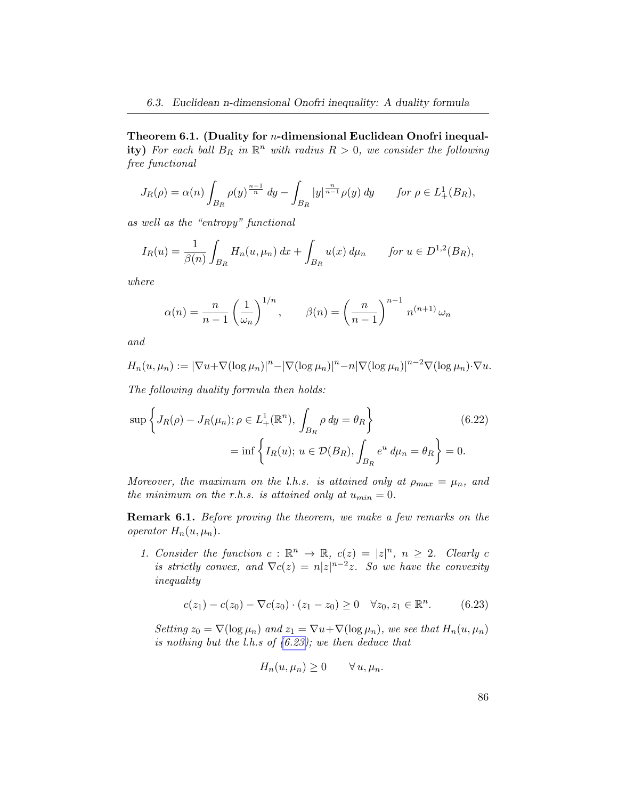<span id="page-93-0"></span>Theorem 6.1. (Duality for n-dimensional Euclidean Onofri inequal**ity**) For each ball  $B_R$  in  $\mathbb{R}^n$  with radius  $R > 0$ , we consider the following free functional

$$
J_R(\rho) = \alpha(n) \int_{B_R} \rho(y)^{\frac{n-1}{n}} dy - \int_{B_R} |y|^{\frac{n}{n-1}} \rho(y) dy \quad \text{for } \rho \in L^1_+(B_R),
$$

as well as the "entropy" functional

$$
I_R(u) = \frac{1}{\beta(n)} \int_{B_R} H_n(u, \mu_n) \, dx + \int_{B_R} u(x) \, d\mu_n \qquad \text{for } u \in D^{1,2}(B_R),
$$

where

$$
\alpha(n) = \frac{n}{n-1} \left(\frac{1}{\omega_n}\right)^{1/n}, \qquad \beta(n) = \left(\frac{n}{n-1}\right)^{n-1} n^{(n+1)} \omega_n
$$

and

$$
H_n(u, \mu_n) := |\nabla u + \nabla (\log \mu_n)|^n - |\nabla (\log \mu_n)|^n - n |\nabla (\log \mu_n)|^{n-2} \nabla (\log \mu_n) \cdot \nabla u.
$$

The following duality formula then holds:

$$
\sup \left\{ J_R(\rho) - J_R(\mu_n) ; \rho \in L^1_+(\mathbb{R}^n), \int_{B_R} \rho \, dy = \theta_R \right\} \tag{6.22}
$$

$$
= \inf \left\{ I_R(u) ; u \in \mathcal{D}(B_R), \int_{B_R} e^u \, d\mu_n = \theta_R \right\} = 0.
$$

Moreover, the maximum on the l.h.s. is attained only at  $\rho_{max} = \mu_n$ , and the minimum on the r.h.s. is attained only at  $u_{min} = 0$ .

Remark 6.1. Before proving the theorem, we make a few remarks on the operator  $H_n(u, \mu_n)$ .

1. Consider the function  $c : \mathbb{R}^n \to \mathbb{R}$ ,  $c(z) = |z|^n$ ,  $n \geq 2$ . Clearly c is strictly convex, and  $\nabla c(z) = n|z|^{n-2}z$ . So we have the convexity inequality

<span id="page-93-1"></span>
$$
c(z_1) - c(z_0) - \nabla c(z_0) \cdot (z_1 - z_0) \ge 0 \quad \forall z_0, z_1 \in \mathbb{R}^n. \tag{6.23}
$$

Setting  $z_0 = \nabla(\log \mu_n)$  and  $z_1 = \nabla u + \nabla(\log \mu_n)$ , we see that  $H_n(u, \mu_n)$ is nothing but the  $l.h.s$  of  $(6.23)$ ; we then deduce that

$$
H_n(u, \mu_n) \ge 0 \qquad \forall u, \mu_n.
$$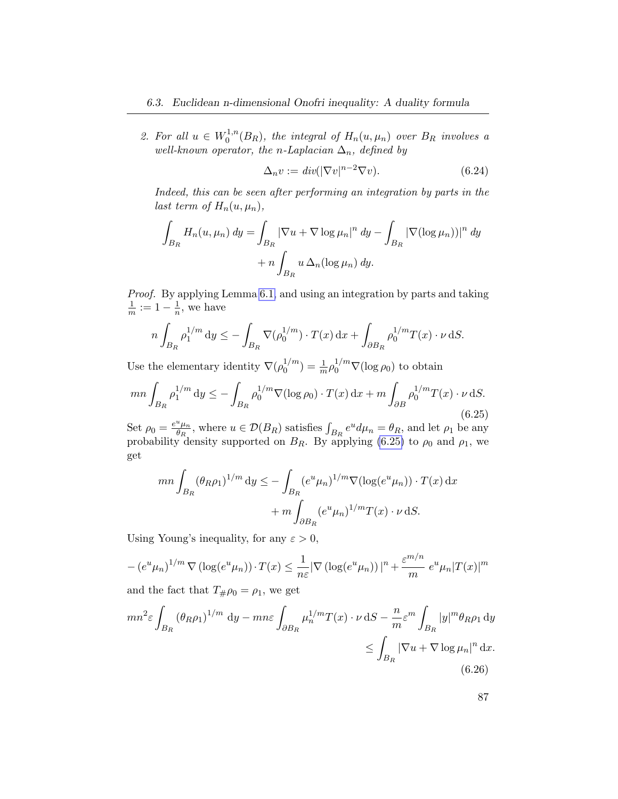2. For all  $u \in W_0^{1,n}$  $\int_0^{1,n}(B_R)$ , the integral of  $H_n(u,\mu_n)$  over  $B_R$  involves a well-known operator, the n-Laplacian  $\Delta_n$ , defined by

<span id="page-94-2"></span>
$$
\Delta_n v := \operatorname{div}(|\nabla v|^{n-2} \nabla v). \tag{6.24}
$$

Indeed, this can be seen after performing an integration by parts in the last term of  $H_n(u, \mu_n)$ ,

$$
\int_{B_R} H_n(u, \mu_n) dy = \int_{B_R} |\nabla u + \nabla \log \mu_n|^n dy - \int_{B_R} |\nabla (\log \mu_n))|^n dy
$$

$$
+ n \int_{B_R} u \Delta_n(\log \mu_n) dy.
$$

Proof. By applying Lemma [6.1,](#page-91-3) and using an integration by parts and taking 1  $\frac{1}{m} := 1 - \frac{1}{n}$  $\frac{1}{n}$ , we have

$$
n\int_{B_R} \rho_1^{1/m} dy \le -\int_{B_R} \nabla(\rho_0^{1/m}) \cdot T(x) dx + \int_{\partial B_R} \rho_0^{1/m} T(x) \cdot \nu dS.
$$

Use the elementary identity  $\nabla(\rho_0^{1/m})$  $\binom{1/m}{0} = \frac{1}{m} \rho_0^{1/m} \nabla(\log \rho_0)$  to obtain

<span id="page-94-0"></span>
$$
mn \int_{B_R} \rho_1^{1/m} \, dy \le - \int_{B_R} \rho_0^{1/m} \nabla(\log \rho_0) \cdot T(x) \, dx + m \int_{\partial B} \rho_0^{1/m} T(x) \cdot \nu \, dS. \tag{6.25}
$$

Set  $\rho_0 = \frac{e^u \mu_n}{\theta_P}$  $\frac{d^u \mu_n}{dR}$ , where  $u \in \mathcal{D}(B_R)$  satisfies  $\int_{B_R} e^u d\mu_n = \theta_R$ , and let  $\rho_1$  be any probability density supported on  $B_R$ . By applying [\(6.25\)](#page-94-0) to  $\rho_0$  and  $\rho_1$ , we get

$$
mn \int_{B_R} (\theta_R \rho_1)^{1/m} dy \le - \int_{B_R} (e^u \mu_n)^{1/m} \nabla(\log(e^u \mu_n)) \cdot T(x) dx
$$

$$
+ m \int_{\partial B_R} (e^u \mu_n)^{1/m} T(x) \cdot \nu dS.
$$

Using Young's inequality, for any  $\varepsilon > 0$ ,

$$
-(e^u\mu_n)^{1/m}\nabla(\log(e^u\mu_n))\cdot T(x) \leq \frac{1}{n\varepsilon}|\nabla(\log(e^u\mu_n))|^n + \frac{\varepsilon^{m/n}}{m}e^u\mu_n|T(x)|^m
$$

and the fact that  $T_{\#}\rho_0 = \rho_1$ , we get

<span id="page-94-1"></span>
$$
mn^{2}\varepsilon \int_{B_{R}} \left(\theta_{R}\rho_{1}\right)^{1/m} dy - mn\varepsilon \int_{\partial B_{R}} \mu_{n}^{1/m} T(x) \cdot \nu \,dS - \frac{n}{m}\varepsilon^{m} \int_{B_{R}} |y|^{m} \theta_{R}\rho_{1} dy
$$
  

$$
\leq \int_{B_{R}} |\nabla u + \nabla \log \mu_{n}|^{n} dx.
$$
\n(6.26)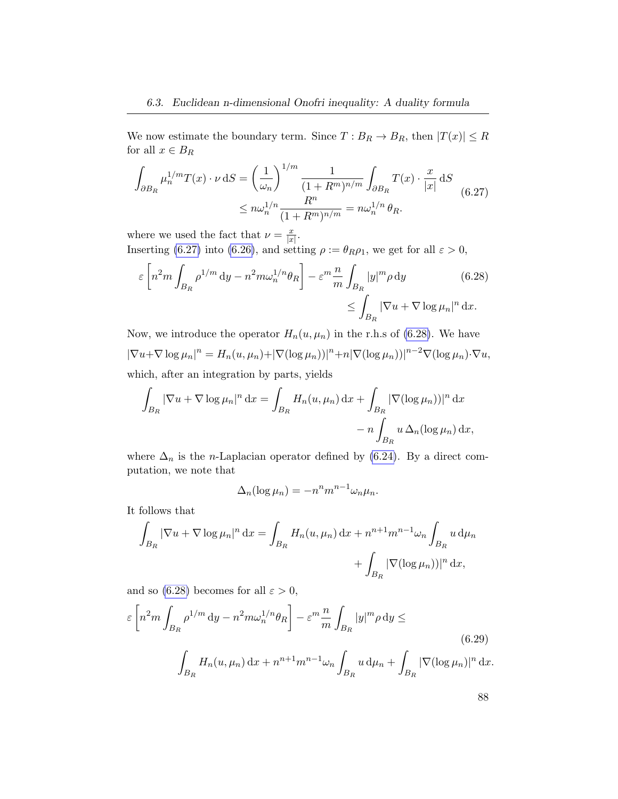We now estimate the boundary term. Since  $T : B_R \to B_R$ , then  $|T(x)| \leq R$ for all  $x \in B_R$ 

<span id="page-95-0"></span>
$$
\int_{\partial B_R} \mu_n^{1/m} T(x) \cdot \nu \, dS = \left(\frac{1}{\omega_n}\right)^{1/m} \frac{1}{(1 + R^m)^{n/m}} \int_{\partial B_R} T(x) \cdot \frac{x}{|x|} \, dS
$$
\n
$$
\leq n \omega_n^{1/n} \frac{R^n}{(1 + R^m)^{n/m}} = n \omega_n^{1/n} \theta_R.
$$
\n(6.27)

where we used the fact that  $\nu = \frac{x}{|x|}$  $\frac{x}{|x|}$ .

Inserting [\(6.27\)](#page-95-0) into [\(6.26\)](#page-94-1), and setting  $\rho := \theta_R \rho_1$ , we get for all  $\varepsilon > 0$ ,

$$
\varepsilon \left[ n^2 m \int_{B_R} \rho^{1/m} \, \mathrm{d}y - n^2 m \omega_n^{1/n} \theta_R \right] - \varepsilon^m \frac{n}{m} \int_{B_R} |y|^m \rho \, \mathrm{d}y \tag{6.28}
$$
\n
$$
\leq \int_{B_R} |\nabla u + \nabla \log \mu_n|^n \, \mathrm{d}x.
$$

Now, we introduce the operator  $H_n(u, \mu_n)$  in the r.h.s of [\(6.28\)](#page-95-1). We have  $|\nabla u+\nabla \log \mu_n|^n = H_n(u,\mu_n)+|\nabla (\log \mu_n))|^n+n|\nabla (\log \mu_n)|^{n-2}\nabla (\log \mu_n)\cdot \nabla u,$ which, after an integration by parts, yields

$$
\int_{B_R} |\nabla u + \nabla \log \mu_n|^n dx = \int_{B_R} H_n(u, \mu_n) dx + \int_{B_R} |\nabla (\log \mu_n))|^n dx
$$

$$
- n \int_{B_R} u \Delta_n(\log \mu_n) dx,
$$

where  $\Delta_n$  is the *n*-Laplacian operator defined by [\(6.24\)](#page-94-2). By a direct computation, we note that

<span id="page-95-1"></span>
$$
\Delta_n(\log \mu_n) = -n^n m^{n-1} \omega_n \mu_n.
$$

It follows that

$$
\int_{B_R} |\nabla u + \nabla \log \mu_n|^n dx = \int_{B_R} H_n(u, \mu_n) dx + n^{n+1} m^{n-1} \omega_n \int_{B_R} u d\mu_n
$$

$$
+ \int_{B_R} |\nabla (\log \mu_n)|^n dx,
$$

and so [\(6.28\)](#page-95-1) becomes for all  $\varepsilon > 0$ ,

$$
\varepsilon \left[ n^2 m \int_{B_R} \rho^{1/m} \, \mathrm{d}y - n^2 m \omega_n^{1/n} \theta_R \right] - \varepsilon^m \frac{n}{m} \int_{B_R} |y|^m \rho \, \mathrm{d}y \leq
$$
\n
$$
\int_{B_R} H_n(u, \mu_n) \, \mathrm{d}x + n^{n+1} m^{n-1} \omega_n \int_{B_R} u \, \mathrm{d}\mu_n + \int_{B_R} |\nabla(\log \mu_n)|^n \, \mathrm{d}x.
$$
\n
$$
(6.29)
$$

<span id="page-95-2"></span>88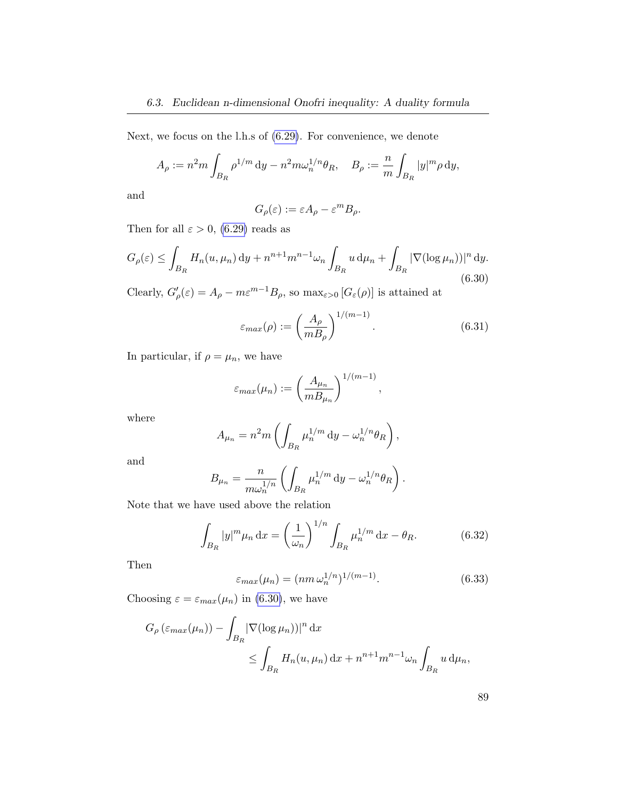Next, we focus on the l.h.s of [\(6.29\)](#page-95-2). For convenience, we denote

$$
A_{\rho} := n^2 m \int_{B_R} \rho^{1/m} \, \mathrm{d}y - n^2 m \omega_n^{1/n} \theta_R, \quad B_{\rho} := \frac{n}{m} \int_{B_R} |y|^m \rho \, \mathrm{d}y,
$$

and

$$
G_{\rho}(\varepsilon) := \varepsilon A_{\rho} - \varepsilon^{m} B_{\rho}.
$$

Then for all  $\varepsilon > 0$ , [\(6.29\)](#page-95-2) reads as

<span id="page-96-0"></span>
$$
G_{\rho}(\varepsilon) \le \int_{B_R} H_n(u, \mu_n) \, \mathrm{d}y + n^{n+1} m^{n-1} \omega_n \int_{B_R} u \, \mathrm{d}\mu_n + \int_{B_R} |\nabla(\log \mu_n)||^n \, \mathrm{d}y. \tag{6.30}
$$

Clearly,  $G'_{\rho}(\varepsilon) = A_{\rho} - m\varepsilon^{m-1}B_{\rho}$ , so  $\max_{\varepsilon > 0} [G_{\varepsilon}(\rho)]$  is attained at

$$
\varepsilon_{max}(\rho) := \left(\frac{A_{\rho}}{mB_{\rho}}\right)^{1/(m-1)}.\tag{6.31}
$$

In particular, if  $\rho = \mu_n$ , we have

$$
\varepsilon_{max}(\mu_n) := \left(\frac{A_{\mu_n}}{m B_{\mu_n}}\right)^{1/(m-1)},
$$

where

$$
A_{\mu_n} = n^2 m \left( \int_{B_R} \mu_n^{1/m} \, \mathrm{d}y - \omega_n^{1/n} \theta_R \right),
$$

and

$$
B_{\mu_n} = \frac{n}{m\omega_n^{1/n}} \left( \int_{B_R} \mu_n^{1/m} \, \mathrm{d}y - \omega_n^{1/n} \theta_R \right).
$$

Note that we have used above the relation

$$
\int_{B_R} |y|^m \mu_n \, dx = \left(\frac{1}{\omega_n}\right)^{1/n} \int_{B_R} \mu_n^{1/m} \, dx - \theta_R. \tag{6.32}
$$

Then

$$
\varepsilon_{max}(\mu_n) = (nm \,\omega_n^{1/n})^{1/(m-1)}.
$$
\n(6.33)

Choosing  $\varepsilon = \varepsilon_{max}(\mu_n)$  in [\(6.30\)](#page-96-0), we have

$$
G_{\rho}(\varepsilon_{max}(\mu_n)) - \int_{B_R} |\nabla(\log \mu_n))|^n dx
$$
  
\$\leq \int\_{B\_R} H\_n(u, \mu\_n) dx + n^{n+1} m^{n-1} \omega\_n \int\_{B\_R} u d\mu\_n,

| v<br>I<br>w<br>×<br>×,<br>I<br>I<br>۰.<br>I<br>×<br>٠<br>۰, |
|-------------------------------------------------------------|
|-------------------------------------------------------------|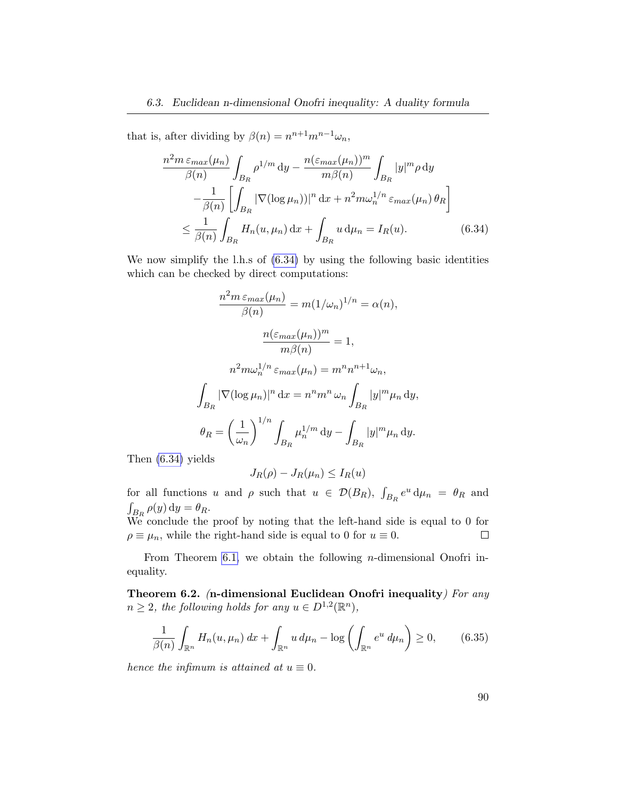that is, after dividing by  $\beta(n) = n^{n+1} m^{n-1} \omega_n$ ,

<span id="page-97-2"></span>
$$
\frac{n^2 m \varepsilon_{max}(\mu_n)}{\beta(n)} \int_{B_R} \rho^{1/m} \, dy - \frac{n(\varepsilon_{max}(\mu_n))^m}{m\beta(n)} \int_{B_R} |y|^m \rho \, dy
$$

$$
-\frac{1}{\beta(n)} \left[ \int_{B_R} |\nabla(\log \mu_n))|^n \, dx + n^2 m \omega_n^{1/n} \varepsilon_{max}(\mu_n) \, \theta_R \right]
$$

$$
\leq \frac{1}{\beta(n)} \int_{B_R} H_n(u, \mu_n) \, dx + \int_{B_R} u \, d\mu_n = I_R(u). \tag{6.34}
$$

We now simplify the l.h.s of  $(6.34)$  by using the following basic identities which can be checked by direct computations:

$$
\frac{n^2 m \,\varepsilon_{max}(\mu_n)}{\beta(n)} = m(1/\omega_n)^{1/n} = \alpha(n),
$$

$$
\frac{n(\varepsilon_{max}(\mu_n))^m}{m\beta(n)} = 1,
$$

$$
n^2 m \omega_n^{1/n} \varepsilon_{max}(\mu_n) = m^n n^{n+1} \omega_n,
$$

$$
\int_{B_R} |\nabla(\log \mu_n)|^n dx = n^n m^n \omega_n \int_{B_R} |y|^m \mu_n dy,
$$

$$
\theta_R = \left(\frac{1}{\omega_n}\right)^{1/n} \int_{B_R} \mu_n^{1/m} dy - \int_{B_R} |y|^m \mu_n dy.
$$

Then [\(6.34\)](#page-97-2) yields

$$
J_R(\rho) - J_R(\mu_n) \le I_R(u)
$$

for all functions u and  $\rho$  such that  $u \in \mathcal{D}(B_R)$ ,  $\int_{B_R} e^u d\mu_n = \theta_R$  and  $\int_{B_R} \rho(y) dy = \theta_R.$ 

We conclude the proof by noting that the left-hand side is equal to  $0$  for  $\rho \equiv \mu_n$ , while the right-hand side is equal to 0 for  $u \equiv 0$ .  $\Box$ 

From Theorem [6.1,](#page-93-0) we obtain the following *n*-dimensional Onofri inequality.

<span id="page-97-1"></span>Theorem 6.2. (n-dimensional Euclidean Onofri inequality) For any  $n \geq 2$ , the following holds for any  $u \in D^{1,2}(\mathbb{R}^n)$ ,

<span id="page-97-0"></span>
$$
\frac{1}{\beta(n)} \int_{\mathbb{R}^n} H_n(u, \mu_n) dx + \int_{\mathbb{R}^n} u d\mu_n - \log \left( \int_{\mathbb{R}^n} e^u d\mu_n \right) \ge 0, \qquad (6.35)
$$

hence the infimum is attained at  $u \equiv 0$ .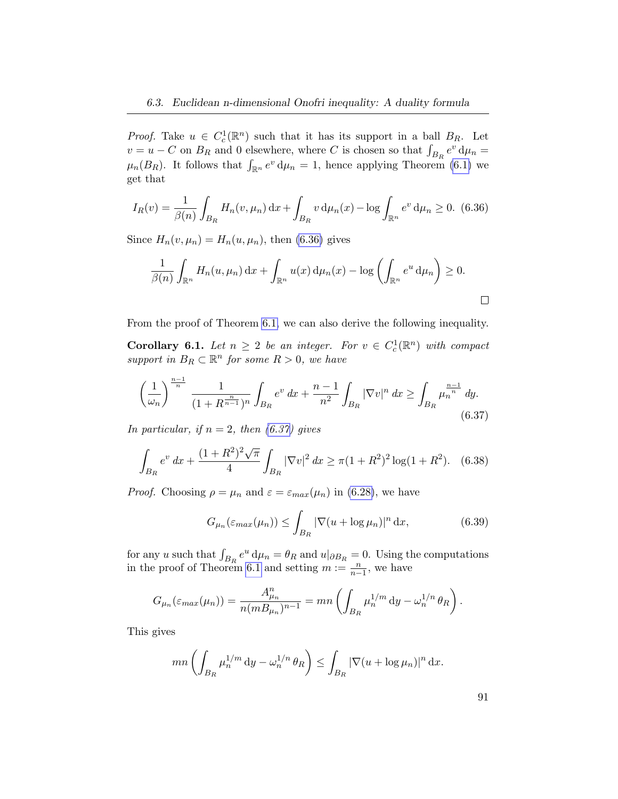*Proof.* Take  $u \in C_c^1(\mathbb{R}^n)$  such that it has its support in a ball  $B_R$ . Let  $v = u - C$  on  $B_R$  and 0 elsewhere, where C is chosen so that  $\int_{B_R} e^v d\mu_n =$  $\mu_n(B_R)$ . It follows that  $\int_{\mathbb{R}^n} e^v d\mu_n = 1$ , hence applying Theorem [\(6.1\)](#page-93-0) we get that

<span id="page-98-0"></span>
$$
I_R(v) = \frac{1}{\beta(n)} \int_{B_R} H_n(v, \mu_n) \, dx + \int_{B_R} v \, d\mu_n(x) - \log \int_{\mathbb{R}^n} e^v \, d\mu_n \ge 0. \tag{6.36}
$$

Since  $H_n(v, \mu_n) = H_n(u, \mu_n)$ , then [\(6.36\)](#page-98-0) gives

$$
\frac{1}{\beta(n)} \int_{\mathbb{R}^n} H_n(u, \mu_n) \, dx + \int_{\mathbb{R}^n} u(x) \, d\mu_n(x) - \log \left( \int_{\mathbb{R}^n} e^u \, d\mu_n \right) \ge 0.
$$

From the proof of Theorem [6.1,](#page-93-0) we can also derive the following inequality.

**Corollary 6.1.** Let  $n \geq 2$  be an integer. For  $v \in C_c^1(\mathbb{R}^n)$  with compact support in  $B_R \subset \mathbb{R}^n$  for some  $R > 0$ , we have

<span id="page-98-1"></span>
$$
\left(\frac{1}{\omega_n}\right)^{\frac{n-1}{n}} \frac{1}{(1+R^{\frac{n}{n-1}})^n} \int_{B_R} e^v \, dx + \frac{n-1}{n^2} \int_{B_R} |\nabla v|^n \, dx \ge \int_{B_R} \mu_n^{\frac{n-1}{n}} \, dy. \tag{6.37}
$$

In particular, if  $n = 2$ , then  $(6.37)$  gives

<span id="page-98-3"></span>
$$
\int_{B_R} e^v dx + \frac{(1+R^2)^2 \sqrt{\pi}}{4} \int_{B_R} |\nabla v|^2 dx \ge \pi (1+R^2)^2 \log(1+R^2). \tag{6.38}
$$

*Proof.* Choosing  $\rho = \mu_n$  and  $\varepsilon = \varepsilon_{max}(\mu_n)$  in [\(6.28\)](#page-95-1), we have

<span id="page-98-2"></span>
$$
G_{\mu_n}(\varepsilon_{\max}(\mu_n)) \le \int_{B_R} |\nabla(u + \log \mu_n)|^n \, \mathrm{d}x,\tag{6.39}
$$

for any u such that  $\int_{B_R} e^u d\mu_n = \theta_R$  and  $u|_{\partial B_R} = 0$ . Using the computations in the proof of Theorem [6.1](#page-93-0) and setting  $m := \frac{n}{n-1}$ , we have

$$
G_{\mu_n}(\varepsilon_{max}(\mu_n)) = \frac{A_{\mu_n}^n}{n(mB_{\mu_n})^{n-1}} = mn\left(\int_{B_R} \mu_n^{1/m} dy - \omega_n^{1/n} \theta_R\right).
$$

This gives

$$
mn\left(\int_{B_R} \mu_n^{1/m} \, \mathrm{d}y - \omega_n^{1/n} \, \theta_R\right) \le \int_{B_R} |\nabla(u + \log \mu_n)|^n \, \mathrm{d}x.
$$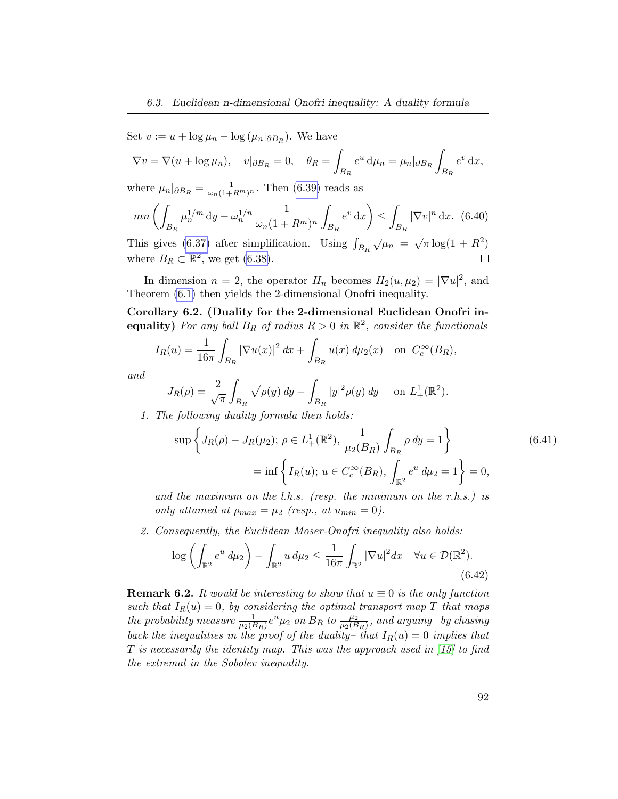Set  $v := u + \log \mu_n - \log (\mu_n |_{\partial B_R})$ . We have

$$
\nabla v = \nabla (u + \log \mu_n), \quad v|_{\partial B_R} = 0, \quad \theta_R = \int_{B_R} e^u \, \mathrm{d}\mu_n = \mu_n|_{\partial B_R} \int_{B_R} e^v \, \mathrm{d}x,
$$

where  $\mu_n|_{\partial B_R} = \frac{1}{\omega_n(1+R^m)^n}$ . Then [\(6.39\)](#page-98-2) reads as

$$
mn\left(\int_{B_R} \mu_n^{1/m} \, \mathrm{d}y - \omega_n^{1/n} \, \frac{1}{\omega_n (1 + R^m)^n} \int_{B_R} e^v \, \mathrm{d}x\right) \le \int_{B_R} |\nabla v|^n \, \mathrm{d}x. \tag{6.40}
$$

This gives [\(6.37\)](#page-98-1) after simplification. Using  $\int_{B_R} \sqrt{\mu_n} = \sqrt{\pi} \log(1 + R^2)$ where  $B_R \subset \mathbb{R}^2$ , we get [\(6.38\)](#page-98-3).  $\Box$ 

In dimension  $n = 2$ , the operator  $H_n$  becomes  $H_2(u, \mu_2) = |\nabla u|^2$ , and Theorem [\(6.1\)](#page-93-0) then yields the 2-dimensional Onofri inequality.

Corollary 6.2. (Duality for the 2-dimensional Euclidean Onofri inequality) For any ball  $B_R$  of radius  $R > 0$  in  $\mathbb{R}^2$ , consider the functionals

$$
I_R(u) = \frac{1}{16\pi} \int_{B_R} |\nabla u(x)|^2 dx + \int_{B_R} u(x) d\mu_2(x) \text{ on } C_c^{\infty}(B_R),
$$

and

$$
J_R(\rho) = \frac{2}{\sqrt{\pi}} \int_{B_R} \sqrt{\rho(y)} \, dy - \int_{B_R} |y|^2 \rho(y) \, dy \quad \text{ on } L^1_+(\mathbb{R}^2).
$$

1. The following duality formula then holds:

$$
\sup \left\{ J_R(\rho) - J_R(\mu_2) ; \ \rho \in L^1_+(\mathbb{R}^2), \ \frac{1}{\mu_2(B_R)} \int_{B_R} \rho \, dy = 1 \right\}
$$
\n
$$
= \inf \left\{ I_R(u) ; \ u \in C_c^\infty(B_R), \int_{\mathbb{R}^2} e^u \, d\mu_2 = 1 \right\} = 0,
$$
\n(6.41)

and the maximum on the l.h.s. (resp. the minimum on the r.h.s.) is only attained at  $\rho_{max} = \mu_2$  (resp., at  $u_{min} = 0$ ).

2. Consequently, the Euclidean Moser-Onofri inequality also holds:

$$
\log\left(\int_{\mathbb{R}^2} e^u \, d\mu_2\right) - \int_{\mathbb{R}^2} u \, d\mu_2 \le \frac{1}{16\pi} \int_{\mathbb{R}^2} |\nabla u|^2 dx \quad \forall u \in \mathcal{D}(\mathbb{R}^2). \tag{6.42}
$$

**Remark 6.2.** It would be interesting to show that  $u \equiv 0$  is the only function such that  $I_R(u) = 0$ , by considering the optimal transport map T that maps the probability measure  $\frac{1}{\mu_2(B_R)}e^u\mu_2$  on  $B_R$  to  $\frac{\mu_2}{\mu_2(B_R)}$ , and arguing -by chasing back the inequalities in the proof of the duality– that  $I_R(u) = 0$  implies that  $T$  is necessarily the identity map. This was the approach used in  $(15)$  to find the extremal in the Sobolev inequality.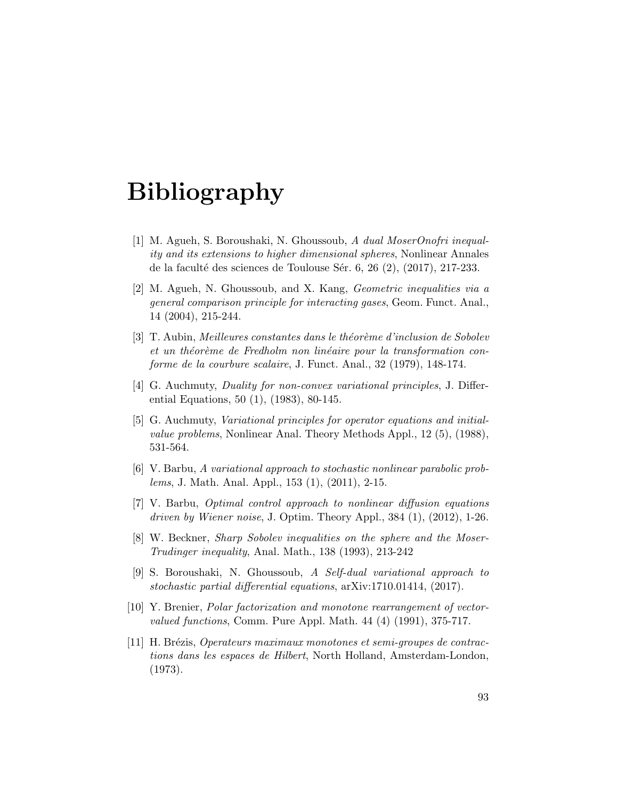- [1] M. Agueh, S. Boroushaki, N. Ghoussoub, A dual MoserOnofri inequality and its extensions to higher dimensional spheres, Nonlinear Annales de la faculté des sciences de Toulouse Sér. 6, 26  $(2)$ ,  $(2017)$ , 217-233.
- <span id="page-100-1"></span>[2] M. Agueh, N. Ghoussoub, and X. Kang, Geometric inequalities via a general comparison principle for interacting gases, Geom. Funct. Anal., 14 (2004), 215-244.
- <span id="page-100-0"></span> $[3]$  T. Aubin, *Meilleures constantes dans le théorème d'inclusion de Sobolev* et un théorème de Fredholm non linéaire pour la transformation conforme de la courbure scalaire, J. Funct. Anal., 32 (1979), 148-174.
- [4] G. Auchmuty, Duality for non-convex variational principles, J. Differential Equations, 50 (1), (1983), 80-145.
- [5] G. Auchmuty, Variational principles for operator equations and initialvalue problems, Nonlinear Anal. Theory Methods Appl., 12 (5), (1988), 531-564.
- [6] V. Barbu, A variational approach to stochastic nonlinear parabolic problems, J. Math. Anal. Appl., 153 (1), (2011), 2-15.
- [7] V. Barbu, Optimal control approach to nonlinear diffusion equations driven by Wiener noise, J. Optim. Theory Appl.,  $384$   $(1)$ ,  $(2012)$ ,  $1-26$ .
- [8] W. Beckner, Sharp Sobolev inequalities on the sphere and the Moser-Trudinger inequality, Anal. Math., 138 (1993), 213-242
- [9] S. Boroushaki, N. Ghoussoub, A Self-dual variational approach to stochastic partial differential equations, arXiv:1710.01414, (2017).
- <span id="page-100-2"></span>[10] Y. Brenier, Polar factorization and monotone rearrangement of vectorvalued functions, Comm. Pure Appl. Math. 44 (4) (1991), 375-717.
- [11] H. Br´ezis, Operateurs maximaux monotones et semi-groupes de contractions dans les espaces de Hilbert, North Holland, Amsterdam-London, (1973).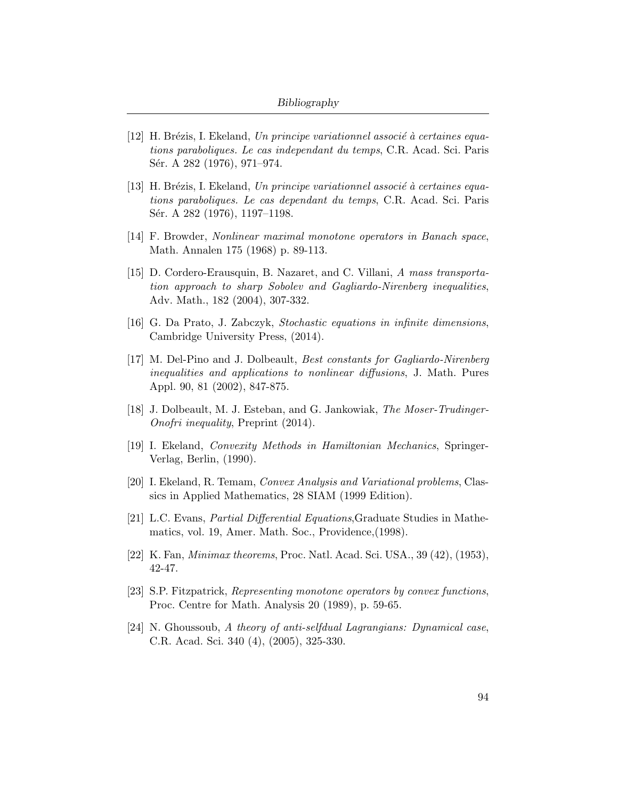- [12] H. Brézis, I. Ekeland, Un principe variationnel associé à certaines equations paraboliques. Le cas independant du temps, C.R. Acad. Sci. Paris Sér. A 282 (1976), 971–974.
- [13] H. Brézis, I. Ekeland, Un principe variationnel associé à certaines equations paraboliques. Le cas dependant du temps, C.R. Acad. Sci. Paris Sér. A 282 (1976), 1197–1198.
- [14] F. Browder, Nonlinear maximal monotone operators in Banach space, Math. Annalen 175 (1968) p. 89-113.
- <span id="page-101-0"></span>[15] D. Cordero-Erausquin, B. Nazaret, and C. Villani, A mass transportation approach to sharp Sobolev and Gagliardo-Nirenberg inequalities, Adv. Math., 182 (2004), 307-332.
- [16] G. Da Prato, J. Zabczyk, Stochastic equations in infinite dimensions, Cambridge University Press, (2014).
- [17] M. Del-Pino and J. Dolbeault, Best constants for Gagliardo-Nirenberg inequalities and applications to nonlinear diffusions, J. Math. Pures Appl. 90, 81 (2002), 847-875.
- <span id="page-101-1"></span>[18] J. Dolbeault, M. J. Esteban, and G. Jankowiak, The Moser-Trudinger-Onofri inequality, Preprint (2014).
- [19] I. Ekeland, Convexity Methods in Hamiltonian Mechanics, Springer-Verlag, Berlin, (1990).
- [20] I. Ekeland, R. Temam, Convex Analysis and Variational problems, Classics in Applied Mathematics, 28 SIAM (1999 Edition).
- [21] L.C. Evans, Partial Differential Equations,Graduate Studies in Mathematics, vol. 19, Amer. Math. Soc., Providence,(1998).
- [22] K. Fan, Minimax theorems, Proc. Natl. Acad. Sci. USA., 39 (42), (1953), 42-47.
- [23] S.P. Fitzpatrick, Representing monotone operators by convex functions, Proc. Centre for Math. Analysis 20 (1989), p. 59-65.
- [24] N. Ghoussoub, A theory of anti-selfdual Lagrangians: Dynamical case, C.R. Acad. Sci. 340 (4), (2005), 325-330.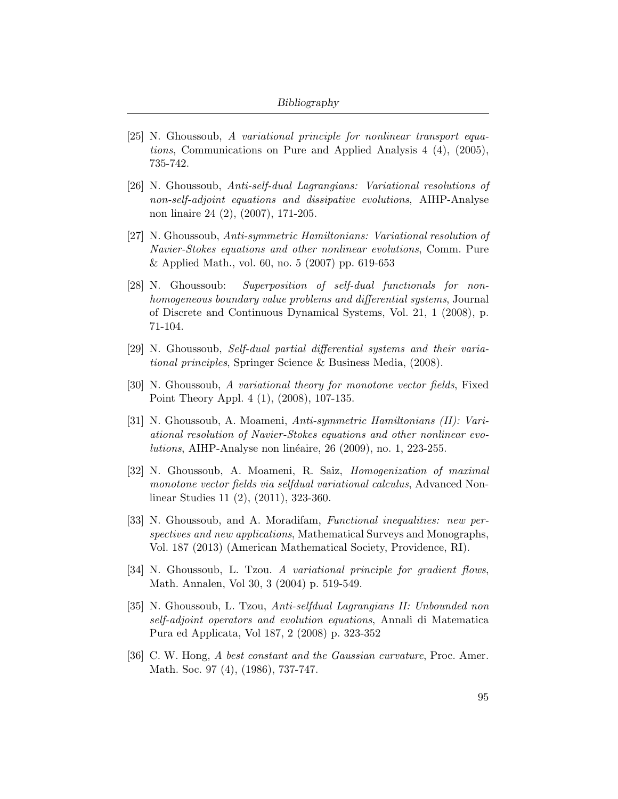- [25] N. Ghoussoub, A variational principle for nonlinear transport equations, Communications on Pure and Applied Analysis 4 (4), (2005), 735-742.
- [26] N. Ghoussoub, Anti-self-dual Lagrangians: Variational resolutions of non-self-adjoint equations and dissipative evolutions, AIHP-Analyse non linaire 24 (2), (2007), 171-205.
- [27] N. Ghoussoub, Anti-symmetric Hamiltonians: Variational resolution of Navier-Stokes equations and other nonlinear evolutions, Comm. Pure & Applied Math., vol. 60, no. 5 (2007) pp. 619-653
- [28] N. Ghoussoub: Superposition of self-dual functionals for nonhomogeneous boundary value problems and differential systems, Journal of Discrete and Continuous Dynamical Systems, Vol. 21, 1 (2008), p. 71-104.
- [29] N. Ghoussoub, Self-dual partial differential systems and their variational principles, Springer Science & Business Media, (2008).
- [30] N. Ghoussoub, A variational theory for monotone vector fields, Fixed Point Theory Appl. 4 (1), (2008), 107-135.
- <span id="page-102-1"></span>[31] N. Ghoussoub, A. Moameni, Anti-symmetric Hamiltonians (II): Variational resolution of Navier-Stokes equations and other nonlinear evolutions, AIHP-Analyse non linéaire, 26 (2009), no. 1, 223-255.
- [32] N. Ghoussoub, A. Moameni, R. Saiz, Homogenization of maximal monotone vector fields via selfdual variational calculus, Advanced Nonlinear Studies 11 (2), (2011), 323-360.
- [33] N. Ghoussoub, and A. Moradifam, Functional inequalities: new perspectives and new applications, Mathematical Surveys and Monographs, Vol. 187 (2013) (American Mathematical Society, Providence, RI).
- [34] N. Ghoussoub, L. Tzou. A variational principle for gradient flows, Math. Annalen, Vol 30, 3 (2004) p. 519-549.
- [35] N. Ghoussoub, L. Tzou, Anti-selfdual Lagrangians II: Unbounded non self-adjoint operators and evolution equations, Annali di Matematica Pura ed Applicata, Vol 187, 2 (2008) p. 323-352
- <span id="page-102-0"></span>[36] C. W. Hong, A best constant and the Gaussian curvature, Proc. Amer. Math. Soc. 97 (4), (1986), 737-747.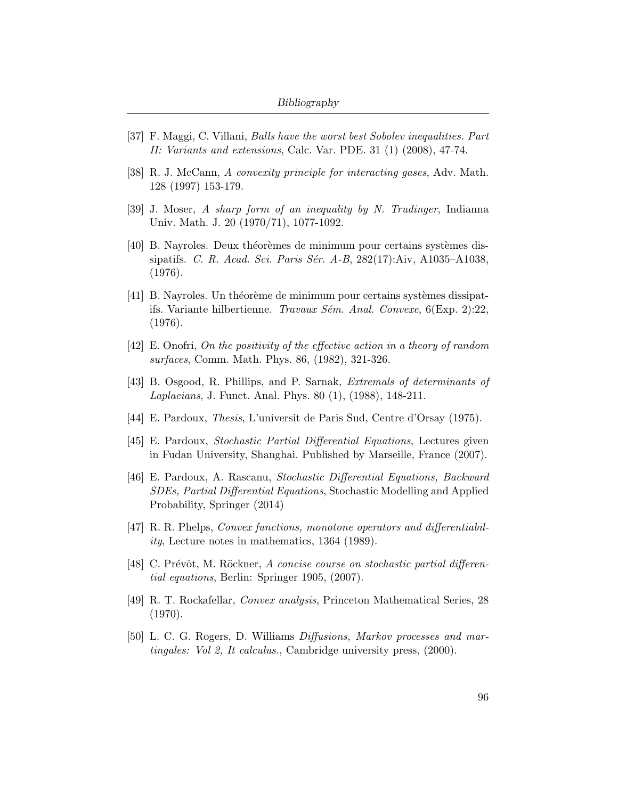- <span id="page-103-3"></span>[37] F. Maggi, C. Villani, Balls have the worst best Sobolev inequalities. Part II: Variants and extensions, Calc. Var. PDE. 31 (1) (2008), 47-74.
- <span id="page-103-4"></span>[38] R. J. McCann, A convexity principle for interacting gases, Adv. Math. 128 (1997) 153-179.
- <span id="page-103-0"></span>[39] J. Moser, A sharp form of an inequality by N. Trudinger, Indianna Univ. Math. J. 20 (1970/71), 1077-1092.
- [40] B. Nayroles. Deux théorèmes de minimum pour certains systèmes dissipatifs. C. R. Acad. Sci. Paris Sér. A-B, 282(17):Aiv, A1035-A1038, (1976).
- $[41]$  B. Nayroles. Un théorème de minimum pour certains systèmes dissipatifs. Variante hilbertienne. Travaux Sém. Anal. Convexe,  $6(Exp. 2):22$ , (1976).
- <span id="page-103-1"></span>[42] E. Onofri, On the positivity of the effective action in a theory of random surfaces, Comm. Math. Phys. 86, (1982), 321-326.
- <span id="page-103-2"></span>[43] B. Osgood, R. Phillips, and P. Sarnak, Extremals of determinants of Laplacians, J. Funct. Anal. Phys. 80 (1), (1988), 148-211.
- [44] E. Pardoux, Thesis, L'universit de Paris Sud, Centre d'Orsay (1975).
- [45] E. Pardoux, Stochastic Partial Differential Equations, Lectures given in Fudan University, Shanghai. Published by Marseille, France (2007).
- [46] E. Pardoux, A. Rascanu, Stochastic Differential Equations, Backward SDEs, Partial Differential Equations, Stochastic Modelling and Applied Probability, Springer (2014)
- [47] R. R. Phelps, Convex functions, monotone operators and differentiability, Lecture notes in mathematics, 1364 (1989).
- [48] C. Prévôt, M. Röckner, A concise course on stochastic partial differential equations, Berlin: Springer 1905, (2007).
- [49] R. T. Rockafellar, Convex analysis, Princeton Mathematical Series, 28 (1970).
- [50] L. C. G. Rogers, D. Williams Diffusions, Markov processes and martingales: Vol 2, It calculus., Cambridge university press, (2000).